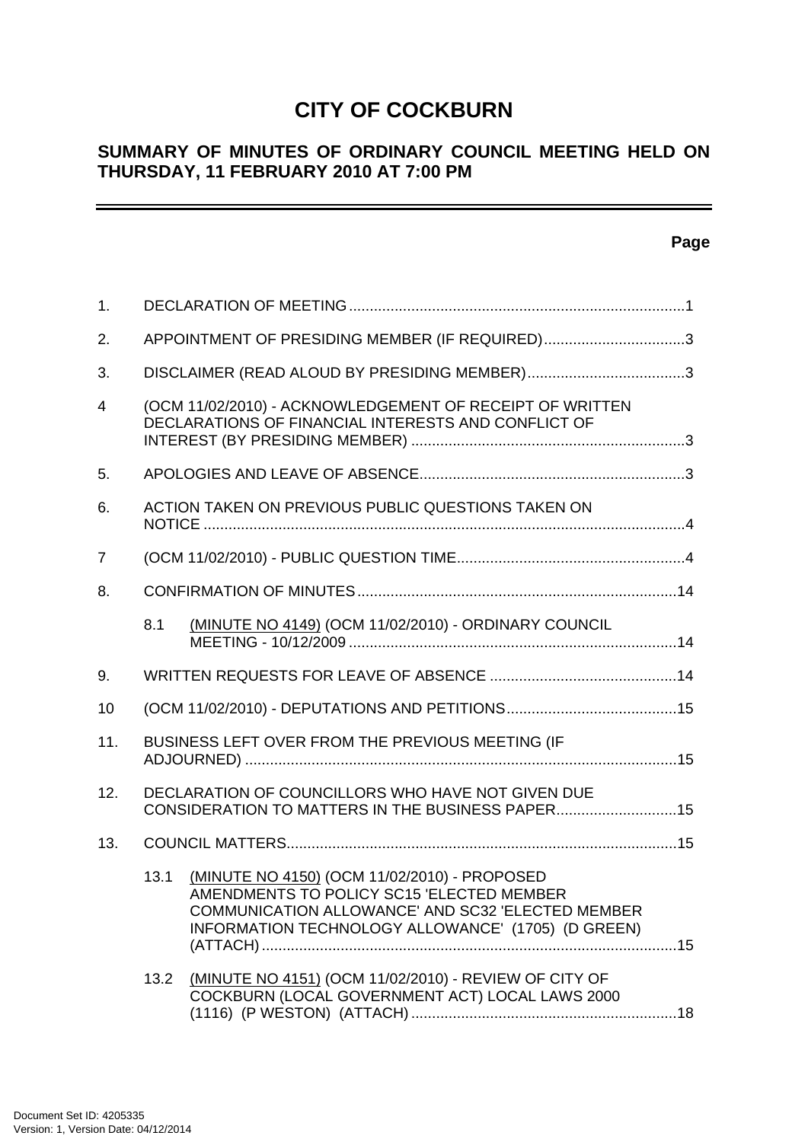# **CITY OF COCKBURN**

# **SUMMARY OF MINUTES OF ORDINARY COUNCIL MEETING HELD ON THURSDAY, 11 FEBRUARY 2010 AT 7:00 PM**

## **Page**

| $\mathbf{1}$ . |      |                                                                                                                                                                                                      |  |
|----------------|------|------------------------------------------------------------------------------------------------------------------------------------------------------------------------------------------------------|--|
| 2.             |      | APPOINTMENT OF PRESIDING MEMBER (IF REQUIRED)3                                                                                                                                                       |  |
| 3.             |      |                                                                                                                                                                                                      |  |
| $\overline{4}$ |      | (OCM 11/02/2010) - ACKNOWLEDGEMENT OF RECEIPT OF WRITTEN<br>DECLARATIONS OF FINANCIAL INTERESTS AND CONFLICT OF                                                                                      |  |
| 5.             |      |                                                                                                                                                                                                      |  |
| 6.             |      | ACTION TAKEN ON PREVIOUS PUBLIC QUESTIONS TAKEN ON                                                                                                                                                   |  |
| $\overline{7}$ |      |                                                                                                                                                                                                      |  |
| 8.             |      |                                                                                                                                                                                                      |  |
|                | 8.1  | (MINUTE NO 4149) (OCM 11/02/2010) - ORDINARY COUNCIL                                                                                                                                                 |  |
| 9.             |      |                                                                                                                                                                                                      |  |
| 10             |      |                                                                                                                                                                                                      |  |
| 11.            |      | BUSINESS LEFT OVER FROM THE PREVIOUS MEETING (IF                                                                                                                                                     |  |
| 12.            |      | DECLARATION OF COUNCILLORS WHO HAVE NOT GIVEN DUE<br>CONSIDERATION TO MATTERS IN THE BUSINESS PAPER15                                                                                                |  |
| 13.            |      |                                                                                                                                                                                                      |  |
|                | 13.1 | (MINUTE NO 4150) (OCM 11/02/2010) - PROPOSED<br>AMENDMENTS TO POLICY SC15 'ELECTED MEMBER<br>COMMUNICATION ALLOWANCE' AND SC32 'ELECTED MEMBER<br>INFORMATION TECHNOLOGY ALLOWANCE' (1705) (D GREEN) |  |
|                | 13.2 | (MINUTE NO 4151) (OCM 11/02/2010) - REVIEW OF CITY OF<br>COCKBURN (LOCAL GOVERNMENT ACT) LOCAL LAWS 2000                                                                                             |  |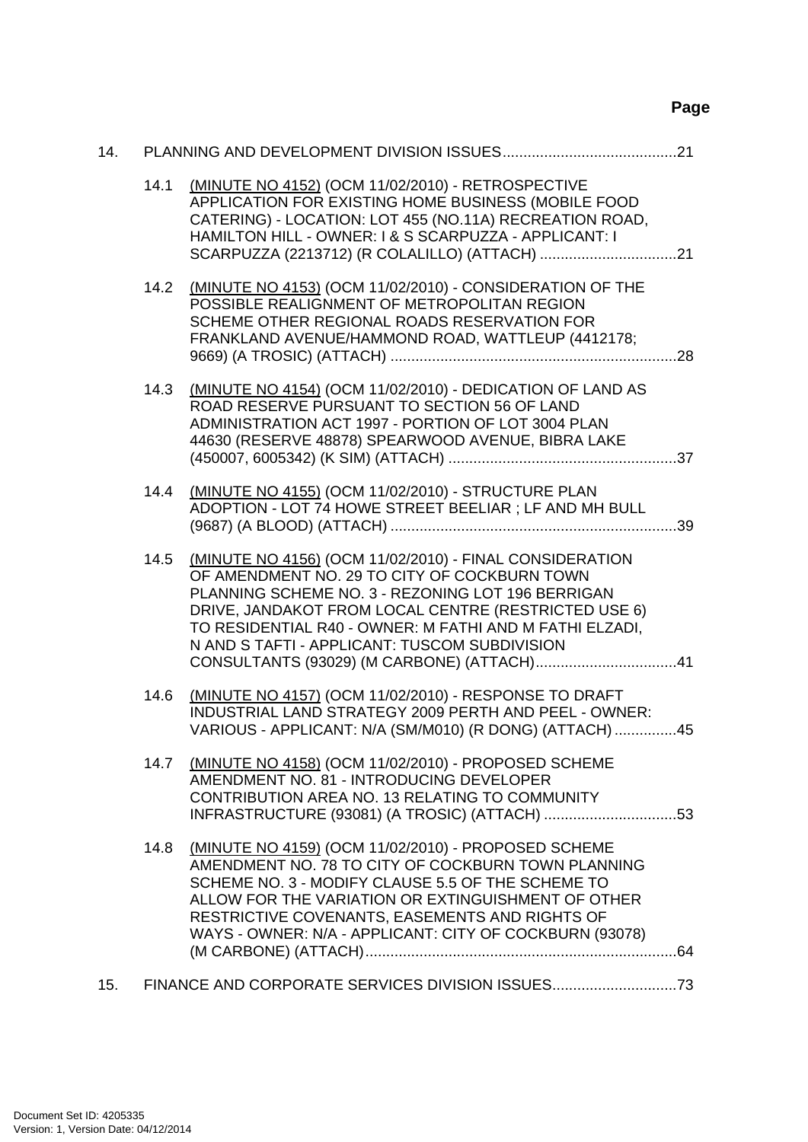# **Page**

| 14. |      |                                                                                                                                                                                                                                                                                                                                   |
|-----|------|-----------------------------------------------------------------------------------------------------------------------------------------------------------------------------------------------------------------------------------------------------------------------------------------------------------------------------------|
|     | 14.1 | (MINUTE NO 4152) (OCM 11/02/2010) - RETROSPECTIVE<br>APPLICATION FOR EXISTING HOME BUSINESS (MOBILE FOOD<br>CATERING) - LOCATION: LOT 455 (NO.11A) RECREATION ROAD,<br>HAMILTON HILL - OWNER: I & S SCARPUZZA - APPLICANT: I                                                                                                      |
|     | 14.2 | (MINUTE NO 4153) (OCM 11/02/2010) - CONSIDERATION OF THE<br>POSSIBLE REALIGNMENT OF METROPOLITAN REGION<br>SCHEME OTHER REGIONAL ROADS RESERVATION FOR<br>FRANKLAND AVENUE/HAMMOND ROAD, WATTLEUP (4412178;                                                                                                                       |
|     | 14.3 | (MINUTE NO 4154) (OCM 11/02/2010) - DEDICATION OF LAND AS<br>ROAD RESERVE PURSUANT TO SECTION 56 OF LAND<br>ADMINISTRATION ACT 1997 - PORTION OF LOT 3004 PLAN<br>44630 (RESERVE 48878) SPEARWOOD AVENUE, BIBRA LAKE                                                                                                              |
|     | 14.4 | (MINUTE NO 4155) (OCM 11/02/2010) - STRUCTURE PLAN<br>ADOPTION - LOT 74 HOWE STREET BEELIAR ; LF AND MH BULL                                                                                                                                                                                                                      |
|     | 14.5 | (MINUTE NO 4156) (OCM 11/02/2010) - FINAL CONSIDERATION<br>OF AMENDMENT NO. 29 TO CITY OF COCKBURN TOWN<br>PLANNING SCHEME NO. 3 - REZONING LOT 196 BERRIGAN<br>DRIVE, JANDAKOT FROM LOCAL CENTRE (RESTRICTED USE 6)<br>TO RESIDENTIAL R40 - OWNER: M FATHI AND M FATHI ELZADI,<br>N AND S TAFTI - APPLICANT: TUSCOM SUBDIVISION  |
|     | 14.6 | (MINUTE NO 4157) (OCM 11/02/2010) - RESPONSE TO DRAFT<br>INDUSTRIAL LAND STRATEGY 2009 PERTH AND PEEL - OWNER:<br>VARIOUS - APPLICANT: N/A (SM/M010) (R DONG) (ATTACH) 45                                                                                                                                                         |
|     | 14.7 | (MINUTE NO 4158) (OCM 11/02/2010) - PROPOSED SCHEME<br>AMENDMENT NO. 81 - INTRODUCING DEVELOPER<br>CONTRIBUTION AREA NO. 13 RELATING TO COMMUNITY<br>INFRASTRUCTURE (93081) (A TROSIC) (ATTACH) 53                                                                                                                                |
|     | 14.8 | (MINUTE NO 4159) (OCM 11/02/2010) - PROPOSED SCHEME<br>AMENDMENT NO. 78 TO CITY OF COCKBURN TOWN PLANNING<br>SCHEME NO. 3 - MODIFY CLAUSE 5.5 OF THE SCHEME TO<br>ALLOW FOR THE VARIATION OR EXTINGUISHMENT OF OTHER<br>RESTRICTIVE COVENANTS, EASEMENTS AND RIGHTS OF<br>WAYS - OWNER: N/A - APPLICANT: CITY OF COCKBURN (93078) |
| 15. |      |                                                                                                                                                                                                                                                                                                                                   |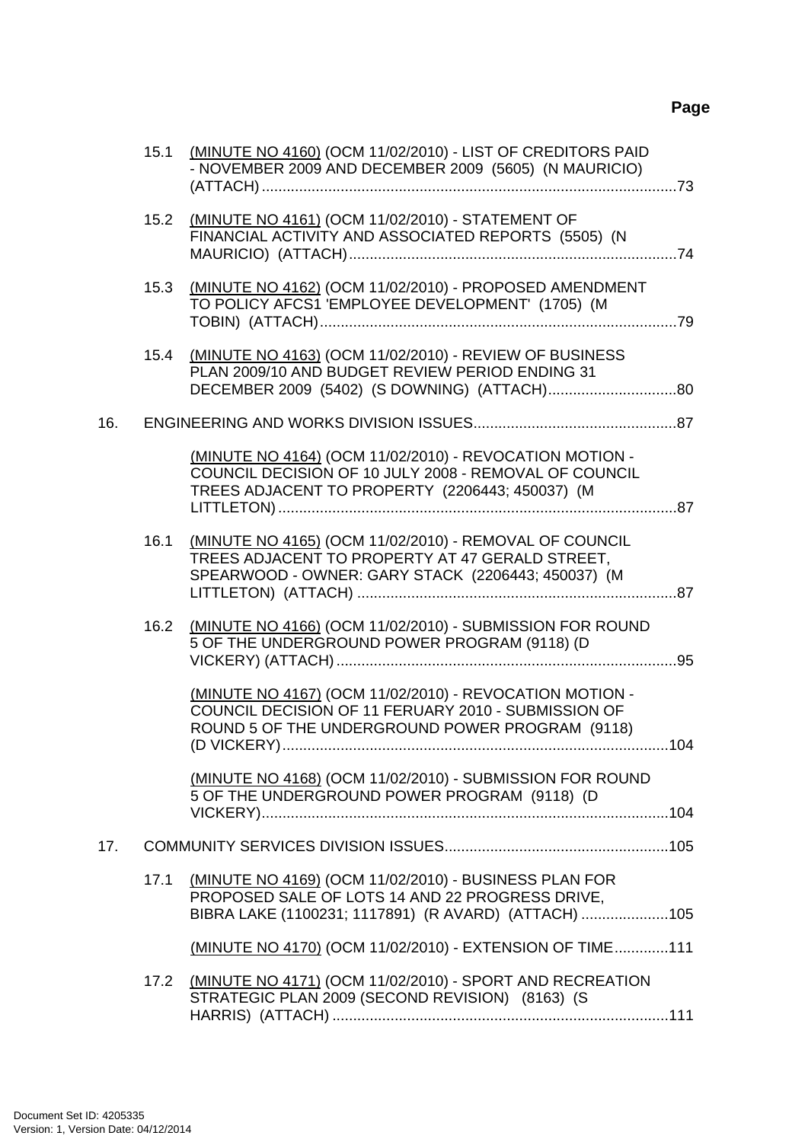|     | 15.1 | (MINUTE NO 4160) (OCM 11/02/2010) - LIST OF CREDITORS PAID<br>- NOVEMBER 2009 AND DECEMBER 2009 (5605) (N MAURICIO)                                                              |     |
|-----|------|----------------------------------------------------------------------------------------------------------------------------------------------------------------------------------|-----|
|     | 15.2 | (MINUTE NO 4161) (OCM 11/02/2010) - STATEMENT OF<br>FINANCIAL ACTIVITY AND ASSOCIATED REPORTS (5505) (N                                                                          |     |
|     | 15.3 | (MINUTE NO 4162) (OCM 11/02/2010) - PROPOSED AMENDMENT<br>TO POLICY AFCS1 'EMPLOYEE DEVELOPMENT' (1705) (M                                                                       |     |
|     |      | 15.4 (MINUTE NO 4163) (OCM 11/02/2010) - REVIEW OF BUSINESS<br>PLAN 2009/10 AND BUDGET REVIEW PERIOD ENDING 31                                                                   |     |
| 16. |      |                                                                                                                                                                                  |     |
|     |      | (MINUTE NO 4164) (OCM 11/02/2010) - REVOCATION MOTION -<br>COUNCIL DECISION OF 10 JULY 2008 - REMOVAL OF COUNCIL<br>TREES ADJACENT TO PROPERTY (2206443; 450037) (M              |     |
|     | 16.1 | (MINUTE NO 4165) (OCM 11/02/2010) - REMOVAL OF COUNCIL<br>TREES ADJACENT TO PROPERTY AT 47 GERALD STREET,<br>SPEARWOOD - OWNER: GARY STACK (2206443; 450037) (M                  |     |
|     | 16.2 | (MINUTE NO 4166) (OCM 11/02/2010) - SUBMISSION FOR ROUND<br>5 OF THE UNDERGROUND POWER PROGRAM (9118) (D                                                                         |     |
|     |      | (MINUTE NO 4167) (OCM 11/02/2010) - REVOCATION MOTION -<br>COUNCIL DECISION OF 11 FERUARY 2010 - SUBMISSION OF<br>ROUND 5 OF THE UNDERGROUND POWER PROGRAM (9118)<br>(D VICKERY) | 104 |
|     |      | (MINUTE NO 4168) (OCM 11/02/2010) - SUBMISSION FOR ROUND<br>5 OF THE UNDERGROUND POWER PROGRAM (9118) (D                                                                         |     |
| 17. |      |                                                                                                                                                                                  |     |
|     | 17.1 | (MINUTE NO 4169) (OCM 11/02/2010) - BUSINESS PLAN FOR<br>PROPOSED SALE OF LOTS 14 AND 22 PROGRESS DRIVE,<br>BIBRA LAKE (1100231; 1117891) (R AVARD) (ATTACH) 105                 |     |
|     |      | (MINUTE NO 4170) (OCM 11/02/2010) - EXTENSION OF TIME111                                                                                                                         |     |
|     |      | 17.2 (MINUTE NO 4171) (OCM 11/02/2010) - SPORT AND RECREATION<br>STRATEGIC PLAN 2009 (SECOND REVISION) (8163) (S                                                                 |     |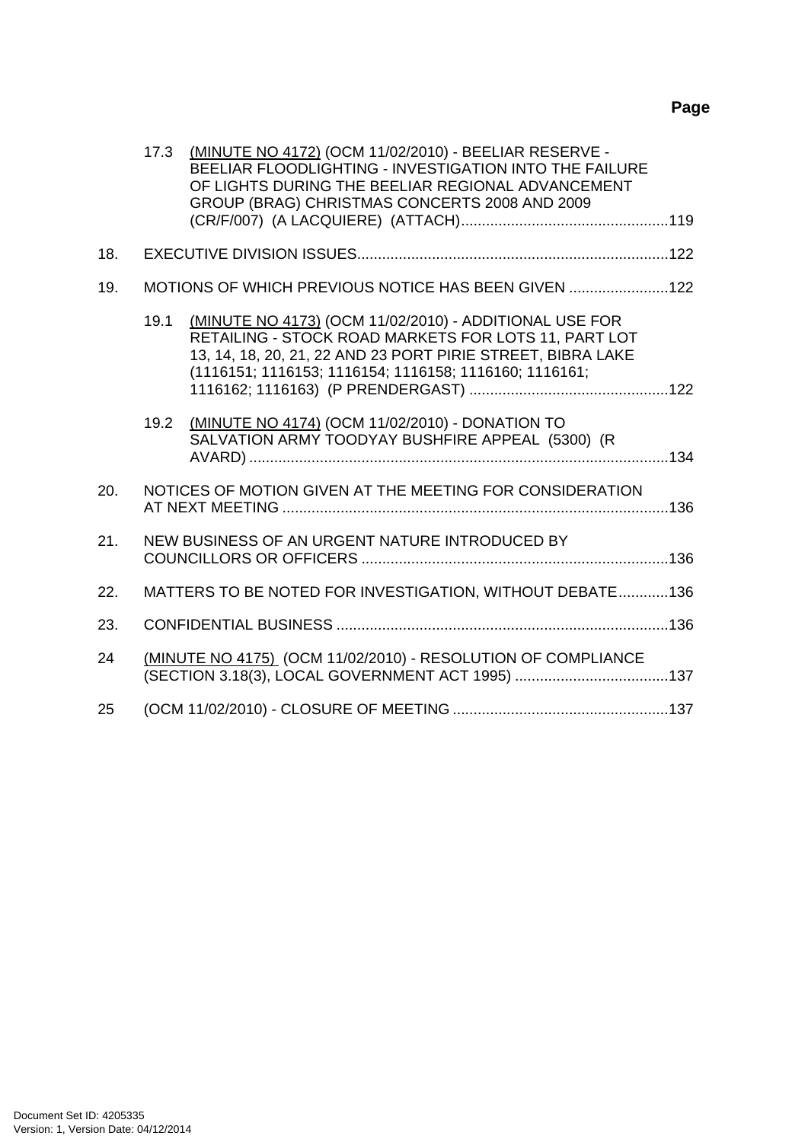# **Page**

|     | 17.3 | (MINUTE NO 4172) (OCM 11/02/2010) - BEELIAR RESERVE -<br>BEELIAR FLOODLIGHTING - INVESTIGATION INTO THE FAILURE<br>OF LIGHTS DURING THE BEELIAR REGIONAL ADVANCEMENT<br>GROUP (BRAG) CHRISTMAS CONCERTS 2008 AND 2009                   |  |
|-----|------|-----------------------------------------------------------------------------------------------------------------------------------------------------------------------------------------------------------------------------------------|--|
|     |      |                                                                                                                                                                                                                                         |  |
| 18. |      |                                                                                                                                                                                                                                         |  |
| 19. |      | MOTIONS OF WHICH PREVIOUS NOTICE HAS BEEN GIVEN 122                                                                                                                                                                                     |  |
|     | 19.1 | (MINUTE NO 4173) (OCM 11/02/2010) - ADDITIONAL USE FOR<br>RETAILING - STOCK ROAD MARKETS FOR LOTS 11, PART LOT<br>13, 14, 18, 20, 21, 22 AND 23 PORT PIRIE STREET, BIBRA LAKE<br>(1116151; 1116153; 1116154; 1116158; 1116160; 1116161; |  |
|     | 19.2 | (MINUTE NO 4174) (OCM 11/02/2010) - DONATION TO<br>SALVATION ARMY TOODYAY BUSHFIRE APPEAL (5300) (R                                                                                                                                     |  |
| 20. |      | NOTICES OF MOTION GIVEN AT THE MEETING FOR CONSIDERATION                                                                                                                                                                                |  |
| 21. |      | NEW BUSINESS OF AN URGENT NATURE INTRODUCED BY                                                                                                                                                                                          |  |
| 22. |      | MATTERS TO BE NOTED FOR INVESTIGATION, WITHOUT DEBATE136                                                                                                                                                                                |  |
| 23. |      |                                                                                                                                                                                                                                         |  |
| 24  |      | (MINUTE NO 4175) (OCM 11/02/2010) - RESOLUTION OF COMPLIANCE                                                                                                                                                                            |  |
| 25  |      |                                                                                                                                                                                                                                         |  |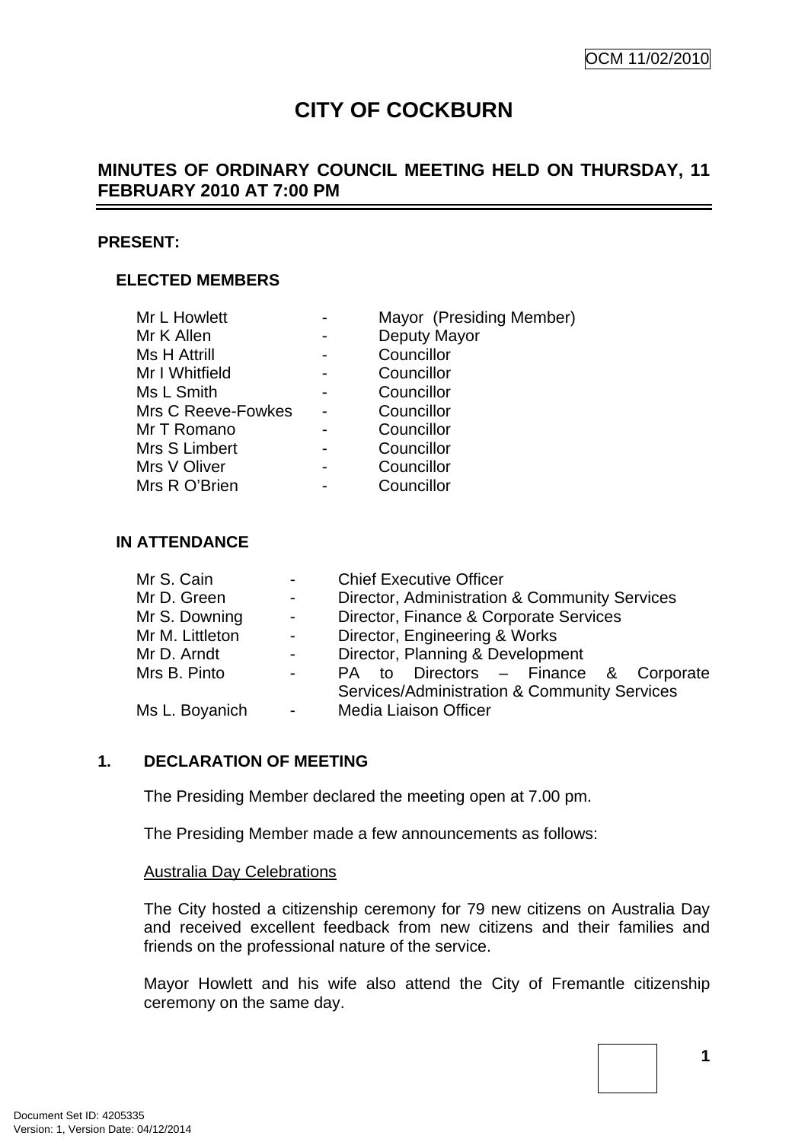# **CITY OF COCKBURN**

# <span id="page-4-0"></span>**MINUTES OF ORDINARY COUNCIL MEETING HELD ON THURSDAY, 11 FEBRUARY 2010 AT 7:00 PM**

#### **PRESENT:**

#### **ELECTED MEMBERS**

| Mayor (Presiding Member) |
|--------------------------|
| Deputy Mayor             |
| Councillor               |
| Councillor               |
| Councillor               |
| Councillor               |
| Councillor               |
| Councillor               |
| Councillor               |
| Councillor               |
|                          |

#### **IN ATTENDANCE**

| <b>Chief Executive Officer</b>                |  |  |  |
|-----------------------------------------------|--|--|--|
| Director, Administration & Community Services |  |  |  |
| Director, Finance & Corporate Services        |  |  |  |
| Director, Engineering & Works                 |  |  |  |
| Director, Planning & Development              |  |  |  |
| PA to Directors - Finance & Corporate         |  |  |  |
| Services/Administration & Community Services  |  |  |  |
| <b>Media Liaison Officer</b>                  |  |  |  |
|                                               |  |  |  |

#### **1. DECLARATION OF MEETING**

The Presiding Member declared the meeting open at 7.00 pm.

The Presiding Member made a few announcements as follows:

#### Australia Day Celebrations

The City hosted a citizenship ceremony for 79 new citizens on Australia Day and received excellent feedback from new citizens and their families and friends on the professional nature of the service.

Mayor Howlett and his wife also attend the City of Fremantle citizenship ceremony on the same day.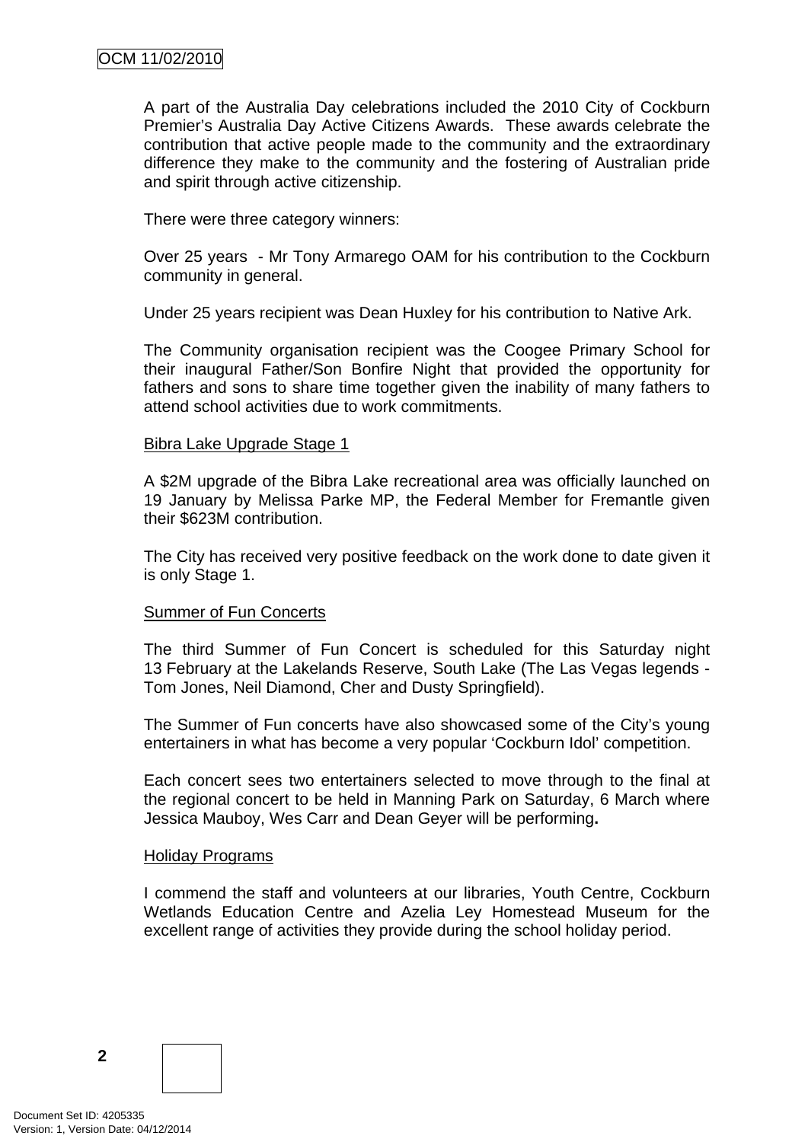A part of the Australia Day celebrations included the 2010 City of Cockburn Premier's Australia Day Active Citizens Awards. These awards celebrate the contribution that active people made to the community and the extraordinary difference they make to the community and the fostering of Australian pride and spirit through active citizenship.

There were three category winners:

Over 25 years - Mr Tony Armarego OAM for his contribution to the Cockburn community in general.

Under 25 years recipient was Dean Huxley for his contribution to Native Ark.

The Community organisation recipient was the Coogee Primary School for their inaugural Father/Son Bonfire Night that provided the opportunity for fathers and sons to share time together given the inability of many fathers to attend school activities due to work commitments.

#### Bibra Lake Upgrade Stage 1

A \$2M upgrade of the Bibra Lake recreational area was officially launched on 19 January by Melissa Parke MP, the Federal Member for Fremantle given their \$623M contribution.

The City has received very positive feedback on the work done to date given it is only Stage 1.

#### **Summer of Fun Concerts**

The third Summer of Fun Concert is scheduled for this Saturday night 13 February at the Lakelands Reserve, South Lake (The Las Vegas legends - Tom Jones, Neil Diamond, Cher and Dusty Springfield).

The Summer of Fun concerts have also showcased some of the City's young entertainers in what has become a very popular 'Cockburn Idol' competition.

Each concert sees two entertainers selected to move through to the final at the regional concert to be held in Manning Park on Saturday, 6 March where Jessica Mauboy, Wes Carr and Dean Geyer will be performing**.** 

#### Holiday Programs

I commend the staff and volunteers at our libraries, Youth Centre, Cockburn Wetlands Education Centre and Azelia Ley Homestead Museum for the excellent range of activities they provide during the school holiday period.

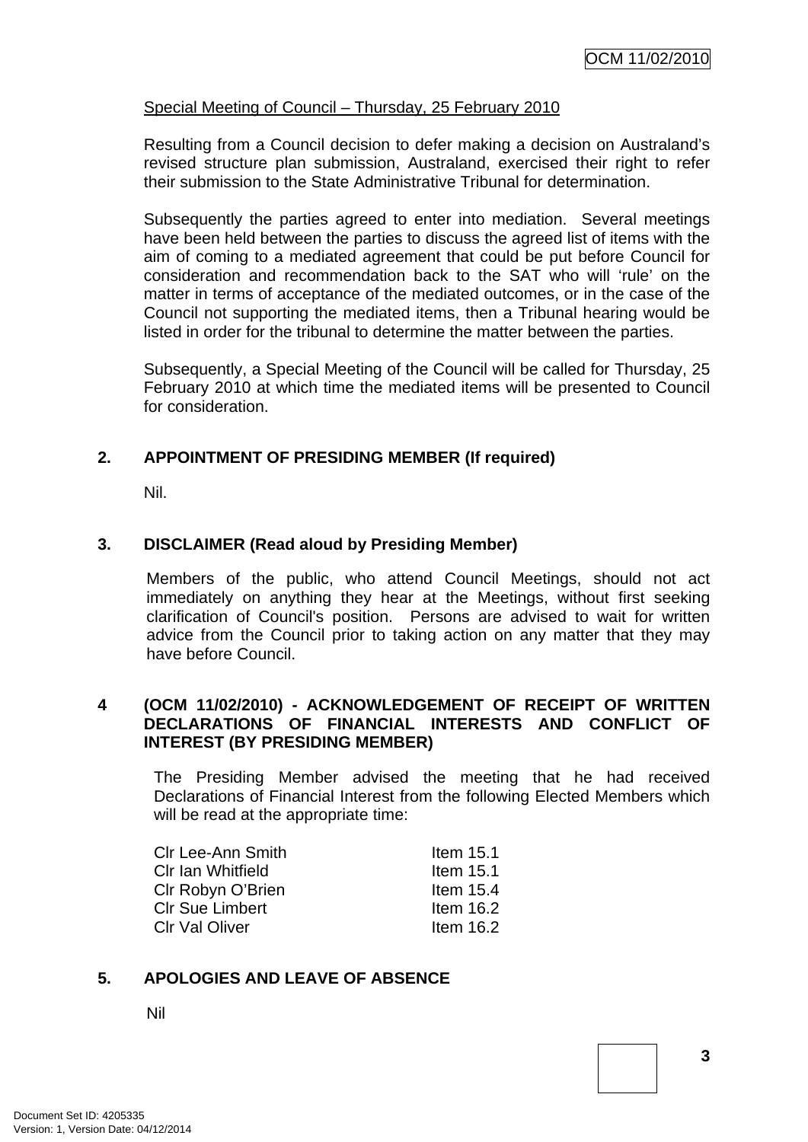#### <span id="page-6-0"></span>Special Meeting of Council – Thursday, 25 February 2010

Resulting from a Council decision to defer making a decision on Australand's revised structure plan submission, Australand, exercised their right to refer their submission to the State Administrative Tribunal for determination.

Subsequently the parties agreed to enter into mediation. Several meetings have been held between the parties to discuss the agreed list of items with the aim of coming to a mediated agreement that could be put before Council for consideration and recommendation back to the SAT who will 'rule' on the matter in terms of acceptance of the mediated outcomes, or in the case of the Council not supporting the mediated items, then a Tribunal hearing would be listed in order for the tribunal to determine the matter between the parties.

Subsequently, a Special Meeting of the Council will be called for Thursday, 25 February 2010 at which time the mediated items will be presented to Council for consideration.

## **2. APPOINTMENT OF PRESIDING MEMBER (If required)**

Nil.

#### **3. DISCLAIMER (Read aloud by Presiding Member)**

Members of the public, who attend Council Meetings, should not act immediately on anything they hear at the Meetings, without first seeking clarification of Council's position. Persons are advised to wait for written advice from the Council prior to taking action on any matter that they may have before Council.

## **4 (OCM 11/02/2010) - ACKNOWLEDGEMENT OF RECEIPT OF WRITTEN DECLARATIONS OF FINANCIAL INTERESTS AND CONFLICT OF INTEREST (BY PRESIDING MEMBER)**

The Presiding Member advised the meeting that he had received Declarations of Financial Interest from the following Elected Members which will be read at the appropriate time:

| <b>CIr Lee-Ann Smith</b> | Item $15.1$ |
|--------------------------|-------------|
| CIr Ian Whitfield        | Item $15.1$ |
| CIr Robyn O'Brien        | Item $15.4$ |
| <b>CIr Sue Limbert</b>   | Item $16.2$ |
| <b>CIr Val Oliver</b>    | Item $16.2$ |

#### **5. APOLOGIES AND LEAVE OF ABSENCE**

Nil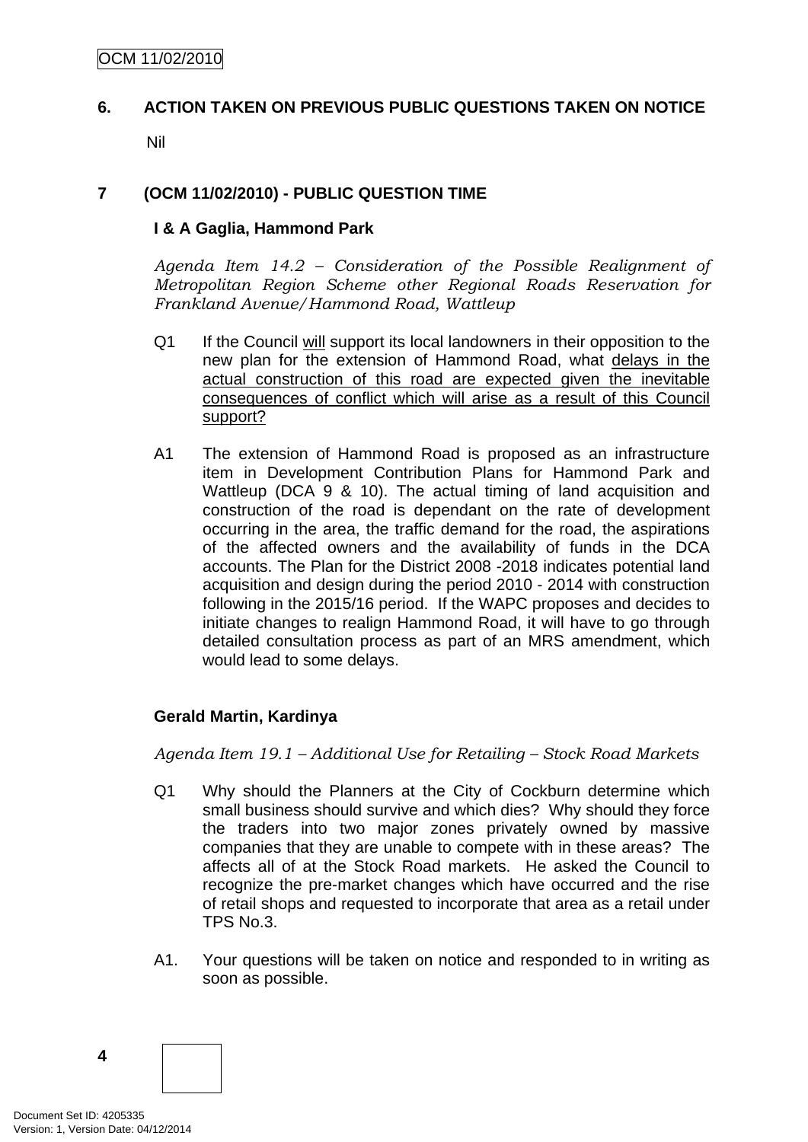# <span id="page-7-0"></span>**6. ACTION TAKEN ON PREVIOUS PUBLIC QUESTIONS TAKEN ON NOTICE**

Nil

## **7 (OCM 11/02/2010) - PUBLIC QUESTION TIME**

#### **I & A Gaglia, Hammond Park**

*Agenda Item 14.2 – Consideration of the Possible Realignment of Metropolitan Region Scheme other Regional Roads Reservation for Frankland Avenue/Hammond Road, Wattleup* 

- Q1 If the Council will support its local landowners in their opposition to the new plan for the extension of Hammond Road, what delays in the actual construction of this road are expected given the inevitable consequences of conflict which will arise as a result of this Council support?
- A1 The extension of Hammond Road is proposed as an infrastructure item in Development Contribution Plans for Hammond Park and Wattleup (DCA 9 & 10). The actual timing of land acquisition and construction of the road is dependant on the rate of development occurring in the area, the traffic demand for the road, the aspirations of the affected owners and the availability of funds in the DCA accounts. The Plan for the District 2008 -2018 indicates potential land acquisition and design during the period 2010 - 2014 with construction following in the 2015/16 period. If the WAPC proposes and decides to initiate changes to realign Hammond Road, it will have to go through detailed consultation process as part of an MRS amendment, which would lead to some delays.

## **Gerald Martin, Kardinya**

*Agenda Item 19.1 – Additional Use for Retailing – Stock Road Markets* 

- Q1 Why should the Planners at the City of Cockburn determine which small business should survive and which dies? Why should they force the traders into two major zones privately owned by massive companies that they are unable to compete with in these areas? The affects all of at the Stock Road markets. He asked the Council to recognize the pre-market changes which have occurred and the rise of retail shops and requested to incorporate that area as a retail under TPS No.3.
- A1. Your questions will be taken on notice and responded to in writing as soon as possible.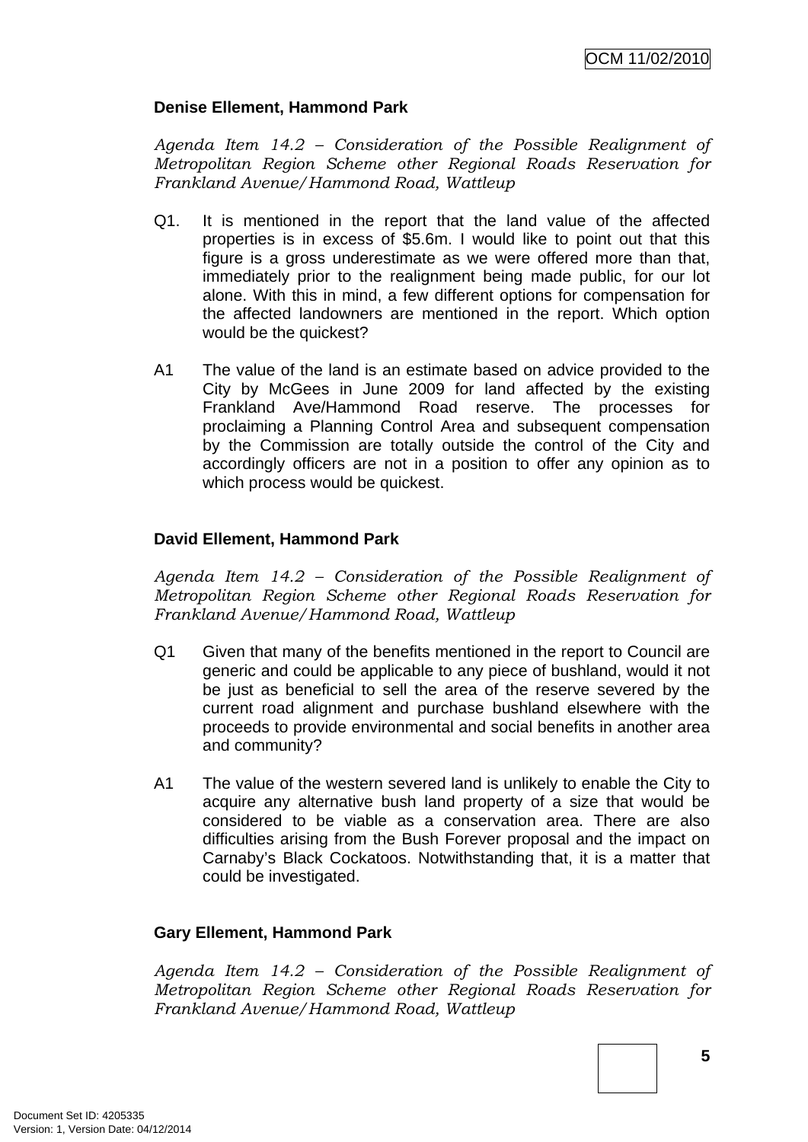## **Denise Ellement, Hammond Park**

*Agenda Item 14.2 – Consideration of the Possible Realignment of Metropolitan Region Scheme other Regional Roads Reservation for Frankland Avenue/Hammond Road, Wattleup* 

- Q1. It is mentioned in the report that the land value of the affected properties is in excess of \$5.6m. I would like to point out that this figure is a gross underestimate as we were offered more than that, immediately prior to the realignment being made public, for our lot alone. With this in mind, a few different options for compensation for the affected landowners are mentioned in the report. Which option would be the quickest?
- A1 The value of the land is an estimate based on advice provided to the City by McGees in June 2009 for land affected by the existing Frankland Ave/Hammond Road reserve. The processes for proclaiming a Planning Control Area and subsequent compensation by the Commission are totally outside the control of the City and accordingly officers are not in a position to offer any opinion as to which process would be quickest.

## **David Ellement, Hammond Park**

*Agenda Item 14.2 – Consideration of the Possible Realignment of Metropolitan Region Scheme other Regional Roads Reservation for Frankland Avenue/Hammond Road, Wattleup* 

- Q1 Given that many of the benefits mentioned in the report to Council are generic and could be applicable to any piece of bushland, would it not be just as beneficial to sell the area of the reserve severed by the current road alignment and purchase bushland elsewhere with the proceeds to provide environmental and social benefits in another area and community?
- A1 The value of the western severed land is unlikely to enable the City to acquire any alternative bush land property of a size that would be considered to be viable as a conservation area. There are also difficulties arising from the Bush Forever proposal and the impact on Carnaby's Black Cockatoos. Notwithstanding that, it is a matter that could be investigated.

## **Gary Ellement, Hammond Park**

*Agenda Item 14.2 – Consideration of the Possible Realignment of Metropolitan Region Scheme other Regional Roads Reservation for Frankland Avenue/Hammond Road, Wattleup*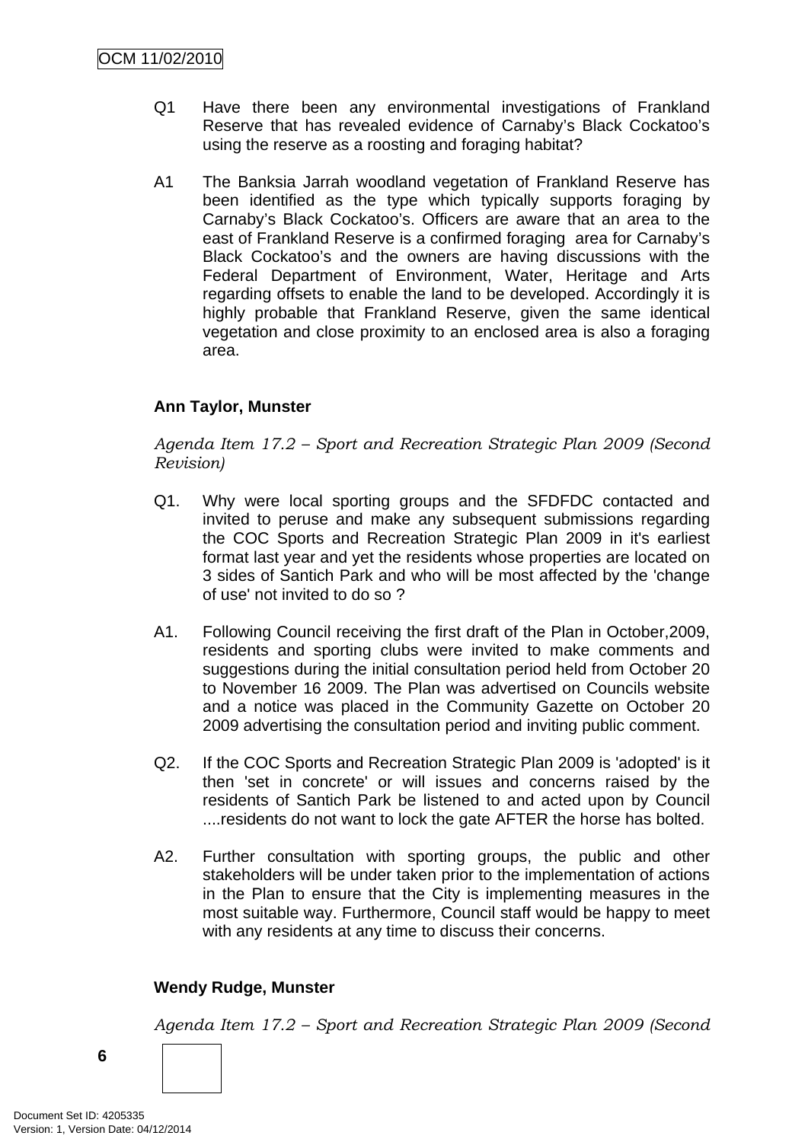- Q1 Have there been any environmental investigations of Frankland Reserve that has revealed evidence of Carnaby's Black Cockatoo's using the reserve as a roosting and foraging habitat?
- A1 The Banksia Jarrah woodland vegetation of Frankland Reserve has been identified as the type which typically supports foraging by Carnaby's Black Cockatoo's. Officers are aware that an area to the east of Frankland Reserve is a confirmed foraging area for Carnaby's Black Cockatoo's and the owners are having discussions with the Federal Department of Environment, Water, Heritage and Arts regarding offsets to enable the land to be developed. Accordingly it is highly probable that Frankland Reserve, given the same identical vegetation and close proximity to an enclosed area is also a foraging area.

## **Ann Taylor, Munster**

*Agenda Item 17.2 – Sport and Recreation Strategic Plan 2009 (Second Revision)* 

- Q1. Why were local sporting groups and the SFDFDC contacted and invited to peruse and make any subsequent submissions regarding the COC Sports and Recreation Strategic Plan 2009 in it's earliest format last year and yet the residents whose properties are located on 3 sides of Santich Park and who will be most affected by the 'change of use' not invited to do so ?
- A1. Following Council receiving the first draft of the Plan in October,2009, residents and sporting clubs were invited to make comments and suggestions during the initial consultation period held from October 20 to November 16 2009. The Plan was advertised on Councils website and a notice was placed in the Community Gazette on October 20 2009 advertising the consultation period and inviting public comment.
- Q2. If the COC Sports and Recreation Strategic Plan 2009 is 'adopted' is it then 'set in concrete' or will issues and concerns raised by the residents of Santich Park be listened to and acted upon by Council ....residents do not want to lock the gate AFTER the horse has bolted.
- A2. Further consultation with sporting groups, the public and other stakeholders will be under taken prior to the implementation of actions in the Plan to ensure that the City is implementing measures in the most suitable way. Furthermore, Council staff would be happy to meet with any residents at any time to discuss their concerns.

#### **Wendy Rudge, Munster**

*Agenda Item 17.2 – Sport and Recreation Strategic Plan 2009 (Second* 

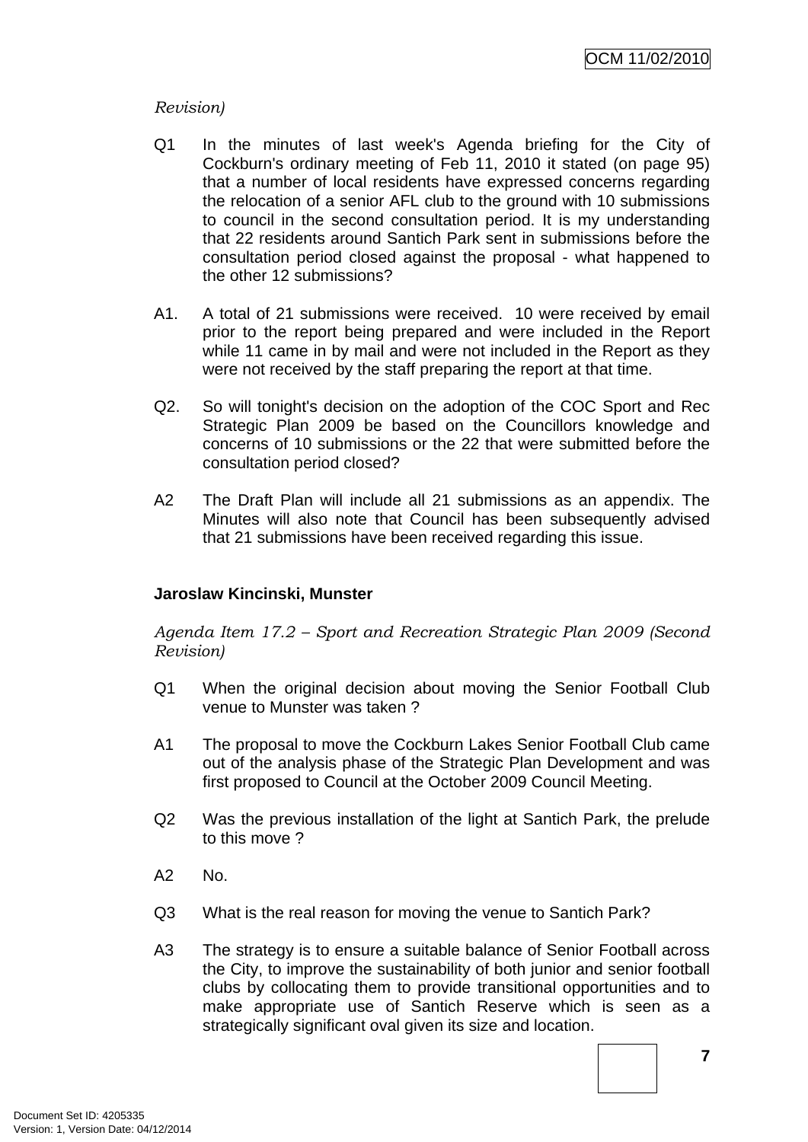## *Revision)*

- Q1 In the minutes of last week's Agenda briefing for the City of Cockburn's ordinary meeting of Feb 11, 2010 it stated (on page 95) that a number of local residents have expressed concerns regarding the relocation of a senior AFL club to the ground with 10 submissions to council in the second consultation period. It is my understanding that 22 residents around Santich Park sent in submissions before the consultation period closed against the proposal - what happened to the other 12 submissions?
- A1. A total of 21 submissions were received. 10 were received by email prior to the report being prepared and were included in the Report while 11 came in by mail and were not included in the Report as they were not received by the staff preparing the report at that time.
- Q2. So will tonight's decision on the adoption of the COC Sport and Rec Strategic Plan 2009 be based on the Councillors knowledge and concerns of 10 submissions or the 22 that were submitted before the consultation period closed?
- A2 The Draft Plan will include all 21 submissions as an appendix. The Minutes will also note that Council has been subsequently advised that 21 submissions have been received regarding this issue.

## **Jaroslaw Kincinski, Munster**

*Agenda Item 17.2 – Sport and Recreation Strategic Plan 2009 (Second Revision)* 

- Q1 When the original decision about moving the Senior Football Club venue to Munster was taken ?
- A1 The proposal to move the Cockburn Lakes Senior Football Club came out of the analysis phase of the Strategic Plan Development and was first proposed to Council at the October 2009 Council Meeting.
- Q2 Was the previous installation of the light at Santich Park, the prelude to this move ?
- A2 No.
- Q3 What is the real reason for moving the venue to Santich Park?
- A3 The strategy is to ensure a suitable balance of Senior Football across the City, to improve the sustainability of both junior and senior football clubs by collocating them to provide transitional opportunities and to make appropriate use of Santich Reserve which is seen as a strategically significant oval given its size and location.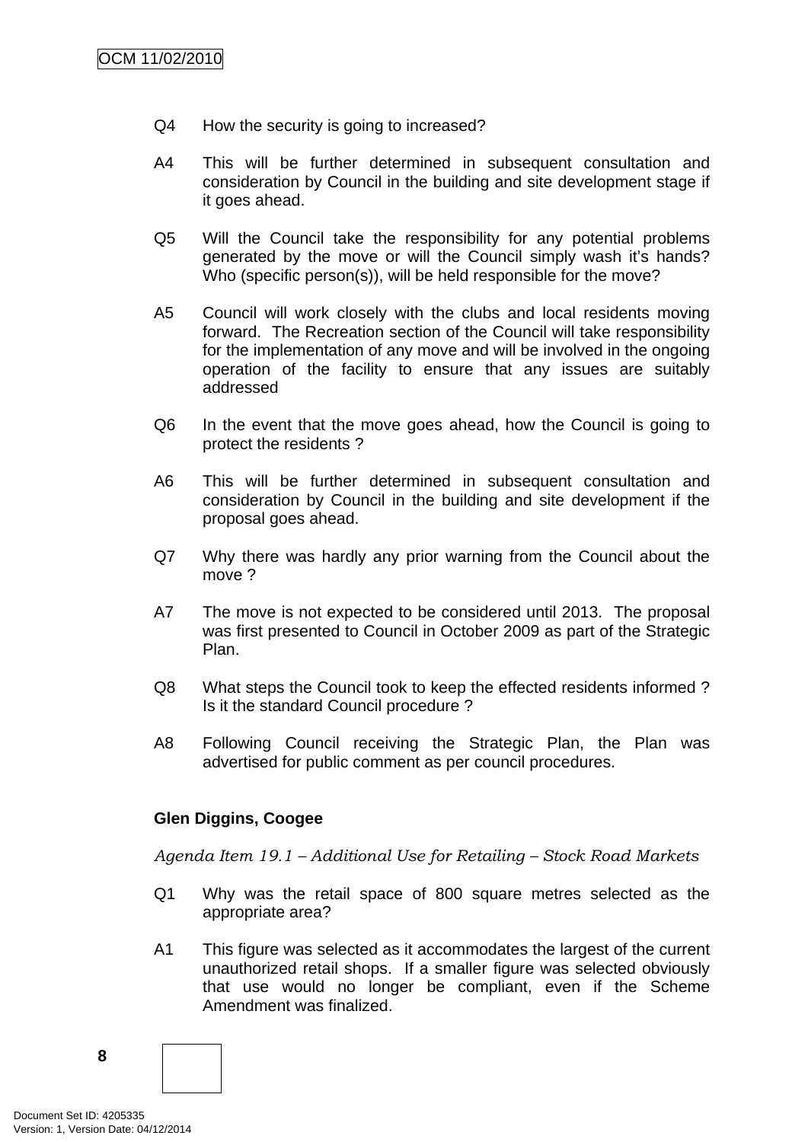- Q4 How the security is going to increased?
- A4 This will be further determined in subsequent consultation and consideration by Council in the building and site development stage if it goes ahead.
- Q5 Will the Council take the responsibility for any potential problems generated by the move or will the Council simply wash it's hands? Who (specific person(s)), will be held responsible for the move?
- A5 Council will work closely with the clubs and local residents moving forward. The Recreation section of the Council will take responsibility for the implementation of any move and will be involved in the ongoing operation of the facility to ensure that any issues are suitably addressed
- Q6 In the event that the move goes ahead, how the Council is going to protect the residents ?
- A6 This will be further determined in subsequent consultation and consideration by Council in the building and site development if the proposal goes ahead.
- Q7 Why there was hardly any prior warning from the Council about the move ?
- A7 The move is not expected to be considered until 2013. The proposal was first presented to Council in October 2009 as part of the Strategic Plan.
- Q8 What steps the Council took to keep the effected residents informed ? Is it the standard Council procedure ?
- A8 Following Council receiving the Strategic Plan, the Plan was advertised for public comment as per council procedures.

#### **Glen Diggins, Coogee**

*Agenda Item 19.1 – Additional Use for Retailing – Stock Road Markets* 

- Q1 Why was the retail space of 800 square metres selected as the appropriate area?
- A1 This figure was selected as it accommodates the largest of the current unauthorized retail shops. If a smaller figure was selected obviously that use would no longer be compliant, even if the Scheme Amendment was finalized.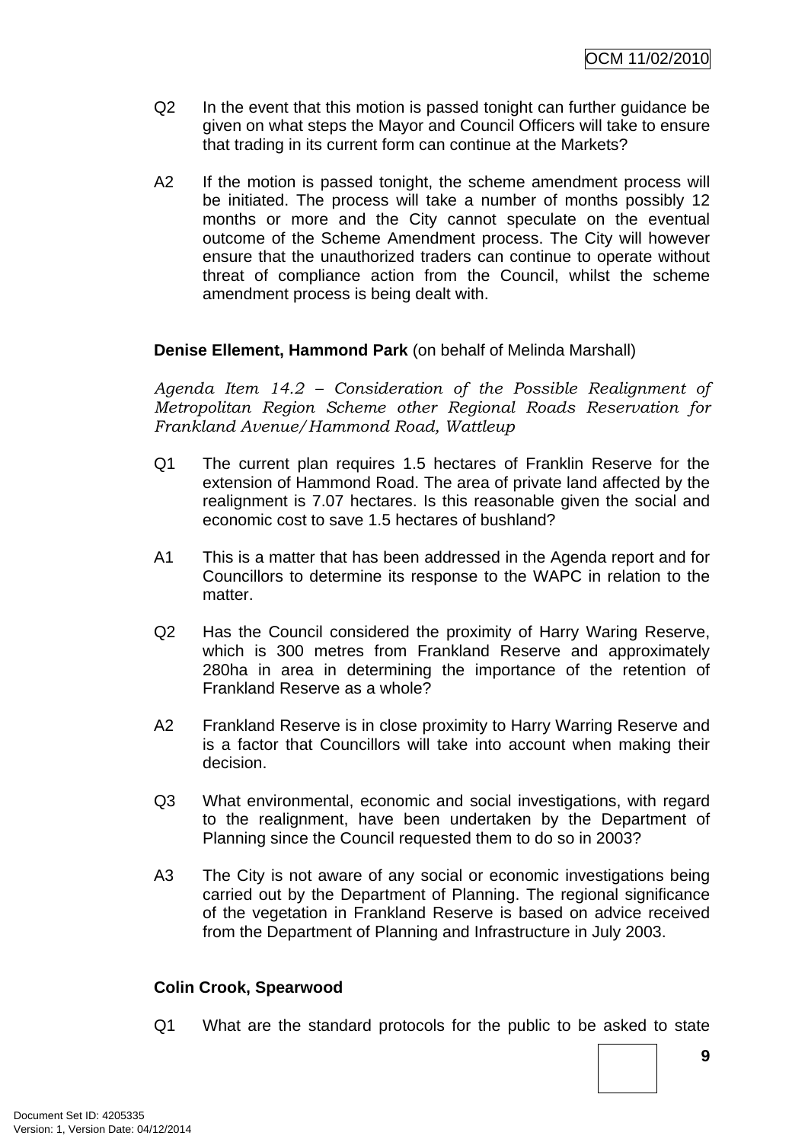- Q2 In the event that this motion is passed tonight can further guidance be given on what steps the Mayor and Council Officers will take to ensure that trading in its current form can continue at the Markets?
- A2 If the motion is passed tonight, the scheme amendment process will be initiated. The process will take a number of months possibly 12 months or more and the City cannot speculate on the eventual outcome of the Scheme Amendment process. The City will however ensure that the unauthorized traders can continue to operate without threat of compliance action from the Council, whilst the scheme amendment process is being dealt with.

## **Denise Ellement, Hammond Park** (on behalf of Melinda Marshall)

*Agenda Item 14.2 – Consideration of the Possible Realignment of Metropolitan Region Scheme other Regional Roads Reservation for Frankland Avenue/Hammond Road, Wattleup* 

- Q1 The current plan requires 1.5 hectares of Franklin Reserve for the extension of Hammond Road. The area of private land affected by the realignment is 7.07 hectares. Is this reasonable given the social and economic cost to save 1.5 hectares of bushland?
- A1 This is a matter that has been addressed in the Agenda report and for Councillors to determine its response to the WAPC in relation to the matter
- Q2 Has the Council considered the proximity of Harry Waring Reserve, which is 300 metres from Frankland Reserve and approximately 280ha in area in determining the importance of the retention of Frankland Reserve as a whole?
- A2 Frankland Reserve is in close proximity to Harry Warring Reserve and is a factor that Councillors will take into account when making their decision.
- Q3 What environmental, economic and social investigations, with regard to the realignment, have been undertaken by the Department of Planning since the Council requested them to do so in 2003?
- A3 The City is not aware of any social or economic investigations being carried out by the Department of Planning. The regional significance of the vegetation in Frankland Reserve is based on advice received from the Department of Planning and Infrastructure in July 2003.

#### **Colin Crook, Spearwood**

Q1 What are the standard protocols for the public to be asked to state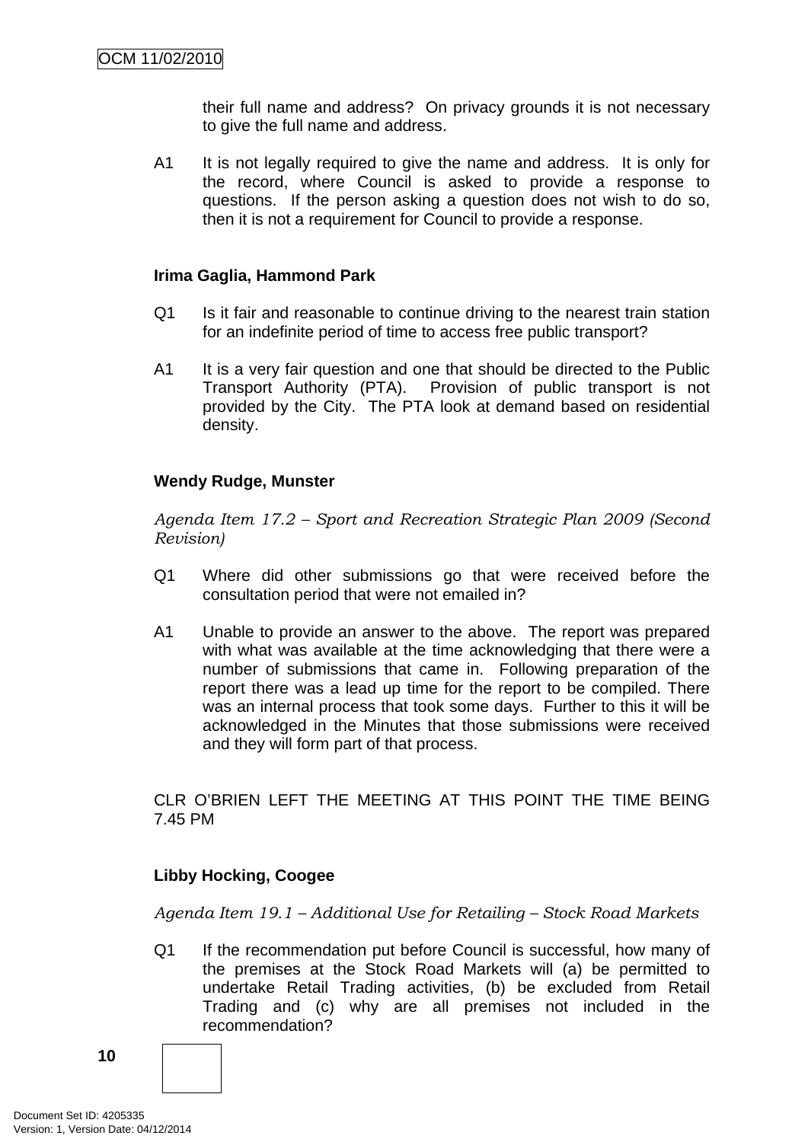their full name and address? On privacy grounds it is not necessary to give the full name and address.

A1 It is not legally required to give the name and address. It is only for the record, where Council is asked to provide a response to questions. If the person asking a question does not wish to do so, then it is not a requirement for Council to provide a response.

## **Irima Gaglia, Hammond Park**

- Q1 Is it fair and reasonable to continue driving to the nearest train station for an indefinite period of time to access free public transport?
- A1 It is a very fair question and one that should be directed to the Public Transport Authority (PTA). Provision of public transport is not provided by the City. The PTA look at demand based on residential density.

## **Wendy Rudge, Munster**

*Agenda Item 17.2 – Sport and Recreation Strategic Plan 2009 (Second Revision)* 

- Q1 Where did other submissions go that were received before the consultation period that were not emailed in?
- A1 Unable to provide an answer to the above. The report was prepared with what was available at the time acknowledging that there were a number of submissions that came in. Following preparation of the report there was a lead up time for the report to be compiled. There was an internal process that took some days. Further to this it will be acknowledged in the Minutes that those submissions were received and they will form part of that process.

CLR O'BRIEN LEFT THE MEETING AT THIS POINT THE TIME BEING 7.45 PM

## **Libby Hocking, Coogee**

*Agenda Item 19.1 – Additional Use for Retailing – Stock Road Markets* 

Q1 If the recommendation put before Council is successful, how many of the premises at the Stock Road Markets will (a) be permitted to undertake Retail Trading activities, (b) be excluded from Retail Trading and (c) why are all premises not included in the recommendation?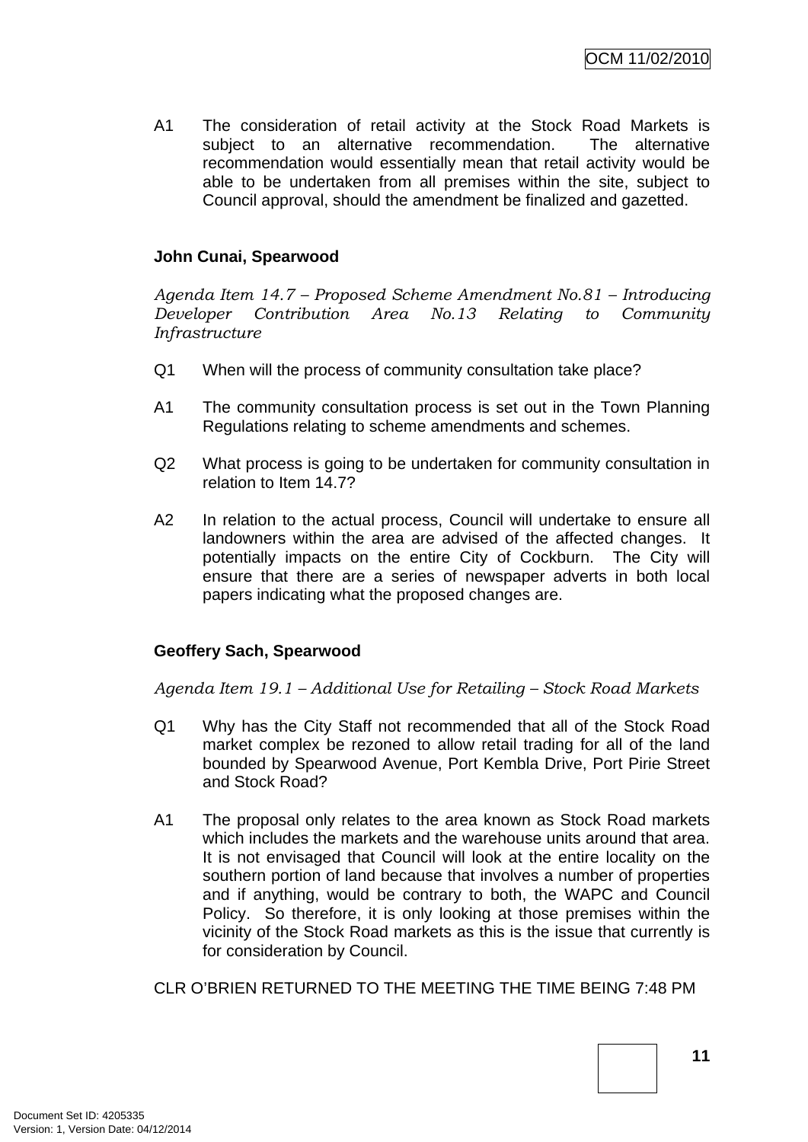A1 The consideration of retail activity at the Stock Road Markets is subject to an alternative recommendation. The alternative recommendation would essentially mean that retail activity would be able to be undertaken from all premises within the site, subject to Council approval, should the amendment be finalized and gazetted.

#### **John Cunai, Spearwood**

*Agenda Item 14.7 – Proposed Scheme Amendment No.81 – Introducing Developer Contribution Area No.13 Relating to Community Infrastructure* 

- Q1 When will the process of community consultation take place?
- A1 The community consultation process is set out in the Town Planning Regulations relating to scheme amendments and schemes.
- Q2 What process is going to be undertaken for community consultation in relation to Item 14.7?
- A2 In relation to the actual process, Council will undertake to ensure all landowners within the area are advised of the affected changes. It potentially impacts on the entire City of Cockburn. The City will ensure that there are a series of newspaper adverts in both local papers indicating what the proposed changes are.

#### **Geoffery Sach, Spearwood**

*Agenda Item 19.1 – Additional Use for Retailing – Stock Road Markets* 

- Q1 Why has the City Staff not recommended that all of the Stock Road market complex be rezoned to allow retail trading for all of the land bounded by Spearwood Avenue, Port Kembla Drive, Port Pirie Street and Stock Road?
- A1 The proposal only relates to the area known as Stock Road markets which includes the markets and the warehouse units around that area. It is not envisaged that Council will look at the entire locality on the southern portion of land because that involves a number of properties and if anything, would be contrary to both, the WAPC and Council Policy. So therefore, it is only looking at those premises within the vicinity of the Stock Road markets as this is the issue that currently is for consideration by Council.

CLR O'BRIEN RETURNED TO THE MEETING THE TIME BEING 7:48 PM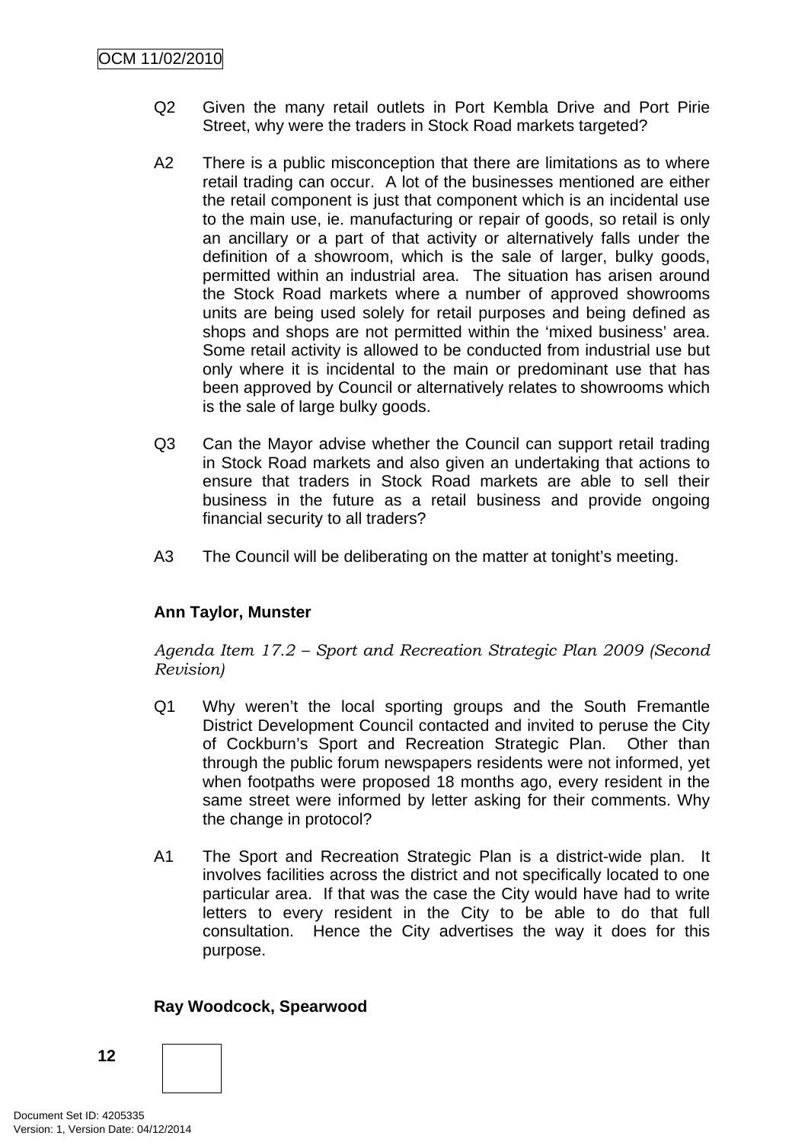- Q2 Given the many retail outlets in Port Kembla Drive and Port Pirie Street, why were the traders in Stock Road markets targeted?
- A2 There is a public misconception that there are limitations as to where retail trading can occur. A lot of the businesses mentioned are either the retail component is just that component which is an incidental use to the main use, ie. manufacturing or repair of goods, so retail is only an ancillary or a part of that activity or alternatively falls under the definition of a showroom, which is the sale of larger, bulky goods, permitted within an industrial area. The situation has arisen around the Stock Road markets where a number of approved showrooms units are being used solely for retail purposes and being defined as shops and shops are not permitted within the 'mixed business' area. Some retail activity is allowed to be conducted from industrial use but only where it is incidental to the main or predominant use that has been approved by Council or alternatively relates to showrooms which is the sale of large bulky goods.
- Q3 Can the Mayor advise whether the Council can support retail trading in Stock Road markets and also given an undertaking that actions to ensure that traders in Stock Road markets are able to sell their business in the future as a retail business and provide ongoing financial security to all traders?
- A3 The Council will be deliberating on the matter at tonight's meeting.

## **Ann Taylor, Munster**

*Agenda Item 17.2 – Sport and Recreation Strategic Plan 2009 (Second Revision)*

- Q1 Why weren't the local sporting groups and the South Fremantle District Development Council contacted and invited to peruse the City of Cockburn's Sport and Recreation Strategic Plan. Other than through the public forum newspapers residents were not informed, yet when footpaths were proposed 18 months ago, every resident in the same street were informed by letter asking for their comments. Why the change in protocol?
- A1 The Sport and Recreation Strategic Plan is a district-wide plan. It involves facilities across the district and not specifically located to one particular area. If that was the case the City would have had to write letters to every resident in the City to be able to do that full consultation. Hence the City advertises the way it does for this purpose.

#### **Ray Woodcock, Spearwood**

**12**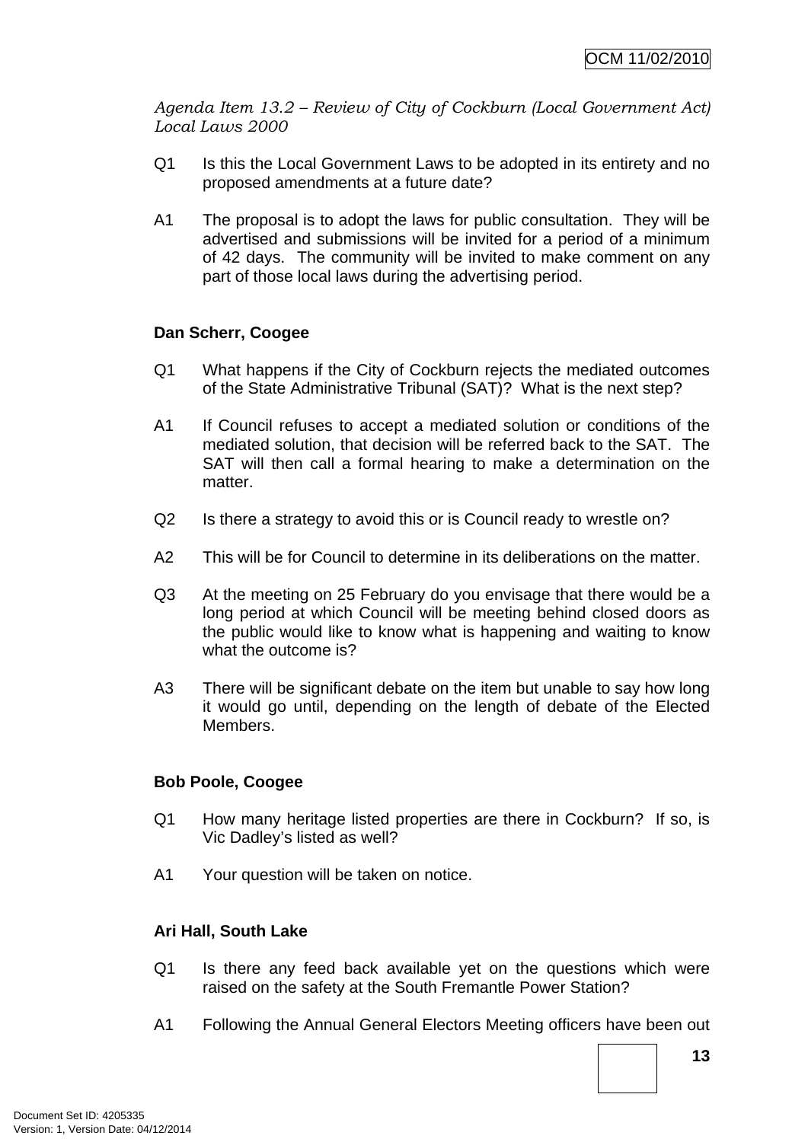*Agenda Item 13.2 – Review of City of Cockburn (Local Government Act) Local Laws 2000* 

- Q1 Is this the Local Government Laws to be adopted in its entirety and no proposed amendments at a future date?
- A1 The proposal is to adopt the laws for public consultation. They will be advertised and submissions will be invited for a period of a minimum of 42 days. The community will be invited to make comment on any part of those local laws during the advertising period.

## **Dan Scherr, Coogee**

- Q1 What happens if the City of Cockburn rejects the mediated outcomes of the State Administrative Tribunal (SAT)? What is the next step?
- A1 If Council refuses to accept a mediated solution or conditions of the mediated solution, that decision will be referred back to the SAT. The SAT will then call a formal hearing to make a determination on the matter.
- Q2 Is there a strategy to avoid this or is Council ready to wrestle on?
- A2 This will be for Council to determine in its deliberations on the matter.
- Q3 At the meeting on 25 February do you envisage that there would be a long period at which Council will be meeting behind closed doors as the public would like to know what is happening and waiting to know what the outcome is?
- A3 There will be significant debate on the item but unable to say how long it would go until, depending on the length of debate of the Elected Members.

## **Bob Poole, Coogee**

- Q1 How many heritage listed properties are there in Cockburn? If so, is Vic Dadley's listed as well?
- A1 Your question will be taken on notice.

## **Ari Hall, South Lake**

- Q1 Is there any feed back available yet on the questions which were raised on the safety at the South Fremantle Power Station?
- A1 Following the Annual General Electors Meeting officers have been out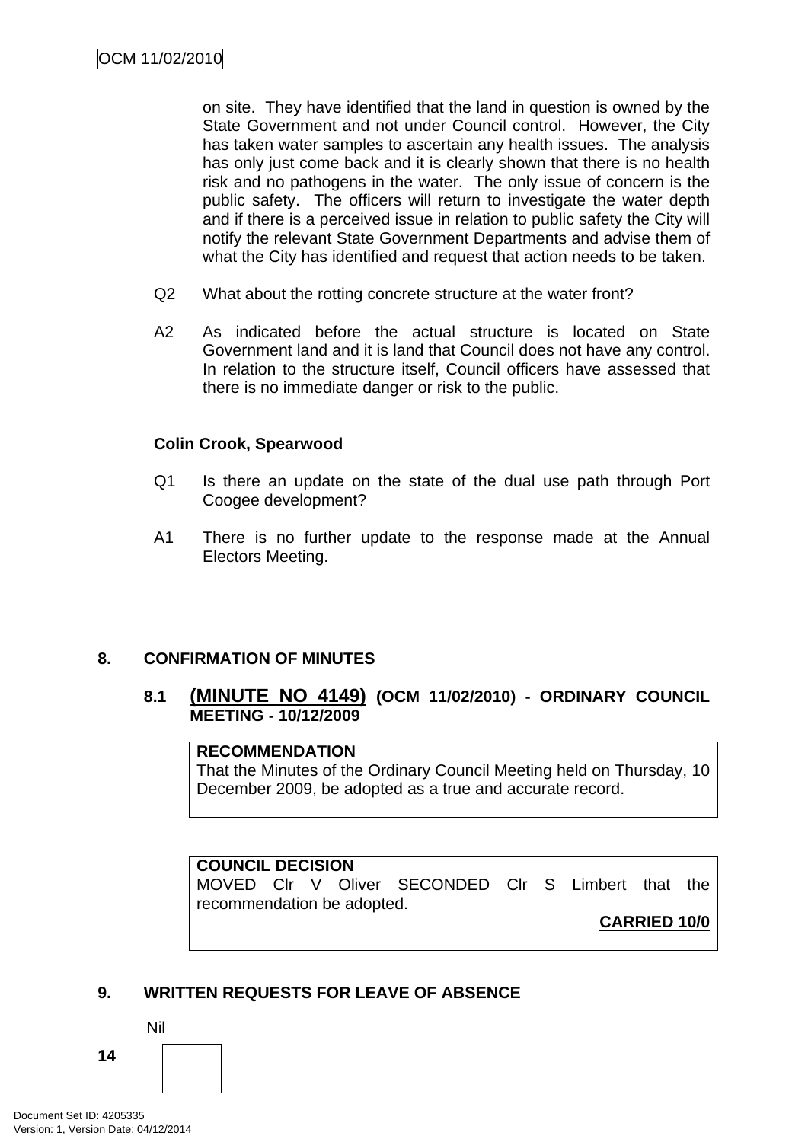<span id="page-17-0"></span>on site. They have identified that the land in question is owned by the State Government and not under Council control. However, the City has taken water samples to ascertain any health issues. The analysis has only just come back and it is clearly shown that there is no health risk and no pathogens in the water. The only issue of concern is the public safety. The officers will return to investigate the water depth and if there is a perceived issue in relation to public safety the City will notify the relevant State Government Departments and advise them of what the City has identified and request that action needs to be taken.

- Q2 What about the rotting concrete structure at the water front?
- A2 As indicated before the actual structure is located on State Government land and it is land that Council does not have any control. In relation to the structure itself, Council officers have assessed that there is no immediate danger or risk to the public.

## **Colin Crook, Spearwood**

- Q1 Is there an update on the state of the dual use path through Port Coogee development?
- A1 There is no further update to the response made at the Annual Electors Meeting.

## **8. CONFIRMATION OF MINUTES**

## **8.1 (MINUTE NO 4149) (OCM 11/02/2010) - ORDINARY COUNCIL MEETING - 10/12/2009**

## **RECOMMENDATION**

That the Minutes of the Ordinary Council Meeting held on Thursday, 10 December 2009, be adopted as a true and accurate record.

#### **COUNCIL DECISION**

MOVED Clr V Oliver SECONDED Clr S Limbert that the recommendation be adopted.

**CARRIED 10/0**

## **9. WRITTEN REQUESTS FOR LEAVE OF ABSENCE**

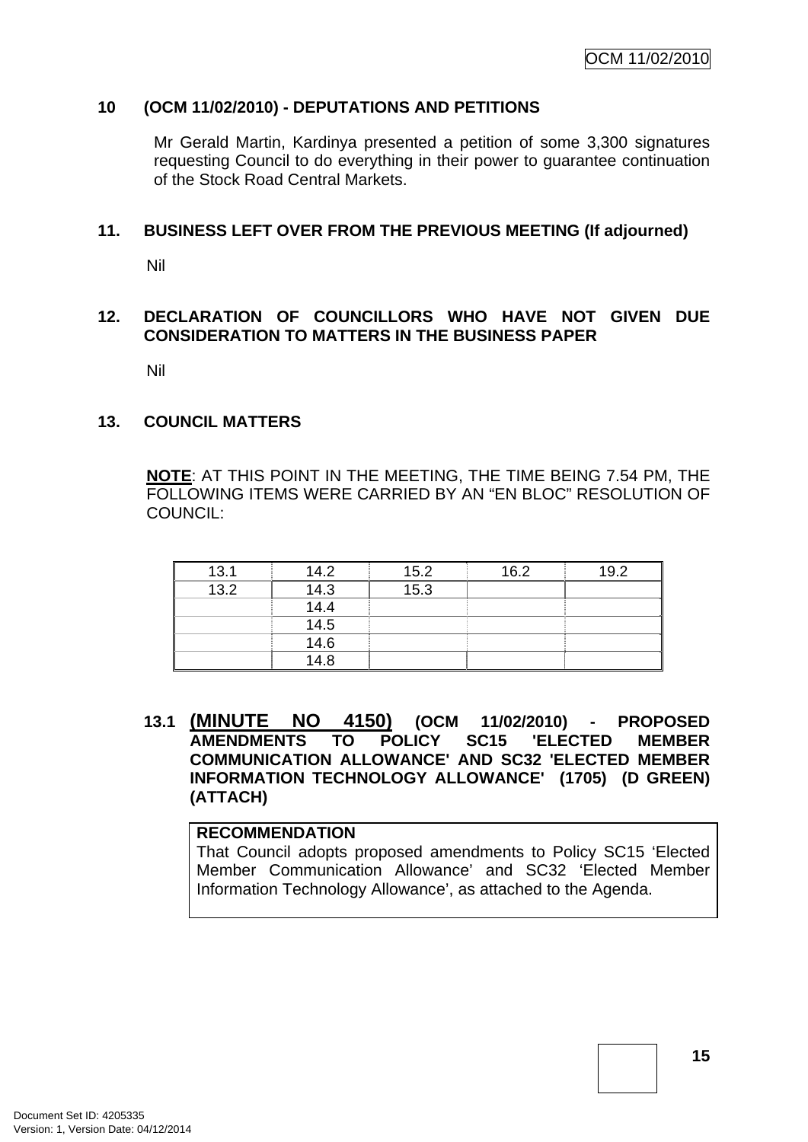## <span id="page-18-0"></span>**10 (OCM 11/02/2010) - DEPUTATIONS AND PETITIONS**

Mr Gerald Martin, Kardinya presented a petition of some 3,300 signatures requesting Council to do everything in their power to guarantee continuation of the Stock Road Central Markets.

#### **11. BUSINESS LEFT OVER FROM THE PREVIOUS MEETING (If adjourned)**

Nil

## **12. DECLARATION OF COUNCILLORS WHO HAVE NOT GIVEN DUE CONSIDERATION TO MATTERS IN THE BUSINESS PAPER**

Nil

#### **13. COUNCIL MATTERS**

**NOTE**: AT THIS POINT IN THE MEETING, THE TIME BEING 7.54 PM, THE FOLLOWING ITEMS WERE CARRIED BY AN "EN BLOC" RESOLUTION OF COUNCIL:

| 13.1 | 14.2             | 15.2 | 16.2 | 19.2 |
|------|------------------|------|------|------|
| 13.2 | 14.3             | 15.3 |      |      |
|      | 14.4             |      |      |      |
|      | 14.5             |      |      |      |
|      | $\frac{1}{14.6}$ |      |      |      |
|      | 14.8             |      |      |      |

**13.1 (MINUTE NO 4150) (OCM 11/02/2010) - PROPOSED AMENDMENTS TO POLICY SC15 'ELECTED MEMBER COMMUNICATION ALLOWANCE' AND SC32 'ELECTED MEMBER INFORMATION TECHNOLOGY ALLOWANCE' (1705) (D GREEN) (ATTACH)** 

#### **RECOMMENDATION**

That Council adopts proposed amendments to Policy SC15 'Elected Member Communication Allowance' and SC32 'Elected Member Information Technology Allowance', as attached to the Agenda.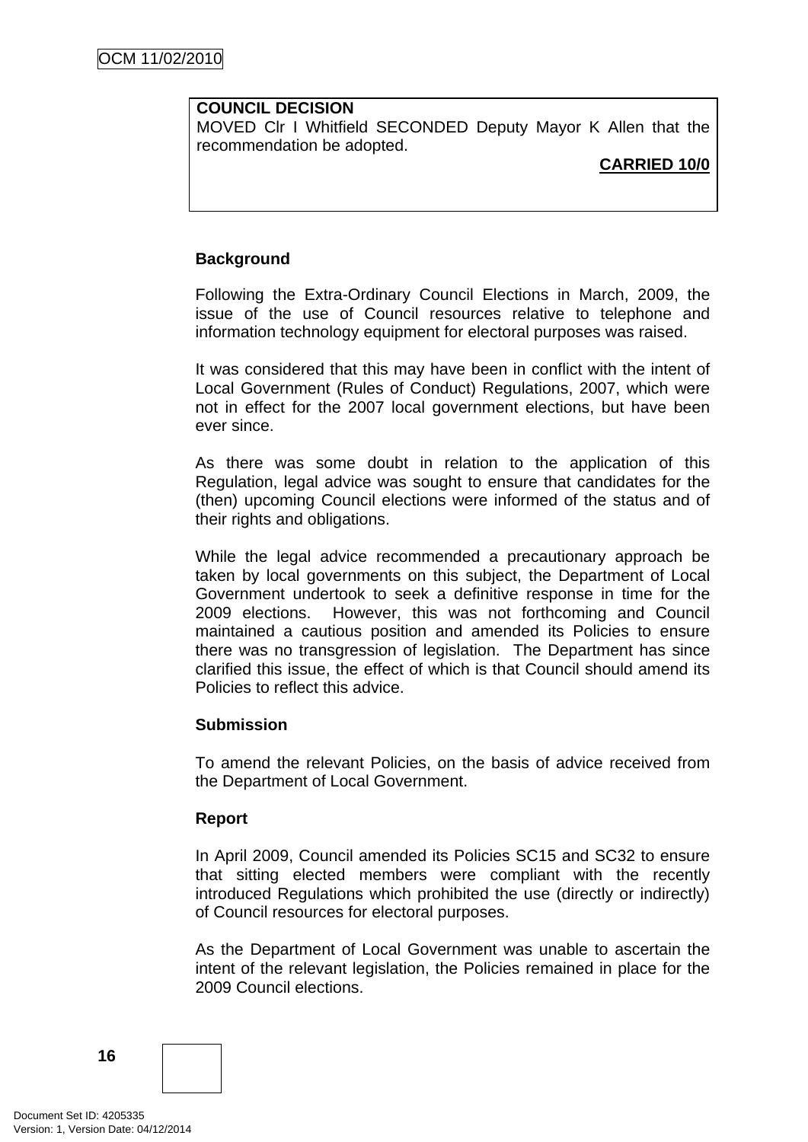#### **COUNCIL DECISION**

MOVED Clr I Whitfield SECONDED Deputy Mayor K Allen that the recommendation be adopted.

#### **CARRIED 10/0**

## **Background**

Following the Extra-Ordinary Council Elections in March, 2009, the issue of the use of Council resources relative to telephone and information technology equipment for electoral purposes was raised.

It was considered that this may have been in conflict with the intent of Local Government (Rules of Conduct) Regulations, 2007, which were not in effect for the 2007 local government elections, but have been ever since.

As there was some doubt in relation to the application of this Regulation, legal advice was sought to ensure that candidates for the (then) upcoming Council elections were informed of the status and of their rights and obligations.

While the legal advice recommended a precautionary approach be taken by local governments on this subject, the Department of Local Government undertook to seek a definitive response in time for the 2009 elections. However, this was not forthcoming and Council maintained a cautious position and amended its Policies to ensure there was no transgression of legislation. The Department has since clarified this issue, the effect of which is that Council should amend its Policies to reflect this advice.

#### **Submission**

To amend the relevant Policies, on the basis of advice received from the Department of Local Government.

#### **Report**

In April 2009, Council amended its Policies SC15 and SC32 to ensure that sitting elected members were compliant with the recently introduced Regulations which prohibited the use (directly or indirectly) of Council resources for electoral purposes.

As the Department of Local Government was unable to ascertain the intent of the relevant legislation, the Policies remained in place for the 2009 Council elections.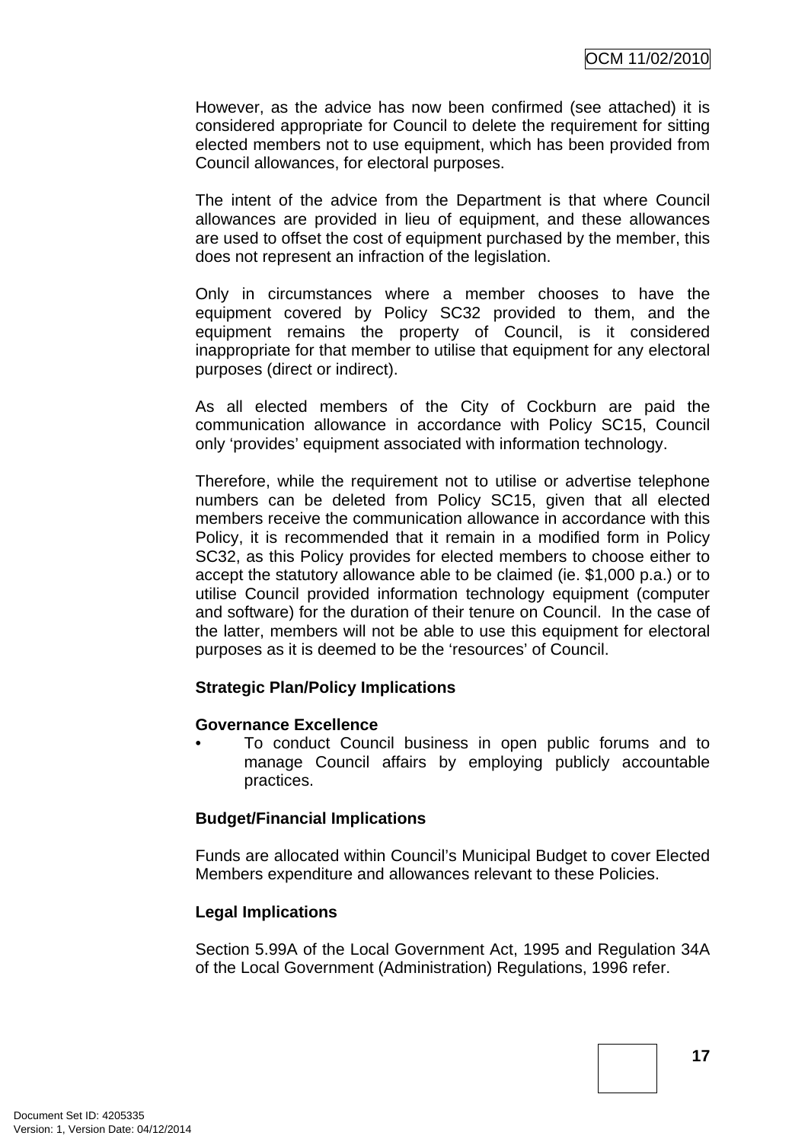However, as the advice has now been confirmed (see attached) it is considered appropriate for Council to delete the requirement for sitting elected members not to use equipment, which has been provided from Council allowances, for electoral purposes.

The intent of the advice from the Department is that where Council allowances are provided in lieu of equipment, and these allowances are used to offset the cost of equipment purchased by the member, this does not represent an infraction of the legislation.

Only in circumstances where a member chooses to have the equipment covered by Policy SC32 provided to them, and the equipment remains the property of Council, is it considered inappropriate for that member to utilise that equipment for any electoral purposes (direct or indirect).

As all elected members of the City of Cockburn are paid the communication allowance in accordance with Policy SC15, Council only 'provides' equipment associated with information technology.

Therefore, while the requirement not to utilise or advertise telephone numbers can be deleted from Policy SC15, given that all elected members receive the communication allowance in accordance with this Policy, it is recommended that it remain in a modified form in Policy SC32, as this Policy provides for elected members to choose either to accept the statutory allowance able to be claimed (ie. \$1,000 p.a.) or to utilise Council provided information technology equipment (computer and software) for the duration of their tenure on Council. In the case of the latter, members will not be able to use this equipment for electoral purposes as it is deemed to be the 'resources' of Council.

#### **Strategic Plan/Policy Implications**

#### **Governance Excellence**

• To conduct Council business in open public forums and to manage Council affairs by employing publicly accountable practices.

#### **Budget/Financial Implications**

Funds are allocated within Council's Municipal Budget to cover Elected Members expenditure and allowances relevant to these Policies.

## **Legal Implications**

Section 5.99A of the Local Government Act, 1995 and Regulation 34A of the Local Government (Administration) Regulations, 1996 refer.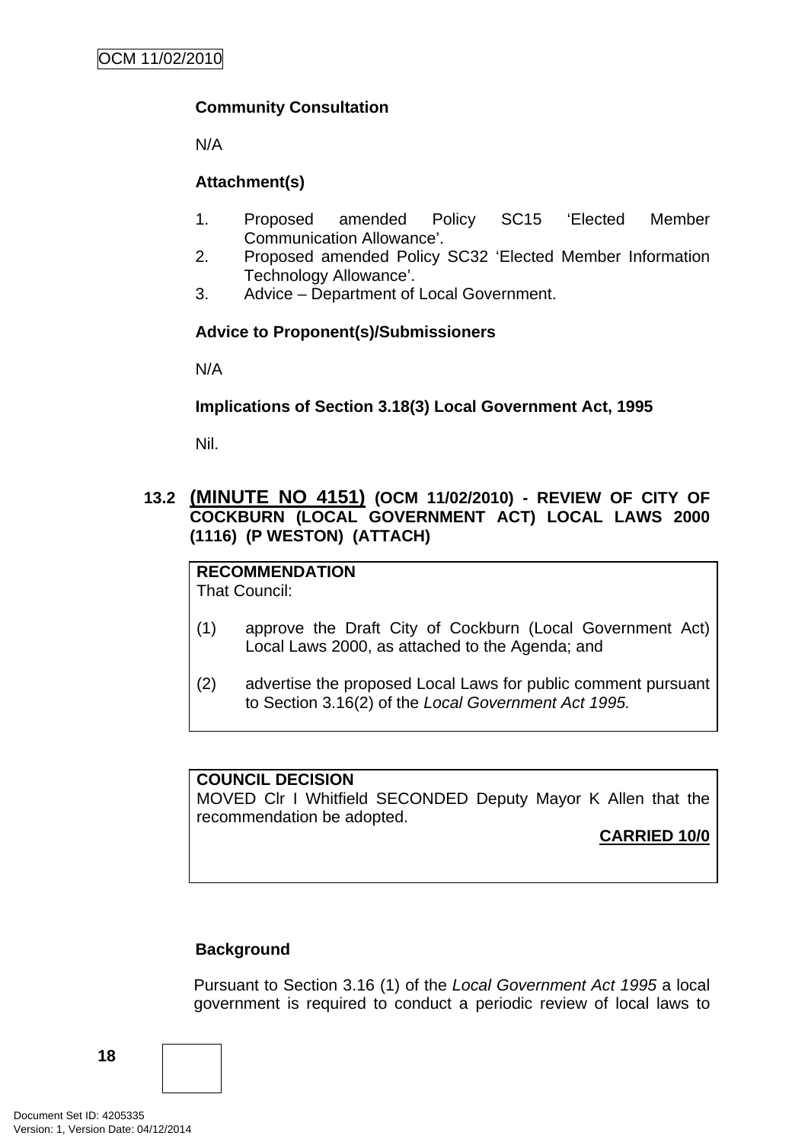# <span id="page-21-0"></span>**Community Consultation**

N/A

# **Attachment(s)**

- 1. Proposed amended Policy SC15 'Elected Member Communication Allowance'.
- 2. Proposed amended Policy SC32 'Elected Member Information Technology Allowance'.
- 3. Advice Department of Local Government.

## **Advice to Proponent(s)/Submissioners**

N/A

## **Implications of Section 3.18(3) Local Government Act, 1995**

Nil.

## **13.2 (MINUTE NO 4151) (OCM 11/02/2010) - REVIEW OF CITY OF COCKBURN (LOCAL GOVERNMENT ACT) LOCAL LAWS 2000 (1116) (P WESTON) (ATTACH)**

**RECOMMENDATION** That Council:

- (1) approve the Draft City of Cockburn (Local Government Act) Local Laws 2000, as attached to the Agenda; and
- (2) advertise the proposed Local Laws for public comment pursuant to Section 3.16(2) of the *Local Government Act 1995.*

## **COUNCIL DECISION**

MOVED Clr I Whitfield SECONDED Deputy Mayor K Allen that the recommendation be adopted.

**CARRIED 10/0**

## **Background**

Pursuant to Section 3.16 (1) of the *Local Government Act 1995* a local government is required to conduct a periodic review of local laws to

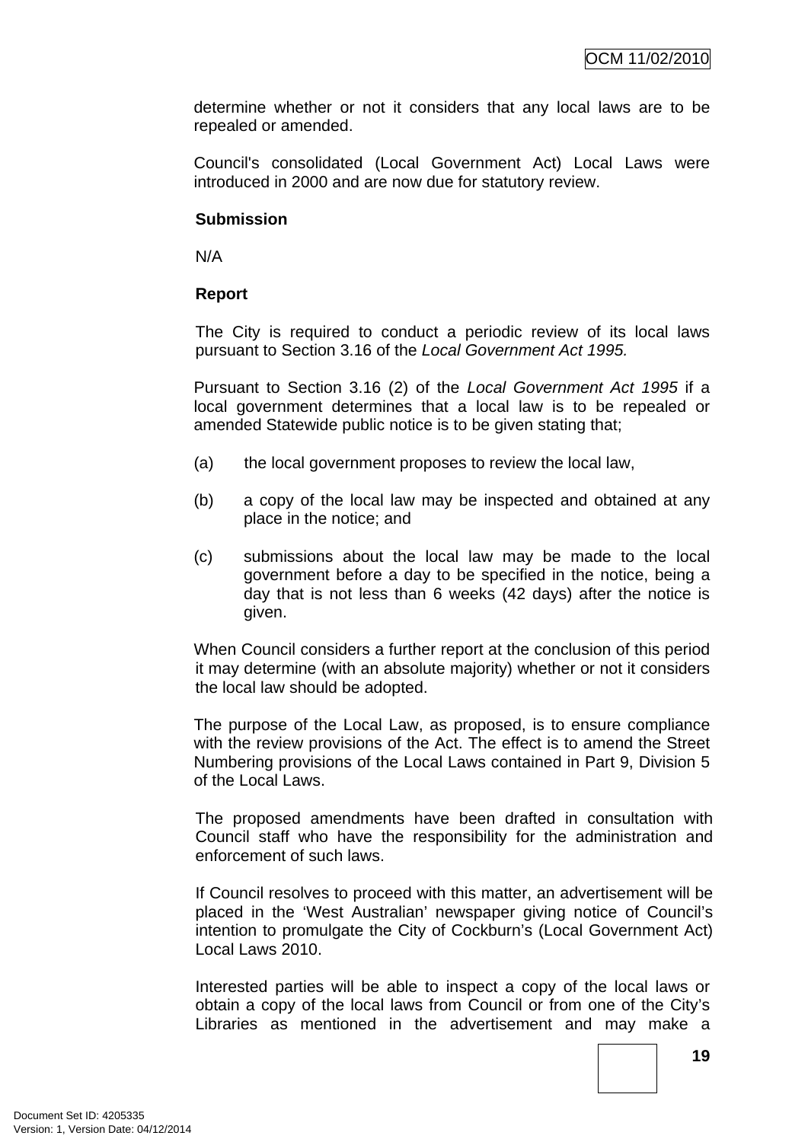determine whether or not it considers that any local laws are to be repealed or amended.

Council's consolidated (Local Government Act) Local Laws were introduced in 2000 and are now due for statutory review.

#### **Submission**

N/A

#### **Report**

The City is required to conduct a periodic review of its local laws pursuant to Section 3.16 of the *Local Government Act 1995.*

Pursuant to Section 3.16 (2) of the *Local Government Act 1995* if a local government determines that a local law is to be repealed or amended Statewide public notice is to be given stating that;

- (a) the local government proposes to review the local law,
- (b) a copy of the local law may be inspected and obtained at any place in the notice; and
- (c) submissions about the local law may be made to the local government before a day to be specified in the notice, being a day that is not less than 6 weeks (42 days) after the notice is given.

When Council considers a further report at the conclusion of this period it may determine (with an absolute majority) whether or not it considers the local law should be adopted.

The purpose of the Local Law, as proposed, is to ensure compliance with the review provisions of the Act. The effect is to amend the Street Numbering provisions of the Local Laws contained in Part 9, Division 5 of the Local Laws.

The proposed amendments have been drafted in consultation with Council staff who have the responsibility for the administration and enforcement of such laws.

If Council resolves to proceed with this matter, an advertisement will be placed in the 'West Australian' newspaper giving notice of Council's intention to promulgate the City of Cockburn's (Local Government Act) Local Laws 2010.

Interested parties will be able to inspect a copy of the local laws or obtain a copy of the local laws from Council or from one of the City's Libraries as mentioned in the advertisement and may make a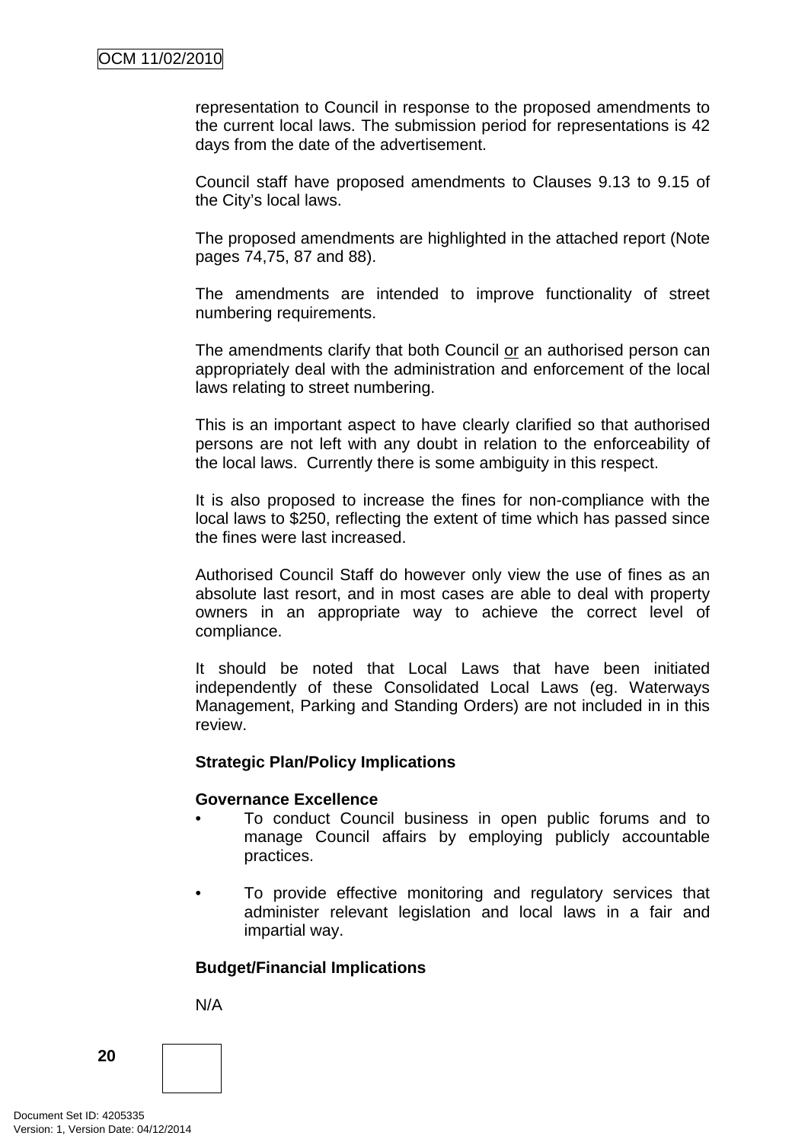representation to Council in response to the proposed amendments to the current local laws. The submission period for representations is 42 days from the date of the advertisement.

Council staff have proposed amendments to Clauses 9.13 to 9.15 of the City's local laws.

The proposed amendments are highlighted in the attached report (Note pages 74,75, 87 and 88).

The amendments are intended to improve functionality of street numbering requirements.

The amendments clarify that both Council or an authorised person can appropriately deal with the administration and enforcement of the local laws relating to street numbering.

This is an important aspect to have clearly clarified so that authorised persons are not left with any doubt in relation to the enforceability of the local laws. Currently there is some ambiguity in this respect.

It is also proposed to increase the fines for non-compliance with the local laws to \$250, reflecting the extent of time which has passed since the fines were last increased.

Authorised Council Staff do however only view the use of fines as an absolute last resort, and in most cases are able to deal with property owners in an appropriate way to achieve the correct level of compliance.

It should be noted that Local Laws that have been initiated independently of these Consolidated Local Laws (eg. Waterways Management, Parking and Standing Orders) are not included in in this review.

#### **Strategic Plan/Policy Implications**

#### **Governance Excellence**

- To conduct Council business in open public forums and to manage Council affairs by employing publicly accountable practices.
- To provide effective monitoring and regulatory services that administer relevant legislation and local laws in a fair and impartial way.

#### **Budget/Financial Implications**

N/A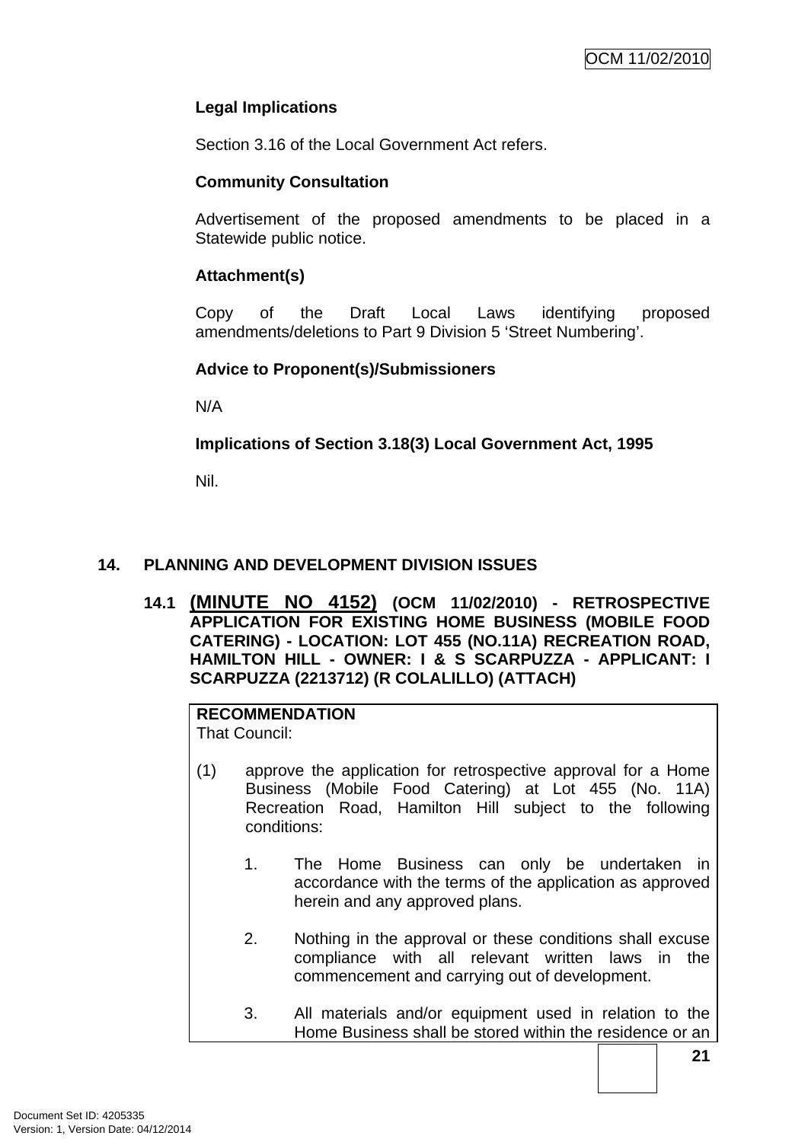## <span id="page-24-0"></span>**Legal Implications**

Section 3.16 of the Local Government Act refers.

## **Community Consultation**

Advertisement of the proposed amendments to be placed in a Statewide public notice.

## **Attachment(s)**

Copy of the Draft Local Laws identifying proposed amendments/deletions to Part 9 Division 5 'Street Numbering'.

## **Advice to Proponent(s)/Submissioners**

N/A

## **Implications of Section 3.18(3) Local Government Act, 1995**

Nil.

## **14. PLANNING AND DEVELOPMENT DIVISION ISSUES**

**14.1 (MINUTE NO 4152) (OCM 11/02/2010) - RETROSPECTIVE APPLICATION FOR EXISTING HOME BUSINESS (MOBILE FOOD CATERING) - LOCATION: LOT 455 (NO.11A) RECREATION ROAD, HAMILTON HILL - OWNER: I & S SCARPUZZA - APPLICANT: I SCARPUZZA (2213712) (R COLALILLO) (ATTACH)** 

#### **RECOMMENDATION** That Council:

- (1) approve the application for retrospective approval for a Home Business (Mobile Food Catering) at Lot 455 (No. 11A) Recreation Road, Hamilton Hill subject to the following conditions:
	- 1. The Home Business can only be undertaken in accordance with the terms of the application as approved herein and any approved plans.
	- 2. Nothing in the approval or these conditions shall excuse compliance with all relevant written laws in the commencement and carrying out of development.
	- 3. All materials and/or equipment used in relation to the Home Business shall be stored within the residence or an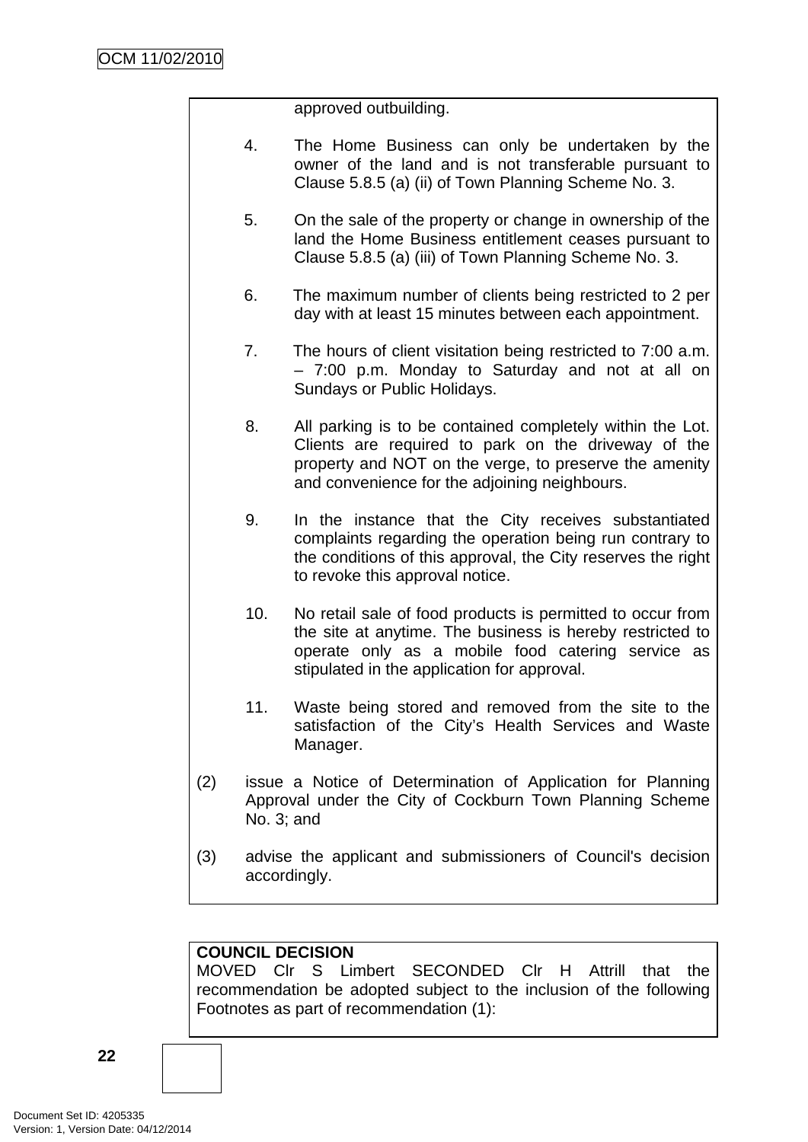approved outbuilding.

- 4. The Home Business can only be undertaken by the owner of the land and is not transferable pursuant to Clause 5.8.5 (a) (ii) of Town Planning Scheme No. 3.
- 5. On the sale of the property or change in ownership of the land the Home Business entitlement ceases pursuant to Clause 5.8.5 (a) (iii) of Town Planning Scheme No. 3.
- 6. The maximum number of clients being restricted to 2 per day with at least 15 minutes between each appointment.
- 7. The hours of client visitation being restricted to 7:00 a.m. – 7:00 p.m. Monday to Saturday and not at all on Sundays or Public Holidays.
- 8. All parking is to be contained completely within the Lot. Clients are required to park on the driveway of the property and NOT on the verge, to preserve the amenity and convenience for the adjoining neighbours.
- 9. In the instance that the City receives substantiated complaints regarding the operation being run contrary to the conditions of this approval, the City reserves the right to revoke this approval notice.
- 10. No retail sale of food products is permitted to occur from the site at anytime. The business is hereby restricted to operate only as a mobile food catering service as stipulated in the application for approval.
- 11. Waste being stored and removed from the site to the satisfaction of the City's Health Services and Waste Manager.
- (2) issue a Notice of Determination of Application for Planning Approval under the City of Cockburn Town Planning Scheme No. 3; and
- (3) advise the applicant and submissioners of Council's decision accordingly.

## **COUNCIL DECISION**

MOVED Clr S Limbert SECONDED Clr H Attrill that the recommendation be adopted subject to the inclusion of the following Footnotes as part of recommendation (1):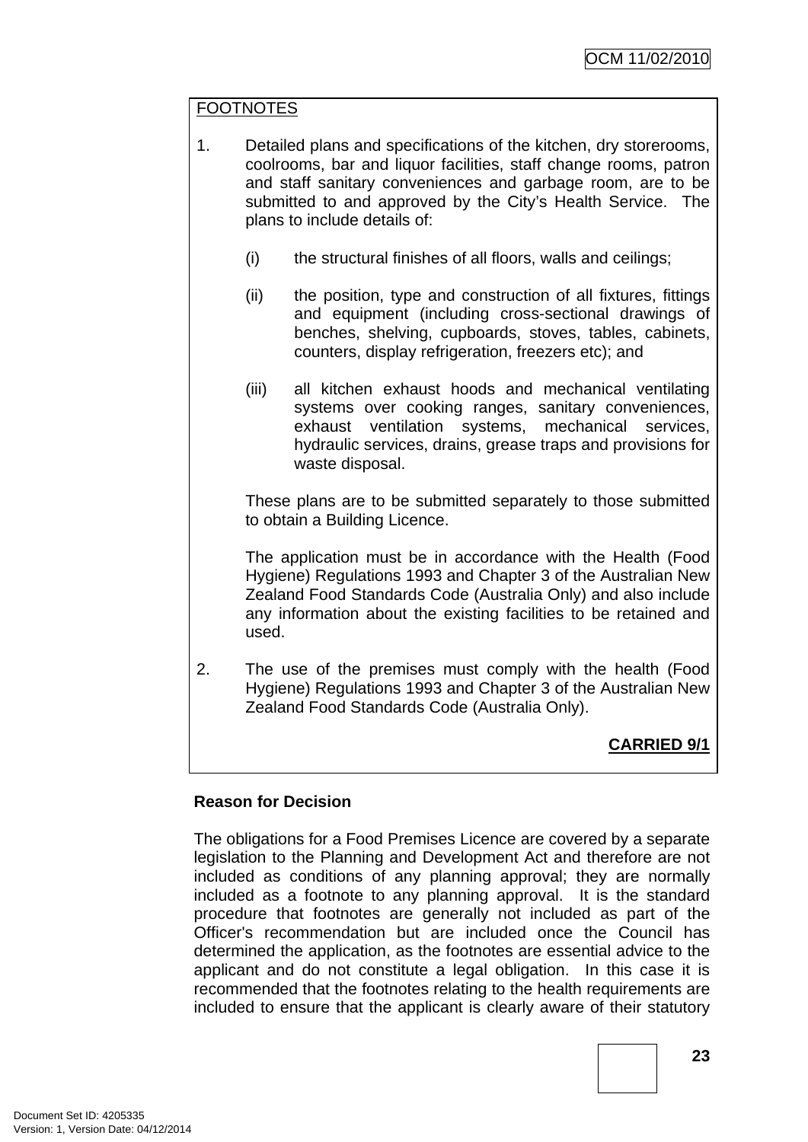# **FOOTNOTES**

- 1. Detailed plans and specifications of the kitchen, dry storerooms, coolrooms, bar and liquor facilities, staff change rooms, patron and staff sanitary conveniences and garbage room, are to be submitted to and approved by the City's Health Service. The plans to include details of:
	- (i) the structural finishes of all floors, walls and ceilings;
	- (ii) the position, type and construction of all fixtures, fittings and equipment (including cross-sectional drawings of benches, shelving, cupboards, stoves, tables, cabinets, counters, display refrigeration, freezers etc); and
	- (iii) all kitchen exhaust hoods and mechanical ventilating systems over cooking ranges, sanitary conveniences, exhaust ventilation systems, mechanical services, hydraulic services, drains, grease traps and provisions for waste disposal.

These plans are to be submitted separately to those submitted to obtain a Building Licence.

The application must be in accordance with the Health (Food Hygiene) Regulations 1993 and Chapter 3 of the Australian New Zealand Food Standards Code (Australia Only) and also include any information about the existing facilities to be retained and used.

2. The use of the premises must comply with the health (Food Hygiene) Regulations 1993 and Chapter 3 of the Australian New Zealand Food Standards Code (Australia Only).

# **CARRIED 9/1**

## **Reason for Decision**

The obligations for a Food Premises Licence are covered by a separate legislation to the Planning and Development Act and therefore are not included as conditions of any planning approval; they are normally included as a footnote to any planning approval. It is the standard procedure that footnotes are generally not included as part of the Officer's recommendation but are included once the Council has determined the application, as the footnotes are essential advice to the applicant and do not constitute a legal obligation. In this case it is recommended that the footnotes relating to the health requirements are included to ensure that the applicant is clearly aware of their statutory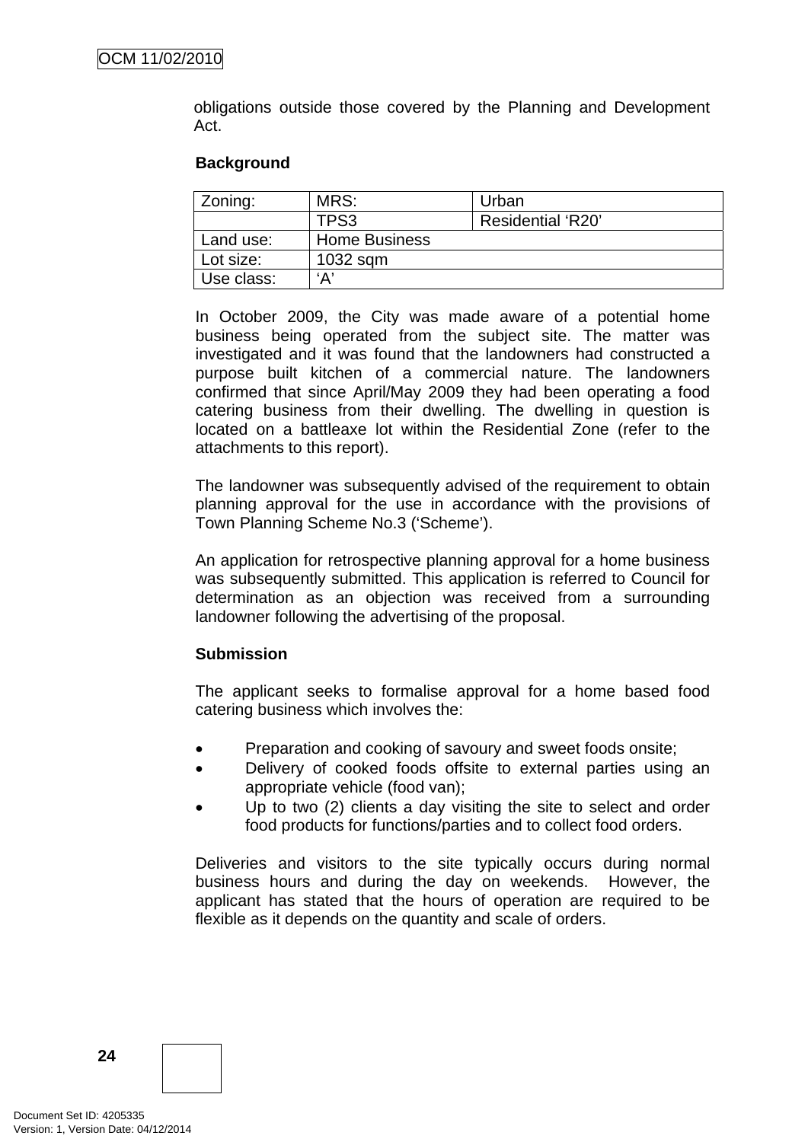obligations outside those covered by the Planning and Development Act.

#### **Background**

| Zoning:    | MRS:                 | Urban             |
|------------|----------------------|-------------------|
|            | TPS3                 | Residential 'R20' |
| Land use:  | <b>Home Business</b> |                   |
| Lot size:  | 1032 sqm             |                   |
| Use class: | ʻA'                  |                   |

In October 2009, the City was made aware of a potential home business being operated from the subject site. The matter was investigated and it was found that the landowners had constructed a purpose built kitchen of a commercial nature. The landowners confirmed that since April/May 2009 they had been operating a food catering business from their dwelling. The dwelling in question is located on a battleaxe lot within the Residential Zone (refer to the attachments to this report).

The landowner was subsequently advised of the requirement to obtain planning approval for the use in accordance with the provisions of Town Planning Scheme No.3 ('Scheme').

An application for retrospective planning approval for a home business was subsequently submitted. This application is referred to Council for determination as an objection was received from a surrounding landowner following the advertising of the proposal.

#### **Submission**

The applicant seeks to formalise approval for a home based food catering business which involves the:

- Preparation and cooking of savoury and sweet foods onsite;
- Delivery of cooked foods offsite to external parties using an appropriate vehicle (food van);
- Up to two (2) clients a day visiting the site to select and order food products for functions/parties and to collect food orders.

Deliveries and visitors to the site typically occurs during normal business hours and during the day on weekends. However, the applicant has stated that the hours of operation are required to be flexible as it depends on the quantity and scale of orders.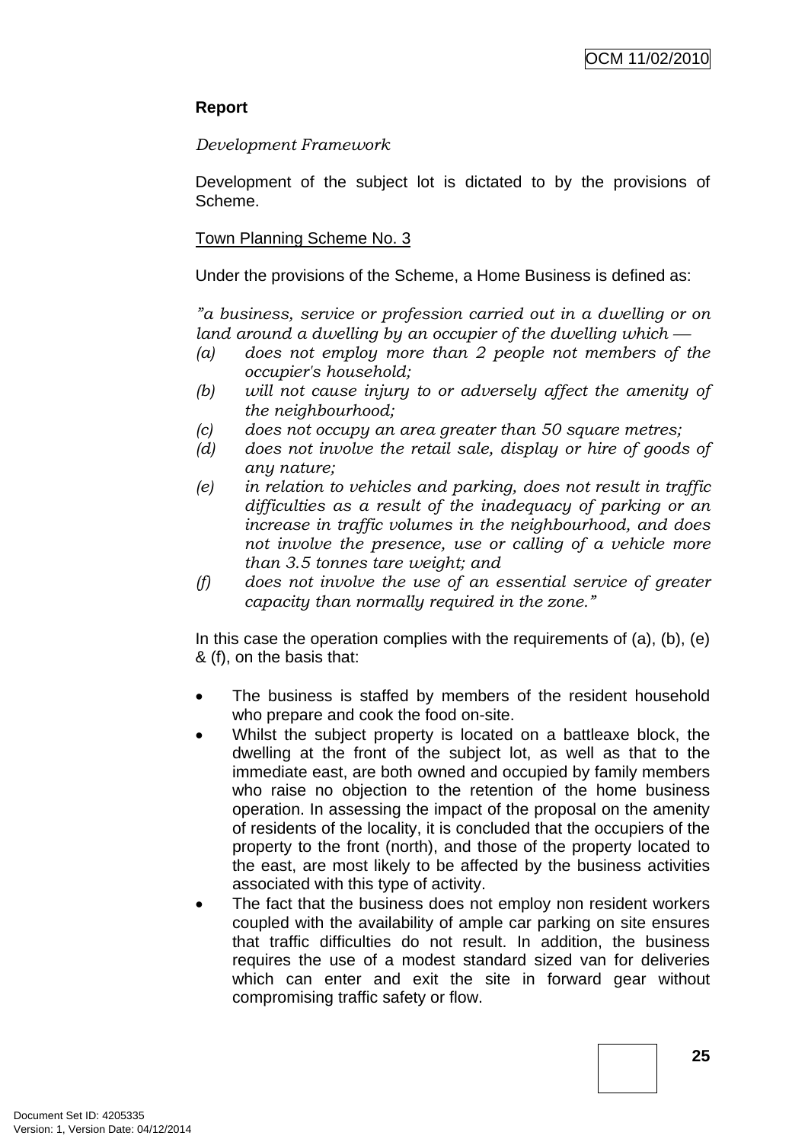# **Report**

## *Development Framework*

Development of the subject lot is dictated to by the provisions of Scheme.

## Town Planning Scheme No. 3

Under the provisions of the Scheme, a Home Business is defined as:

*"a business, service or profession carried out in a dwelling or on land around a dwelling by an occupier of the dwelling which*  $-$ 

- *(a) does not employ more than 2 people not members of the occupier's household;*
- *(b) will not cause injury to or adversely affect the amenity of the neighbourhood;*
- *(c) does not occupy an area greater than 50 square metres;*
- *(d) does not involve the retail sale, display or hire of goods of any nature;*
- *(e) in relation to vehicles and parking, does not result in traffic difficulties as a result of the inadequacy of parking or an increase in traffic volumes in the neighbourhood, and does not involve the presence, use or calling of a vehicle more than 3.5 tonnes tare weight; and*
- *(f) does not involve the use of an essential service of greater capacity than normally required in the zone."*

In this case the operation complies with the requirements of  $(a)$ ,  $(b)$ ,  $(e)$ & (f), on the basis that:

- The business is staffed by members of the resident household who prepare and cook the food on-site.
- Whilst the subject property is located on a battleaxe block, the dwelling at the front of the subject lot, as well as that to the immediate east, are both owned and occupied by family members who raise no objection to the retention of the home business operation. In assessing the impact of the proposal on the amenity of residents of the locality, it is concluded that the occupiers of the property to the front (north), and those of the property located to the east, are most likely to be affected by the business activities associated with this type of activity.
- The fact that the business does not employ non resident workers coupled with the availability of ample car parking on site ensures that traffic difficulties do not result. In addition, the business requires the use of a modest standard sized van for deliveries which can enter and exit the site in forward gear without compromising traffic safety or flow.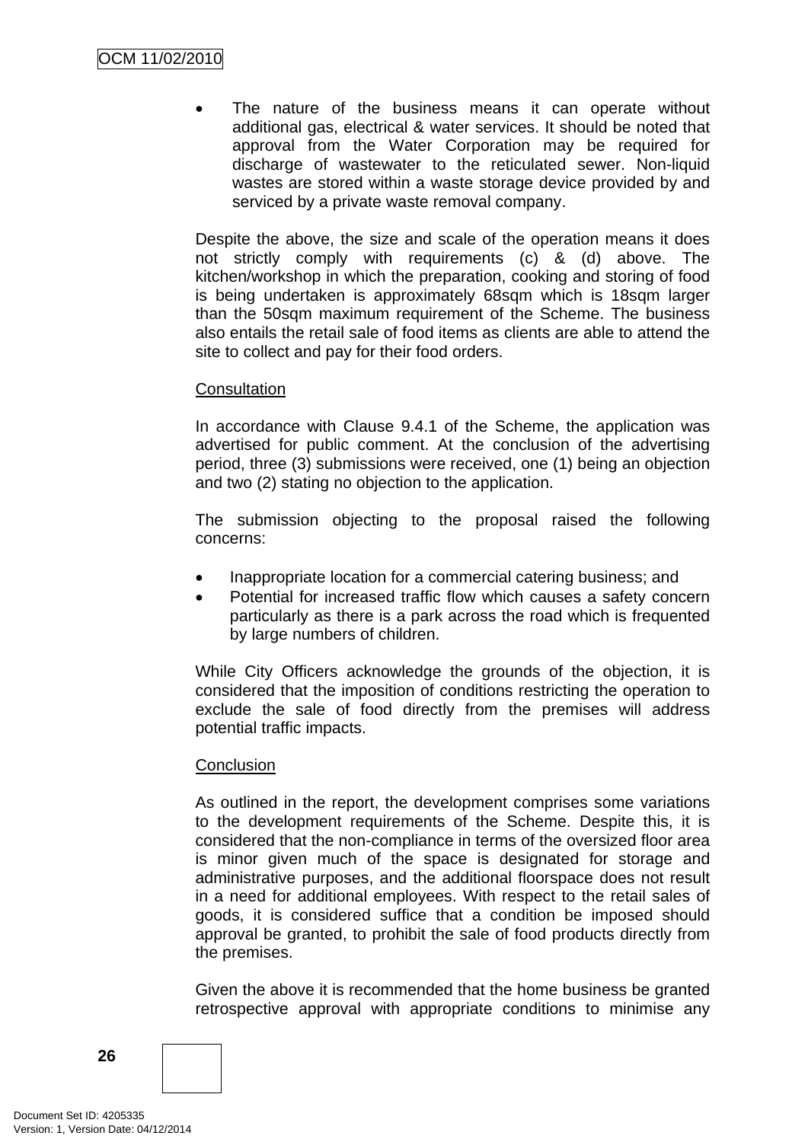The nature of the business means it can operate without additional gas, electrical & water services. It should be noted that approval from the Water Corporation may be required for discharge of wastewater to the reticulated sewer. Non-liquid wastes are stored within a waste storage device provided by and serviced by a private waste removal company.

Despite the above, the size and scale of the operation means it does not strictly comply with requirements (c) & (d) above. The kitchen/workshop in which the preparation, cooking and storing of food is being undertaken is approximately 68sqm which is 18sqm larger than the 50sqm maximum requirement of the Scheme. The business also entails the retail sale of food items as clients are able to attend the site to collect and pay for their food orders.

#### **Consultation**

In accordance with Clause 9.4.1 of the Scheme, the application was advertised for public comment. At the conclusion of the advertising period, three (3) submissions were received, one (1) being an objection and two (2) stating no objection to the application.

The submission objecting to the proposal raised the following concerns:

- Inappropriate location for a commercial catering business; and
- Potential for increased traffic flow which causes a safety concern particularly as there is a park across the road which is frequented by large numbers of children.

While City Officers acknowledge the grounds of the objection, it is considered that the imposition of conditions restricting the operation to exclude the sale of food directly from the premises will address potential traffic impacts.

#### **Conclusion**

As outlined in the report, the development comprises some variations to the development requirements of the Scheme. Despite this, it is considered that the non-compliance in terms of the oversized floor area is minor given much of the space is designated for storage and administrative purposes, and the additional floorspace does not result in a need for additional employees. With respect to the retail sales of goods, it is considered suffice that a condition be imposed should approval be granted, to prohibit the sale of food products directly from the premises.

Given the above it is recommended that the home business be granted retrospective approval with appropriate conditions to minimise any

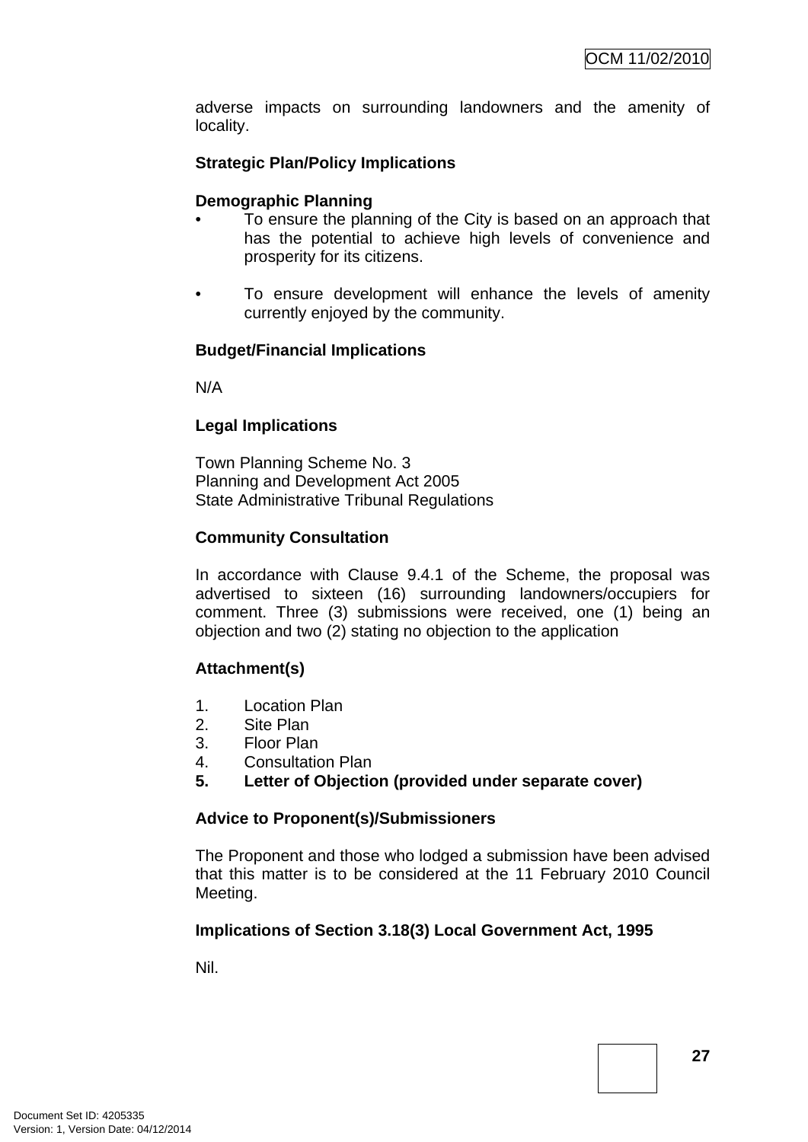adverse impacts on surrounding landowners and the amenity of locality.

## **Strategic Plan/Policy Implications**

#### **Demographic Planning**

- To ensure the planning of the City is based on an approach that has the potential to achieve high levels of convenience and prosperity for its citizens.
- To ensure development will enhance the levels of amenity currently enjoyed by the community.

#### **Budget/Financial Implications**

N/A

#### **Legal Implications**

Town Planning Scheme No. 3 Planning and Development Act 2005 State Administrative Tribunal Regulations

#### **Community Consultation**

In accordance with Clause 9.4.1 of the Scheme, the proposal was advertised to sixteen (16) surrounding landowners/occupiers for comment. Three (3) submissions were received, one (1) being an objection and two (2) stating no objection to the application

#### **Attachment(s)**

- 1. Location Plan
- 2. Site Plan
- 3. Floor Plan
- 4. Consultation Plan
- **5. Letter of Objection (provided under separate cover)**

#### **Advice to Proponent(s)/Submissioners**

The Proponent and those who lodged a submission have been advised that this matter is to be considered at the 11 February 2010 Council Meeting.

#### **Implications of Section 3.18(3) Local Government Act, 1995**

Nil.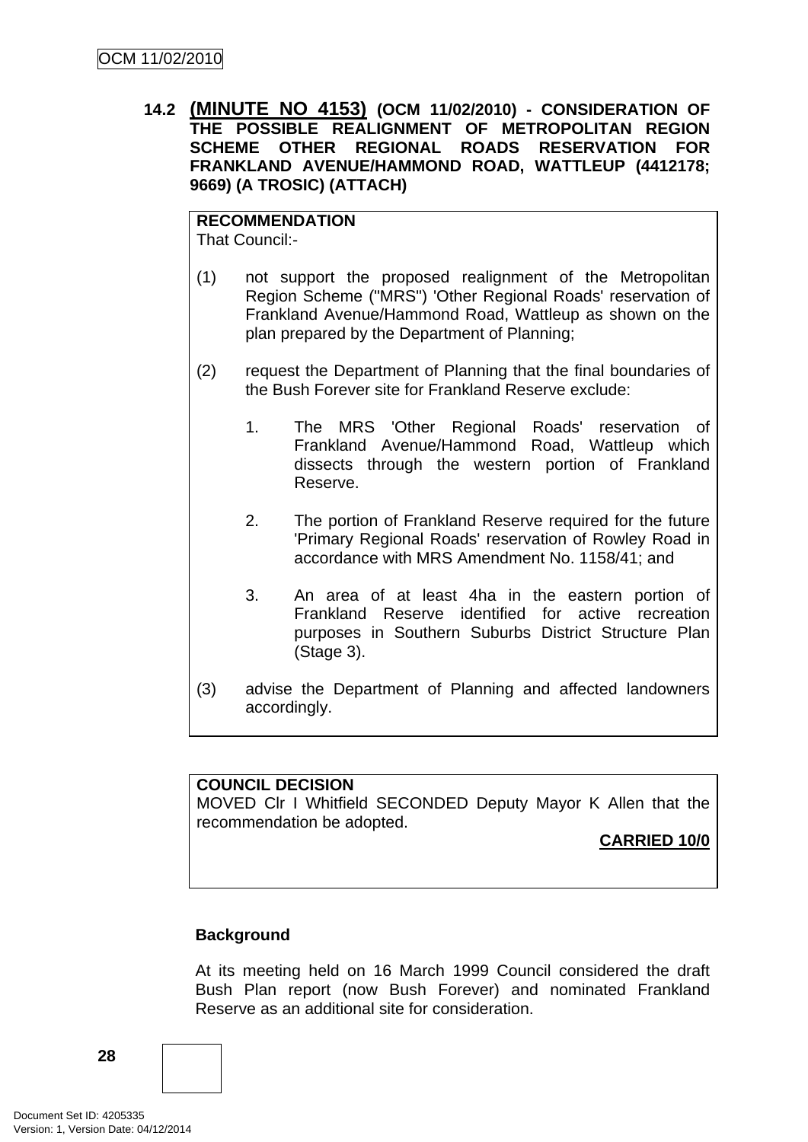<span id="page-31-0"></span>**14.2 (MINUTE NO 4153) (OCM 11/02/2010) - CONSIDERATION OF THE POSSIBLE REALIGNMENT OF METROPOLITAN REGION SCHEME OTHER REGIONAL ROADS RESERVATION FOR FRANKLAND AVENUE/HAMMOND ROAD, WATTLEUP (4412178; 9669) (A TROSIC) (ATTACH)** 

**RECOMMENDATION** That Council:-

- (1) not support the proposed realignment of the Metropolitan Region Scheme ("MRS") 'Other Regional Roads' reservation of Frankland Avenue/Hammond Road, Wattleup as shown on the plan prepared by the Department of Planning;
- (2) request the Department of Planning that the final boundaries of the Bush Forever site for Frankland Reserve exclude:
	- 1. The MRS 'Other Regional Roads' reservation of Frankland Avenue/Hammond Road, Wattleup which dissects through the western portion of Frankland Reserve.
	- 2. The portion of Frankland Reserve required for the future 'Primary Regional Roads' reservation of Rowley Road in accordance with MRS Amendment No. 1158/41; and
	- 3. An area of at least 4ha in the eastern portion of Frankland Reserve identified for active recreation purposes in Southern Suburbs District Structure Plan (Stage 3).
- (3) advise the Department of Planning and affected landowners accordingly.

## **COUNCIL DECISION**

MOVED Clr I Whitfield SECONDED Deputy Mayor K Allen that the recommendation be adopted.

**CARRIED 10/0**

## **Background**

At its meeting held on 16 March 1999 Council considered the draft Bush Plan report (now Bush Forever) and nominated Frankland Reserve as an additional site for consideration.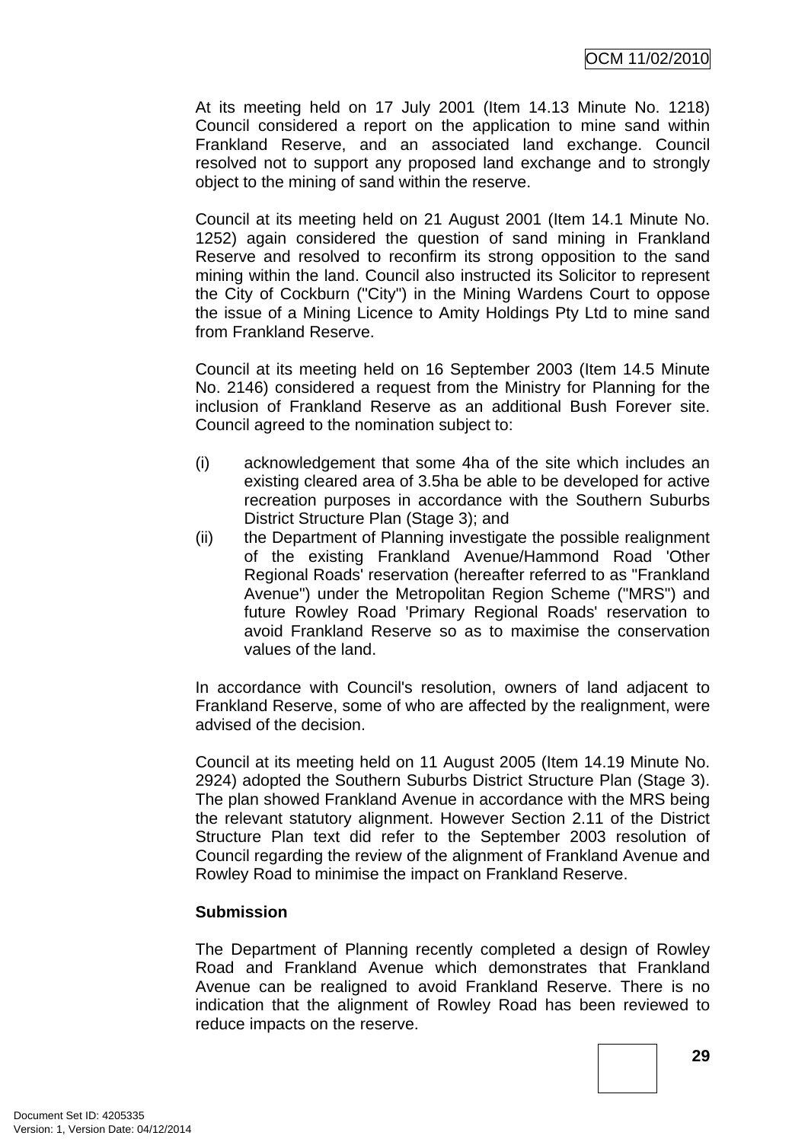At its meeting held on 17 July 2001 (Item 14.13 Minute No. 1218) Council considered a report on the application to mine sand within Frankland Reserve, and an associated land exchange. Council resolved not to support any proposed land exchange and to strongly object to the mining of sand within the reserve.

Council at its meeting held on 21 August 2001 (Item 14.1 Minute No. 1252) again considered the question of sand mining in Frankland Reserve and resolved to reconfirm its strong opposition to the sand mining within the land. Council also instructed its Solicitor to represent the City of Cockburn ("City") in the Mining Wardens Court to oppose the issue of a Mining Licence to Amity Holdings Pty Ltd to mine sand from Frankland Reserve.

Council at its meeting held on 16 September 2003 (Item 14.5 Minute No. 2146) considered a request from the Ministry for Planning for the inclusion of Frankland Reserve as an additional Bush Forever site. Council agreed to the nomination subject to:

- (i) acknowledgement that some 4ha of the site which includes an existing cleared area of 3.5ha be able to be developed for active recreation purposes in accordance with the Southern Suburbs District Structure Plan (Stage 3); and
- (ii) the Department of Planning investigate the possible realignment of the existing Frankland Avenue/Hammond Road 'Other Regional Roads' reservation (hereafter referred to as "Frankland Avenue") under the Metropolitan Region Scheme ("MRS") and future Rowley Road 'Primary Regional Roads' reservation to avoid Frankland Reserve so as to maximise the conservation values of the land.

In accordance with Council's resolution, owners of land adjacent to Frankland Reserve, some of who are affected by the realignment, were advised of the decision.

Council at its meeting held on 11 August 2005 (Item 14.19 Minute No. 2924) adopted the Southern Suburbs District Structure Plan (Stage 3). The plan showed Frankland Avenue in accordance with the MRS being the relevant statutory alignment. However Section 2.11 of the District Structure Plan text did refer to the September 2003 resolution of Council regarding the review of the alignment of Frankland Avenue and Rowley Road to minimise the impact on Frankland Reserve.

#### **Submission**

The Department of Planning recently completed a design of Rowley Road and Frankland Avenue which demonstrates that Frankland Avenue can be realigned to avoid Frankland Reserve. There is no indication that the alignment of Rowley Road has been reviewed to reduce impacts on the reserve.

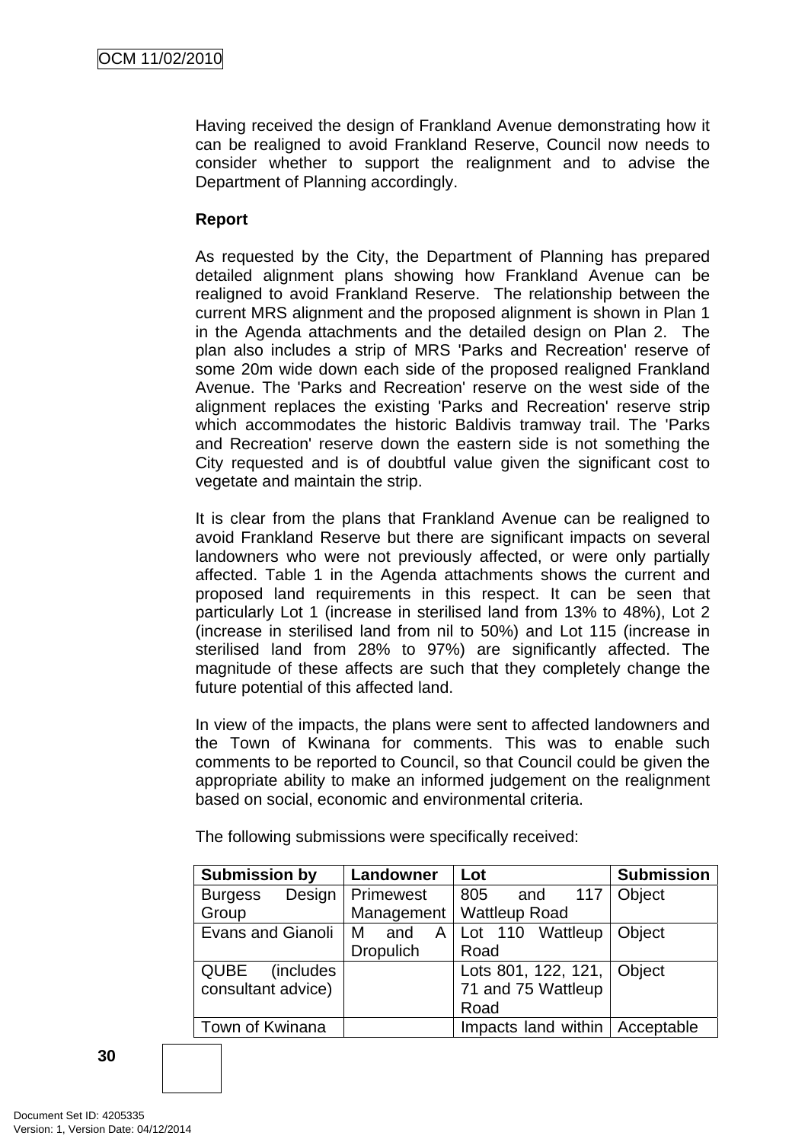Having received the design of Frankland Avenue demonstrating how it can be realigned to avoid Frankland Reserve, Council now needs to consider whether to support the realignment and to advise the Department of Planning accordingly.

## **Report**

As requested by the City, the Department of Planning has prepared detailed alignment plans showing how Frankland Avenue can be realigned to avoid Frankland Reserve. The relationship between the current MRS alignment and the proposed alignment is shown in Plan 1 in the Agenda attachments and the detailed design on Plan 2. The plan also includes a strip of MRS 'Parks and Recreation' reserve of some 20m wide down each side of the proposed realigned Frankland Avenue. The 'Parks and Recreation' reserve on the west side of the alignment replaces the existing 'Parks and Recreation' reserve strip which accommodates the historic Baldivis tramway trail. The 'Parks and Recreation' reserve down the eastern side is not something the City requested and is of doubtful value given the significant cost to vegetate and maintain the strip.

It is clear from the plans that Frankland Avenue can be realigned to avoid Frankland Reserve but there are significant impacts on several landowners who were not previously affected, or were only partially affected. Table 1 in the Agenda attachments shows the current and proposed land requirements in this respect. It can be seen that particularly Lot 1 (increase in sterilised land from 13% to 48%), Lot 2 (increase in sterilised land from nil to 50%) and Lot 115 (increase in sterilised land from 28% to 97%) are significantly affected. The magnitude of these affects are such that they completely change the future potential of this affected land.

In view of the impacts, the plans were sent to affected landowners and the Town of Kwinana for comments. This was to enable such comments to be reported to Council, so that Council could be given the appropriate ability to make an informed judgement on the realignment based on social, economic and environmental criteria.

The following submissions were specifically received:

| <b>Submission by</b>             | Landowner        | Lot                        | <b>Submission</b> |
|----------------------------------|------------------|----------------------------|-------------------|
| Design<br><b>Burgess</b>         | <b>Primewest</b> | 117<br>805<br>and          | Object            |
| Group                            |                  | Management   Wattleup Road |                   |
| Evans and Gianoli                | l M<br>A<br>and  | Lot 110 Wattleup           | <b>Object</b>     |
|                                  | <b>Dropulich</b> | Road                       |                   |
| <b>QUBE</b><br><i>(includes)</i> |                  | Lots 801, 122, 121, Object |                   |
| consultant advice)               |                  | 71 and 75 Wattleup         |                   |
|                                  |                  | Road                       |                   |
| Town of Kwinana                  |                  | Impacts land within        | Acceptable        |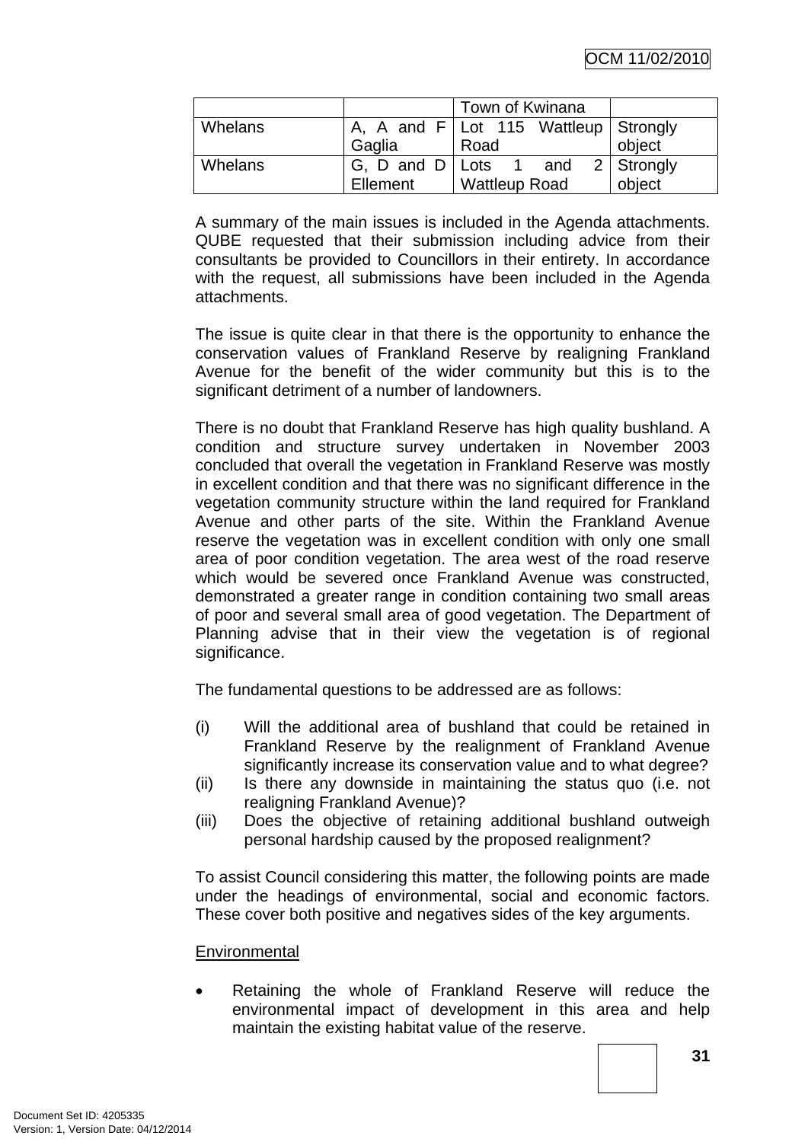|                |          | Town of Kwinana                        |        |
|----------------|----------|----------------------------------------|--------|
| <b>Whelans</b> |          | A, A and $F$ Lot 115 Wattleup Strongly |        |
|                | Gaglia   | Road                                   | object |
| Whelans        |          | G, D and D   Lots 1 and $2$   Strongly |        |
|                | Ellement | <b>Wattleup Road</b>                   | object |

A summary of the main issues is included in the Agenda attachments. QUBE requested that their submission including advice from their consultants be provided to Councillors in their entirety. In accordance with the request, all submissions have been included in the Agenda attachments.

The issue is quite clear in that there is the opportunity to enhance the conservation values of Frankland Reserve by realigning Frankland Avenue for the benefit of the wider community but this is to the significant detriment of a number of landowners.

There is no doubt that Frankland Reserve has high quality bushland. A condition and structure survey undertaken in November 2003 concluded that overall the vegetation in Frankland Reserve was mostly in excellent condition and that there was no significant difference in the vegetation community structure within the land required for Frankland Avenue and other parts of the site. Within the Frankland Avenue reserve the vegetation was in excellent condition with only one small area of poor condition vegetation. The area west of the road reserve which would be severed once Frankland Avenue was constructed, demonstrated a greater range in condition containing two small areas of poor and several small area of good vegetation. The Department of Planning advise that in their view the vegetation is of regional significance.

The fundamental questions to be addressed are as follows:

- (i) Will the additional area of bushland that could be retained in Frankland Reserve by the realignment of Frankland Avenue significantly increase its conservation value and to what degree?
- (ii) Is there any downside in maintaining the status quo (i.e. not realigning Frankland Avenue)?
- (iii) Does the objective of retaining additional bushland outweigh personal hardship caused by the proposed realignment?

To assist Council considering this matter, the following points are made under the headings of environmental, social and economic factors. These cover both positive and negatives sides of the key arguments.

#### **Environmental**

Retaining the whole of Frankland Reserve will reduce the environmental impact of development in this area and help maintain the existing habitat value of the reserve.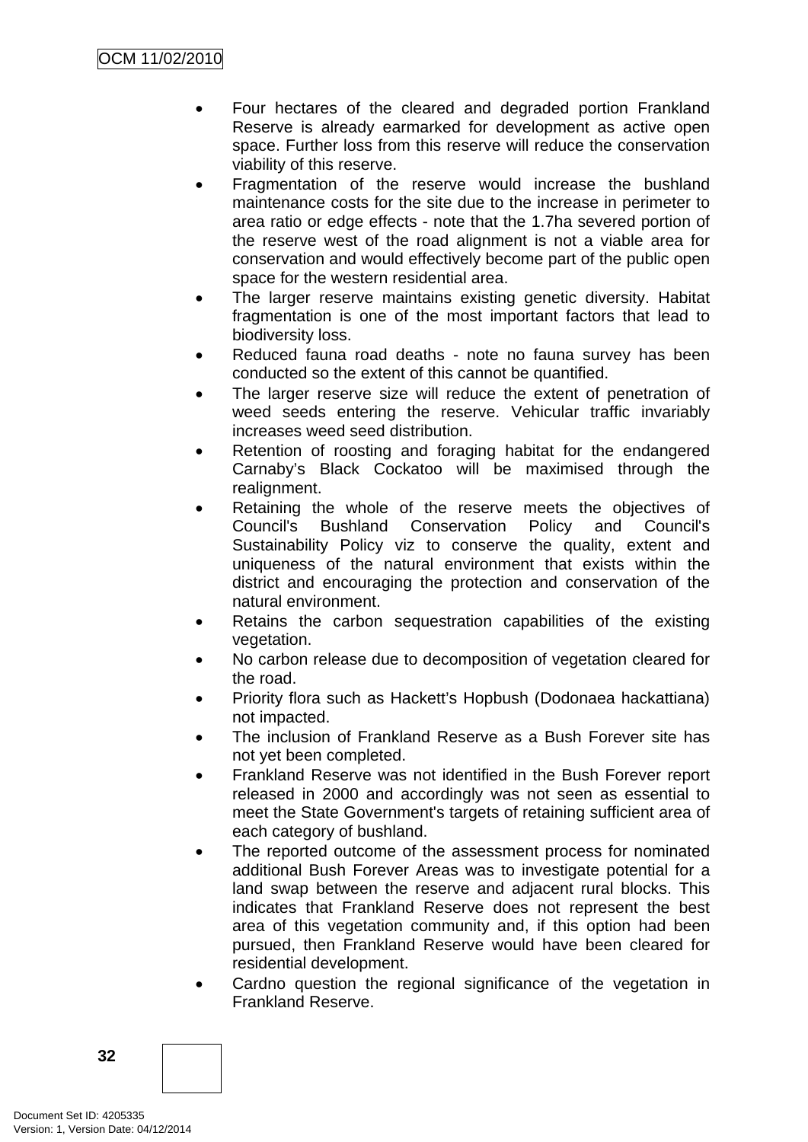- Four hectares of the cleared and degraded portion Frankland Reserve is already earmarked for development as active open space. Further loss from this reserve will reduce the conservation viability of this reserve.
- Fragmentation of the reserve would increase the bushland maintenance costs for the site due to the increase in perimeter to area ratio or edge effects - note that the 1.7ha severed portion of the reserve west of the road alignment is not a viable area for conservation and would effectively become part of the public open space for the western residential area.
- The larger reserve maintains existing genetic diversity. Habitat fragmentation is one of the most important factors that lead to biodiversity loss.
- Reduced fauna road deaths note no fauna survey has been conducted so the extent of this cannot be quantified.
- The larger reserve size will reduce the extent of penetration of weed seeds entering the reserve. Vehicular traffic invariably increases weed seed distribution.
- Retention of roosting and foraging habitat for the endangered Carnaby's Black Cockatoo will be maximised through the realignment.
- Retaining the whole of the reserve meets the objectives of Council's Bushland Conservation Policy and Council's Sustainability Policy viz to conserve the quality, extent and uniqueness of the natural environment that exists within the district and encouraging the protection and conservation of the natural environment.
- Retains the carbon sequestration capabilities of the existing vegetation.
- No carbon release due to decomposition of vegetation cleared for the road.
- Priority flora such as Hackett's Hopbush (Dodonaea hackattiana) not impacted.
- The inclusion of Frankland Reserve as a Bush Forever site has not yet been completed.
- Frankland Reserve was not identified in the Bush Forever report released in 2000 and accordingly was not seen as essential to meet the State Government's targets of retaining sufficient area of each category of bushland.
- The reported outcome of the assessment process for nominated additional Bush Forever Areas was to investigate potential for a land swap between the reserve and adjacent rural blocks. This indicates that Frankland Reserve does not represent the best area of this vegetation community and, if this option had been pursued, then Frankland Reserve would have been cleared for residential development.
- Cardno question the regional significance of the vegetation in Frankland Reserve.

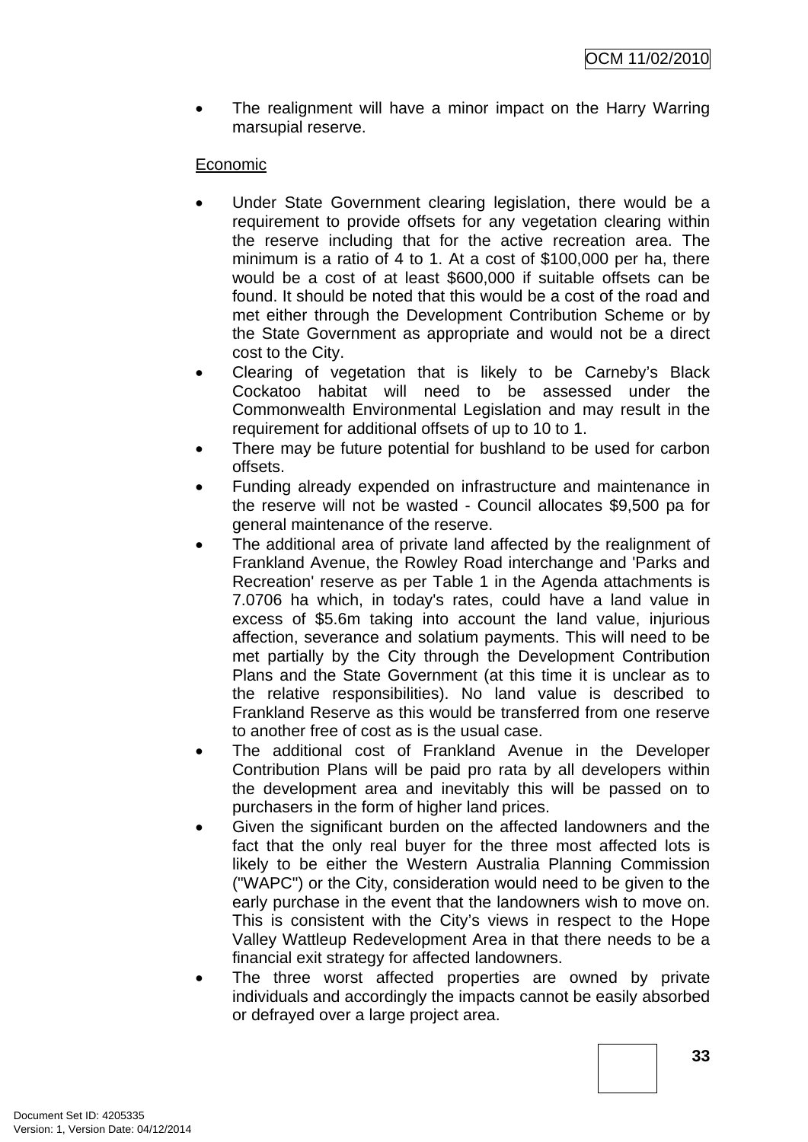The realignment will have a minor impact on the Harry Warring marsupial reserve.

# Economic

- Under State Government clearing legislation, there would be a requirement to provide offsets for any vegetation clearing within the reserve including that for the active recreation area. The minimum is a ratio of 4 to 1. At a cost of \$100,000 per ha, there would be a cost of at least \$600,000 if suitable offsets can be found. It should be noted that this would be a cost of the road and met either through the Development Contribution Scheme or by the State Government as appropriate and would not be a direct cost to the City.
- Clearing of vegetation that is likely to be Carneby's Black Cockatoo habitat will need to be assessed under the Commonwealth Environmental Legislation and may result in the requirement for additional offsets of up to 10 to 1.
- There may be future potential for bushland to be used for carbon offsets.
- Funding already expended on infrastructure and maintenance in the reserve will not be wasted - Council allocates \$9,500 pa for general maintenance of the reserve.
- The additional area of private land affected by the realignment of Frankland Avenue, the Rowley Road interchange and 'Parks and Recreation' reserve as per Table 1 in the Agenda attachments is 7.0706 ha which, in today's rates, could have a land value in excess of \$5.6m taking into account the land value, injurious affection, severance and solatium payments. This will need to be met partially by the City through the Development Contribution Plans and the State Government (at this time it is unclear as to the relative responsibilities). No land value is described to Frankland Reserve as this would be transferred from one reserve to another free of cost as is the usual case.
- The additional cost of Frankland Avenue in the Developer Contribution Plans will be paid pro rata by all developers within the development area and inevitably this will be passed on to purchasers in the form of higher land prices.
- Given the significant burden on the affected landowners and the fact that the only real buyer for the three most affected lots is likely to be either the Western Australia Planning Commission ("WAPC") or the City, consideration would need to be given to the early purchase in the event that the landowners wish to move on. This is consistent with the City's views in respect to the Hope Valley Wattleup Redevelopment Area in that there needs to be a financial exit strategy for affected landowners.
- The three worst affected properties are owned by private individuals and accordingly the impacts cannot be easily absorbed or defrayed over a large project area.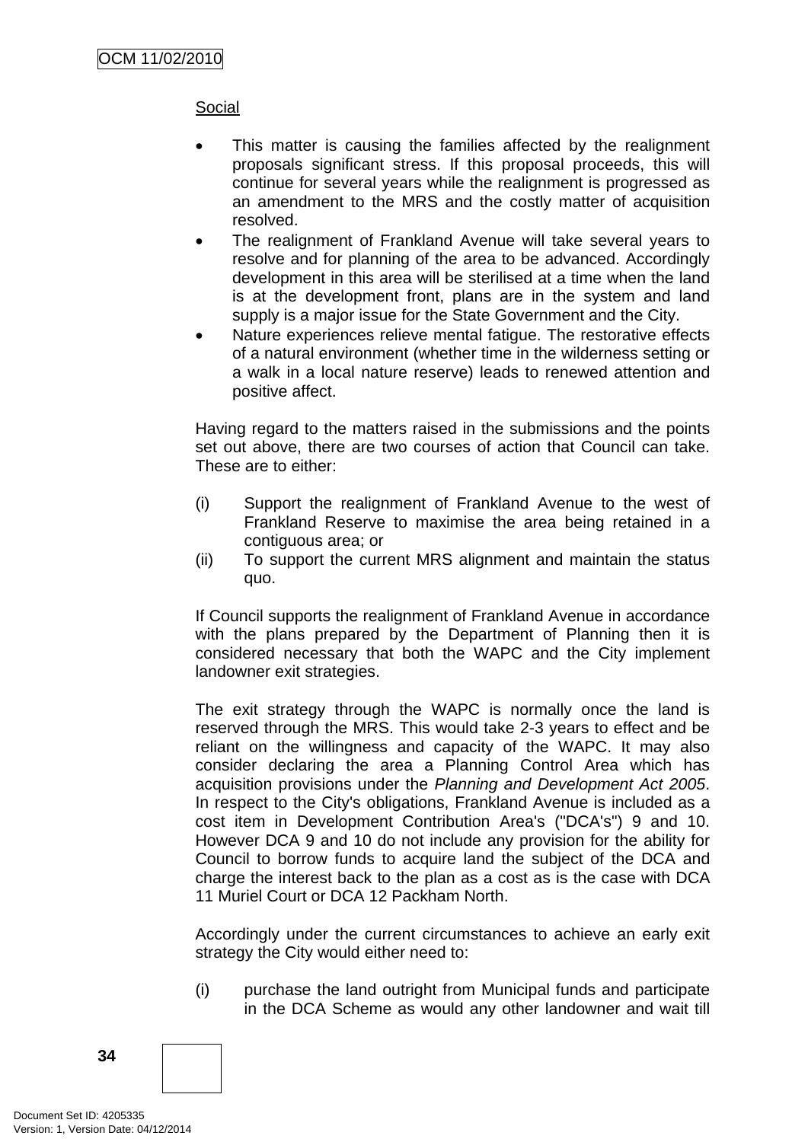# Social

- This matter is causing the families affected by the realignment proposals significant stress. If this proposal proceeds, this will continue for several years while the realignment is progressed as an amendment to the MRS and the costly matter of acquisition resolved.
- The realignment of Frankland Avenue will take several years to resolve and for planning of the area to be advanced. Accordingly development in this area will be sterilised at a time when the land is at the development front, plans are in the system and land supply is a major issue for the State Government and the City.
- Nature experiences relieve mental fatique. The restorative effects of a natural environment (whether time in the wilderness setting or a walk in a local nature reserve) leads to renewed attention and positive affect.

Having regard to the matters raised in the submissions and the points set out above, there are two courses of action that Council can take. These are to either:

- (i) Support the realignment of Frankland Avenue to the west of Frankland Reserve to maximise the area being retained in a contiguous area; or
- (ii) To support the current MRS alignment and maintain the status quo.

If Council supports the realignment of Frankland Avenue in accordance with the plans prepared by the Department of Planning then it is considered necessary that both the WAPC and the City implement landowner exit strategies.

The exit strategy through the WAPC is normally once the land is reserved through the MRS. This would take 2-3 years to effect and be reliant on the willingness and capacity of the WAPC. It may also consider declaring the area a Planning Control Area which has acquisition provisions under the *Planning and Development Act 2005*. In respect to the City's obligations, Frankland Avenue is included as a cost item in Development Contribution Area's ("DCA's") 9 and 10. However DCA 9 and 10 do not include any provision for the ability for Council to borrow funds to acquire land the subject of the DCA and charge the interest back to the plan as a cost as is the case with DCA 11 Muriel Court or DCA 12 Packham North.

Accordingly under the current circumstances to achieve an early exit strategy the City would either need to:

(i) purchase the land outright from Municipal funds and participate in the DCA Scheme as would any other landowner and wait till

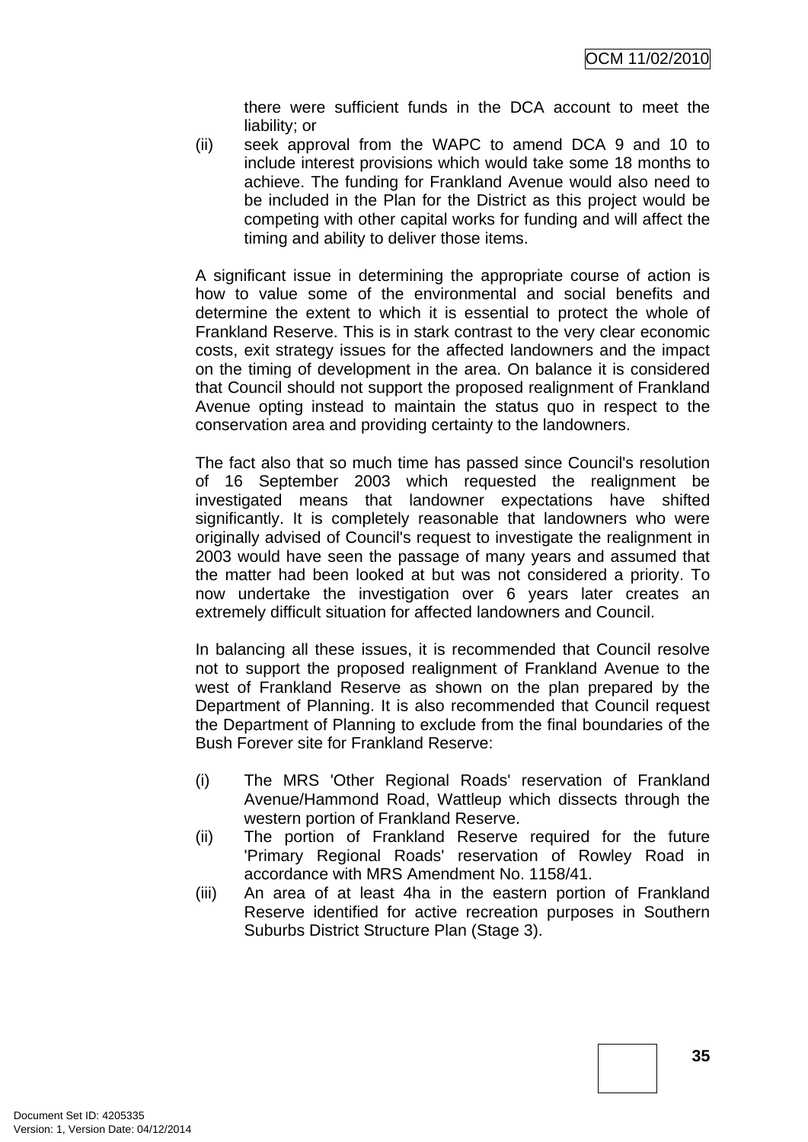there were sufficient funds in the DCA account to meet the liability; or

(ii) seek approval from the WAPC to amend DCA 9 and 10 to include interest provisions which would take some 18 months to achieve. The funding for Frankland Avenue would also need to be included in the Plan for the District as this project would be competing with other capital works for funding and will affect the timing and ability to deliver those items.

A significant issue in determining the appropriate course of action is how to value some of the environmental and social benefits and determine the extent to which it is essential to protect the whole of Frankland Reserve. This is in stark contrast to the very clear economic costs, exit strategy issues for the affected landowners and the impact on the timing of development in the area. On balance it is considered that Council should not support the proposed realignment of Frankland Avenue opting instead to maintain the status quo in respect to the conservation area and providing certainty to the landowners.

The fact also that so much time has passed since Council's resolution of 16 September 2003 which requested the realignment be investigated means that landowner expectations have shifted significantly. It is completely reasonable that landowners who were originally advised of Council's request to investigate the realignment in 2003 would have seen the passage of many years and assumed that the matter had been looked at but was not considered a priority. To now undertake the investigation over 6 years later creates an extremely difficult situation for affected landowners and Council.

In balancing all these issues, it is recommended that Council resolve not to support the proposed realignment of Frankland Avenue to the west of Frankland Reserve as shown on the plan prepared by the Department of Planning. It is also recommended that Council request the Department of Planning to exclude from the final boundaries of the Bush Forever site for Frankland Reserve:

- (i) The MRS 'Other Regional Roads' reservation of Frankland Avenue/Hammond Road, Wattleup which dissects through the western portion of Frankland Reserve.
- (ii) The portion of Frankland Reserve required for the future 'Primary Regional Roads' reservation of Rowley Road in accordance with MRS Amendment No. 1158/41.
- (iii) An area of at least 4ha in the eastern portion of Frankland Reserve identified for active recreation purposes in Southern Suburbs District Structure Plan (Stage 3).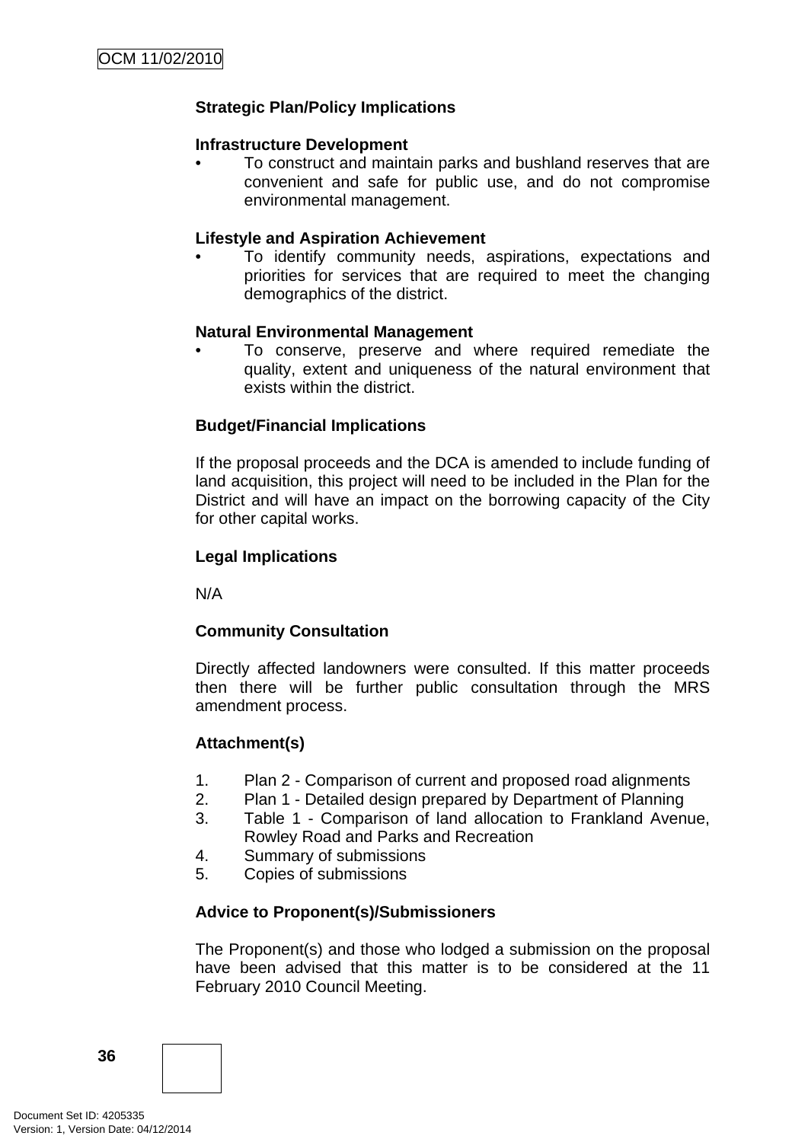# **Strategic Plan/Policy Implications**

#### **Infrastructure Development**

• To construct and maintain parks and bushland reserves that are convenient and safe for public use, and do not compromise environmental management.

#### **Lifestyle and Aspiration Achievement**

• To identify community needs, aspirations, expectations and priorities for services that are required to meet the changing demographics of the district.

#### **Natural Environmental Management**

• To conserve, preserve and where required remediate the quality, extent and uniqueness of the natural environment that exists within the district.

#### **Budget/Financial Implications**

If the proposal proceeds and the DCA is amended to include funding of land acquisition, this project will need to be included in the Plan for the District and will have an impact on the borrowing capacity of the City for other capital works.

#### **Legal Implications**

N/A

#### **Community Consultation**

Directly affected landowners were consulted. If this matter proceeds then there will be further public consultation through the MRS amendment process.

#### **Attachment(s)**

- 1. Plan 2 Comparison of current and proposed road alignments
- 2. Plan 1 Detailed design prepared by Department of Planning
- 3. Table 1 Comparison of land allocation to Frankland Avenue, Rowley Road and Parks and Recreation
- 4. Summary of submissions
- 5. Copies of submissions

#### **Advice to Proponent(s)/Submissioners**

The Proponent(s) and those who lodged a submission on the proposal have been advised that this matter is to be considered at the 11 February 2010 Council Meeting.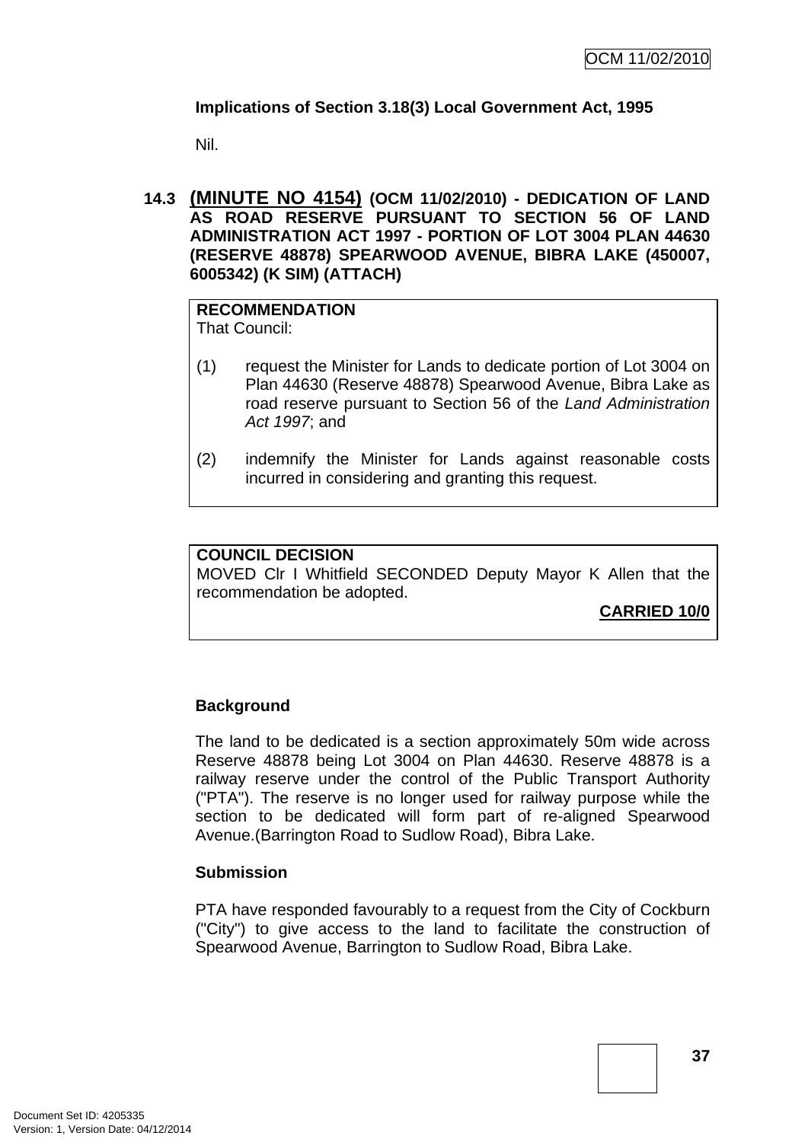# **Implications of Section 3.18(3) Local Government Act, 1995**

Nil.

**14.3 (MINUTE NO 4154) (OCM 11/02/2010) - DEDICATION OF LAND AS ROAD RESERVE PURSUANT TO SECTION 56 OF LAND ADMINISTRATION ACT 1997 - PORTION OF LOT 3004 PLAN 44630 (RESERVE 48878) SPEARWOOD AVENUE, BIBRA LAKE (450007, 6005342) (K SIM) (ATTACH)** 

# **RECOMMENDATION**

That Council:

- (1) request the Minister for Lands to dedicate portion of Lot 3004 on Plan 44630 (Reserve 48878) Spearwood Avenue, Bibra Lake as road reserve pursuant to Section 56 of the *Land Administration Act 1997*; and
- (2) indemnify the Minister for Lands against reasonable costs incurred in considering and granting this request.

# **COUNCIL DECISION**

MOVED Clr I Whitfield SECONDED Deputy Mayor K Allen that the recommendation be adopted.

**CARRIED 10/0**

# **Background**

The land to be dedicated is a section approximately 50m wide across Reserve 48878 being Lot 3004 on Plan 44630. Reserve 48878 is a railway reserve under the control of the Public Transport Authority ("PTA"). The reserve is no longer used for railway purpose while the section to be dedicated will form part of re-aligned Spearwood Avenue.(Barrington Road to Sudlow Road), Bibra Lake.

# **Submission**

PTA have responded favourably to a request from the City of Cockburn ("City") to give access to the land to facilitate the construction of Spearwood Avenue, Barrington to Sudlow Road, Bibra Lake.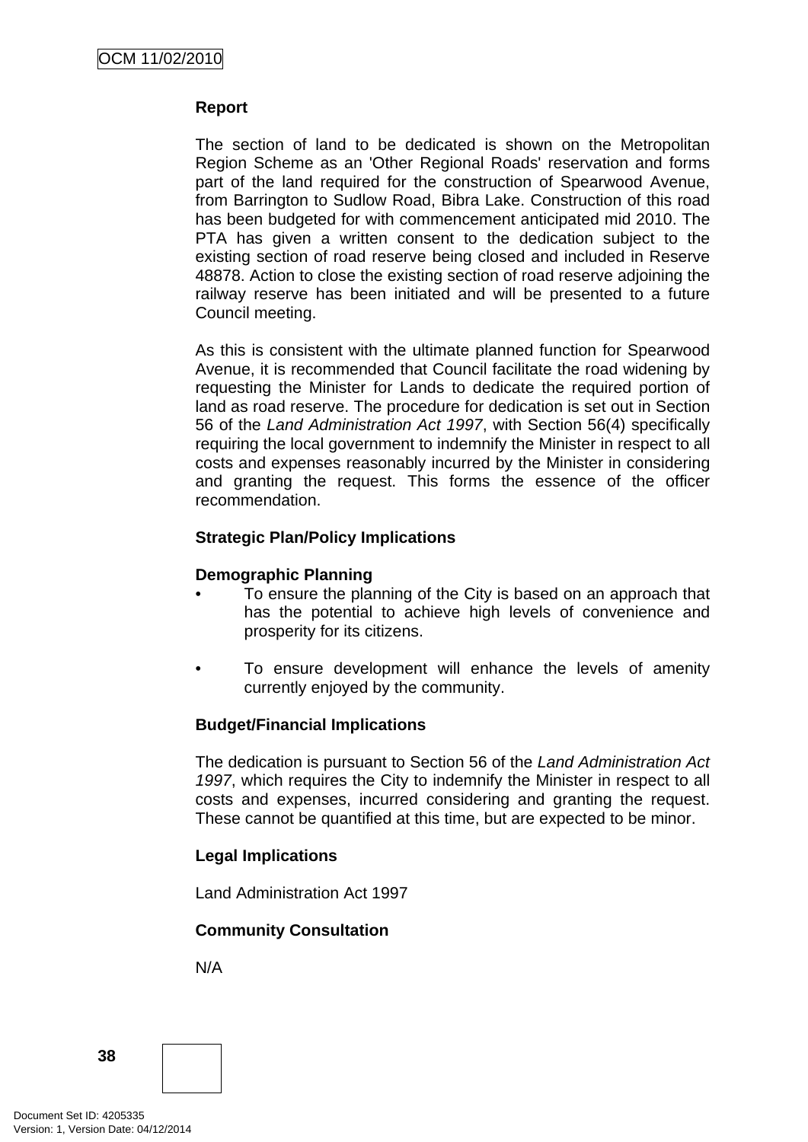#### **Report**

The section of land to be dedicated is shown on the Metropolitan Region Scheme as an 'Other Regional Roads' reservation and forms part of the land required for the construction of Spearwood Avenue, from Barrington to Sudlow Road, Bibra Lake. Construction of this road has been budgeted for with commencement anticipated mid 2010. The PTA has given a written consent to the dedication subject to the existing section of road reserve being closed and included in Reserve 48878. Action to close the existing section of road reserve adjoining the railway reserve has been initiated and will be presented to a future Council meeting.

As this is consistent with the ultimate planned function for Spearwood Avenue, it is recommended that Council facilitate the road widening by requesting the Minister for Lands to dedicate the required portion of land as road reserve. The procedure for dedication is set out in Section 56 of the *Land Administration Act 1997*, with Section 56(4) specifically requiring the local government to indemnify the Minister in respect to all costs and expenses reasonably incurred by the Minister in considering and granting the request. This forms the essence of the officer recommendation.

# **Strategic Plan/Policy Implications**

#### **Demographic Planning**

- To ensure the planning of the City is based on an approach that has the potential to achieve high levels of convenience and prosperity for its citizens.
- To ensure development will enhance the levels of amenity currently enjoyed by the community.

#### **Budget/Financial Implications**

The dedication is pursuant to Section 56 of the *Land Administration Act 1997*, which requires the City to indemnify the Minister in respect to all costs and expenses, incurred considering and granting the request. These cannot be quantified at this time, but are expected to be minor.

#### **Legal Implications**

Land Administration Act 1997

#### **Community Consultation**

N/A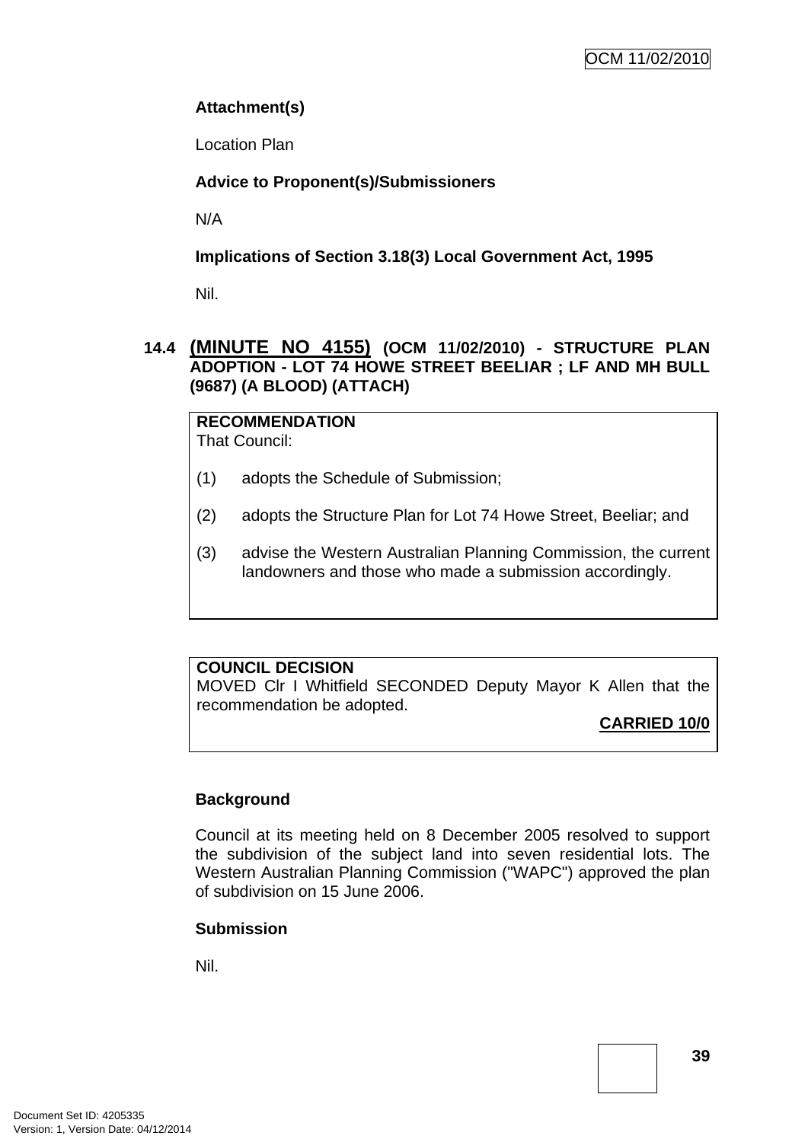# **Attachment(s)**

Location Plan

# **Advice to Proponent(s)/Submissioners**

N/A

**Implications of Section 3.18(3) Local Government Act, 1995**

Nil.

# **14.4 (MINUTE NO 4155) (OCM 11/02/2010) - STRUCTURE PLAN ADOPTION - LOT 74 HOWE STREET BEELIAR ; LF AND MH BULL (9687) (A BLOOD) (ATTACH)**

**RECOMMENDATION** That Council:

- (1) adopts the Schedule of Submission;
- (2) adopts the Structure Plan for Lot 74 Howe Street, Beeliar; and
- (3) advise the Western Australian Planning Commission, the current landowners and those who made a submission accordingly.

# **COUNCIL DECISION**

MOVED Clr I Whitfield SECONDED Deputy Mayor K Allen that the recommendation be adopted.

**CARRIED 10/0**

# **Background**

Council at its meeting held on 8 December 2005 resolved to support the subdivision of the subject land into seven residential lots. The Western Australian Planning Commission ("WAPC") approved the plan of subdivision on 15 June 2006.

# **Submission**

Nil.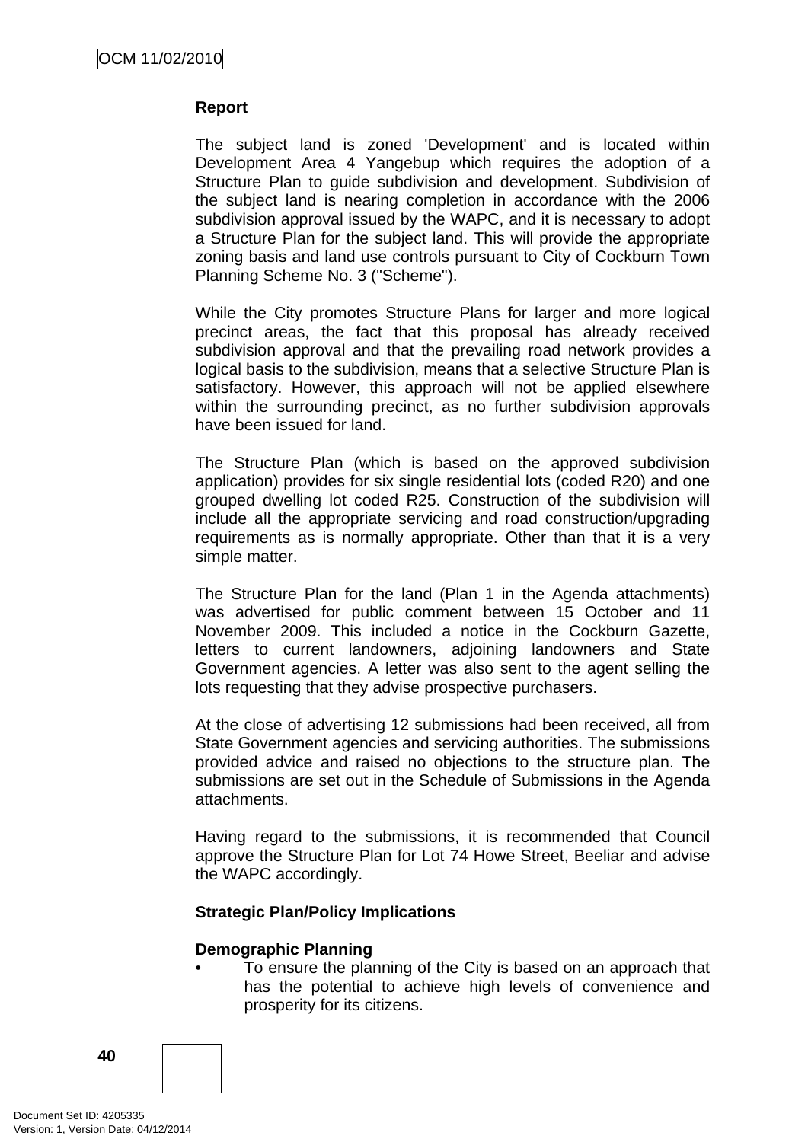### **Report**

The subject land is zoned 'Development' and is located within Development Area 4 Yangebup which requires the adoption of a Structure Plan to guide subdivision and development. Subdivision of the subject land is nearing completion in accordance with the 2006 subdivision approval issued by the WAPC, and it is necessary to adopt a Structure Plan for the subject land. This will provide the appropriate zoning basis and land use controls pursuant to City of Cockburn Town Planning Scheme No. 3 ("Scheme").

While the City promotes Structure Plans for larger and more logical precinct areas, the fact that this proposal has already received subdivision approval and that the prevailing road network provides a logical basis to the subdivision, means that a selective Structure Plan is satisfactory. However, this approach will not be applied elsewhere within the surrounding precinct, as no further subdivision approvals have been issued for land.

The Structure Plan (which is based on the approved subdivision application) provides for six single residential lots (coded R20) and one grouped dwelling lot coded R25. Construction of the subdivision will include all the appropriate servicing and road construction/upgrading requirements as is normally appropriate. Other than that it is a very simple matter.

The Structure Plan for the land (Plan 1 in the Agenda attachments) was advertised for public comment between 15 October and 11 November 2009. This included a notice in the Cockburn Gazette, letters to current landowners, adjoining landowners and State Government agencies. A letter was also sent to the agent selling the lots requesting that they advise prospective purchasers.

At the close of advertising 12 submissions had been received, all from State Government agencies and servicing authorities. The submissions provided advice and raised no objections to the structure plan. The submissions are set out in the Schedule of Submissions in the Agenda attachments.

Having regard to the submissions, it is recommended that Council approve the Structure Plan for Lot 74 Howe Street, Beeliar and advise the WAPC accordingly.

#### **Strategic Plan/Policy Implications**

#### **Demographic Planning**

• To ensure the planning of the City is based on an approach that has the potential to achieve high levels of convenience and prosperity for its citizens.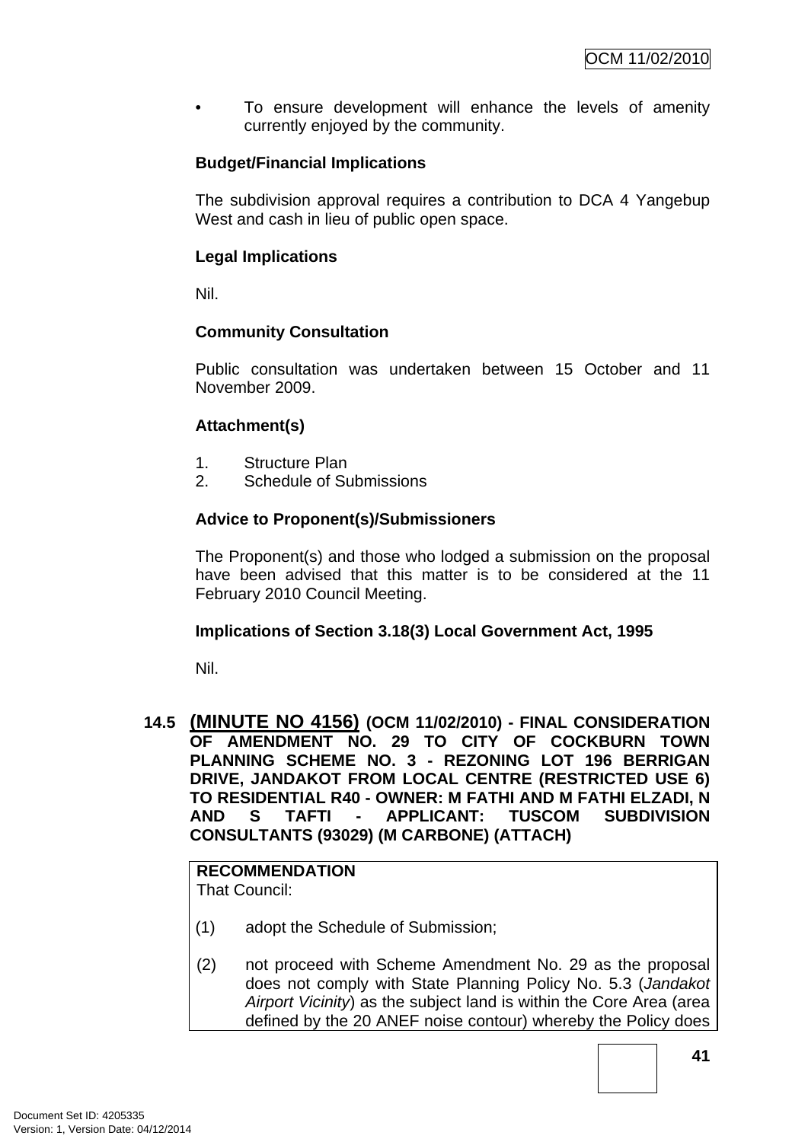To ensure development will enhance the levels of amenity currently enjoyed by the community.

# **Budget/Financial Implications**

The subdivision approval requires a contribution to DCA 4 Yangebup West and cash in lieu of public open space.

# **Legal Implications**

Nil.

# **Community Consultation**

Public consultation was undertaken between 15 October and 11 November 2009.

# **Attachment(s)**

- 1. Structure Plan
- 2. Schedule of Submissions

# **Advice to Proponent(s)/Submissioners**

The Proponent(s) and those who lodged a submission on the proposal have been advised that this matter is to be considered at the 11 February 2010 Council Meeting.

#### **Implications of Section 3.18(3) Local Government Act, 1995**

Nil.

### **14.5 (MINUTE NO 4156) (OCM 11/02/2010) - FINAL CONSIDERATION OF AMENDMENT NO. 29 TO CITY OF COCKBURN TOWN PLANNING SCHEME NO. 3 - REZONING LOT 196 BERRIGAN DRIVE, JANDAKOT FROM LOCAL CENTRE (RESTRICTED USE 6) TO RESIDENTIAL R40 - OWNER: M FATHI AND M FATHI ELZADI, N AND S TAFTI - APPLICANT: TUSCOM SUBDIVISION CONSULTANTS (93029) (M CARBONE) (ATTACH)**

# **RECOMMENDATION**

That Council:

- (1) adopt the Schedule of Submission;
- (2) not proceed with Scheme Amendment No. 29 as the proposal does not comply with State Planning Policy No. 5.3 (*Jandakot Airport Vicinity*) as the subject land is within the Core Area (area defined by the 20 ANEF noise contour) whereby the Policy does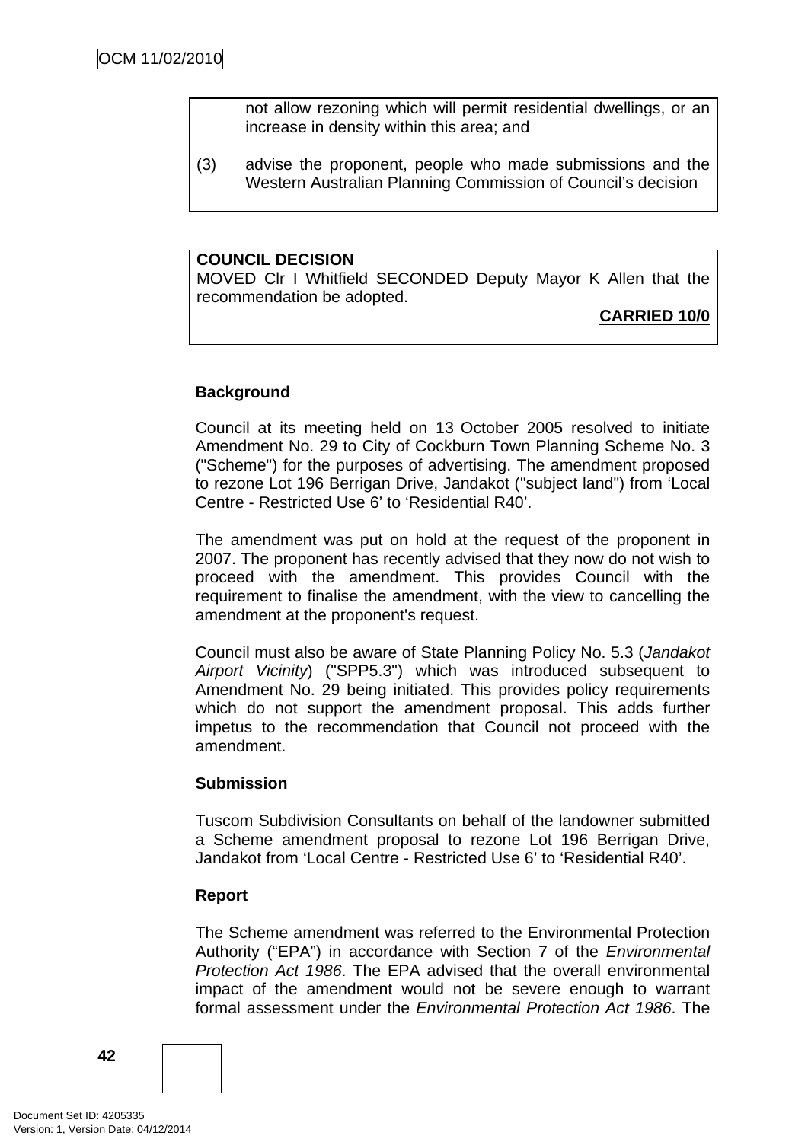not allow rezoning which will permit residential dwellings, or an increase in density within this area; and

(3) advise the proponent, people who made submissions and the Western Australian Planning Commission of Council's decision

#### **COUNCIL DECISION**

MOVED Clr I Whitfield SECONDED Deputy Mayor K Allen that the recommendation be adopted.

# **CARRIED 10/0**

# **Background**

Council at its meeting held on 13 October 2005 resolved to initiate Amendment No. 29 to City of Cockburn Town Planning Scheme No. 3 ("Scheme") for the purposes of advertising. The amendment proposed to rezone Lot 196 Berrigan Drive, Jandakot ("subject land") from 'Local Centre - Restricted Use 6' to 'Residential R40'.

The amendment was put on hold at the request of the proponent in 2007. The proponent has recently advised that they now do not wish to proceed with the amendment. This provides Council with the requirement to finalise the amendment, with the view to cancelling the amendment at the proponent's request.

Council must also be aware of State Planning Policy No. 5.3 (*Jandakot Airport Vicinity*) ("SPP5.3") which was introduced subsequent to Amendment No. 29 being initiated. This provides policy requirements which do not support the amendment proposal. This adds further impetus to the recommendation that Council not proceed with the amendment.

#### **Submission**

Tuscom Subdivision Consultants on behalf of the landowner submitted a Scheme amendment proposal to rezone Lot 196 Berrigan Drive, Jandakot from 'Local Centre - Restricted Use 6' to 'Residential R40'.

#### **Report**

The Scheme amendment was referred to the Environmental Protection Authority ("EPA") in accordance with Section 7 of the *Environmental Protection Act 1986*. The EPA advised that the overall environmental impact of the amendment would not be severe enough to warrant formal assessment under the *Environmental Protection Act 1986*. The

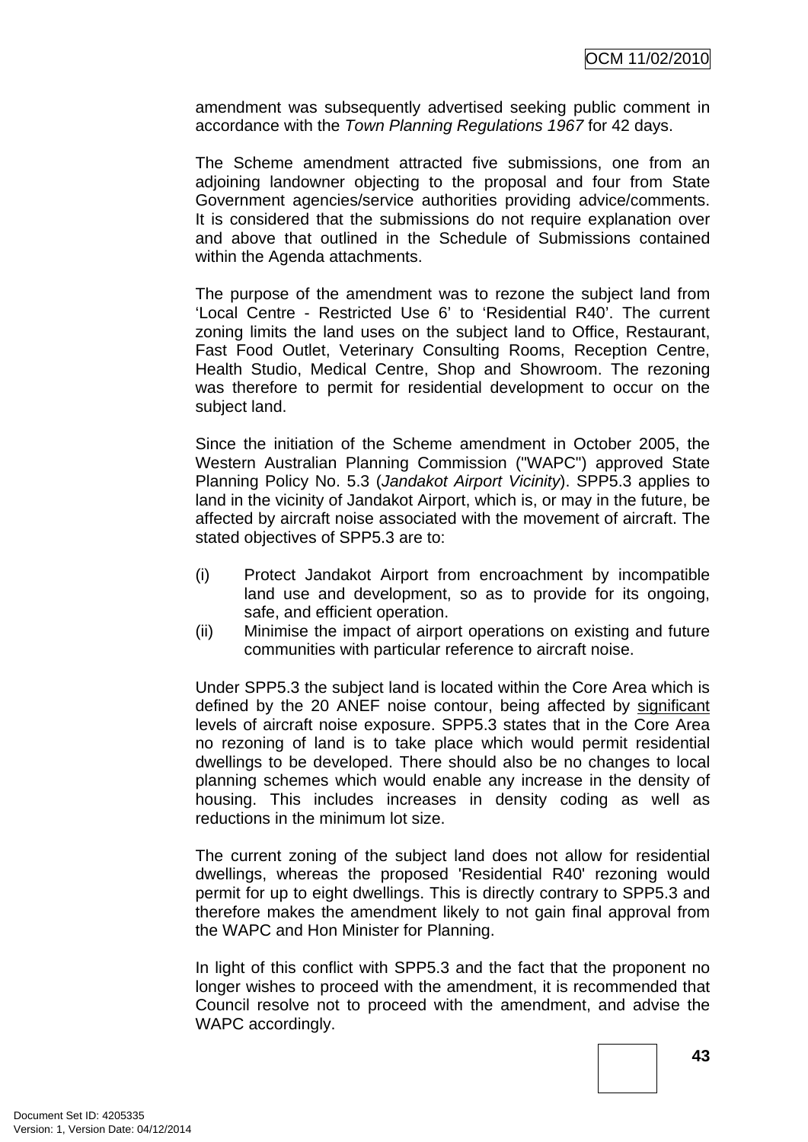amendment was subsequently advertised seeking public comment in accordance with the *Town Planning Regulations 1967* for 42 days.

The Scheme amendment attracted five submissions, one from an adjoining landowner objecting to the proposal and four from State Government agencies/service authorities providing advice/comments. It is considered that the submissions do not require explanation over and above that outlined in the Schedule of Submissions contained within the Agenda attachments.

The purpose of the amendment was to rezone the subject land from 'Local Centre - Restricted Use 6' to 'Residential R40'. The current zoning limits the land uses on the subject land to Office, Restaurant, Fast Food Outlet, Veterinary Consulting Rooms, Reception Centre, Health Studio, Medical Centre, Shop and Showroom. The rezoning was therefore to permit for residential development to occur on the subject land.

Since the initiation of the Scheme amendment in October 2005, the Western Australian Planning Commission ("WAPC") approved State Planning Policy No. 5.3 (*Jandakot Airport Vicinity*). SPP5.3 applies to land in the vicinity of Jandakot Airport, which is, or may in the future, be affected by aircraft noise associated with the movement of aircraft. The stated objectives of SPP5.3 are to:

- (i) Protect Jandakot Airport from encroachment by incompatible land use and development, so as to provide for its ongoing, safe, and efficient operation.
- (ii) Minimise the impact of airport operations on existing and future communities with particular reference to aircraft noise.

Under SPP5.3 the subject land is located within the Core Area which is defined by the 20 ANEF noise contour, being affected by significant levels of aircraft noise exposure. SPP5.3 states that in the Core Area no rezoning of land is to take place which would permit residential dwellings to be developed. There should also be no changes to local planning schemes which would enable any increase in the density of housing. This includes increases in density coding as well as reductions in the minimum lot size.

The current zoning of the subject land does not allow for residential dwellings, whereas the proposed 'Residential R40' rezoning would permit for up to eight dwellings. This is directly contrary to SPP5.3 and therefore makes the amendment likely to not gain final approval from the WAPC and Hon Minister for Planning.

In light of this conflict with SPP5.3 and the fact that the proponent no longer wishes to proceed with the amendment, it is recommended that Council resolve not to proceed with the amendment, and advise the WAPC accordingly.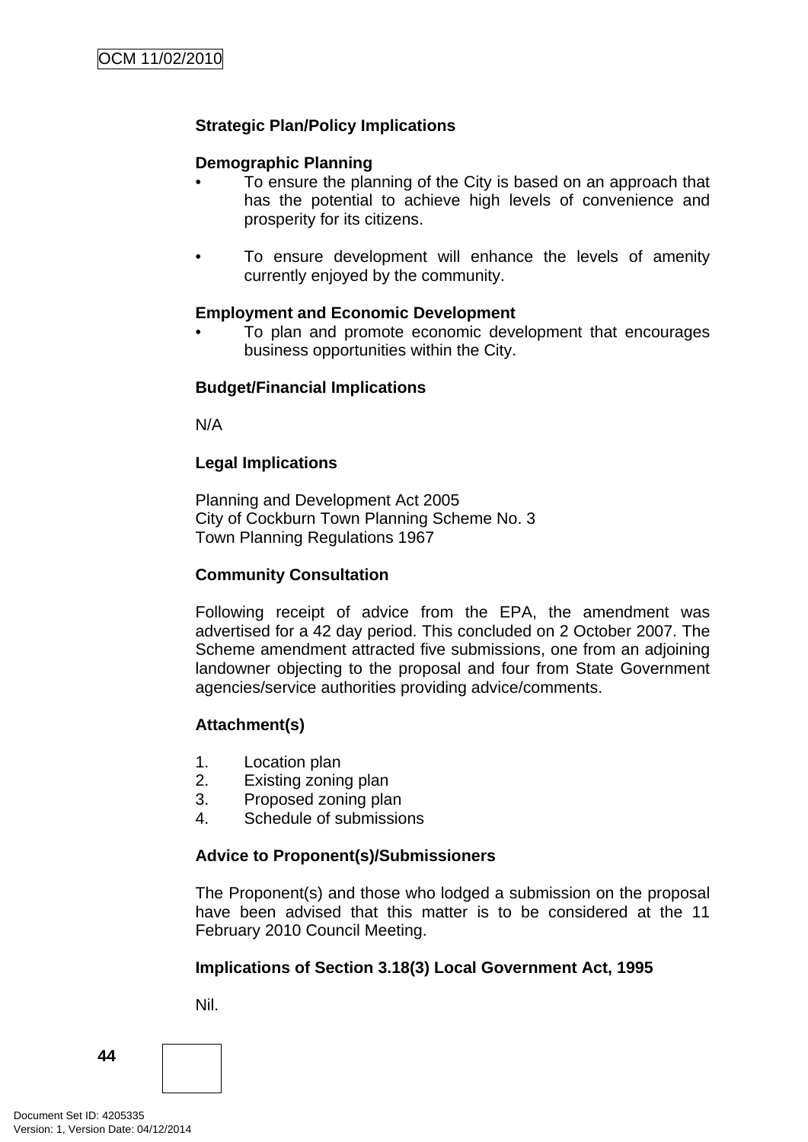# **Strategic Plan/Policy Implications**

# **Demographic Planning**

- To ensure the planning of the City is based on an approach that has the potential to achieve high levels of convenience and prosperity for its citizens.
- To ensure development will enhance the levels of amenity currently enjoyed by the community.

#### **Employment and Economic Development**

• To plan and promote economic development that encourages business opportunities within the City.

#### **Budget/Financial Implications**

N/A

#### **Legal Implications**

Planning and Development Act 2005 City of Cockburn Town Planning Scheme No. 3 Town Planning Regulations 1967

#### **Community Consultation**

Following receipt of advice from the EPA, the amendment was advertised for a 42 day period. This concluded on 2 October 2007. The Scheme amendment attracted five submissions, one from an adjoining landowner objecting to the proposal and four from State Government agencies/service authorities providing advice/comments.

#### **Attachment(s)**

- 1. Location plan
- 2. Existing zoning plan
- 3. Proposed zoning plan
- 4. Schedule of submissions

#### **Advice to Proponent(s)/Submissioners**

The Proponent(s) and those who lodged a submission on the proposal have been advised that this matter is to be considered at the 11 February 2010 Council Meeting.

#### **Implications of Section 3.18(3) Local Government Act, 1995**

Nil.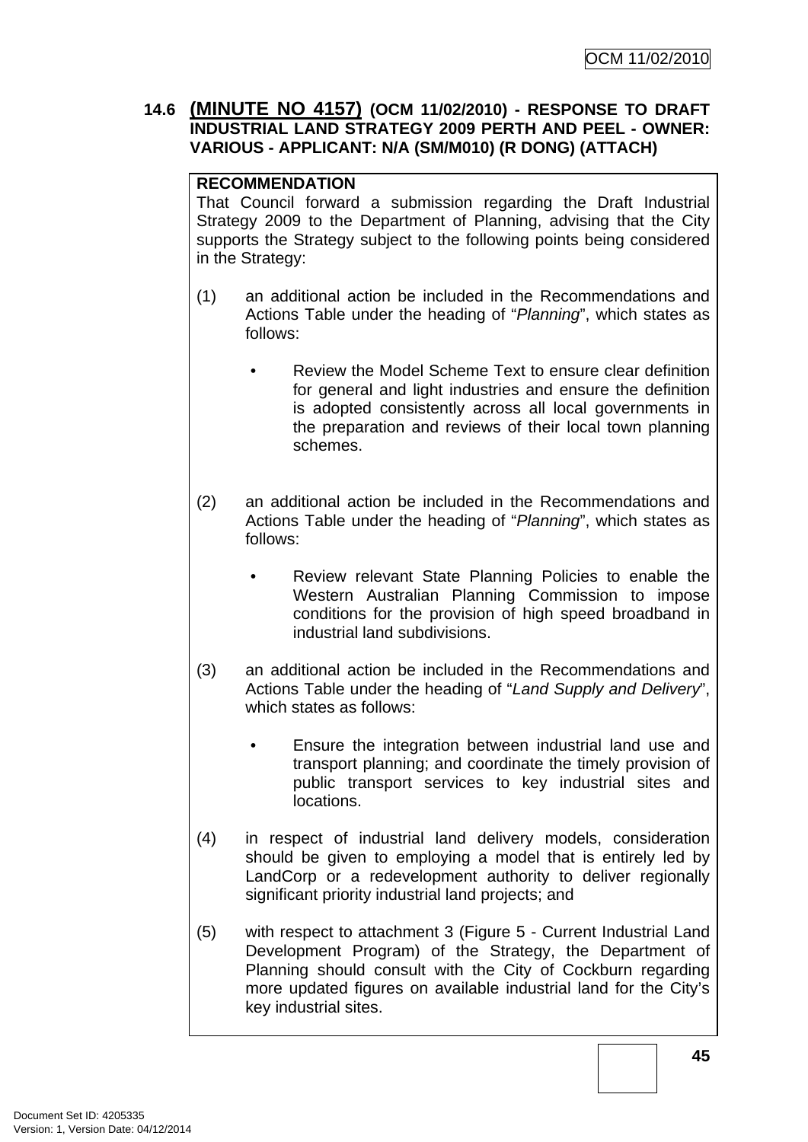# **14.6 (MINUTE NO 4157) (OCM 11/02/2010) - RESPONSE TO DRAFT INDUSTRIAL LAND STRATEGY 2009 PERTH AND PEEL - OWNER: VARIOUS - APPLICANT: N/A (SM/M010) (R DONG) (ATTACH)**

# **RECOMMENDATION**

That Council forward a submission regarding the Draft Industrial Strategy 2009 to the Department of Planning, advising that the City supports the Strategy subject to the following points being considered in the Strategy:

- (1) an additional action be included in the Recommendations and Actions Table under the heading of "*Planning*", which states as follows:
	- Review the Model Scheme Text to ensure clear definition for general and light industries and ensure the definition is adopted consistently across all local governments in the preparation and reviews of their local town planning schemes.
- (2) an additional action be included in the Recommendations and Actions Table under the heading of "*Planning*", which states as follows:
	- Review relevant State Planning Policies to enable the Western Australian Planning Commission to impose conditions for the provision of high speed broadband in industrial land subdivisions.
- (3) an additional action be included in the Recommendations and Actions Table under the heading of "*Land Supply and Delivery*", which states as follows:
	- Ensure the integration between industrial land use and transport planning; and coordinate the timely provision of public transport services to key industrial sites and locations.
- (4) in respect of industrial land delivery models, consideration should be given to employing a model that is entirely led by LandCorp or a redevelopment authority to deliver regionally significant priority industrial land projects; and
- (5) with respect to attachment 3 (Figure 5 Current Industrial Land Development Program) of the Strategy, the Department of Planning should consult with the City of Cockburn regarding more updated figures on available industrial land for the City's key industrial sites.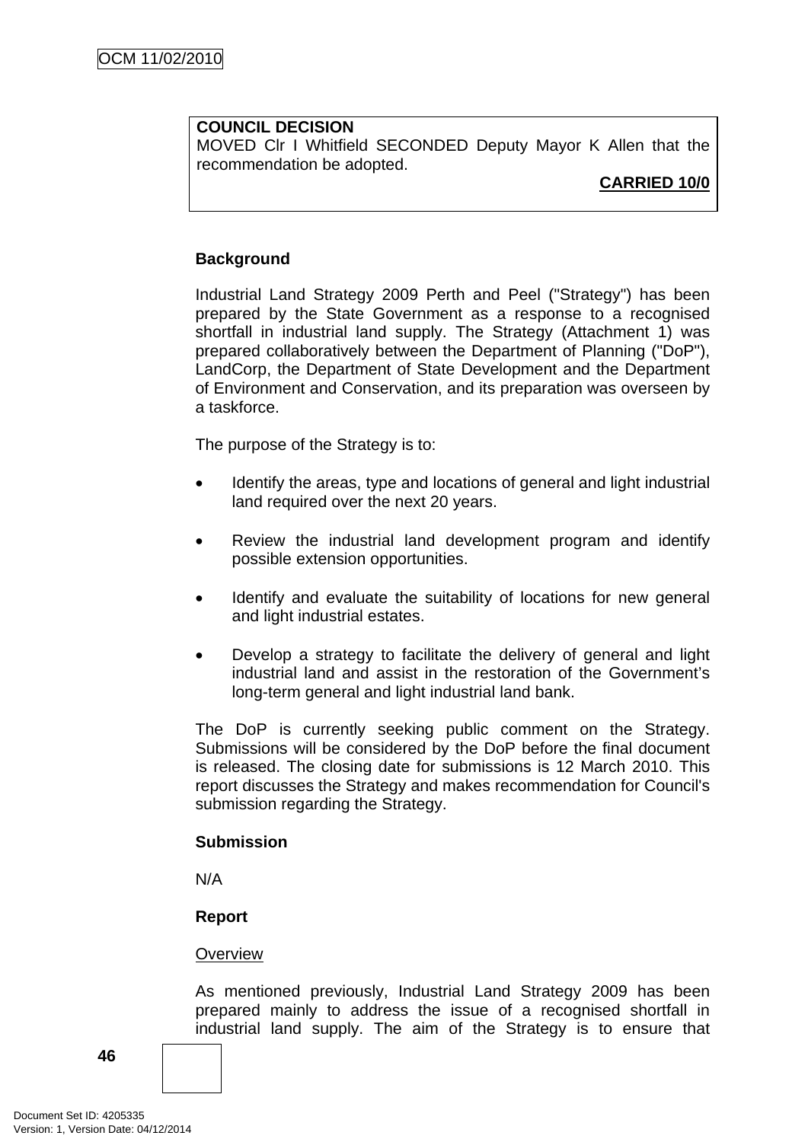# **COUNCIL DECISION**

MOVED Clr I Whitfield SECONDED Deputy Mayor K Allen that the recommendation be adopted.

# **CARRIED 10/0**

# **Background**

Industrial Land Strategy 2009 Perth and Peel ("Strategy") has been prepared by the State Government as a response to a recognised shortfall in industrial land supply. The Strategy (Attachment 1) was prepared collaboratively between the Department of Planning ("DoP"), LandCorp, the Department of State Development and the Department of Environment and Conservation, and its preparation was overseen by a taskforce.

The purpose of the Strategy is to:

- Identify the areas, type and locations of general and light industrial land required over the next 20 years.
- Review the industrial land development program and identify possible extension opportunities.
- Identify and evaluate the suitability of locations for new general and light industrial estates.
- Develop a strategy to facilitate the delivery of general and light industrial land and assist in the restoration of the Government's long-term general and light industrial land bank.

The DoP is currently seeking public comment on the Strategy. Submissions will be considered by the DoP before the final document is released. The closing date for submissions is 12 March 2010. This report discusses the Strategy and makes recommendation for Council's submission regarding the Strategy.

#### **Submission**

N/A

#### **Report**

#### **Overview**

As mentioned previously, Industrial Land Strategy 2009 has been prepared mainly to address the issue of a recognised shortfall in industrial land supply. The aim of the Strategy is to ensure that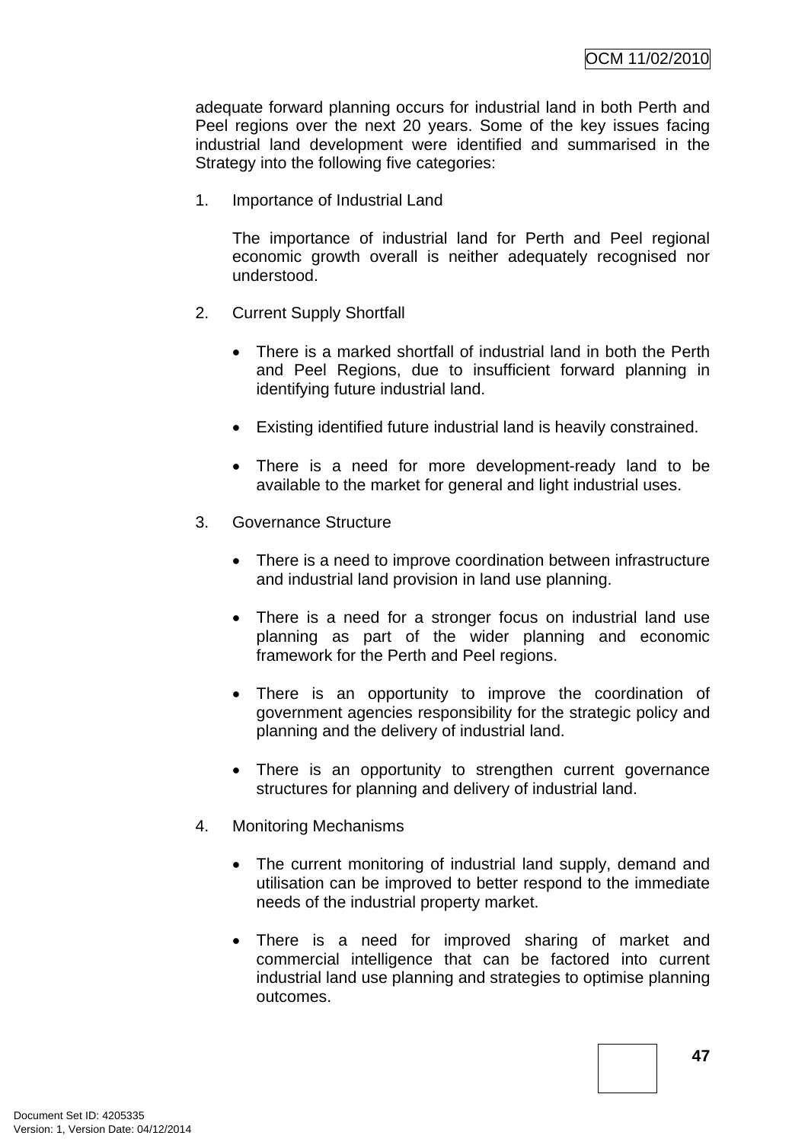adequate forward planning occurs for industrial land in both Perth and Peel regions over the next 20 years. Some of the key issues facing industrial land development were identified and summarised in the Strategy into the following five categories:

1. Importance of Industrial Land

The importance of industrial land for Perth and Peel regional economic growth overall is neither adequately recognised nor understood.

- 2. Current Supply Shortfall
	- There is a marked shortfall of industrial land in both the Perth and Peel Regions, due to insufficient forward planning in identifying future industrial land.
	- Existing identified future industrial land is heavily constrained.
	- There is a need for more development-ready land to be available to the market for general and light industrial uses.
- 3. Governance Structure
	- There is a need to improve coordination between infrastructure and industrial land provision in land use planning.
	- There is a need for a stronger focus on industrial land use planning as part of the wider planning and economic framework for the Perth and Peel regions.
	- There is an opportunity to improve the coordination of government agencies responsibility for the strategic policy and planning and the delivery of industrial land.
	- There is an opportunity to strengthen current governance structures for planning and delivery of industrial land.
- 4. Monitoring Mechanisms
	- The current monitoring of industrial land supply, demand and utilisation can be improved to better respond to the immediate needs of the industrial property market.
	- There is a need for improved sharing of market and commercial intelligence that can be factored into current industrial land use planning and strategies to optimise planning outcomes.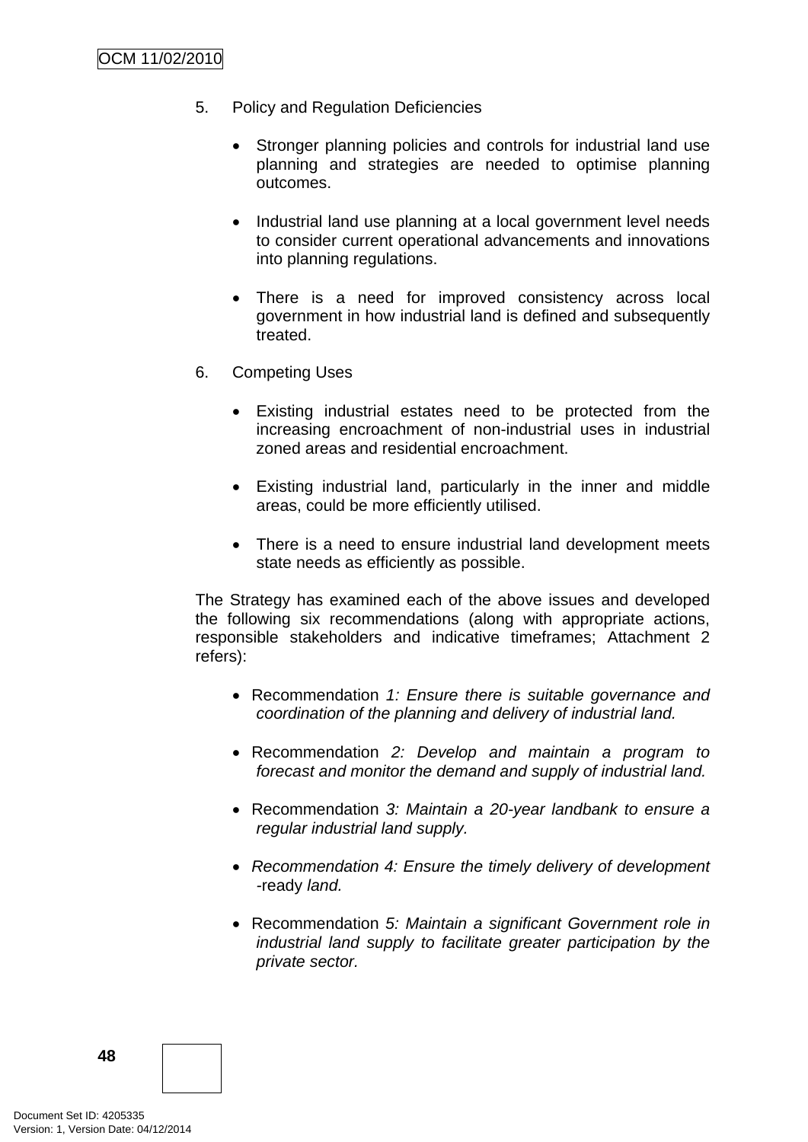- 5. Policy and Regulation Deficiencies
	- Stronger planning policies and controls for industrial land use planning and strategies are needed to optimise planning outcomes.
	- Industrial land use planning at a local government level needs to consider current operational advancements and innovations into planning regulations.
	- There is a need for improved consistency across local government in how industrial land is defined and subsequently treated.
- 6. Competing Uses
	- Existing industrial estates need to be protected from the increasing encroachment of non-industrial uses in industrial zoned areas and residential encroachment.
	- Existing industrial land, particularly in the inner and middle areas, could be more efficiently utilised.
	- There is a need to ensure industrial land development meets state needs as efficiently as possible.

The Strategy has examined each of the above issues and developed the following six recommendations (along with appropriate actions, responsible stakeholders and indicative timeframes; Attachment 2 refers):

- Recommendation *1: Ensure there is suitable governance and coordination of the planning and delivery of industrial land.*
- Recommendation *2: Develop and maintain a program to forecast and monitor the demand and supply of industrial land.*
- Recommendation *3: Maintain a 20-year landbank to ensure a regular industrial land supply.*
- *Recommendation 4: Ensure the timely delivery of development -*ready *land.*
- Recommendation *5: Maintain a significant Government role in industrial land supply to facilitate greater participation by the private sector.*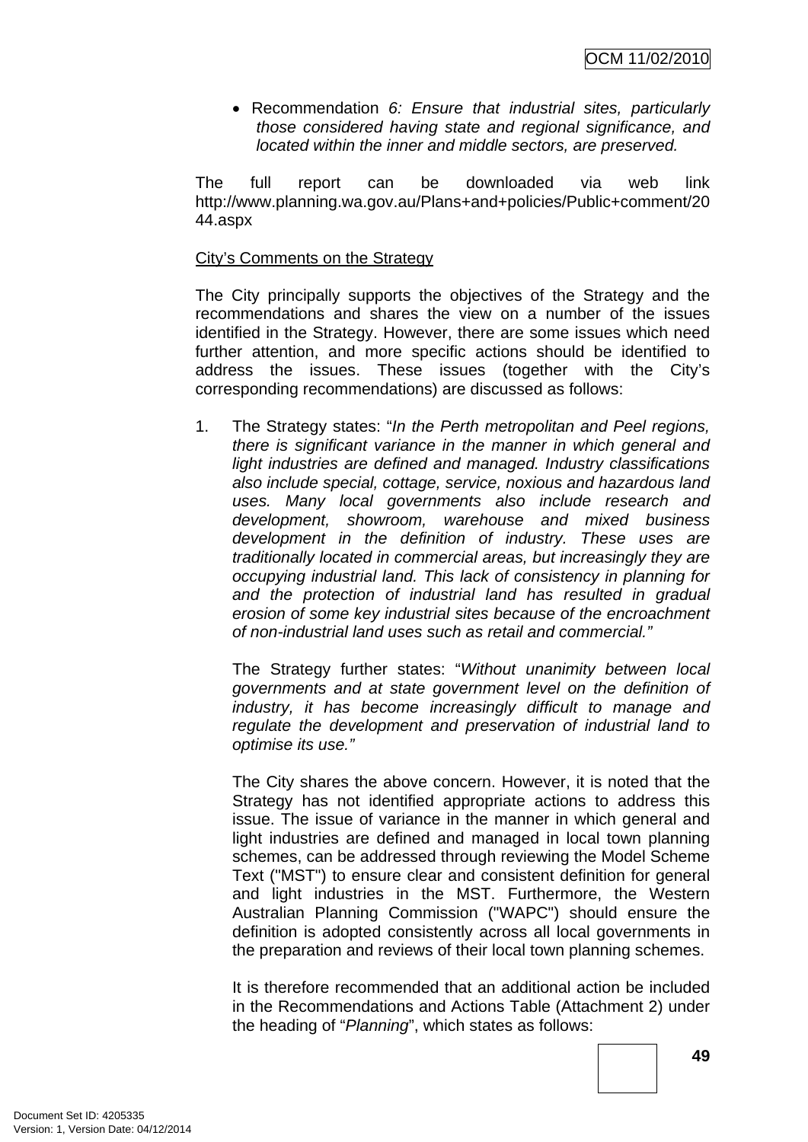• Recommendation *6: Ensure that industrial sites, particularly those considered having state and regional significance, and located within the inner and middle sectors, are preserved.* 

The full report can be downloaded via web link http://www.planning.wa.gov.au/Plans+and+policies/Public+comment/20 44.aspx

# City's Comments on the Strategy

The City principally supports the objectives of the Strategy and the recommendations and shares the view on a number of the issues identified in the Strategy. However, there are some issues which need further attention, and more specific actions should be identified to address the issues. These issues (together with the City's corresponding recommendations) are discussed as follows:

1. The Strategy states: "*In the Perth metropolitan and Peel regions, there is significant variance in the manner in which general and light industries are defined and managed. Industry classifications also include special, cottage, service, noxious and hazardous land uses. Many local governments also include research and development, showroom, warehouse and mixed business development in the definition of industry. These uses are traditionally located in commercial areas, but increasingly they are occupying industrial land. This lack of consistency in planning for and the protection of industrial land has resulted in gradual erosion of some key industrial sites because of the encroachment of non-industrial land uses such as retail and commercial."* 

The Strategy further states: "*Without unanimity between local governments and at state government level on the definition of industry, it has become increasingly difficult to manage and regulate the development and preservation of industrial land to optimise its use."* 

The City shares the above concern. However, it is noted that the Strategy has not identified appropriate actions to address this issue. The issue of variance in the manner in which general and light industries are defined and managed in local town planning schemes, can be addressed through reviewing the Model Scheme Text ("MST") to ensure clear and consistent definition for general and light industries in the MST. Furthermore, the Western Australian Planning Commission ("WAPC") should ensure the definition is adopted consistently across all local governments in the preparation and reviews of their local town planning schemes.

It is therefore recommended that an additional action be included in the Recommendations and Actions Table (Attachment 2) under the heading of "*Planning*", which states as follows: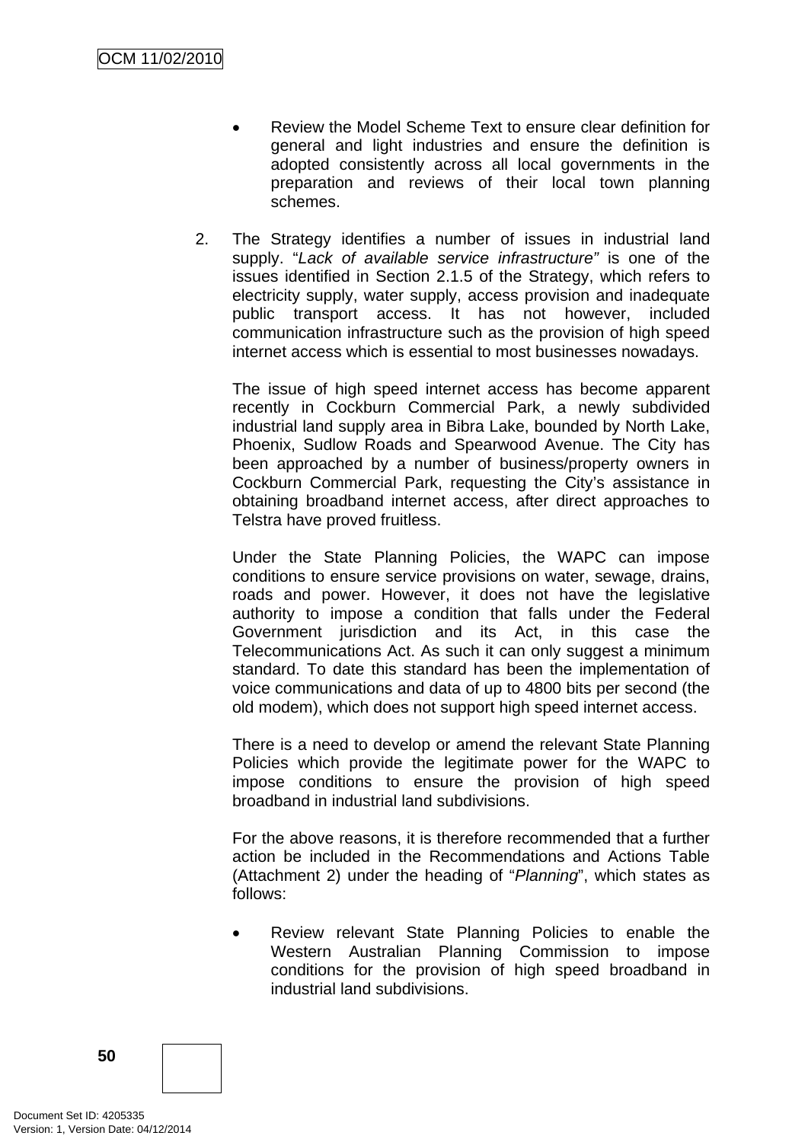- Review the Model Scheme Text to ensure clear definition for general and light industries and ensure the definition is adopted consistently across all local governments in the preparation and reviews of their local town planning schemes.
- 2. The Strategy identifies a number of issues in industrial land supply. "*Lack of available service infrastructure"* is one of the issues identified in Section 2.1.5 of the Strategy, which refers to electricity supply, water supply, access provision and inadequate public transport access. It has not however, included communication infrastructure such as the provision of high speed internet access which is essential to most businesses nowadays.

The issue of high speed internet access has become apparent recently in Cockburn Commercial Park, a newly subdivided industrial land supply area in Bibra Lake, bounded by North Lake, Phoenix, Sudlow Roads and Spearwood Avenue. The City has been approached by a number of business/property owners in Cockburn Commercial Park, requesting the City's assistance in obtaining broadband internet access, after direct approaches to Telstra have proved fruitless.

Under the State Planning Policies, the WAPC can impose conditions to ensure service provisions on water, sewage, drains, roads and power. However, it does not have the legislative authority to impose a condition that falls under the Federal Government jurisdiction and its Act, in this case the Telecommunications Act. As such it can only suggest a minimum standard. To date this standard has been the implementation of voice communications and data of up to 4800 bits per second (the old modem), which does not support high speed internet access.

There is a need to develop or amend the relevant State Planning Policies which provide the legitimate power for the WAPC to impose conditions to ensure the provision of high speed broadband in industrial land subdivisions.

For the above reasons, it is therefore recommended that a further action be included in the Recommendations and Actions Table (Attachment 2) under the heading of "*Planning*", which states as follows:

• Review relevant State Planning Policies to enable the Western Australian Planning Commission to impose conditions for the provision of high speed broadband in industrial land subdivisions.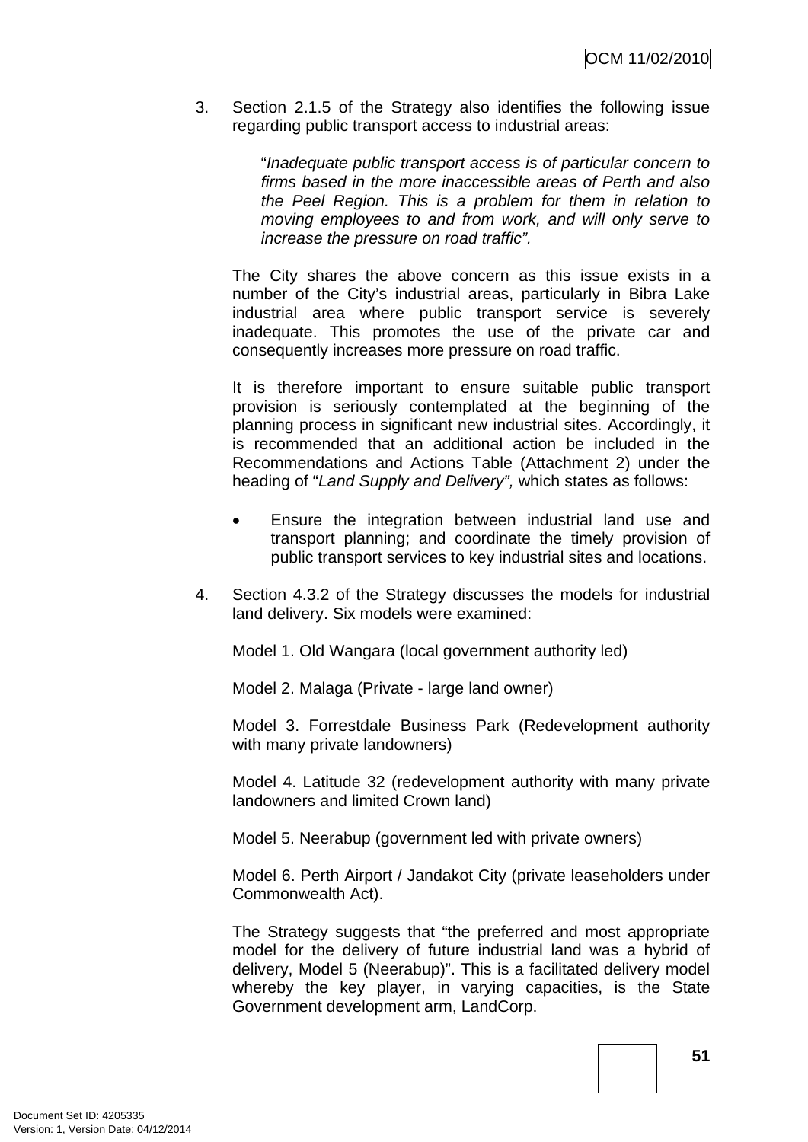3. Section 2.1.5 of the Strategy also identifies the following issue regarding public transport access to industrial areas:

> "*Inadequate public transport access is of particular concern to firms based in the more inaccessible areas of Perth and also the Peel Region. This is a problem for them in relation to moving employees to and from work, and will only serve to increase the pressure on road traffic".*

The City shares the above concern as this issue exists in a number of the City's industrial areas, particularly in Bibra Lake industrial area where public transport service is severely inadequate. This promotes the use of the private car and consequently increases more pressure on road traffic.

It is therefore important to ensure suitable public transport provision is seriously contemplated at the beginning of the planning process in significant new industrial sites. Accordingly, it is recommended that an additional action be included in the Recommendations and Actions Table (Attachment 2) under the heading of "*Land Supply and Delivery",* which states as follows:

- Ensure the integration between industrial land use and transport planning; and coordinate the timely provision of public transport services to key industrial sites and locations.
- 4. Section 4.3.2 of the Strategy discusses the models for industrial land delivery. Six models were examined:

Model 1. Old Wangara (local government authority led)

Model 2. Malaga (Private - large land owner)

Model 3. Forrestdale Business Park (Redevelopment authority with many private landowners)

Model 4. Latitude 32 (redevelopment authority with many private landowners and limited Crown land)

Model 5. Neerabup (government led with private owners)

Model 6. Perth Airport / Jandakot City (private leaseholders under Commonwealth Act).

The Strategy suggests that "the preferred and most appropriate model for the delivery of future industrial land was a hybrid of delivery, Model 5 (Neerabup)". This is a facilitated delivery model whereby the key player, in varying capacities, is the State Government development arm, LandCorp.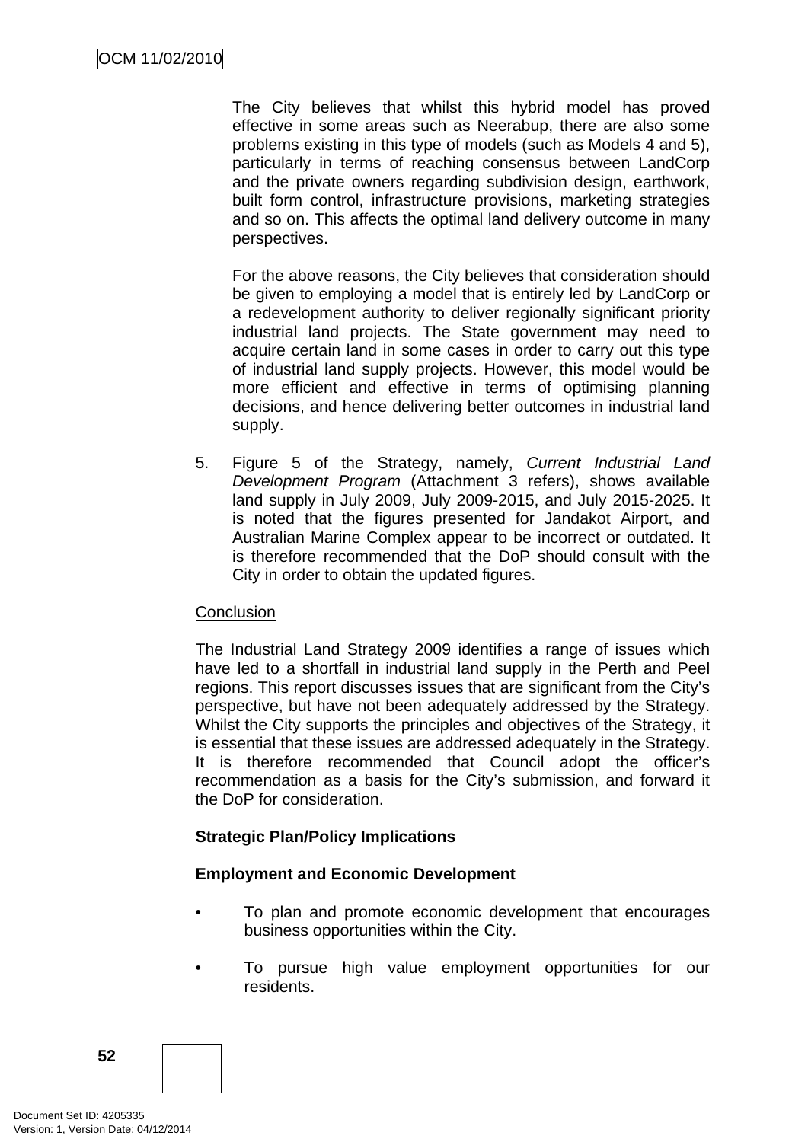The City believes that whilst this hybrid model has proved effective in some areas such as Neerabup, there are also some problems existing in this type of models (such as Models 4 and 5), particularly in terms of reaching consensus between LandCorp and the private owners regarding subdivision design, earthwork, built form control, infrastructure provisions, marketing strategies and so on. This affects the optimal land delivery outcome in many perspectives.

For the above reasons, the City believes that consideration should be given to employing a model that is entirely led by LandCorp or a redevelopment authority to deliver regionally significant priority industrial land projects. The State government may need to acquire certain land in some cases in order to carry out this type of industrial land supply projects. However, this model would be more efficient and effective in terms of optimising planning decisions, and hence delivering better outcomes in industrial land supply.

5. Figure 5 of the Strategy, namely, *Current Industrial Land Development Program* (Attachment 3 refers), shows available land supply in July 2009, July 2009-2015, and July 2015-2025. It is noted that the figures presented for Jandakot Airport, and Australian Marine Complex appear to be incorrect or outdated. It is therefore recommended that the DoP should consult with the City in order to obtain the updated figures.

# **Conclusion**

The Industrial Land Strategy 2009 identifies a range of issues which have led to a shortfall in industrial land supply in the Perth and Peel regions. This report discusses issues that are significant from the City's perspective, but have not been adequately addressed by the Strategy. Whilst the City supports the principles and objectives of the Strategy, it is essential that these issues are addressed adequately in the Strategy. It is therefore recommended that Council adopt the officer's recommendation as a basis for the City's submission, and forward it the DoP for consideration.

# **Strategic Plan/Policy Implications**

#### **Employment and Economic Development**

- To plan and promote economic development that encourages business opportunities within the City.
- To pursue high value employment opportunities for our residents.

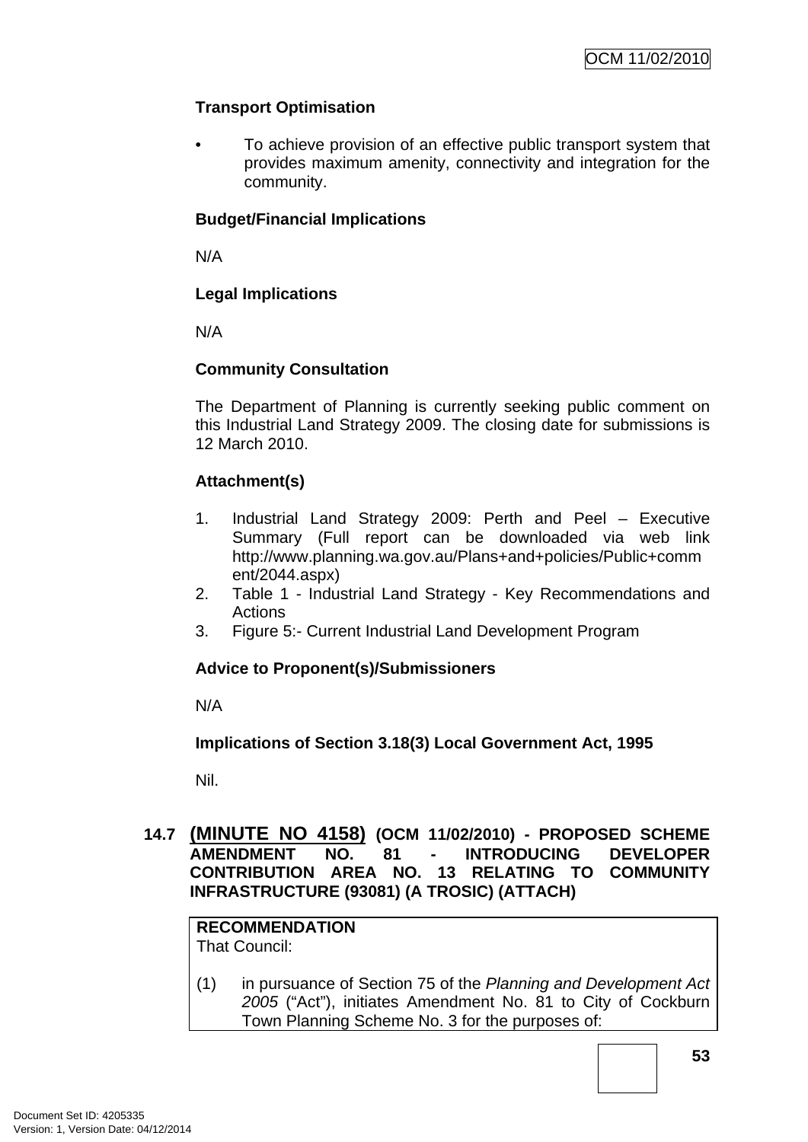# **Transport Optimisation**

• To achieve provision of an effective public transport system that provides maximum amenity, connectivity and integration for the community.

#### **Budget/Financial Implications**

N/A

# **Legal Implications**

N/A

#### **Community Consultation**

The Department of Planning is currently seeking public comment on this Industrial Land Strategy 2009. The closing date for submissions is 12 March 2010.

# **Attachment(s)**

- 1. Industrial Land Strategy 2009: Perth and Peel Executive Summary (Full report can be downloaded via web link http://www.planning.wa.gov.au/Plans+and+policies/Public+comm ent/2044.aspx)
- 2. Table 1 Industrial Land Strategy Key Recommendations and Actions
- 3. Figure 5:- Current Industrial Land Development Program

#### **Advice to Proponent(s)/Submissioners**

N/A

**Implications of Section 3.18(3) Local Government Act, 1995**

Nil.

### **14.7 (MINUTE NO 4158) (OCM 11/02/2010) - PROPOSED SCHEME AMENDMENT NO. 81 - INTRODUCING DEVELOPER CONTRIBUTION AREA NO. 13 RELATING TO COMMUNITY INFRASTRUCTURE (93081) (A TROSIC) (ATTACH)**

# **RECOMMENDATION**

That Council:

(1) in pursuance of Section 75 of the *Planning and Development Act 2005* ("Act"), initiates Amendment No. 81 to City of Cockburn Town Planning Scheme No. 3 for the purposes of: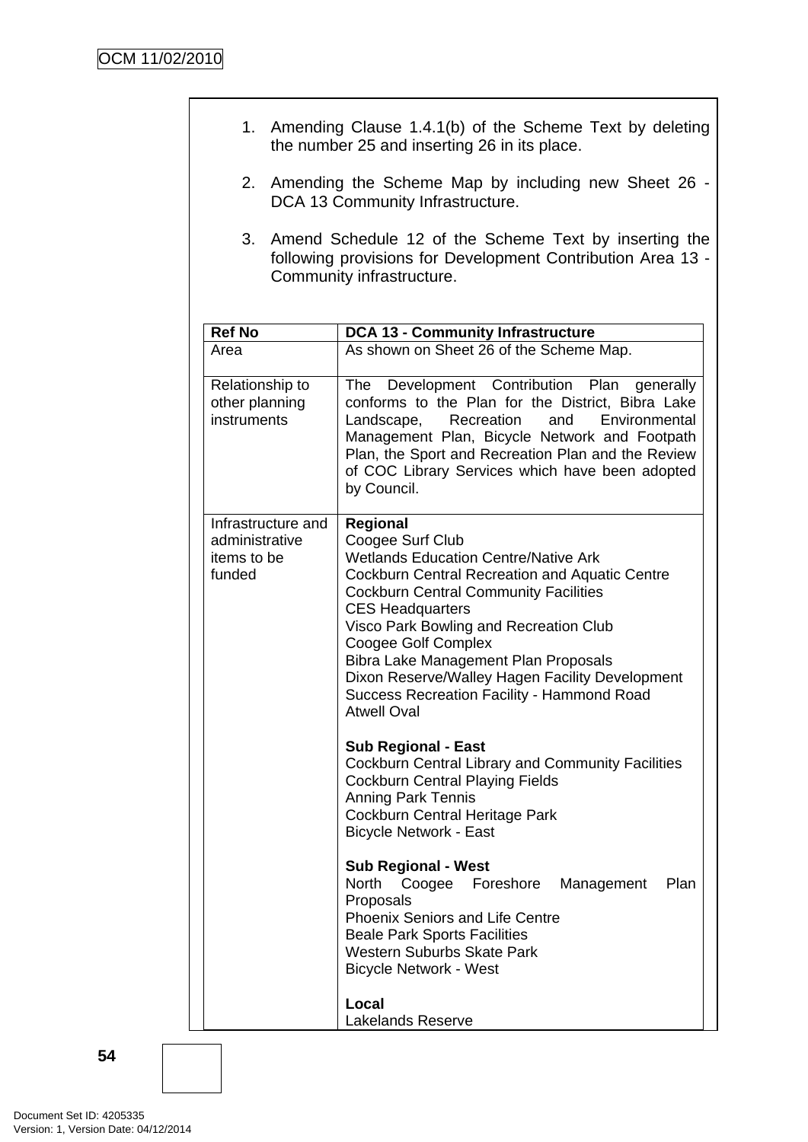| 1. Amending Clause 1.4.1(b) of the Scheme Text by deleting<br>the number 25 and inserting 26 in its place.                                              |                                                                                                                                                                                                                                                                                                                                                                                                                                                        |  |  |  |  |  |  |
|---------------------------------------------------------------------------------------------------------------------------------------------------------|--------------------------------------------------------------------------------------------------------------------------------------------------------------------------------------------------------------------------------------------------------------------------------------------------------------------------------------------------------------------------------------------------------------------------------------------------------|--|--|--|--|--|--|
| 2.                                                                                                                                                      | Amending the Scheme Map by including new Sheet 26 -<br>DCA 13 Community Infrastructure.                                                                                                                                                                                                                                                                                                                                                                |  |  |  |  |  |  |
| 3.<br>Amend Schedule 12 of the Scheme Text by inserting the<br>following provisions for Development Contribution Area 13 -<br>Community infrastructure. |                                                                                                                                                                                                                                                                                                                                                                                                                                                        |  |  |  |  |  |  |
| <b>Ref No</b>                                                                                                                                           | <b>DCA 13 - Community Infrastructure</b>                                                                                                                                                                                                                                                                                                                                                                                                               |  |  |  |  |  |  |
| Area                                                                                                                                                    | As shown on Sheet 26 of the Scheme Map.                                                                                                                                                                                                                                                                                                                                                                                                                |  |  |  |  |  |  |
| Relationship to<br>other planning<br>instruments                                                                                                        | Development Contribution Plan<br>The<br>generally<br>conforms to the Plan for the District, Bibra Lake<br>Landscape,<br>Recreation<br>and<br>Environmental<br>Management Plan, Bicycle Network and Footpath<br>Plan, the Sport and Recreation Plan and the Review<br>of COC Library Services which have been adopted<br>by Council.                                                                                                                    |  |  |  |  |  |  |
| Infrastructure and<br>administrative<br>items to be<br>funded                                                                                           | Regional<br>Coogee Surf Club<br><b>Wetlands Education Centre/Native Ark</b><br><b>Cockburn Central Recreation and Aquatic Centre</b><br><b>Cockburn Central Community Facilities</b><br><b>CES Headquarters</b><br>Visco Park Bowling and Recreation Club<br>Coogee Golf Complex<br>Bibra Lake Management Plan Proposals<br>Dixon Reserve/Walley Hagen Facility Development<br><b>Success Recreation Facility - Hammond Road</b><br><b>Atwell Oval</b> |  |  |  |  |  |  |
|                                                                                                                                                         | <b>Sub Regional - East</b><br>Cockburn Central Library and Community Facilities<br><b>Cockburn Central Playing Fields</b><br><b>Anning Park Tennis</b><br>Cockburn Central Heritage Park<br><b>Bicycle Network - East</b>                                                                                                                                                                                                                              |  |  |  |  |  |  |
|                                                                                                                                                         | <b>Sub Regional - West</b><br>North<br>Plan<br>Coogee Foreshore<br>Management<br>Proposals<br><b>Phoenix Seniors and Life Centre</b><br><b>Beale Park Sports Facilities</b><br><b>Western Suburbs Skate Park</b><br><b>Bicycle Network - West</b>                                                                                                                                                                                                      |  |  |  |  |  |  |
|                                                                                                                                                         | Local<br>Lakelands Reserve                                                                                                                                                                                                                                                                                                                                                                                                                             |  |  |  |  |  |  |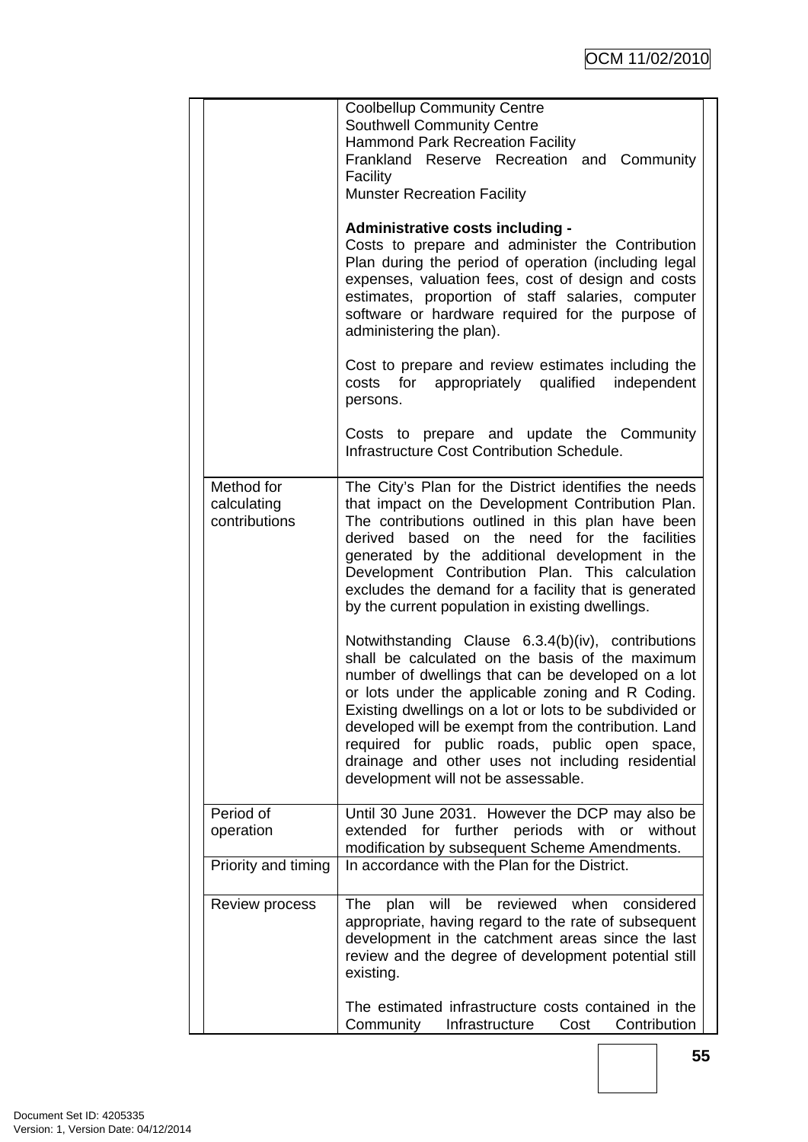|                                            | <b>Coolbellup Community Centre</b><br><b>Southwell Community Centre</b><br><b>Hammond Park Recreation Facility</b><br>Frankland Reserve Recreation and Community<br>Facility<br><b>Munster Recreation Facility</b>                                                                                                                                                                                                                                                               |  |  |  |
|--------------------------------------------|----------------------------------------------------------------------------------------------------------------------------------------------------------------------------------------------------------------------------------------------------------------------------------------------------------------------------------------------------------------------------------------------------------------------------------------------------------------------------------|--|--|--|
|                                            | Administrative costs including -<br>Costs to prepare and administer the Contribution<br>Plan during the period of operation (including legal<br>expenses, valuation fees, cost of design and costs<br>estimates, proportion of staff salaries, computer<br>software or hardware required for the purpose of<br>administering the plan).                                                                                                                                          |  |  |  |
|                                            | Cost to prepare and review estimates including the<br>costs for appropriately qualified independent<br>persons.                                                                                                                                                                                                                                                                                                                                                                  |  |  |  |
|                                            | Costs to prepare and update the Community<br>Infrastructure Cost Contribution Schedule.                                                                                                                                                                                                                                                                                                                                                                                          |  |  |  |
| Method for<br>calculating<br>contributions | The City's Plan for the District identifies the needs<br>that impact on the Development Contribution Plan.<br>The contributions outlined in this plan have been<br>derived based on the need for the facilities<br>generated by the additional development in the<br>Development Contribution Plan. This calculation<br>excludes the demand for a facility that is generated<br>by the current population in existing dwellings.                                                 |  |  |  |
|                                            | Notwithstanding Clause 6.3.4(b)(iv), contributions<br>shall be calculated on the basis of the maximum<br>number of dwellings that can be developed on a lot<br>or lots under the applicable zoning and R Coding.<br>Existing dwellings on a lot or lots to be subdivided or<br>developed will be exempt from the contribution. Land<br>required for public roads, public open space,<br>drainage and other uses not including residential<br>development will not be assessable. |  |  |  |
| Period of<br>operation                     | Until 30 June 2031. However the DCP may also be<br>extended for further periods with<br>or without<br>modification by subsequent Scheme Amendments.                                                                                                                                                                                                                                                                                                                              |  |  |  |
| Priority and timing                        | In accordance with the Plan for the District.                                                                                                                                                                                                                                                                                                                                                                                                                                    |  |  |  |
| <b>Review process</b>                      | will<br>be<br>reviewed<br>when<br>considered<br>plan<br>The<br>appropriate, having regard to the rate of subsequent<br>development in the catchment areas since the last<br>review and the degree of development potential still<br>existing.                                                                                                                                                                                                                                    |  |  |  |
|                                            | The estimated infrastructure costs contained in the<br>Community<br>Infrastructure<br>Cost<br>Contribution                                                                                                                                                                                                                                                                                                                                                                       |  |  |  |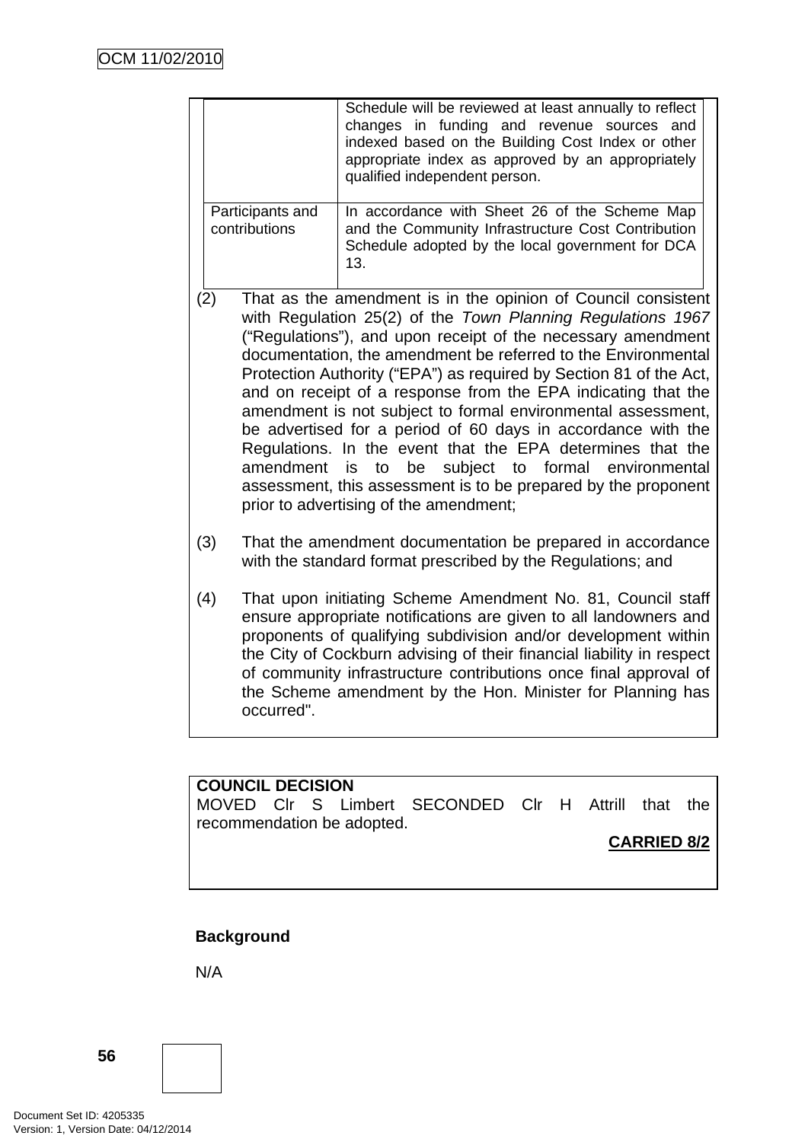|                                   |                                                                                                                                                                                                                                                                                                                                                                                                                                                                                                                                                                                                                                                                                                                                                                                  | Schedule will be reviewed at least annually to reflect<br>changes in funding and revenue sources and<br>indexed based on the Building Cost Index or other<br>appropriate index as approved by an appropriately<br>qualified independent person.                                                                                                                                                              |  |
|-----------------------------------|----------------------------------------------------------------------------------------------------------------------------------------------------------------------------------------------------------------------------------------------------------------------------------------------------------------------------------------------------------------------------------------------------------------------------------------------------------------------------------------------------------------------------------------------------------------------------------------------------------------------------------------------------------------------------------------------------------------------------------------------------------------------------------|--------------------------------------------------------------------------------------------------------------------------------------------------------------------------------------------------------------------------------------------------------------------------------------------------------------------------------------------------------------------------------------------------------------|--|
| Participants and<br>contributions |                                                                                                                                                                                                                                                                                                                                                                                                                                                                                                                                                                                                                                                                                                                                                                                  | In accordance with Sheet 26 of the Scheme Map<br>and the Community Infrastructure Cost Contribution<br>Schedule adopted by the local government for DCA<br>13.                                                                                                                                                                                                                                               |  |
| (2)                               | That as the amendment is in the opinion of Council consistent<br>with Regulation 25(2) of the Town Planning Regulations 1967<br>("Regulations"), and upon receipt of the necessary amendment<br>documentation, the amendment be referred to the Environmental<br>Protection Authority ("EPA") as required by Section 81 of the Act,<br>and on receipt of a response from the EPA indicating that the<br>amendment is not subject to formal environmental assessment,<br>be advertised for a period of 60 days in accordance with the<br>Regulations. In the event that the EPA determines that the<br>amendment<br>subject to formal environmental<br>to<br>be<br>is<br>assessment, this assessment is to be prepared by the proponent<br>prior to advertising of the amendment; |                                                                                                                                                                                                                                                                                                                                                                                                              |  |
| (3)                               | That the amendment documentation be prepared in accordance<br>with the standard format prescribed by the Regulations; and                                                                                                                                                                                                                                                                                                                                                                                                                                                                                                                                                                                                                                                        |                                                                                                                                                                                                                                                                                                                                                                                                              |  |
| (4)                               | occurred".                                                                                                                                                                                                                                                                                                                                                                                                                                                                                                                                                                                                                                                                                                                                                                       | That upon initiating Scheme Amendment No. 81, Council staff<br>ensure appropriate notifications are given to all landowners and<br>proponents of qualifying subdivision and/or development within<br>the City of Cockburn advising of their financial liability in respect<br>of community infrastructure contributions once final approval of<br>the Scheme amendment by the Hon. Minister for Planning has |  |

**COUNCIL DECISION**  MOVED Clr S Limbert SECONDED Clr H Attrill that the recommendation be adopted.

**CARRIED 8/2**

# **Background**

N/A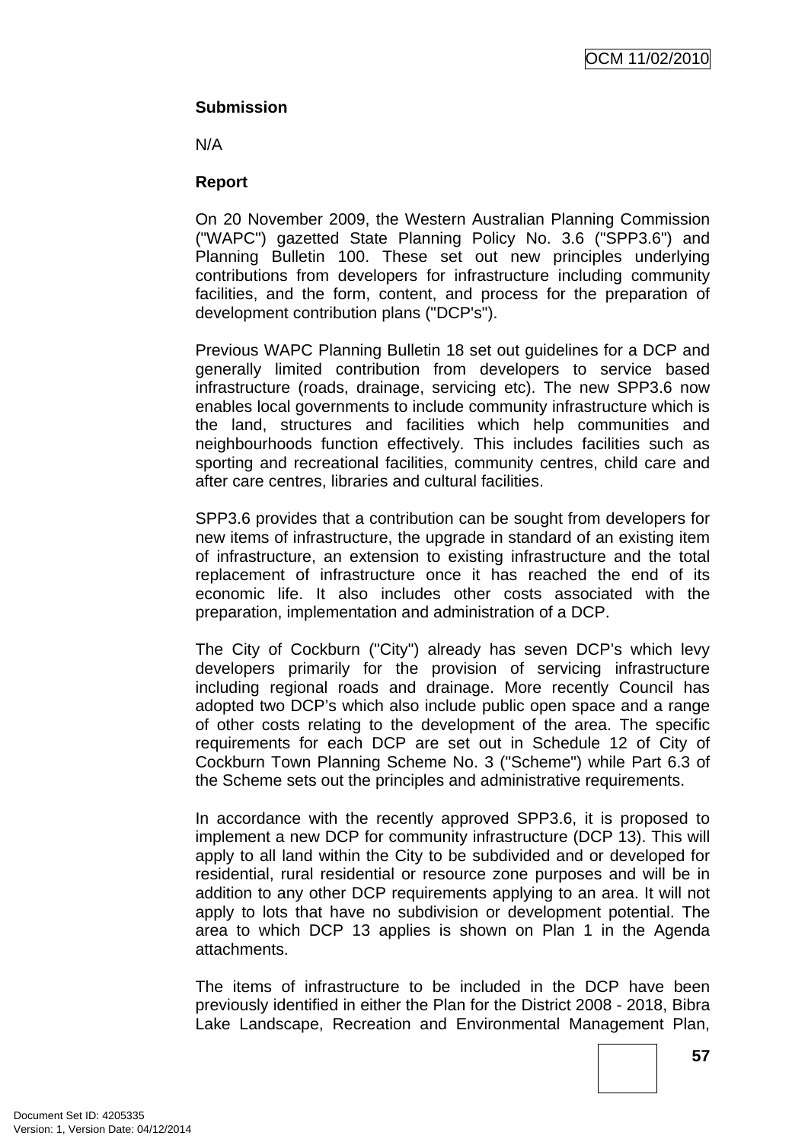# **Submission**

N/A

# **Report**

On 20 November 2009, the Western Australian Planning Commission ("WAPC") gazetted State Planning Policy No. 3.6 ("SPP3.6") and Planning Bulletin 100. These set out new principles underlying contributions from developers for infrastructure including community facilities, and the form, content, and process for the preparation of development contribution plans ("DCP's").

Previous WAPC Planning Bulletin 18 set out guidelines for a DCP and generally limited contribution from developers to service based infrastructure (roads, drainage, servicing etc). The new SPP3.6 now enables local governments to include community infrastructure which is the land, structures and facilities which help communities and neighbourhoods function effectively. This includes facilities such as sporting and recreational facilities, community centres, child care and after care centres, libraries and cultural facilities.

SPP3.6 provides that a contribution can be sought from developers for new items of infrastructure, the upgrade in standard of an existing item of infrastructure, an extension to existing infrastructure and the total replacement of infrastructure once it has reached the end of its economic life. It also includes other costs associated with the preparation, implementation and administration of a DCP.

The City of Cockburn ("City") already has seven DCP's which levy developers primarily for the provision of servicing infrastructure including regional roads and drainage. More recently Council has adopted two DCP's which also include public open space and a range of other costs relating to the development of the area. The specific requirements for each DCP are set out in Schedule 12 of City of Cockburn Town Planning Scheme No. 3 ("Scheme") while Part 6.3 of the Scheme sets out the principles and administrative requirements.

In accordance with the recently approved SPP3.6, it is proposed to implement a new DCP for community infrastructure (DCP 13). This will apply to all land within the City to be subdivided and or developed for residential, rural residential or resource zone purposes and will be in addition to any other DCP requirements applying to an area. It will not apply to lots that have no subdivision or development potential. The area to which DCP 13 applies is shown on Plan 1 in the Agenda attachments.

The items of infrastructure to be included in the DCP have been previously identified in either the Plan for the District 2008 - 2018, Bibra Lake Landscape, Recreation and Environmental Management Plan,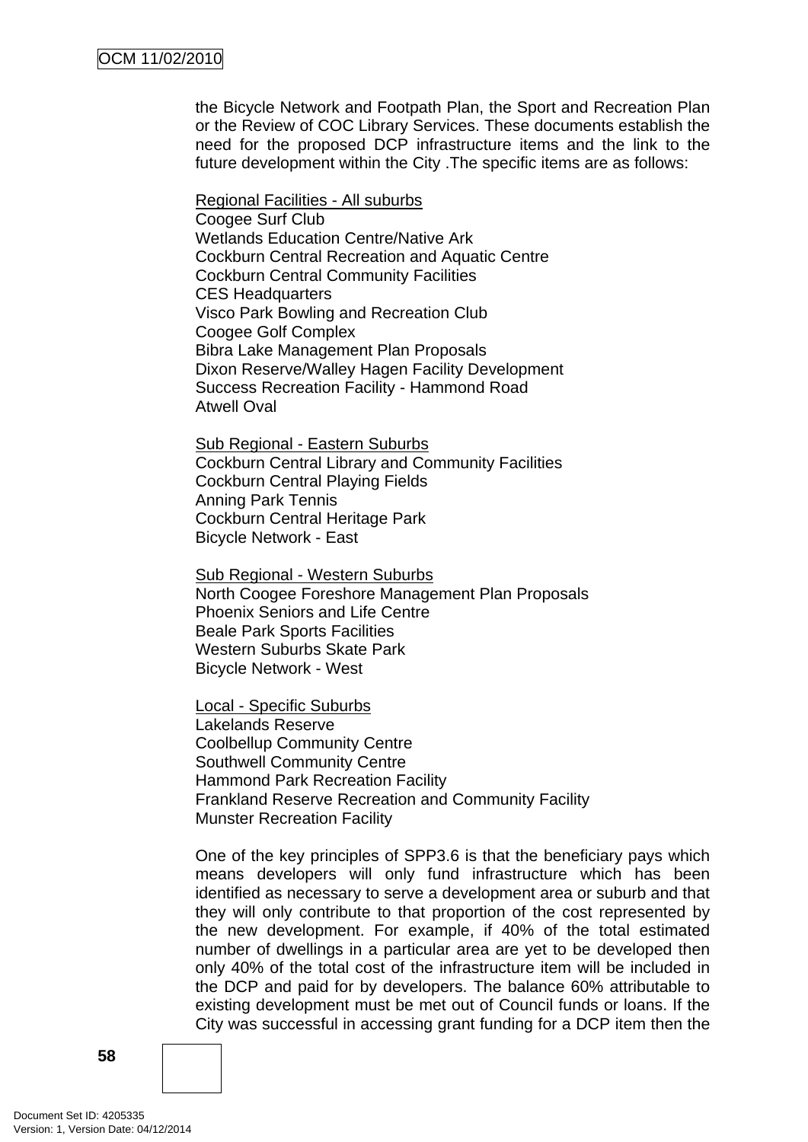the Bicycle Network and Footpath Plan, the Sport and Recreation Plan or the Review of COC Library Services. These documents establish the need for the proposed DCP infrastructure items and the link to the future development within the City .The specific items are as follows:

Regional Facilities - All suburbs Coogee Surf Club Wetlands Education Centre/Native Ark Cockburn Central Recreation and Aquatic Centre Cockburn Central Community Facilities CES Headquarters Visco Park Bowling and Recreation Club Coogee Golf Complex Bibra Lake Management Plan Proposals Dixon Reserve/Walley Hagen Facility Development Success Recreation Facility - Hammond Road Atwell Oval

Sub Regional - Eastern Suburbs Cockburn Central Library and Community Facilities Cockburn Central Playing Fields Anning Park Tennis Cockburn Central Heritage Park Bicycle Network - East

Sub Regional - Western Suburbs North Coogee Foreshore Management Plan Proposals Phoenix Seniors and Life Centre Beale Park Sports Facilities Western Suburbs Skate Park Bicycle Network - West

Local - Specific Suburbs Lakelands Reserve Coolbellup Community Centre Southwell Community Centre Hammond Park Recreation Facility Frankland Reserve Recreation and Community Facility Munster Recreation Facility

One of the key principles of SPP3.6 is that the beneficiary pays which means developers will only fund infrastructure which has been identified as necessary to serve a development area or suburb and that they will only contribute to that proportion of the cost represented by the new development. For example, if 40% of the total estimated number of dwellings in a particular area are yet to be developed then only 40% of the total cost of the infrastructure item will be included in the DCP and paid for by developers. The balance 60% attributable to existing development must be met out of Council funds or loans. If the City was successful in accessing grant funding for a DCP item then the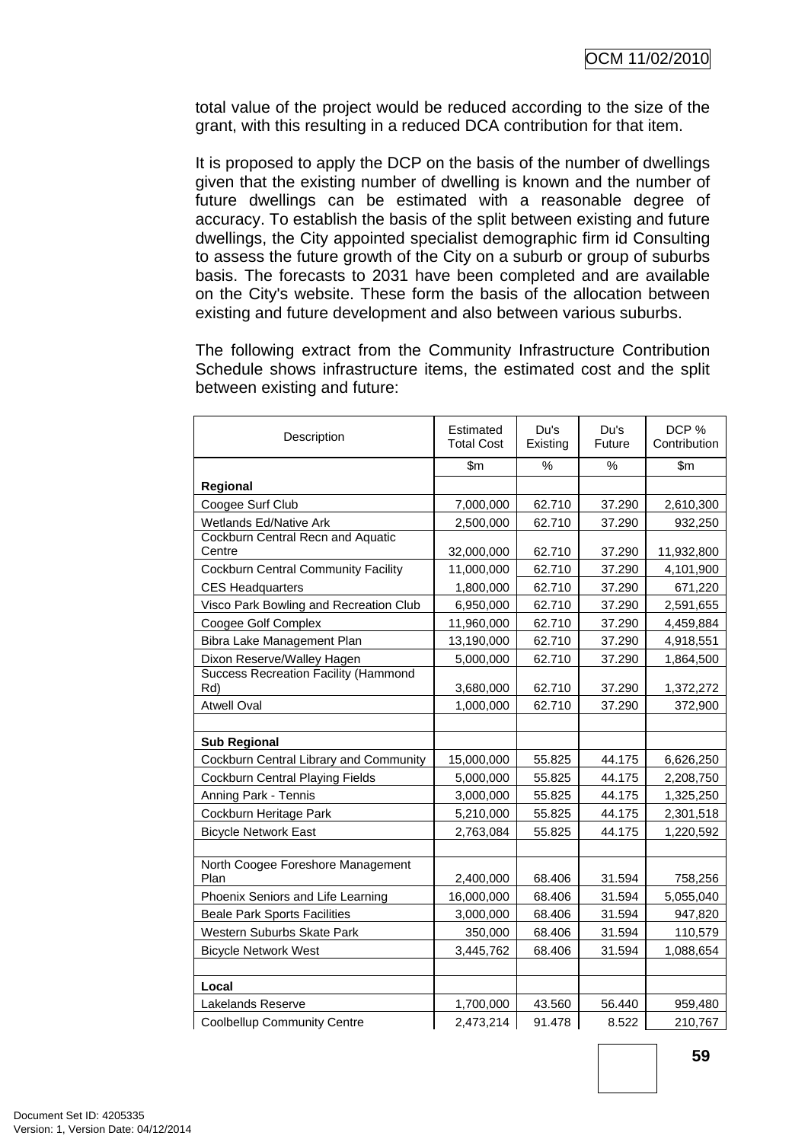total value of the project would be reduced according to the size of the grant, with this resulting in a reduced DCA contribution for that item.

It is proposed to apply the DCP on the basis of the number of dwellings given that the existing number of dwelling is known and the number of future dwellings can be estimated with a reasonable degree of accuracy. To establish the basis of the split between existing and future dwellings, the City appointed specialist demographic firm id Consulting to assess the future growth of the City on a suburb or group of suburbs basis. The forecasts to 2031 have been completed and are available on the City's website. These form the basis of the allocation between existing and future development and also between various suburbs.

The following extract from the Community Infrastructure Contribution Schedule shows infrastructure items, the estimated cost and the split between existing and future:

| Description                                        | Estimated<br><b>Total Cost</b> | Du's<br>Existing | Du's<br>Future | DCP %<br>Contribution |
|----------------------------------------------------|--------------------------------|------------------|----------------|-----------------------|
|                                                    | \$m\$                          | ℅                | %              | \$m                   |
| Regional                                           |                                |                  |                |                       |
| Coogee Surf Club                                   | 7,000,000                      | 62.710           | 37.290         | 2,610,300             |
| Wetlands Ed/Native Ark                             | 2,500,000                      | 62.710           | 37.290         | 932,250               |
| Cockburn Central Recn and Aquatic                  |                                |                  |                |                       |
| Centre                                             | 32,000,000                     | 62.710           | 37.290         | 11,932,800            |
| <b>Cockburn Central Community Facility</b>         | 11,000,000                     | 62.710           | 37.290         | 4,101,900             |
| <b>CES Headquarters</b>                            | 1,800,000                      | 62.710           | 37.290         | 671,220               |
| Visco Park Bowling and Recreation Club             | 6,950,000                      | 62.710           | 37.290         | 2,591,655             |
| Coogee Golf Complex                                | 11,960,000                     | 62.710           | 37.290         | 4,459,884             |
| Bibra Lake Management Plan                         | 13,190,000                     | 62.710           | 37.290         | 4,918,551             |
| Dixon Reserve/Walley Hagen                         | 5,000,000                      | 62.710           | 37.290         | 1,864,500             |
| <b>Success Recreation Facility (Hammond</b><br>Rd) | 3,680,000                      | 62.710           | 37.290         | 1,372,272             |
| <b>Atwell Oval</b>                                 | 1,000,000                      | 62.710           | 37.290         | 372,900               |
|                                                    |                                |                  |                |                       |
| <b>Sub Regional</b>                                |                                |                  |                |                       |
| <b>Cockburn Central Library and Community</b>      | 15,000,000                     | 55.825           | 44.175         | 6,626,250             |
| Cockburn Central Playing Fields                    | 5,000,000                      | 55.825           | 44.175         | 2,208,750             |
| Anning Park - Tennis                               | 3,000,000                      | 55.825           | 44.175         | 1,325,250             |
| Cockburn Heritage Park                             | 5,210,000                      | 55.825           | 44.175         | 2,301,518             |
| <b>Bicycle Network East</b>                        | 2,763,084                      | 55.825           | 44.175         | 1,220,592             |
|                                                    |                                |                  |                |                       |
| North Coogee Foreshore Management<br>Plan          | 2,400,000                      | 68.406           | 31.594         | 758,256               |
| Phoenix Seniors and Life Learning                  | 16,000,000                     | 68.406           | 31.594         | 5,055,040             |
| <b>Beale Park Sports Facilities</b>                | 3,000,000                      | 68.406           | 31.594         | 947,820               |
| Western Suburbs Skate Park                         | 350,000                        | 68.406           | 31.594         | 110,579               |
| <b>Bicycle Network West</b>                        | 3,445,762                      | 68.406           | 31.594         | 1,088,654             |
|                                                    |                                |                  |                |                       |
| Local                                              |                                |                  |                |                       |
| Lakelands Reserve                                  | 1,700,000                      | 43.560           | 56.440         | 959,480               |
| <b>Coolbellup Community Centre</b>                 | 2,473,214                      | 91.478           | 8.522          | 210,767               |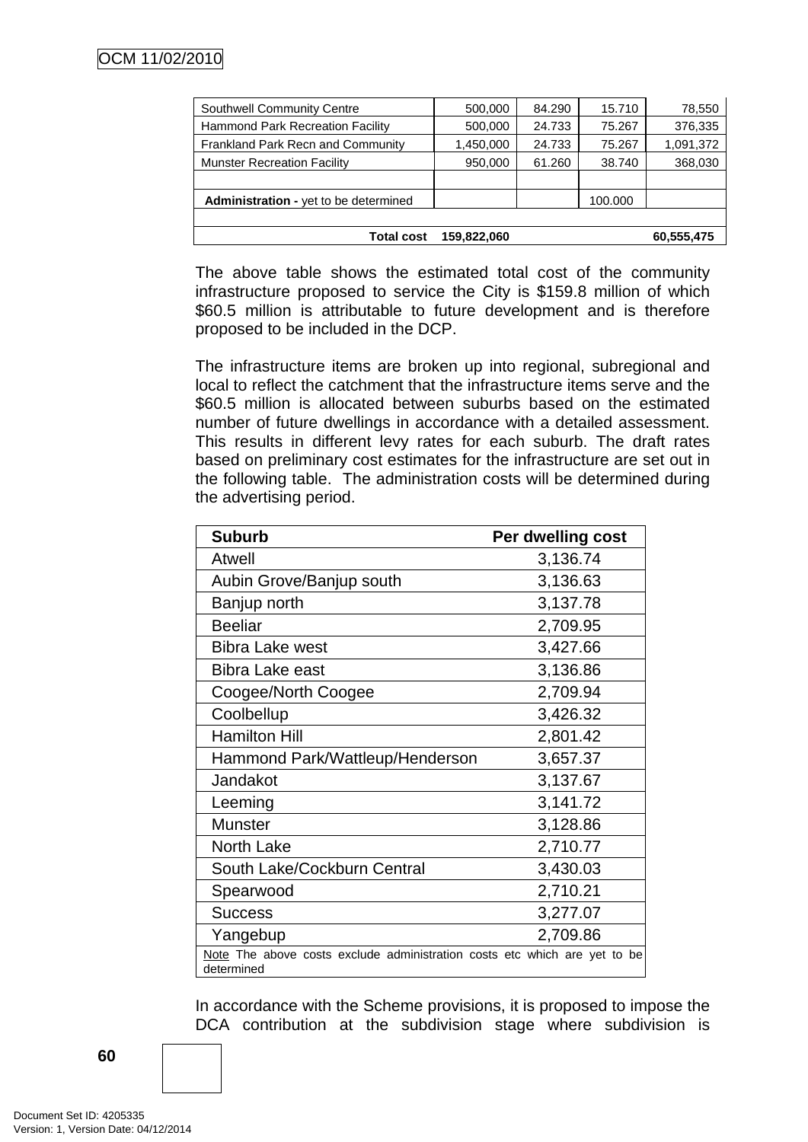| <b>Southwell Community Centre</b>            | 500,000     | 84.290 | 15.710  | 78,550     |
|----------------------------------------------|-------------|--------|---------|------------|
| <b>Hammond Park Recreation Facility</b>      | 500,000     | 24.733 | 75.267  | 376,335    |
| Frankland Park Recn and Community            | 1,450,000   | 24.733 | 75.267  | 1,091,372  |
| <b>Munster Recreation Facility</b>           | 950,000     | 61.260 | 38.740  | 368,030    |
|                                              |             |        |         |            |
| <b>Administration - yet to be determined</b> |             |        | 100.000 |            |
|                                              |             |        |         |            |
| <b>Total cost</b>                            | 159.822.060 |        |         | 60,555,475 |

The above table shows the estimated total cost of the community infrastructure proposed to service the City is \$159.8 million of which \$60.5 million is attributable to future development and is therefore proposed to be included in the DCP.

The infrastructure items are broken up into regional, subregional and local to reflect the catchment that the infrastructure items serve and the \$60.5 million is allocated between suburbs based on the estimated number of future dwellings in accordance with a detailed assessment. This results in different levy rates for each suburb. The draft rates based on preliminary cost estimates for the infrastructure are set out in the following table. The administration costs will be determined during the advertising period.

| <b>Suburb</b>                                                                           | Per dwelling cost |  |  |  |
|-----------------------------------------------------------------------------------------|-------------------|--|--|--|
| <b>Atwell</b>                                                                           | 3,136.74          |  |  |  |
| Aubin Grove/Banjup south                                                                | 3,136.63          |  |  |  |
| Banjup north                                                                            | 3,137.78          |  |  |  |
| <b>Beeliar</b>                                                                          | 2,709.95          |  |  |  |
| <b>Bibra Lake west</b>                                                                  | 3,427.66          |  |  |  |
| Bibra Lake east                                                                         | 3,136.86          |  |  |  |
| Coogee/North Coogee                                                                     | 2,709.94          |  |  |  |
| Coolbellup                                                                              | 3,426.32          |  |  |  |
| <b>Hamilton Hill</b>                                                                    | 2,801.42          |  |  |  |
| Hammond Park/Wattleup/Henderson                                                         | 3,657.37          |  |  |  |
| Jandakot                                                                                | 3,137.67          |  |  |  |
| Leeming                                                                                 | 3,141.72          |  |  |  |
| <b>Munster</b>                                                                          | 3,128.86          |  |  |  |
| <b>North Lake</b>                                                                       | 2,710.77          |  |  |  |
| South Lake/Cockburn Central                                                             | 3,430.03          |  |  |  |
| Spearwood                                                                               | 2,710.21          |  |  |  |
| <b>Success</b>                                                                          | 3,277.07          |  |  |  |
| Yangebup                                                                                | 2,709.86          |  |  |  |
| Note The above costs exclude administration costs etc which are yet to be<br>determined |                   |  |  |  |

In accordance with the Scheme provisions, it is proposed to impose the DCA contribution at the subdivision stage where subdivision is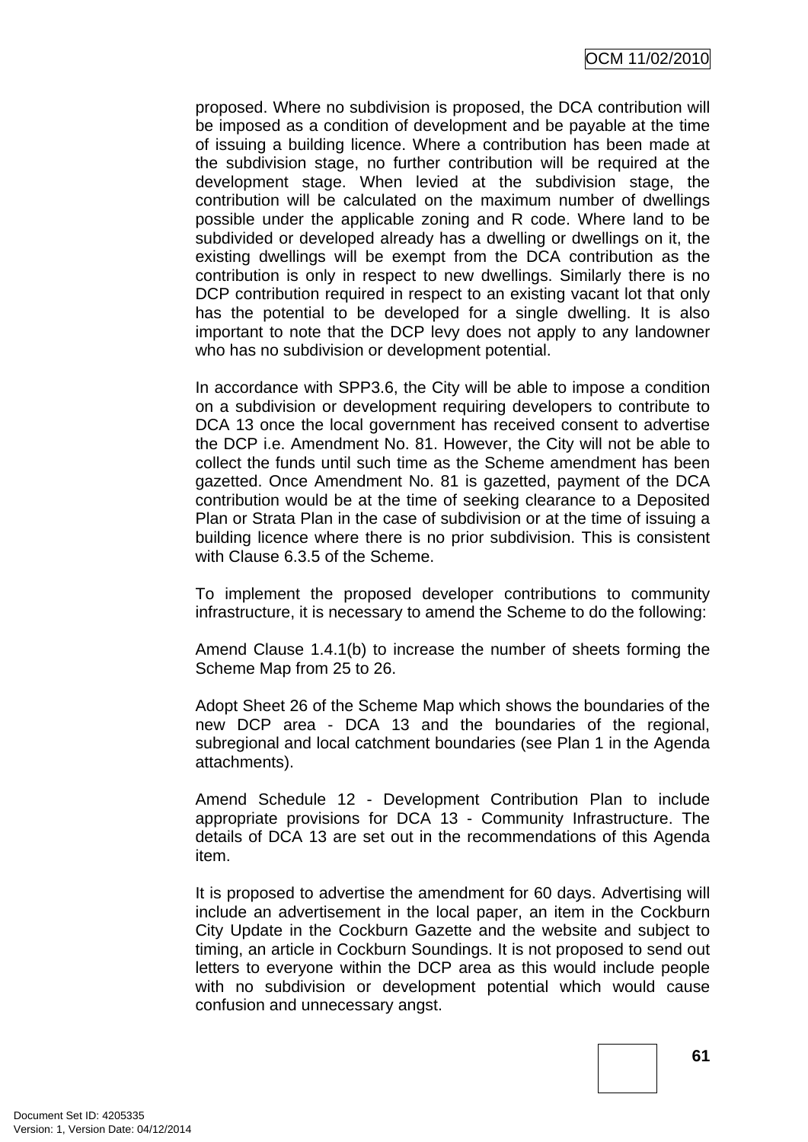proposed. Where no subdivision is proposed, the DCA contribution will be imposed as a condition of development and be payable at the time of issuing a building licence. Where a contribution has been made at the subdivision stage, no further contribution will be required at the development stage. When levied at the subdivision stage, the contribution will be calculated on the maximum number of dwellings possible under the applicable zoning and R code. Where land to be subdivided or developed already has a dwelling or dwellings on it, the existing dwellings will be exempt from the DCA contribution as the contribution is only in respect to new dwellings. Similarly there is no DCP contribution required in respect to an existing vacant lot that only has the potential to be developed for a single dwelling. It is also important to note that the DCP levy does not apply to any landowner who has no subdivision or development potential.

In accordance with SPP3.6, the City will be able to impose a condition on a subdivision or development requiring developers to contribute to DCA 13 once the local government has received consent to advertise the DCP i.e. Amendment No. 81. However, the City will not be able to collect the funds until such time as the Scheme amendment has been gazetted. Once Amendment No. 81 is gazetted, payment of the DCA contribution would be at the time of seeking clearance to a Deposited Plan or Strata Plan in the case of subdivision or at the time of issuing a building licence where there is no prior subdivision. This is consistent with Clause 6.3.5 of the Scheme.

To implement the proposed developer contributions to community infrastructure, it is necessary to amend the Scheme to do the following:

Amend Clause 1.4.1(b) to increase the number of sheets forming the Scheme Map from 25 to 26.

Adopt Sheet 26 of the Scheme Map which shows the boundaries of the new DCP area - DCA 13 and the boundaries of the regional, subregional and local catchment boundaries (see Plan 1 in the Agenda attachments).

Amend Schedule 12 - Development Contribution Plan to include appropriate provisions for DCA 13 - Community Infrastructure. The details of DCA 13 are set out in the recommendations of this Agenda item.

It is proposed to advertise the amendment for 60 days. Advertising will include an advertisement in the local paper, an item in the Cockburn City Update in the Cockburn Gazette and the website and subject to timing, an article in Cockburn Soundings. It is not proposed to send out letters to everyone within the DCP area as this would include people with no subdivision or development potential which would cause confusion and unnecessary angst.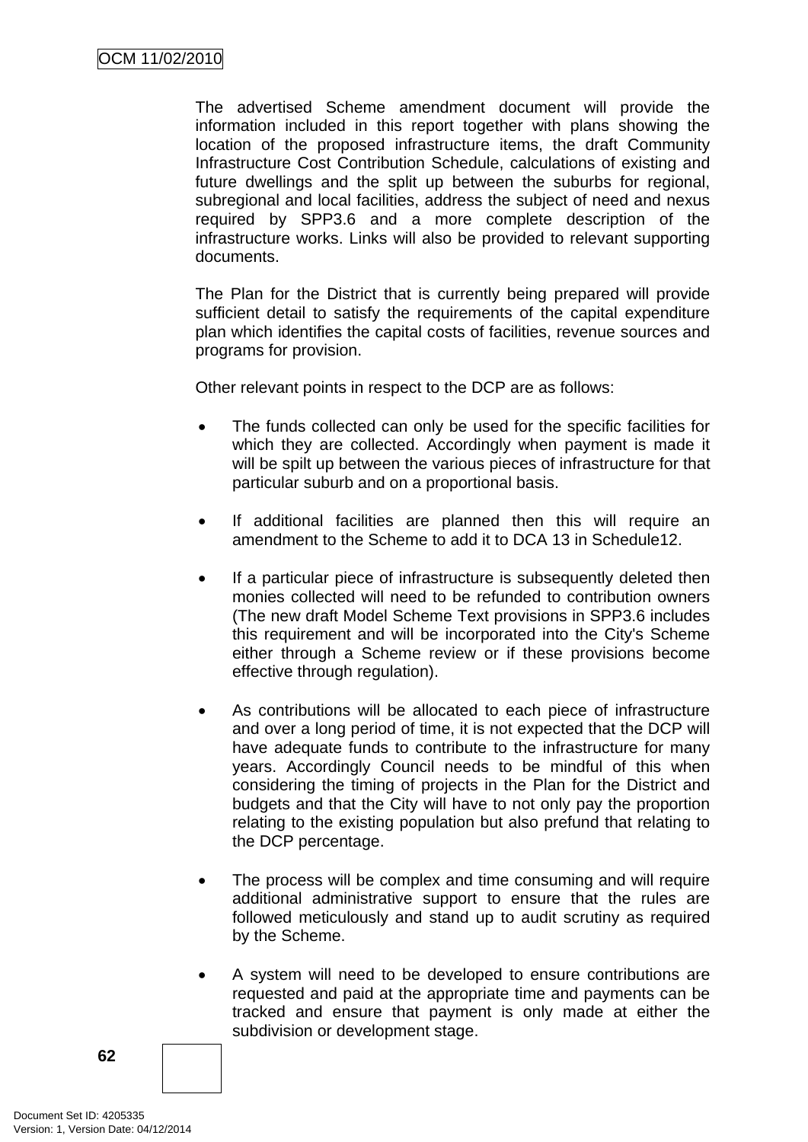The advertised Scheme amendment document will provide the information included in this report together with plans showing the location of the proposed infrastructure items, the draft Community Infrastructure Cost Contribution Schedule, calculations of existing and future dwellings and the split up between the suburbs for regional, subregional and local facilities, address the subject of need and nexus required by SPP3.6 and a more complete description of the infrastructure works. Links will also be provided to relevant supporting documents.

The Plan for the District that is currently being prepared will provide sufficient detail to satisfy the requirements of the capital expenditure plan which identifies the capital costs of facilities, revenue sources and programs for provision.

Other relevant points in respect to the DCP are as follows:

- The funds collected can only be used for the specific facilities for which they are collected. Accordingly when payment is made it will be spilt up between the various pieces of infrastructure for that particular suburb and on a proportional basis.
- If additional facilities are planned then this will require an amendment to the Scheme to add it to DCA 13 in Schedule12.
- If a particular piece of infrastructure is subsequently deleted then monies collected will need to be refunded to contribution owners (The new draft Model Scheme Text provisions in SPP3.6 includes this requirement and will be incorporated into the City's Scheme either through a Scheme review or if these provisions become effective through regulation).
- As contributions will be allocated to each piece of infrastructure and over a long period of time, it is not expected that the DCP will have adequate funds to contribute to the infrastructure for many years. Accordingly Council needs to be mindful of this when considering the timing of projects in the Plan for the District and budgets and that the City will have to not only pay the proportion relating to the existing population but also prefund that relating to the DCP percentage.
- The process will be complex and time consuming and will require additional administrative support to ensure that the rules are followed meticulously and stand up to audit scrutiny as required by the Scheme.
- A system will need to be developed to ensure contributions are requested and paid at the appropriate time and payments can be tracked and ensure that payment is only made at either the subdivision or development stage.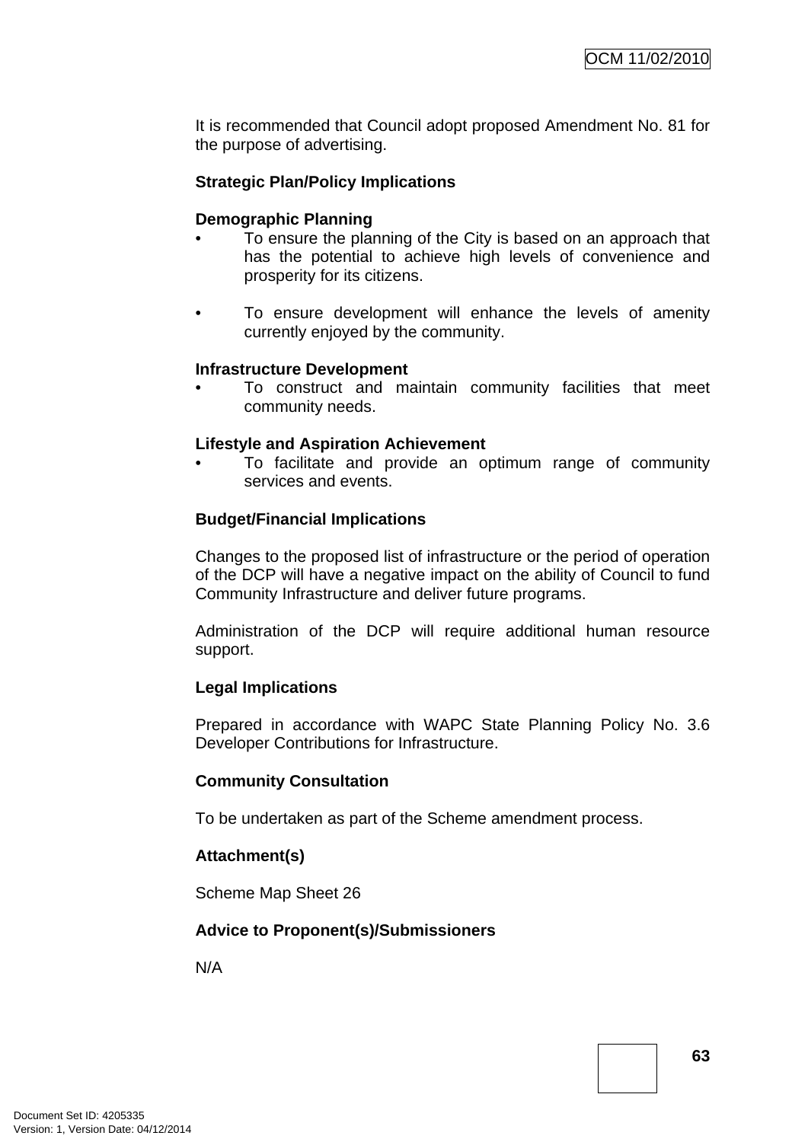It is recommended that Council adopt proposed Amendment No. 81 for the purpose of advertising.

### **Strategic Plan/Policy Implications**

#### **Demographic Planning**

- To ensure the planning of the City is based on an approach that has the potential to achieve high levels of convenience and prosperity for its citizens.
- To ensure development will enhance the levels of amenity currently enjoyed by the community.

#### **Infrastructure Development**

• To construct and maintain community facilities that meet community needs.

#### **Lifestyle and Aspiration Achievement**

• To facilitate and provide an optimum range of community services and events.

#### **Budget/Financial Implications**

Changes to the proposed list of infrastructure or the period of operation of the DCP will have a negative impact on the ability of Council to fund Community Infrastructure and deliver future programs.

Administration of the DCP will require additional human resource support.

#### **Legal Implications**

Prepared in accordance with WAPC State Planning Policy No. 3.6 Developer Contributions for Infrastructure.

#### **Community Consultation**

To be undertaken as part of the Scheme amendment process.

#### **Attachment(s)**

Scheme Map Sheet 26

#### **Advice to Proponent(s)/Submissioners**

N/A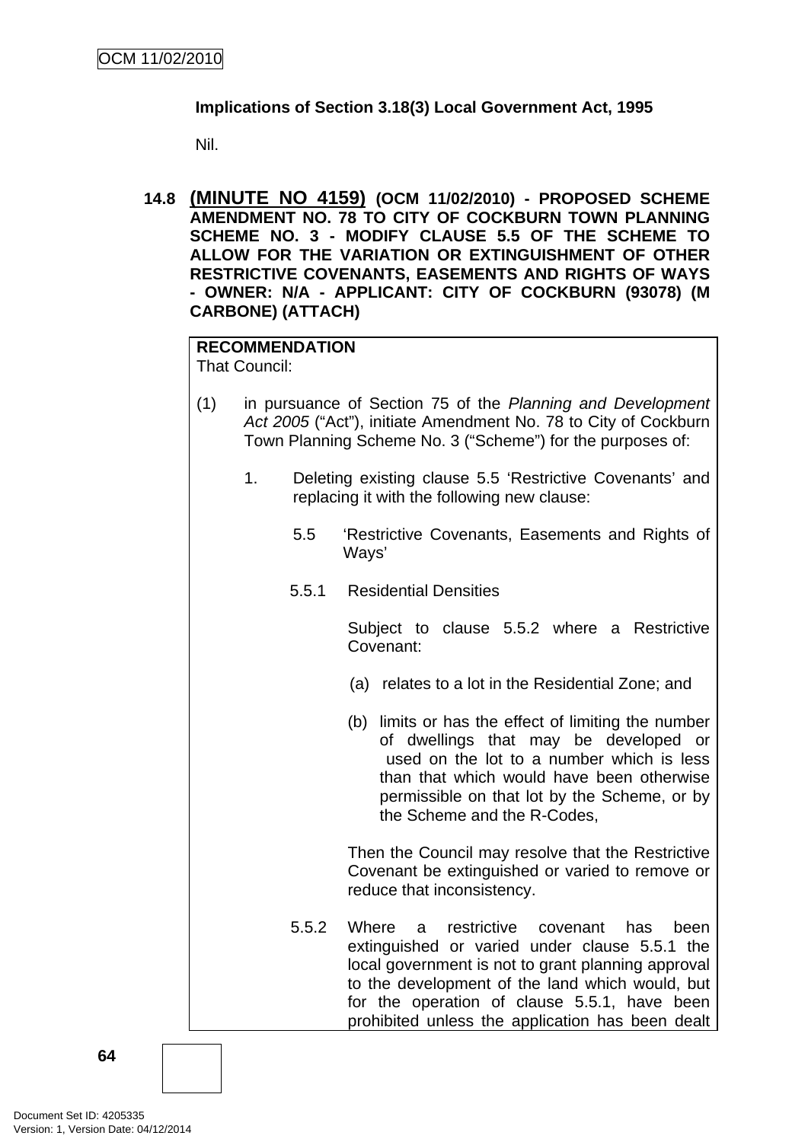# **Implications of Section 3.18(3) Local Government Act, 1995**

Nil.

**14.8 (MINUTE NO 4159) (OCM 11/02/2010) - PROPOSED SCHEME AMENDMENT NO. 78 TO CITY OF COCKBURN TOWN PLANNING SCHEME NO. 3 - MODIFY CLAUSE 5.5 OF THE SCHEME TO ALLOW FOR THE VARIATION OR EXTINGUISHMENT OF OTHER RESTRICTIVE COVENANTS, EASEMENTS AND RIGHTS OF WAYS - OWNER: N/A - APPLICANT: CITY OF COCKBURN (93078) (M CARBONE) (ATTACH)** 

# **RECOMMENDATION**

That Council:

- (1) in pursuance of Section 75 of the *Planning and Development Act 2005* ("Act"), initiate Amendment No. 78 to City of Cockburn Town Planning Scheme No. 3 ("Scheme") for the purposes of:
	- 1. Deleting existing clause 5.5 'Restrictive Covenants' and replacing it with the following new clause:
		- 5.5 'Restrictive Covenants, Easements and Rights of Ways'
		- 5.5.1 Residential Densities

Subject to clause 5.5.2 where a Restrictive Covenant:

- (a) relates to a lot in the Residential Zone; and
- (b) limits or has the effect of limiting the number of dwellings that may be developed or used on the lot to a number which is less than that which would have been otherwise permissible on that lot by the Scheme, or by the Scheme and the R-Codes,

Then the Council may resolve that the Restrictive Covenant be extinguished or varied to remove or reduce that inconsistency.

5.5.2 Where a restrictive covenant has been extinguished or varied under clause 5.5.1 the local government is not to grant planning approval to the development of the land which would, but for the operation of clause 5.5.1, have been prohibited unless the application has been dealt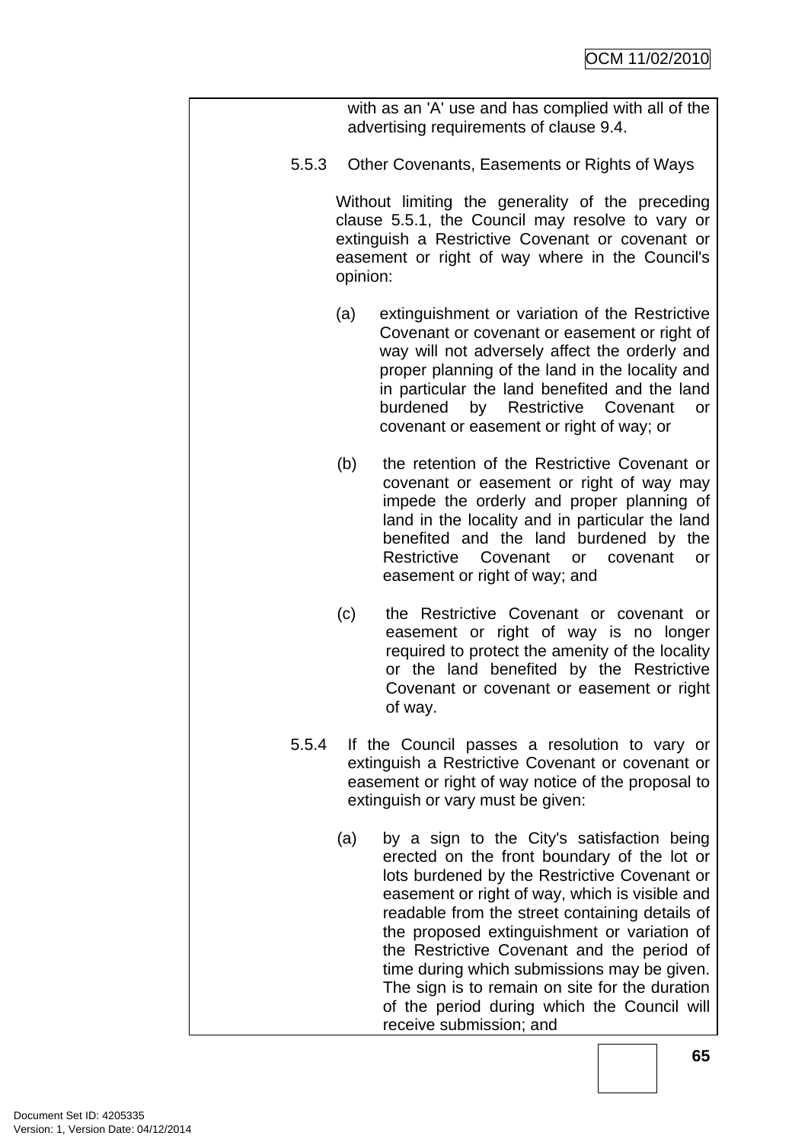|       |          | with as an 'A' use and has complied with all of the<br>advertising requirements of clause 9.4.                                                                                                                                                                                                                                                                                                                                                                                                                        |
|-------|----------|-----------------------------------------------------------------------------------------------------------------------------------------------------------------------------------------------------------------------------------------------------------------------------------------------------------------------------------------------------------------------------------------------------------------------------------------------------------------------------------------------------------------------|
| 5.5.3 |          | Other Covenants, Easements or Rights of Ways                                                                                                                                                                                                                                                                                                                                                                                                                                                                          |
|       | opinion: | Without limiting the generality of the preceding<br>clause 5.5.1, the Council may resolve to vary or<br>extinguish a Restrictive Covenant or covenant or<br>easement or right of way where in the Council's                                                                                                                                                                                                                                                                                                           |
|       | (a)      | extinguishment or variation of the Restrictive<br>Covenant or covenant or easement or right of<br>way will not adversely affect the orderly and<br>proper planning of the land in the locality and<br>in particular the land benefited and the land<br>burdened<br>by Restrictive Covenant<br>or<br>covenant or easement or right of way; or                                                                                                                                                                          |
|       | (b)      | the retention of the Restrictive Covenant or<br>covenant or easement or right of way may<br>impede the orderly and proper planning of<br>land in the locality and in particular the land<br>benefited and the land burdened by the<br>Restrictive Covenant or covenant<br>or<br>easement or right of way; and                                                                                                                                                                                                         |
|       | (c)      | the Restrictive Covenant or covenant or<br>easement or right of way is no longer<br>required to protect the amenity of the locality<br>or the land benefited by the Restrictive<br>Covenant or covenant or easement or right<br>of way.                                                                                                                                                                                                                                                                               |
| 5.5.4 |          | If the Council passes a resolution to vary or<br>extinguish a Restrictive Covenant or covenant or<br>easement or right of way notice of the proposal to<br>extinguish or vary must be given:                                                                                                                                                                                                                                                                                                                          |
|       | (a)      | by a sign to the City's satisfaction being<br>erected on the front boundary of the lot or<br>lots burdened by the Restrictive Covenant or<br>easement or right of way, which is visible and<br>readable from the street containing details of<br>the proposed extinguishment or variation of<br>the Restrictive Covenant and the period of<br>time during which submissions may be given.<br>The sign is to remain on site for the duration<br>of the period during which the Council will<br>receive submission; and |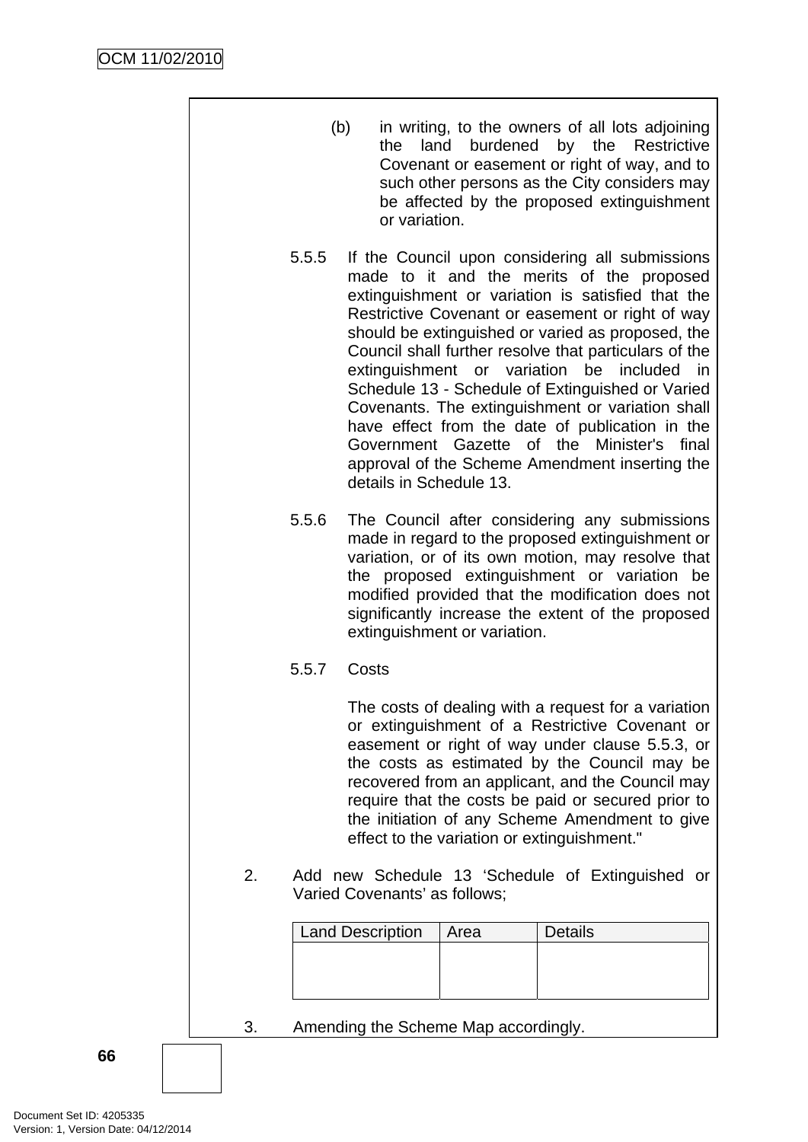|  |    |                                                                                   | (b)<br>the<br>or variation.                                                                                                                                                                                                                                                                                                                                                                                                                                                                                                                                                                                                                                   |      | in writing, to the owners of all lots adjoining<br>land burdened by the Restrictive<br>Covenant or easement or right of way, and to<br>such other persons as the City considers may<br>be affected by the proposed extinguishment |  |
|--|----|-----------------------------------------------------------------------------------|---------------------------------------------------------------------------------------------------------------------------------------------------------------------------------------------------------------------------------------------------------------------------------------------------------------------------------------------------------------------------------------------------------------------------------------------------------------------------------------------------------------------------------------------------------------------------------------------------------------------------------------------------------------|------|-----------------------------------------------------------------------------------------------------------------------------------------------------------------------------------------------------------------------------------|--|
|  |    | 5.5.5                                                                             | If the Council upon considering all submissions<br>made to it and the merits of the proposed<br>extinguishment or variation is satisfied that the<br>Restrictive Covenant or easement or right of way<br>should be extinguished or varied as proposed, the<br>Council shall further resolve that particulars of the<br>extinguishment or variation be included in<br>Schedule 13 - Schedule of Extinguished or Varied<br>Covenants. The extinguishment or variation shall<br>have effect from the date of publication in the<br>of the Minister's<br>Government Gazette<br>final<br>approval of the Scheme Amendment inserting the<br>details in Schedule 13. |      |                                                                                                                                                                                                                                   |  |
|  |    | 5.5.6                                                                             | The Council after considering any submissions<br>made in regard to the proposed extinguishment or<br>variation, or of its own motion, may resolve that<br>the proposed extinguishment or variation be<br>modified provided that the modification does not<br>significantly increase the extent of the proposed<br>extinguishment or variation.                                                                                                                                                                                                                                                                                                                |      |                                                                                                                                                                                                                                   |  |
|  |    | 5.5.7                                                                             | Costs                                                                                                                                                                                                                                                                                                                                                                                                                                                                                                                                                                                                                                                         |      |                                                                                                                                                                                                                                   |  |
|  |    |                                                                                   | The costs of dealing with a request for a variation<br>or extinguishment of a Restrictive Covenant or<br>easement or right of way under clause 5.5.3, or<br>the costs as estimated by the Council may be<br>recovered from an applicant, and the Council may<br>require that the costs be paid or secured prior to<br>the initiation of any Scheme Amendment to give<br>effect to the variation or extinguishment."                                                                                                                                                                                                                                           |      |                                                                                                                                                                                                                                   |  |
|  | 2. | Add new Schedule 13 'Schedule of Extinguished or<br>Varied Covenants' as follows; |                                                                                                                                                                                                                                                                                                                                                                                                                                                                                                                                                                                                                                                               |      |                                                                                                                                                                                                                                   |  |
|  |    |                                                                                   | <b>Land Description</b>                                                                                                                                                                                                                                                                                                                                                                                                                                                                                                                                                                                                                                       | Area | <b>Details</b>                                                                                                                                                                                                                    |  |
|  |    |                                                                                   |                                                                                                                                                                                                                                                                                                                                                                                                                                                                                                                                                                                                                                                               |      |                                                                                                                                                                                                                                   |  |
|  | 3. | Amending the Scheme Map accordingly.                                              |                                                                                                                                                                                                                                                                                                                                                                                                                                                                                                                                                                                                                                                               |      |                                                                                                                                                                                                                                   |  |
|  |    |                                                                                   |                                                                                                                                                                                                                                                                                                                                                                                                                                                                                                                                                                                                                                                               |      |                                                                                                                                                                                                                                   |  |

**66**

 $\overline{\phantom{a}}$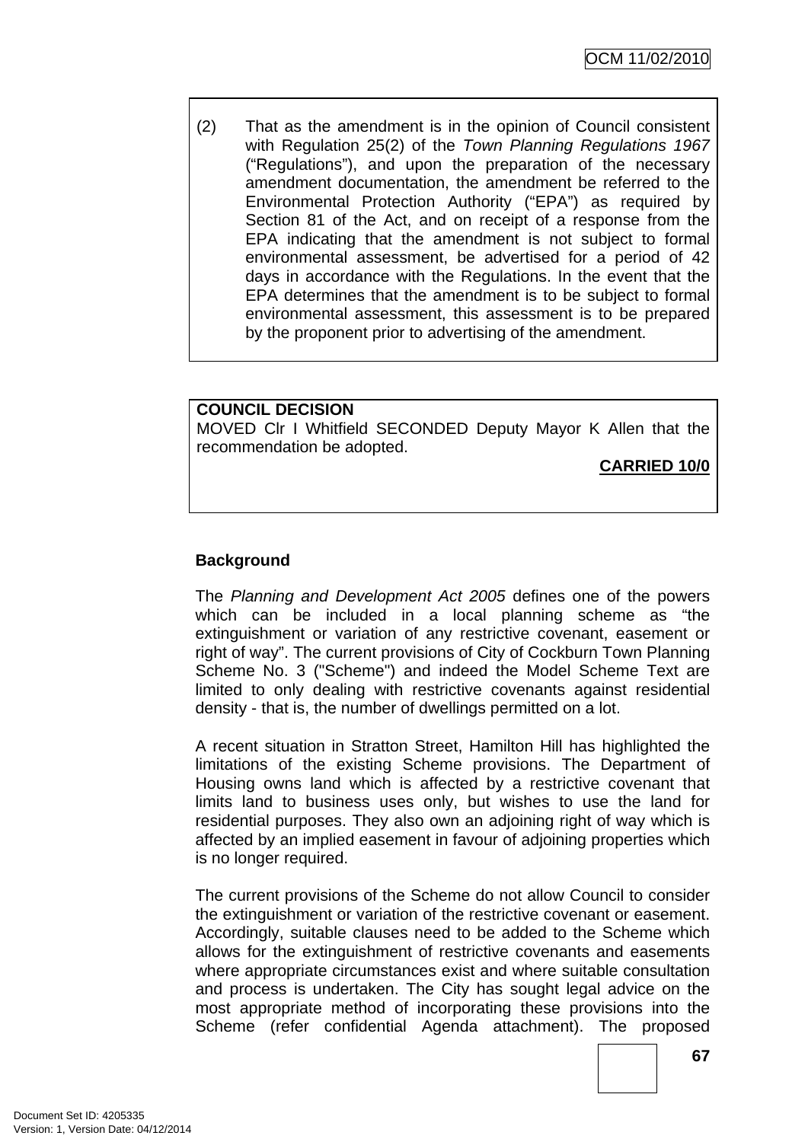(2) That as the amendment is in the opinion of Council consistent with Regulation 25(2) of the *Town Planning Regulations 1967* ("Regulations"), and upon the preparation of the necessary amendment documentation, the amendment be referred to the Environmental Protection Authority ("EPA") as required by Section 81 of the Act, and on receipt of a response from the EPA indicating that the amendment is not subject to formal environmental assessment, be advertised for a period of 42 days in accordance with the Regulations. In the event that the EPA determines that the amendment is to be subject to formal environmental assessment, this assessment is to be prepared by the proponent prior to advertising of the amendment.

#### **COUNCIL DECISION**

MOVED Clr I Whitfield SECONDED Deputy Mayor K Allen that the recommendation be adopted.

**CARRIED 10/0**

# **Background**

The *Planning and Development Act 2005* defines one of the powers which can be included in a local planning scheme as "the extinguishment or variation of any restrictive covenant, easement or right of way". The current provisions of City of Cockburn Town Planning Scheme No. 3 ("Scheme") and indeed the Model Scheme Text are limited to only dealing with restrictive covenants against residential density - that is, the number of dwellings permitted on a lot.

A recent situation in Stratton Street, Hamilton Hill has highlighted the limitations of the existing Scheme provisions. The Department of Housing owns land which is affected by a restrictive covenant that limits land to business uses only, but wishes to use the land for residential purposes. They also own an adjoining right of way which is affected by an implied easement in favour of adjoining properties which is no longer required.

The current provisions of the Scheme do not allow Council to consider the extinguishment or variation of the restrictive covenant or easement. Accordingly, suitable clauses need to be added to the Scheme which allows for the extinguishment of restrictive covenants and easements where appropriate circumstances exist and where suitable consultation and process is undertaken. The City has sought legal advice on the most appropriate method of incorporating these provisions into the Scheme (refer confidential Agenda attachment). The proposed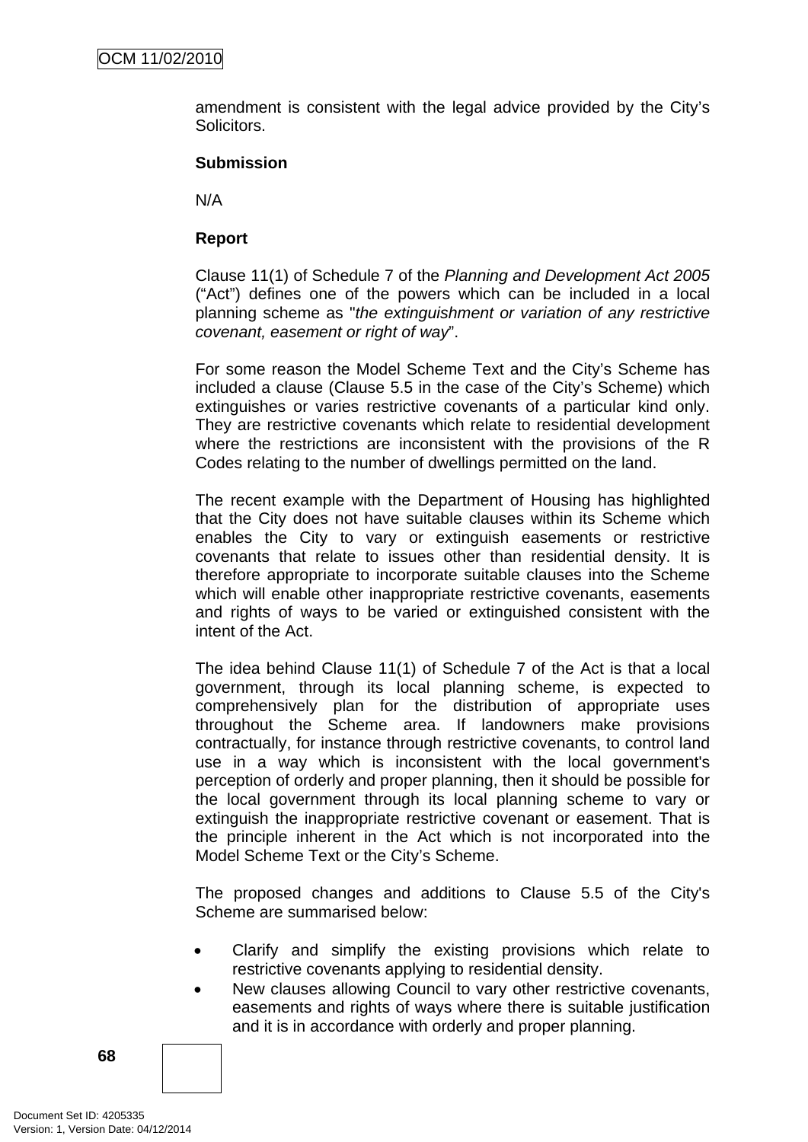amendment is consistent with the legal advice provided by the City's Solicitors.

#### **Submission**

N/A

# **Report**

Clause 11(1) of Schedule 7 of the *Planning and Development Act 2005* ("Act") defines one of the powers which can be included in a local planning scheme as "*the extinguishment or variation of any restrictive covenant, easement or right of way*".

For some reason the Model Scheme Text and the City's Scheme has included a clause (Clause 5.5 in the case of the City's Scheme) which extinguishes or varies restrictive covenants of a particular kind only. They are restrictive covenants which relate to residential development where the restrictions are inconsistent with the provisions of the R Codes relating to the number of dwellings permitted on the land.

The recent example with the Department of Housing has highlighted that the City does not have suitable clauses within its Scheme which enables the City to vary or extinguish easements or restrictive covenants that relate to issues other than residential density. It is therefore appropriate to incorporate suitable clauses into the Scheme which will enable other inappropriate restrictive covenants, easements and rights of ways to be varied or extinguished consistent with the intent of the Act.

The idea behind Clause 11(1) of Schedule 7 of the Act is that a local government, through its local planning scheme, is expected to comprehensively plan for the distribution of appropriate uses throughout the Scheme area. If landowners make provisions contractually, for instance through restrictive covenants, to control land use in a way which is inconsistent with the local government's perception of orderly and proper planning, then it should be possible for the local government through its local planning scheme to vary or extinguish the inappropriate restrictive covenant or easement. That is the principle inherent in the Act which is not incorporated into the Model Scheme Text or the City's Scheme.

The proposed changes and additions to Clause 5.5 of the City's Scheme are summarised below:

- Clarify and simplify the existing provisions which relate to restrictive covenants applying to residential density.
- New clauses allowing Council to vary other restrictive covenants, easements and rights of ways where there is suitable justification and it is in accordance with orderly and proper planning.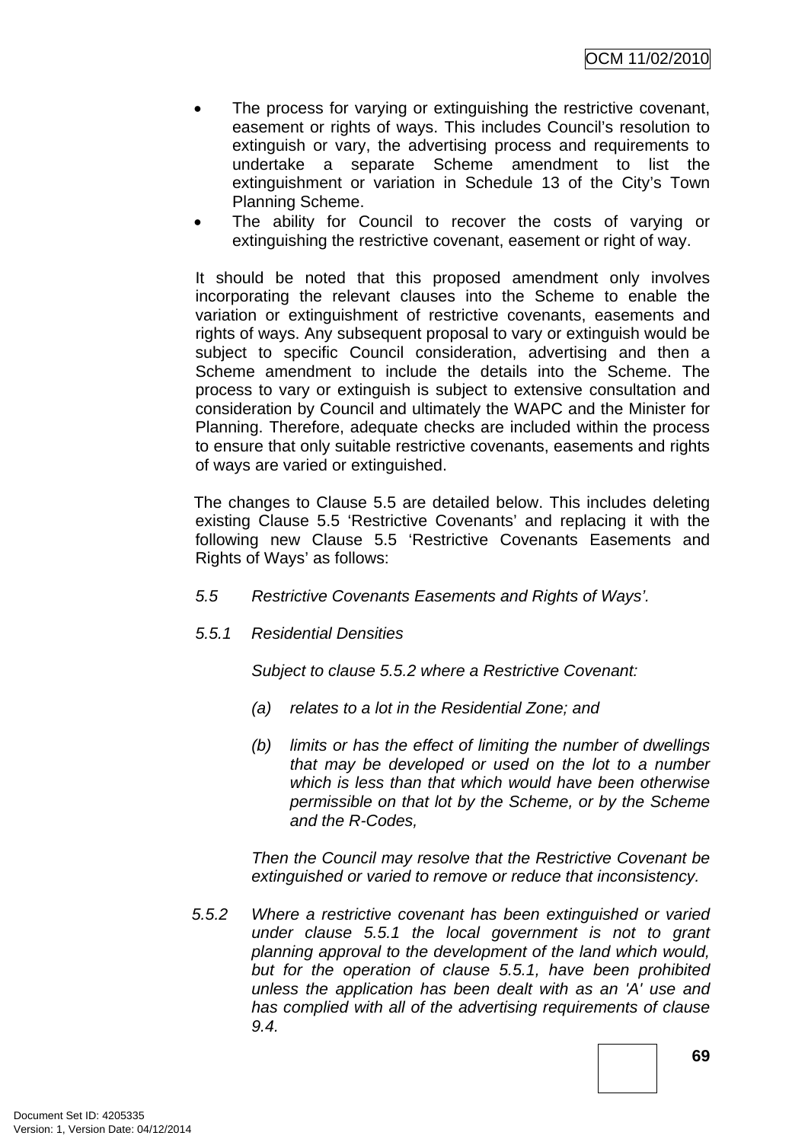OCM 11/02/2010

- The process for varying or extinguishing the restrictive covenant, easement or rights of ways. This includes Council's resolution to extinguish or vary, the advertising process and requirements to undertake a separate Scheme amendment to list the extinguishment or variation in Schedule 13 of the City's Town Planning Scheme.
- The ability for Council to recover the costs of varying or extinguishing the restrictive covenant, easement or right of way.

It should be noted that this proposed amendment only involves incorporating the relevant clauses into the Scheme to enable the variation or extinguishment of restrictive covenants, easements and rights of ways. Any subsequent proposal to vary or extinguish would be subject to specific Council consideration, advertising and then a Scheme amendment to include the details into the Scheme. The process to vary or extinguish is subject to extensive consultation and consideration by Council and ultimately the WAPC and the Minister for Planning. Therefore, adequate checks are included within the process to ensure that only suitable restrictive covenants, easements and rights of ways are varied or extinguished.

The changes to Clause 5.5 are detailed below. This includes deleting existing Clause 5.5 'Restrictive Covenants' and replacing it with the following new Clause 5.5 'Restrictive Covenants Easements and Rights of Ways' as follows:

- *5.5 Restrictive Covenants Easements and Rights of Ways'.*
- *5.5.1 Residential Densities*

*Subject to clause 5.5.2 where a Restrictive Covenant:* 

- *(a) relates to a lot in the Residential Zone; and*
- *(b) limits or has the effect of limiting the number of dwellings that may be developed or used on the lot to a number which is less than that which would have been otherwise permissible on that lot by the Scheme, or by the Scheme and the R-Codes,*

*Then the Council may resolve that the Restrictive Covenant be extinguished or varied to remove or reduce that inconsistency.* 

*5.5.2 Where a restrictive covenant has been extinguished or varied under clause 5.5.1 the local government is not to grant planning approval to the development of the land which would, but for the operation of clause 5.5.1, have been prohibited unless the application has been dealt with as an 'A' use and has complied with all of the advertising requirements of clause 9.4.*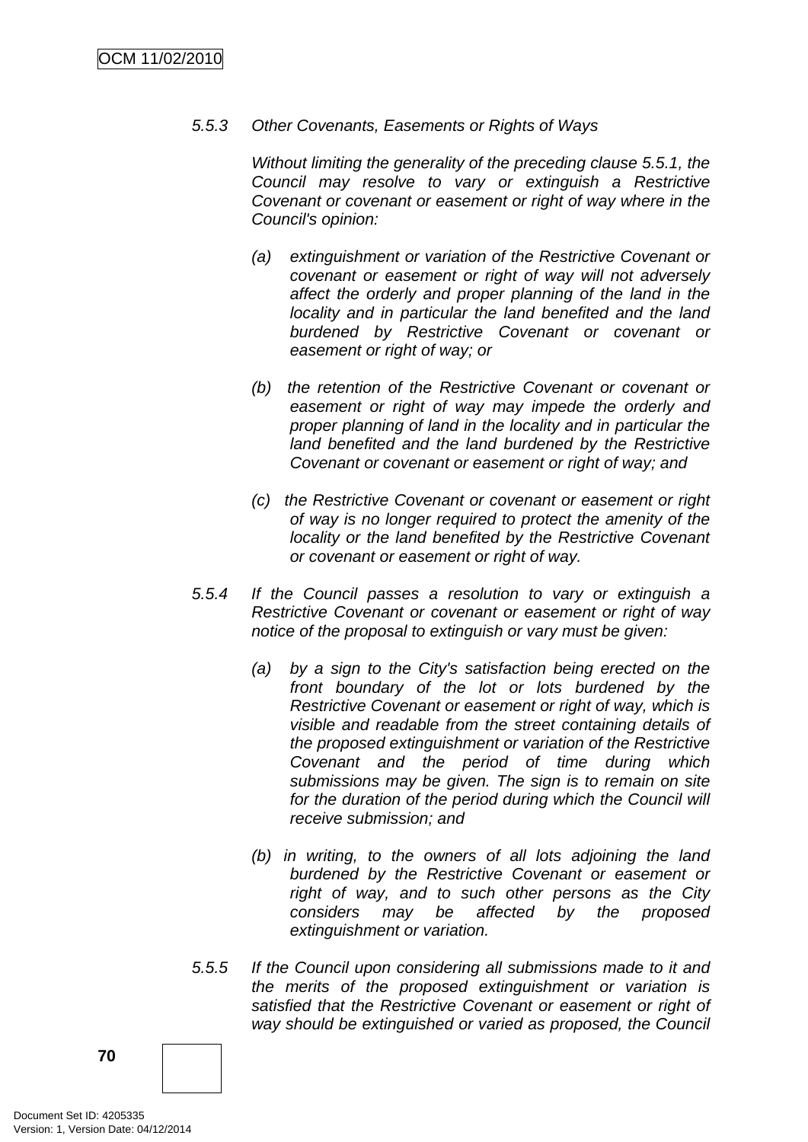### *5.5.3 Other Covenants, Easements or Rights of Ways*

*Without limiting the generality of the preceding clause 5.5.1, the Council may resolve to vary or extinguish a Restrictive Covenant or covenant or easement or right of way where in the Council's opinion:* 

- *(a) extinguishment or variation of the Restrictive Covenant or covenant or easement or right of way will not adversely affect the orderly and proper planning of the land in the locality and in particular the land benefited and the land burdened by Restrictive Covenant or covenant or easement or right of way; or*
- *(b) the retention of the Restrictive Covenant or covenant or easement or right of way may impede the orderly and proper planning of land in the locality and in particular the land benefited and the land burdened by the Restrictive Covenant or covenant or easement or right of way; and*
- *(c) the Restrictive Covenant or covenant or easement or right of way is no longer required to protect the amenity of the locality or the land benefited by the Restrictive Covenant or covenant or easement or right of way.*
- *5.5.4 If the Council passes a resolution to vary or extinguish a Restrictive Covenant or covenant or easement or right of way notice of the proposal to extinguish or vary must be given:* 
	- *(a) by a sign to the City's satisfaction being erected on the front boundary of the lot or lots burdened by the Restrictive Covenant or easement or right of way, which is visible and readable from the street containing details of the proposed extinguishment or variation of the Restrictive Covenant and the period of time during which submissions may be given. The sign is to remain on site*  for the duration of the period during which the Council will *receive submission; and*
	- *(b) in writing, to the owners of all lots adjoining the land burdened by the Restrictive Covenant or easement or right of way, and to such other persons as the City considers may be affected by the proposed extinguishment or variation.*
- *5.5.5 If the Council upon considering all submissions made to it and the merits of the proposed extinguishment or variation is satisfied that the Restrictive Covenant or easement or right of way should be extinguished or varied as proposed, the Council*

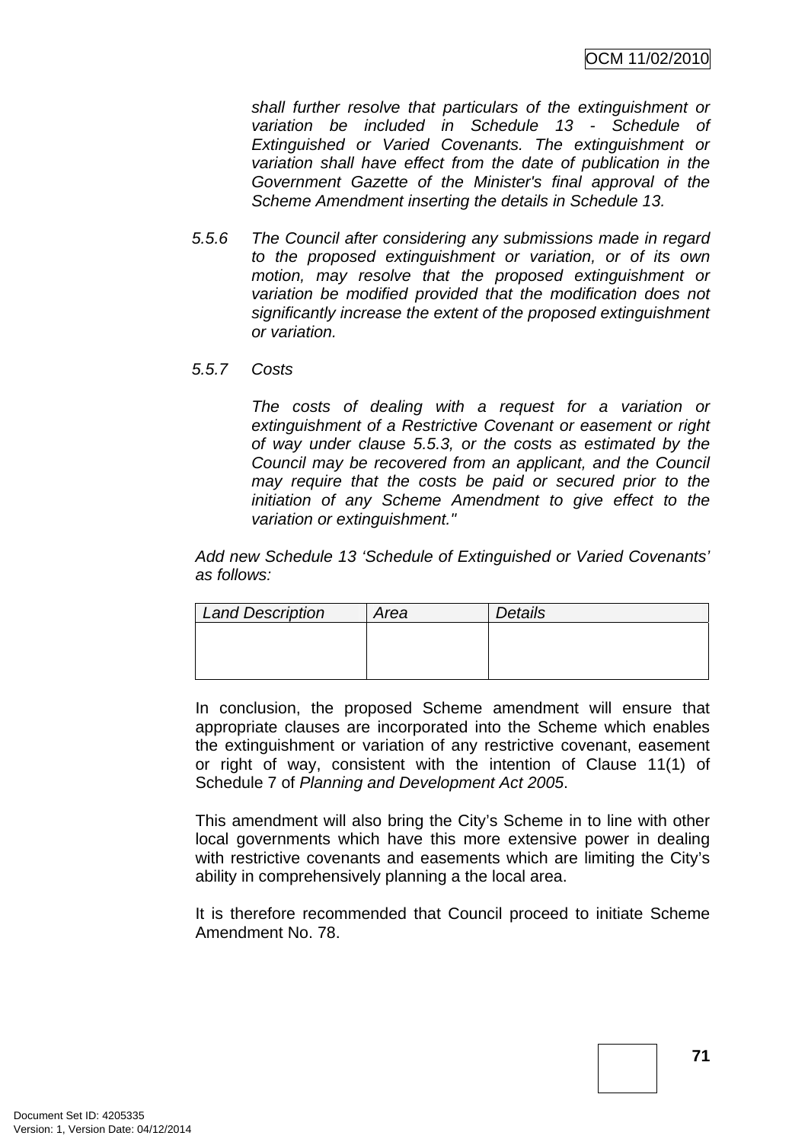*shall further resolve that particulars of the extinguishment or variation be included in Schedule 13 - Schedule of Extinguished or Varied Covenants. The extinguishment or variation shall have effect from the date of publication in the Government Gazette of the Minister's final approval of the Scheme Amendment inserting the details in Schedule 13.* 

- *5.5.6 The Council after considering any submissions made in regard to the proposed extinguishment or variation, or of its own motion, may resolve that the proposed extinguishment or variation be modified provided that the modification does not significantly increase the extent of the proposed extinguishment or variation.*
- *5.5.7 Costs*

*The costs of dealing with a request for a variation or extinguishment of a Restrictive Covenant or easement or right of way under clause 5.5.3, or the costs as estimated by the Council may be recovered from an applicant, and the Council may require that the costs be paid or secured prior to the initiation of any Scheme Amendment to give effect to the variation or extinguishment."* 

*Add new Schedule 13 'Schedule of Extinguished or Varied Covenants' as follows:* 

| <b>Land Description</b> | Area | <b>Details</b> |
|-------------------------|------|----------------|
|                         |      |                |
|                         |      |                |
|                         |      |                |

In conclusion, the proposed Scheme amendment will ensure that appropriate clauses are incorporated into the Scheme which enables the extinguishment or variation of any restrictive covenant, easement or right of way, consistent with the intention of Clause 11(1) of Schedule 7 of *Planning and Development Act 2005*.

This amendment will also bring the City's Scheme in to line with other local governments which have this more extensive power in dealing with restrictive covenants and easements which are limiting the City's ability in comprehensively planning a the local area.

It is therefore recommended that Council proceed to initiate Scheme Amendment No. 78.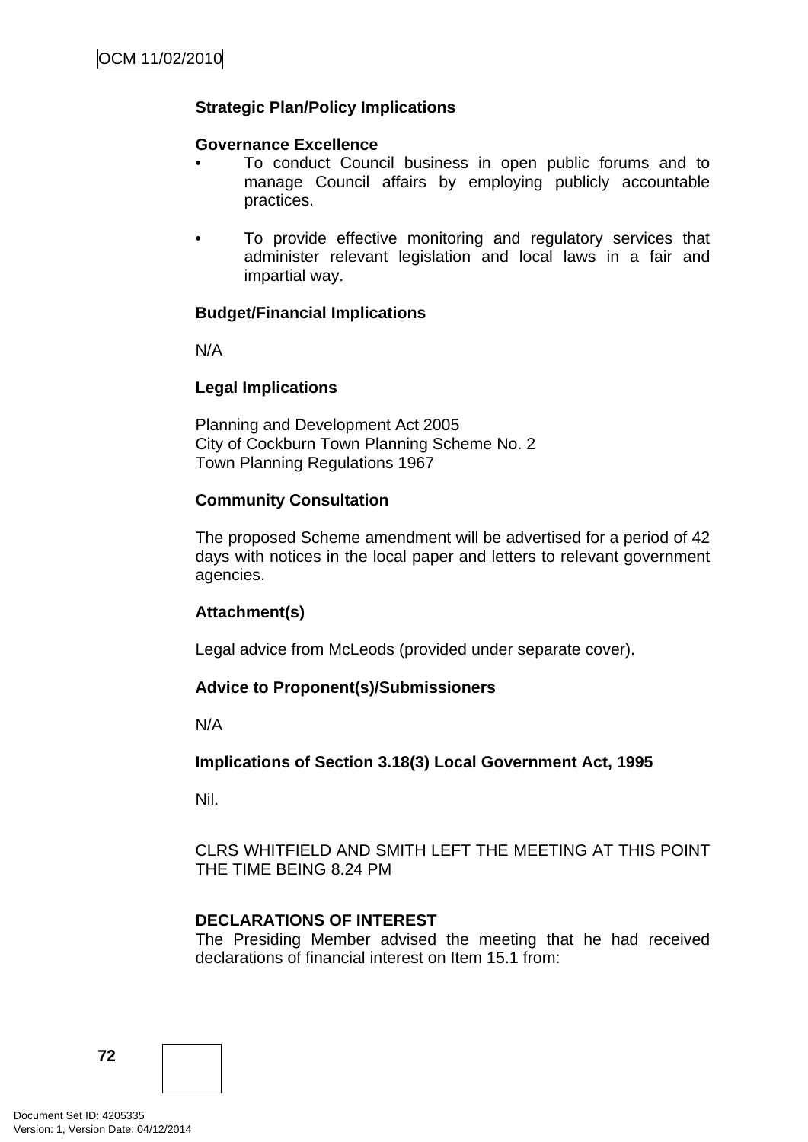# **Strategic Plan/Policy Implications**

### **Governance Excellence**

- To conduct Council business in open public forums and to manage Council affairs by employing publicly accountable practices.
- To provide effective monitoring and regulatory services that administer relevant legislation and local laws in a fair and impartial way.

### **Budget/Financial Implications**

N/A

### **Legal Implications**

Planning and Development Act 2005 City of Cockburn Town Planning Scheme No. 2 Town Planning Regulations 1967

### **Community Consultation**

The proposed Scheme amendment will be advertised for a period of 42 days with notices in the local paper and letters to relevant government agencies.

### **Attachment(s)**

Legal advice from McLeods (provided under separate cover).

### **Advice to Proponent(s)/Submissioners**

N/A

**Implications of Section 3.18(3) Local Government Act, 1995**

Nil.

CLRS WHITFIELD AND SMITH LEFT THE MEETING AT THIS POINT THE TIME BEING 8.24 PM

### **DECLARATIONS OF INTEREST**

The Presiding Member advised the meeting that he had received declarations of financial interest on Item 15.1 from: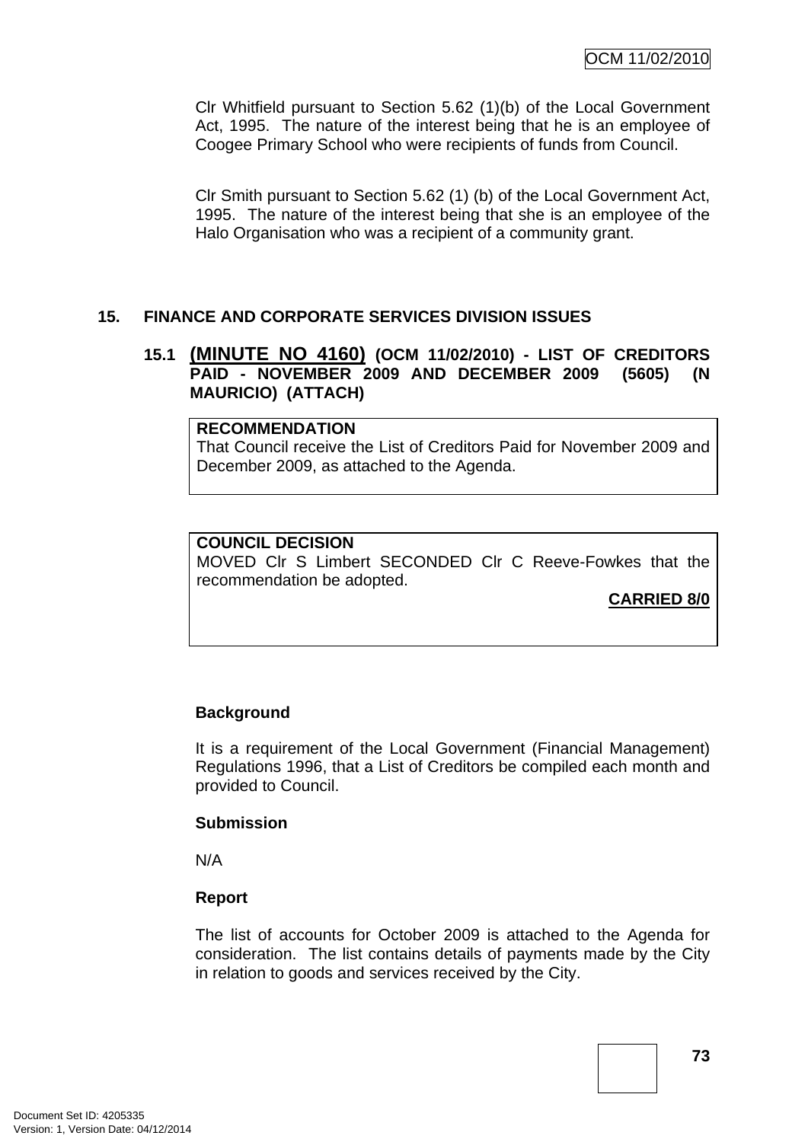Clr Whitfield pursuant to Section 5.62 (1)(b) of the Local Government Act, 1995. The nature of the interest being that he is an employee of Coogee Primary School who were recipients of funds from Council.

Clr Smith pursuant to Section 5.62 (1) (b) of the Local Government Act, 1995. The nature of the interest being that she is an employee of the Halo Organisation who was a recipient of a community grant.

# **15. FINANCE AND CORPORATE SERVICES DIVISION ISSUES**

## **15.1 (MINUTE NO 4160) (OCM 11/02/2010) - LIST OF CREDITORS PAID - NOVEMBER 2009 AND DECEMBER 2009 (5605) (N MAURICIO) (ATTACH)**

### **RECOMMENDATION**

That Council receive the List of Creditors Paid for November 2009 and December 2009, as attached to the Agenda.

# **COUNCIL DECISION**

MOVED Clr S Limbert SECONDED Clr C Reeve-Fowkes that the recommendation be adopted.

# **CARRIED 8/0**

# **Background**

It is a requirement of the Local Government (Financial Management) Regulations 1996, that a List of Creditors be compiled each month and provided to Council.

### **Submission**

N/A

### **Report**

The list of accounts for October 2009 is attached to the Agenda for consideration. The list contains details of payments made by the City in relation to goods and services received by the City.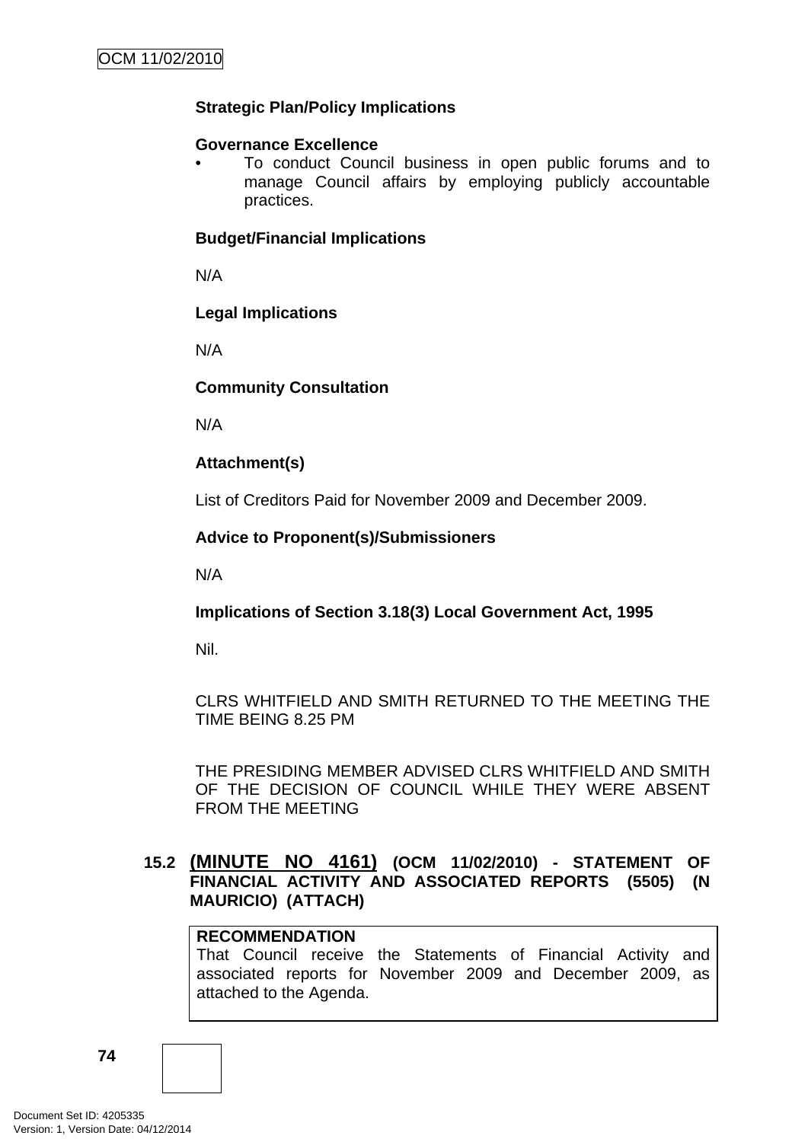# **Strategic Plan/Policy Implications**

### **Governance Excellence**

• To conduct Council business in open public forums and to manage Council affairs by employing publicly accountable practices.

### **Budget/Financial Implications**

N/A

### **Legal Implications**

N/A

# **Community Consultation**

N/A

# **Attachment(s)**

List of Creditors Paid for November 2009 and December 2009.

# **Advice to Proponent(s)/Submissioners**

N/A

# **Implications of Section 3.18(3) Local Government Act, 1995**

Nil.

# CLRS WHITFIELD AND SMITH RETURNED TO THE MEETING THE TIME BEING 8.25 PM

THE PRESIDING MEMBER ADVISED CLRS WHITFIELD AND SMITH OF THE DECISION OF COUNCIL WHILE THEY WERE ABSENT FROM THE MEETING

# **15.2 (MINUTE NO 4161) (OCM 11/02/2010) - STATEMENT OF FINANCIAL ACTIVITY AND ASSOCIATED REPORTS (5505) (N MAURICIO) (ATTACH)**

# **RECOMMENDATION**

That Council receive the Statements of Financial Activity and associated reports for November 2009 and December 2009, as attached to the Agenda.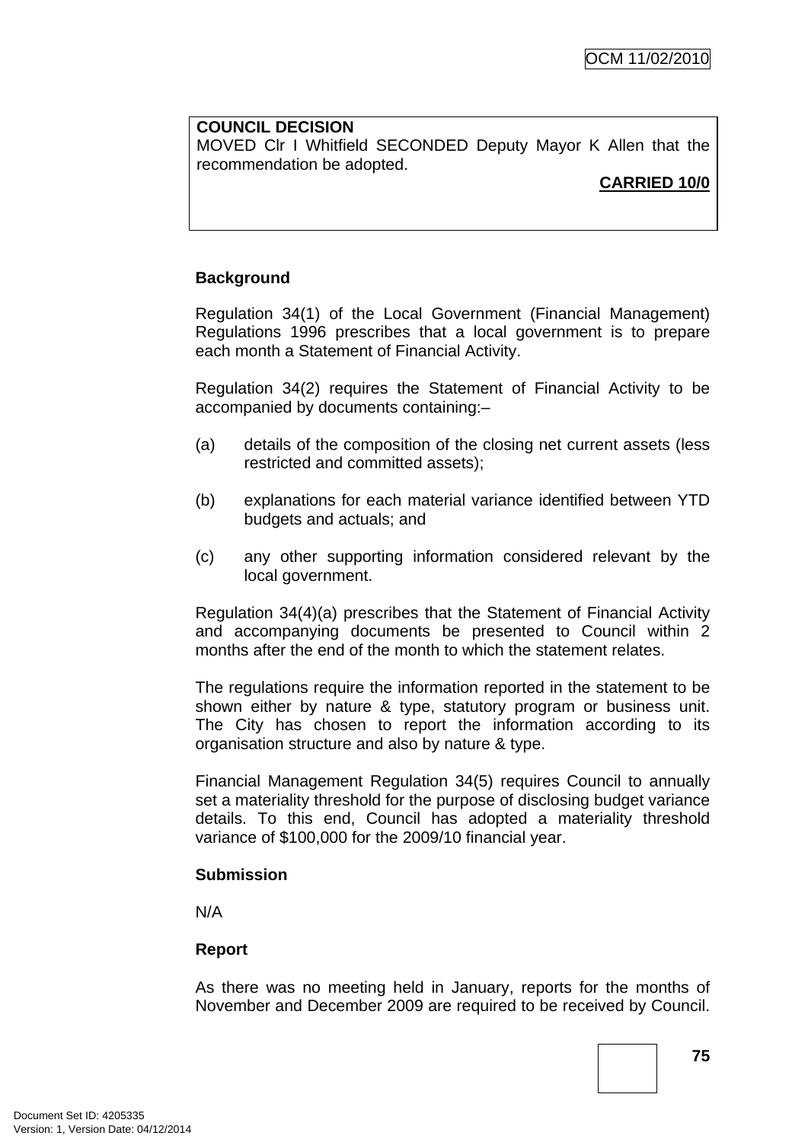### **COUNCIL DECISION**

MOVED Clr I Whitfield SECONDED Deputy Mayor K Allen that the recommendation be adopted.

### **CARRIED 10/0**

## **Background**

Regulation 34(1) of the Local Government (Financial Management) Regulations 1996 prescribes that a local government is to prepare each month a Statement of Financial Activity.

Regulation 34(2) requires the Statement of Financial Activity to be accompanied by documents containing:–

- (a) details of the composition of the closing net current assets (less restricted and committed assets);
- (b) explanations for each material variance identified between YTD budgets and actuals; and
- (c) any other supporting information considered relevant by the local government.

Regulation 34(4)(a) prescribes that the Statement of Financial Activity and accompanying documents be presented to Council within 2 months after the end of the month to which the statement relates.

The regulations require the information reported in the statement to be shown either by nature & type, statutory program or business unit. The City has chosen to report the information according to its organisation structure and also by nature & type.

Financial Management Regulation 34(5) requires Council to annually set a materiality threshold for the purpose of disclosing budget variance details. To this end, Council has adopted a materiality threshold variance of \$100,000 for the 2009/10 financial year.

#### **Submission**

N/A

### **Report**

As there was no meeting held in January, reports for the months of November and December 2009 are required to be received by Council.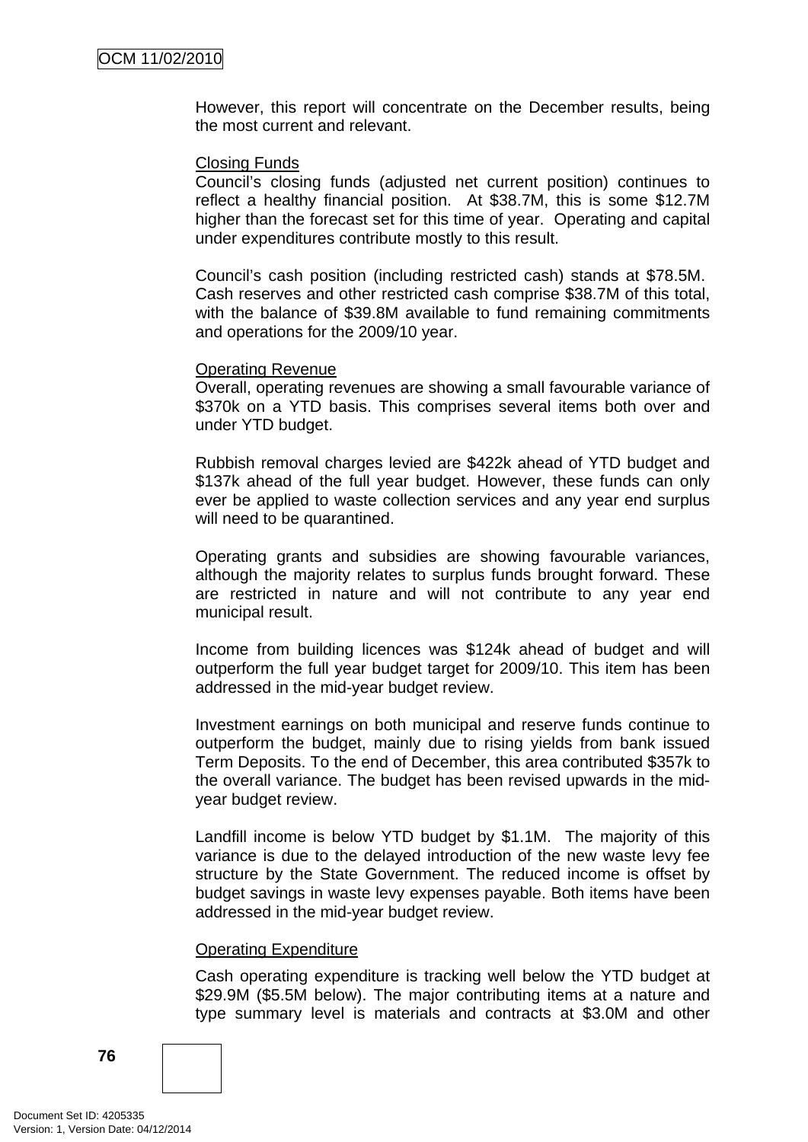However, this report will concentrate on the December results, being the most current and relevant.

#### Closing Funds

Council's closing funds (adjusted net current position) continues to reflect a healthy financial position. At \$38.7M, this is some \$12.7M higher than the forecast set for this time of year. Operating and capital under expenditures contribute mostly to this result.

Council's cash position (including restricted cash) stands at \$78.5M. Cash reserves and other restricted cash comprise \$38.7M of this total, with the balance of \$39.8M available to fund remaining commitments and operations for the 2009/10 year.

### Operating Revenue

Overall, operating revenues are showing a small favourable variance of \$370k on a YTD basis. This comprises several items both over and under YTD budget.

Rubbish removal charges levied are \$422k ahead of YTD budget and \$137k ahead of the full year budget. However, these funds can only ever be applied to waste collection services and any year end surplus will need to be quarantined.

Operating grants and subsidies are showing favourable variances, although the majority relates to surplus funds brought forward. These are restricted in nature and will not contribute to any year end municipal result.

Income from building licences was \$124k ahead of budget and will outperform the full year budget target for 2009/10. This item has been addressed in the mid-year budget review.

Investment earnings on both municipal and reserve funds continue to outperform the budget, mainly due to rising yields from bank issued Term Deposits. To the end of December, this area contributed \$357k to the overall variance. The budget has been revised upwards in the midyear budget review.

Landfill income is below YTD budget by \$1.1M. The majority of this variance is due to the delayed introduction of the new waste levy fee structure by the State Government. The reduced income is offset by budget savings in waste levy expenses payable. Both items have been addressed in the mid-year budget review.

#### Operating Expenditure

Cash operating expenditure is tracking well below the YTD budget at \$29.9M (\$5.5M below). The major contributing items at a nature and type summary level is materials and contracts at \$3.0M and other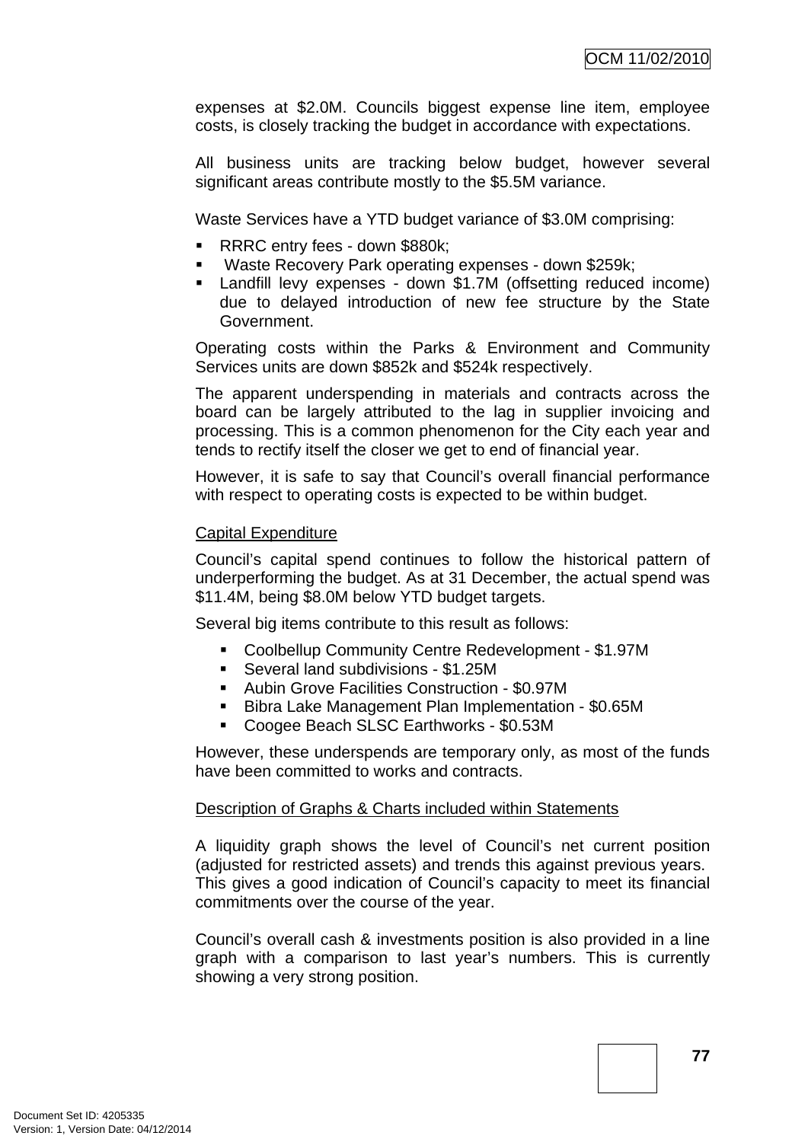expenses at \$2.0M. Councils biggest expense line item, employee costs, is closely tracking the budget in accordance with expectations.

All business units are tracking below budget, however several significant areas contribute mostly to the \$5.5M variance.

Waste Services have a YTD budget variance of \$3.0M comprising:

- RRRC entry fees down \$880k;
- Waste Recovery Park operating expenses down \$259k;
- Landfill levy expenses down \$1.7M (offsetting reduced income) due to delayed introduction of new fee structure by the State Government.

Operating costs within the Parks & Environment and Community Services units are down \$852k and \$524k respectively.

The apparent underspending in materials and contracts across the board can be largely attributed to the lag in supplier invoicing and processing. This is a common phenomenon for the City each year and tends to rectify itself the closer we get to end of financial year.

However, it is safe to say that Council's overall financial performance with respect to operating costs is expected to be within budget.

### Capital Expenditure

Council's capital spend continues to follow the historical pattern of underperforming the budget. As at 31 December, the actual spend was \$11.4M, being \$8.0M below YTD budget targets.

Several big items contribute to this result as follows:

- Coolbellup Community Centre Redevelopment \$1.97M
- Several land subdivisions \$1.25M
- Aubin Grove Facilities Construction \$0.97M
- **Bibra Lake Management Plan Implementation \$0.65M**
- Coogee Beach SLSC Earthworks \$0.53M

However, these underspends are temporary only, as most of the funds have been committed to works and contracts.

#### Description of Graphs & Charts included within Statements

A liquidity graph shows the level of Council's net current position (adjusted for restricted assets) and trends this against previous years. This gives a good indication of Council's capacity to meet its financial commitments over the course of the year.

Council's overall cash & investments position is also provided in a line graph with a comparison to last year's numbers. This is currently showing a very strong position.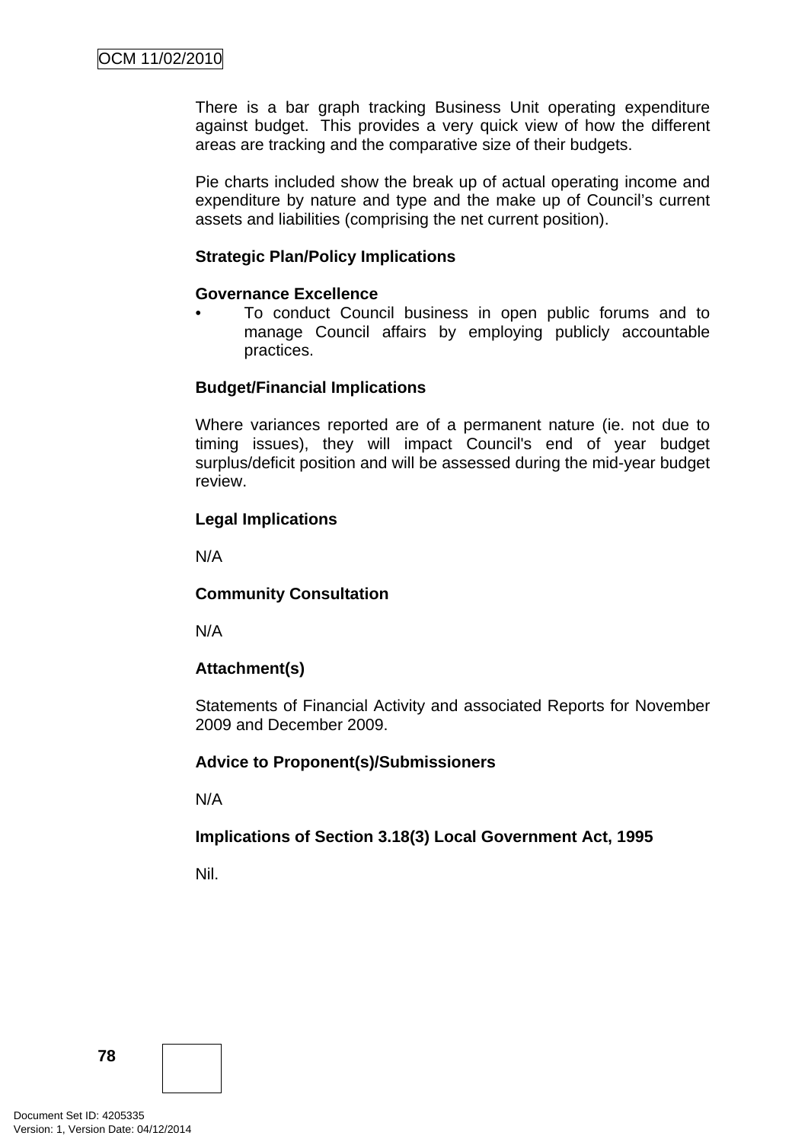There is a bar graph tracking Business Unit operating expenditure against budget. This provides a very quick view of how the different areas are tracking and the comparative size of their budgets.

Pie charts included show the break up of actual operating income and expenditure by nature and type and the make up of Council's current assets and liabilities (comprising the net current position).

### **Strategic Plan/Policy Implications**

### **Governance Excellence**

• To conduct Council business in open public forums and to manage Council affairs by employing publicly accountable practices.

# **Budget/Financial Implications**

Where variances reported are of a permanent nature (ie. not due to timing issues), they will impact Council's end of year budget surplus/deficit position and will be assessed during the mid-year budget review.

# **Legal Implications**

N/A

# **Community Consultation**

N/A

# **Attachment(s)**

Statements of Financial Activity and associated Reports for November 2009 and December 2009.

### **Advice to Proponent(s)/Submissioners**

N/A

# **Implications of Section 3.18(3) Local Government Act, 1995**

Nil.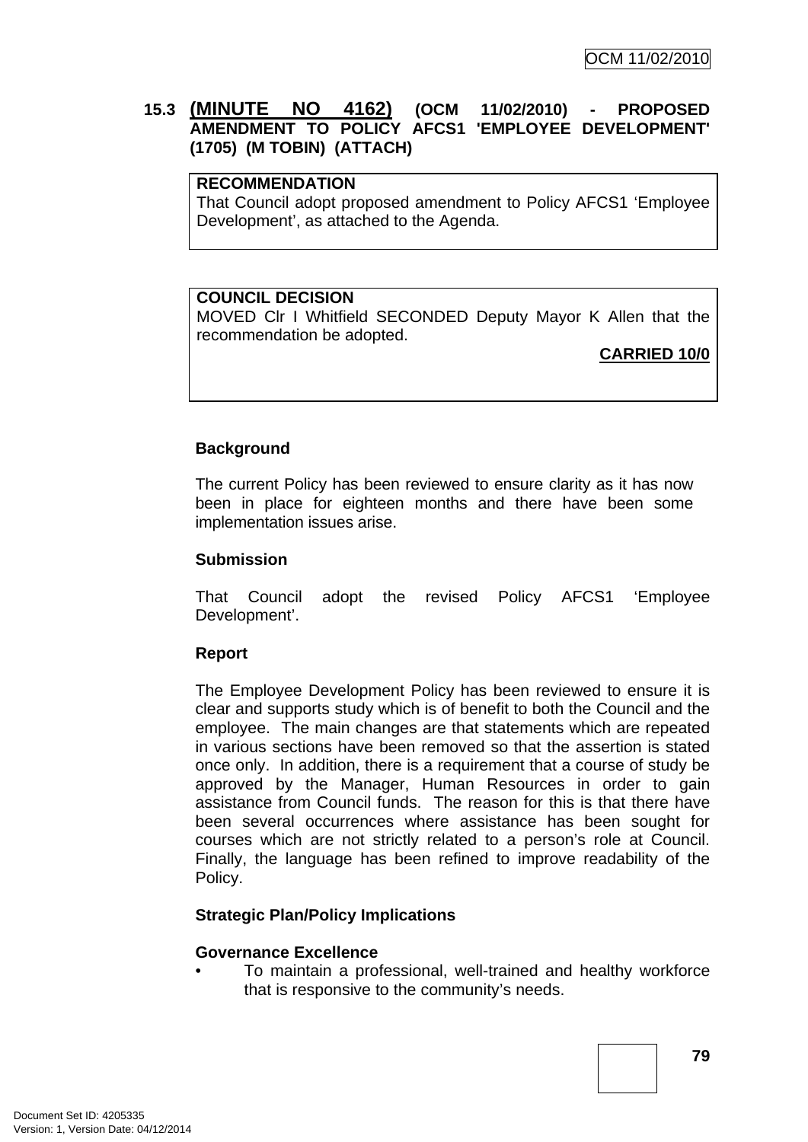# **15.3 (MINUTE NO 4162) (OCM 11/02/2010) - PROPOSED AMENDMENT TO POLICY AFCS1 'EMPLOYEE DEVELOPMENT' (1705) (M TOBIN) (ATTACH)**

# **RECOMMENDATION**

That Council adopt proposed amendment to Policy AFCS1 'Employee Development', as attached to the Agenda.

### **COUNCIL DECISION**

MOVED Clr I Whitfield SECONDED Deputy Mayor K Allen that the recommendation be adopted.

# **CARRIED 10/0**

# **Background**

The current Policy has been reviewed to ensure clarity as it has now been in place for eighteen months and there have been some implementation issues arise.

### **Submission**

That Council adopt the revised Policy AFCS1 'Employee Development'.

### **Report**

The Employee Development Policy has been reviewed to ensure it is clear and supports study which is of benefit to both the Council and the employee. The main changes are that statements which are repeated in various sections have been removed so that the assertion is stated once only. In addition, there is a requirement that a course of study be approved by the Manager, Human Resources in order to gain assistance from Council funds. The reason for this is that there have been several occurrences where assistance has been sought for courses which are not strictly related to a person's role at Council. Finally, the language has been refined to improve readability of the Policy.

### **Strategic Plan/Policy Implications**

### **Governance Excellence**

• To maintain a professional, well-trained and healthy workforce that is responsive to the community's needs.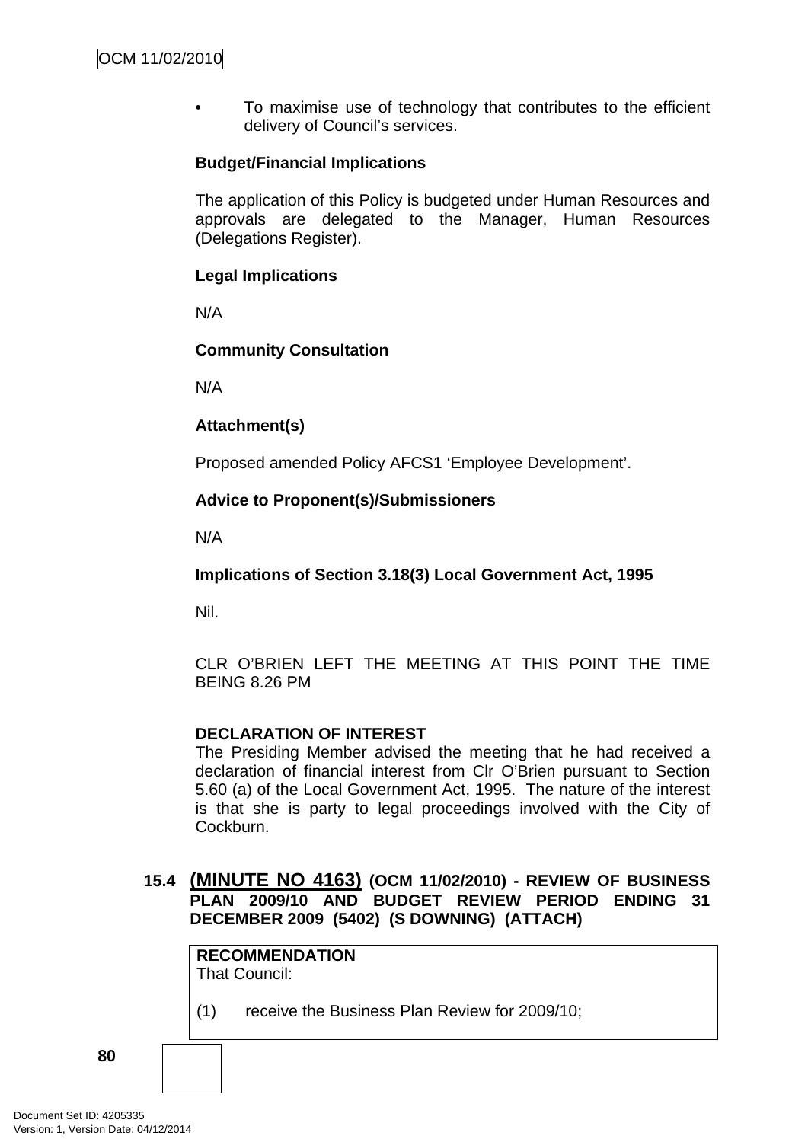• To maximise use of technology that contributes to the efficient delivery of Council's services.

# **Budget/Financial Implications**

The application of this Policy is budgeted under Human Resources and approvals are delegated to the Manager, Human Resources (Delegations Register).

## **Legal Implications**

N/A

# **Community Consultation**

N/A

# **Attachment(s)**

Proposed amended Policy AFCS1 'Employee Development'.

# **Advice to Proponent(s)/Submissioners**

N/A

**Implications of Section 3.18(3) Local Government Act, 1995**

Nil.

CLR O'BRIEN LEFT THE MEETING AT THIS POINT THE TIME BEING 8.26 PM

### **DECLARATION OF INTEREST**

The Presiding Member advised the meeting that he had received a declaration of financial interest from Clr O'Brien pursuant to Section 5.60 (a) of the Local Government Act, 1995. The nature of the interest is that she is party to legal proceedings involved with the City of Cockburn.

# **15.4 (MINUTE NO 4163) (OCM 11/02/2010) - REVIEW OF BUSINESS PLAN 2009/10 AND BUDGET REVIEW PERIOD ENDING 31 DECEMBER 2009 (5402) (S DOWNING) (ATTACH)**

|     | <b>RECOMMENDATION</b><br>That Council:        |
|-----|-----------------------------------------------|
| (1) | receive the Business Plan Review for 2009/10; |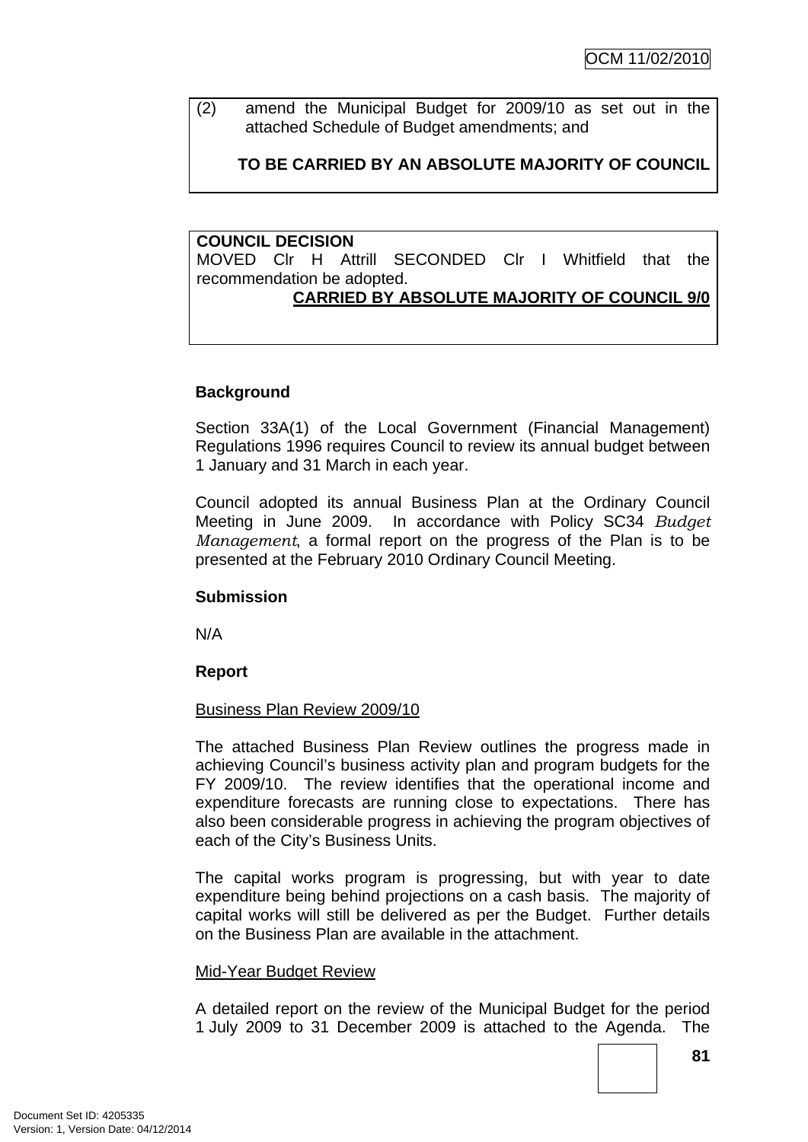(2) amend the Municipal Budget for 2009/10 as set out in the attached Schedule of Budget amendments; and

# **TO BE CARRIED BY AN ABSOLUTE MAJORITY OF COUNCIL**

## **COUNCIL DECISION**

MOVED Clr H Attrill SECONDED Clr I Whitfield that the recommendation be adopted.

# **CARRIED BY ABSOLUTE MAJORITY OF COUNCIL 9/0**

# **Background**

Section 33A(1) of the Local Government (Financial Management) Regulations 1996 requires Council to review its annual budget between 1 January and 31 March in each year.

Council adopted its annual Business Plan at the Ordinary Council Meeting in June 2009. In accordance with Policy SC34 *Budget Management*, a formal report on the progress of the Plan is to be presented at the February 2010 Ordinary Council Meeting.

### **Submission**

N/A

# **Report**

### Business Plan Review 2009/10

The attached Business Plan Review outlines the progress made in achieving Council's business activity plan and program budgets for the FY 2009/10. The review identifies that the operational income and expenditure forecasts are running close to expectations. There has also been considerable progress in achieving the program objectives of each of the City's Business Units.

The capital works program is progressing, but with year to date expenditure being behind projections on a cash basis. The majority of capital works will still be delivered as per the Budget. Further details on the Business Plan are available in the attachment.

### Mid-Year Budget Review

A detailed report on the review of the Municipal Budget for the period 1 July 2009 to 31 December 2009 is attached to the Agenda. The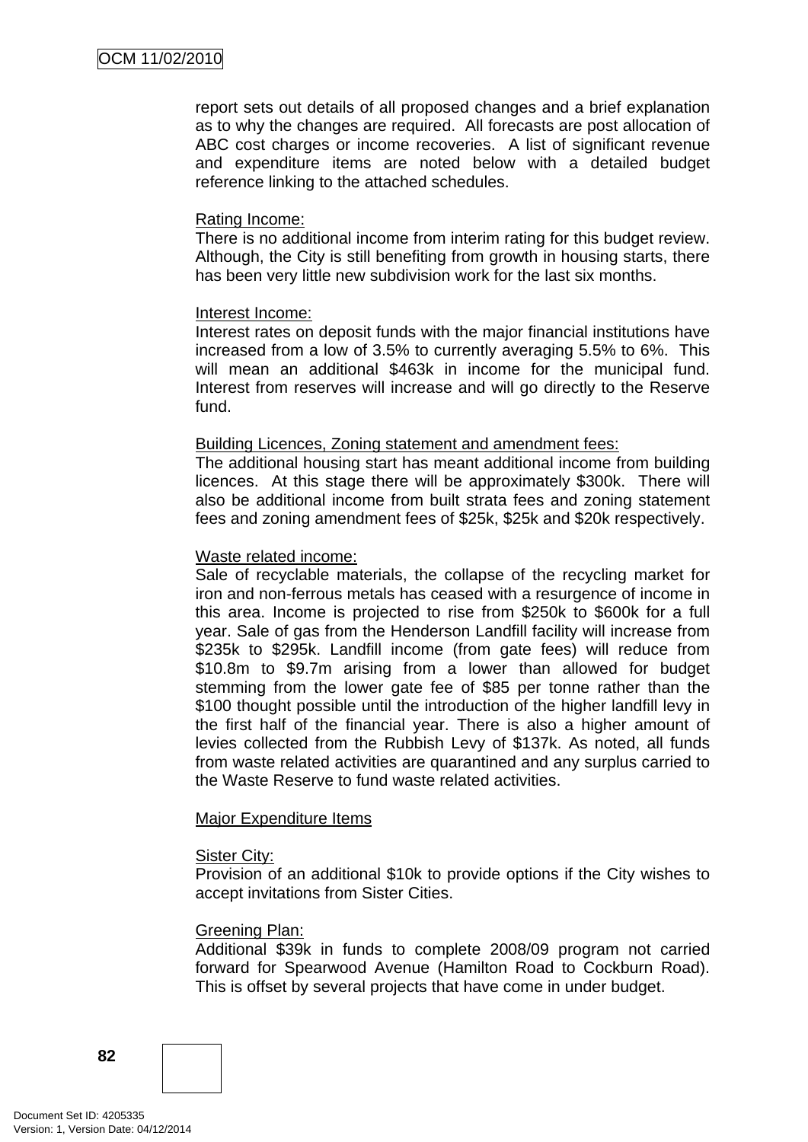report sets out details of all proposed changes and a brief explanation as to why the changes are required. All forecasts are post allocation of ABC cost charges or income recoveries. A list of significant revenue and expenditure items are noted below with a detailed budget reference linking to the attached schedules.

### Rating Income:

There is no additional income from interim rating for this budget review. Although, the City is still benefiting from growth in housing starts, there has been very little new subdivision work for the last six months.

### Interest Income:

Interest rates on deposit funds with the major financial institutions have increased from a low of 3.5% to currently averaging 5.5% to 6%. This will mean an additional \$463k in income for the municipal fund. Interest from reserves will increase and will go directly to the Reserve fund.

### Building Licences, Zoning statement and amendment fees:

The additional housing start has meant additional income from building licences. At this stage there will be approximately \$300k. There will also be additional income from built strata fees and zoning statement fees and zoning amendment fees of \$25k, \$25k and \$20k respectively.

### Waste related income:

Sale of recyclable materials, the collapse of the recycling market for iron and non-ferrous metals has ceased with a resurgence of income in this area. Income is projected to rise from \$250k to \$600k for a full year. Sale of gas from the Henderson Landfill facility will increase from \$235k to \$295k. Landfill income (from gate fees) will reduce from \$10.8m to \$9.7m arising from a lower than allowed for budget stemming from the lower gate fee of \$85 per tonne rather than the \$100 thought possible until the introduction of the higher landfill levy in the first half of the financial year. There is also a higher amount of levies collected from the Rubbish Levy of \$137k. As noted, all funds from waste related activities are quarantined and any surplus carried to the Waste Reserve to fund waste related activities.

#### Major Expenditure Items

#### Sister City:

Provision of an additional \$10k to provide options if the City wishes to accept invitations from Sister Cities.

### Greening Plan:

Additional \$39k in funds to complete 2008/09 program not carried forward for Spearwood Avenue (Hamilton Road to Cockburn Road). This is offset by several projects that have come in under budget.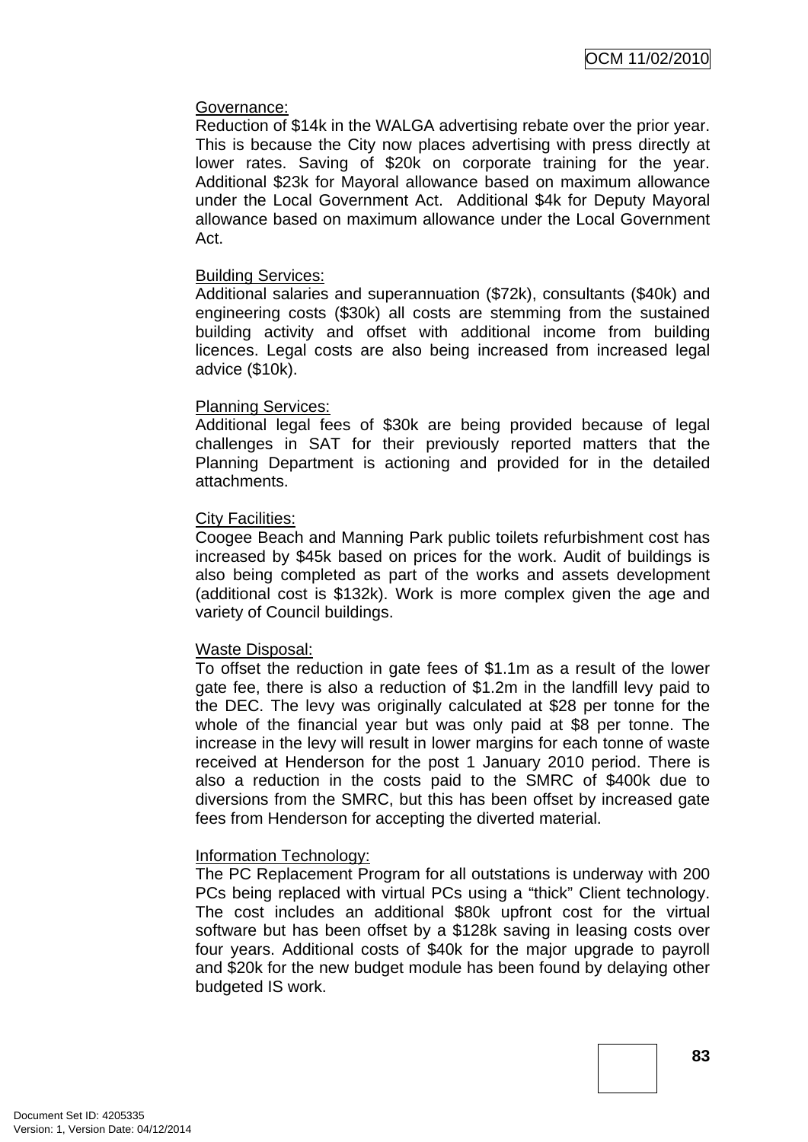### Governance:

Reduction of \$14k in the WALGA advertising rebate over the prior year. This is because the City now places advertising with press directly at lower rates. Saving of \$20k on corporate training for the year. Additional \$23k for Mayoral allowance based on maximum allowance under the Local Government Act. Additional \$4k for Deputy Mayoral allowance based on maximum allowance under the Local Government Act.

### Building Services:

Additional salaries and superannuation (\$72k), consultants (\$40k) and engineering costs (\$30k) all costs are stemming from the sustained building activity and offset with additional income from building licences. Legal costs are also being increased from increased legal advice (\$10k).

### Planning Services:

Additional legal fees of \$30k are being provided because of legal challenges in SAT for their previously reported matters that the Planning Department is actioning and provided for in the detailed attachments.

### City Facilities:

Coogee Beach and Manning Park public toilets refurbishment cost has increased by \$45k based on prices for the work. Audit of buildings is also being completed as part of the works and assets development (additional cost is \$132k). Work is more complex given the age and variety of Council buildings.

#### Waste Disposal:

To offset the reduction in gate fees of \$1.1m as a result of the lower gate fee, there is also a reduction of \$1.2m in the landfill levy paid to the DEC. The levy was originally calculated at \$28 per tonne for the whole of the financial year but was only paid at \$8 per tonne. The increase in the levy will result in lower margins for each tonne of waste received at Henderson for the post 1 January 2010 period. There is also a reduction in the costs paid to the SMRC of \$400k due to diversions from the SMRC, but this has been offset by increased gate fees from Henderson for accepting the diverted material.

### Information Technology:

The PC Replacement Program for all outstations is underway with 200 PCs being replaced with virtual PCs using a "thick" Client technology. The cost includes an additional \$80k upfront cost for the virtual software but has been offset by a \$128k saving in leasing costs over four years. Additional costs of \$40k for the major upgrade to payroll and \$20k for the new budget module has been found by delaying other budgeted IS work.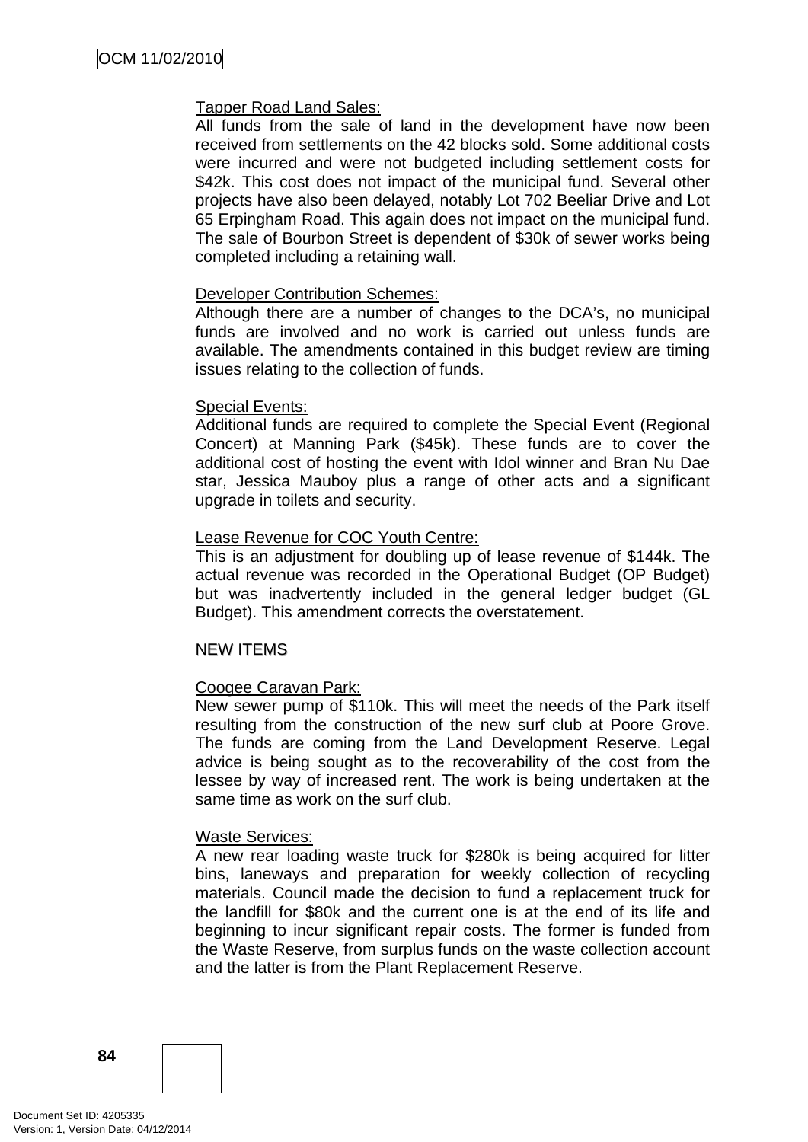## Tapper Road Land Sales:

All funds from the sale of land in the development have now been received from settlements on the 42 blocks sold. Some additional costs were incurred and were not budgeted including settlement costs for \$42k. This cost does not impact of the municipal fund. Several other projects have also been delayed, notably Lot 702 Beeliar Drive and Lot 65 Erpingham Road. This again does not impact on the municipal fund. The sale of Bourbon Street is dependent of \$30k of sewer works being completed including a retaining wall.

### Developer Contribution Schemes:

Although there are a number of changes to the DCA's, no municipal funds are involved and no work is carried out unless funds are available. The amendments contained in this budget review are timing issues relating to the collection of funds.

### Special Events:

Additional funds are required to complete the Special Event (Regional Concert) at Manning Park (\$45k). These funds are to cover the additional cost of hosting the event with Idol winner and Bran Nu Dae star, Jessica Mauboy plus a range of other acts and a significant upgrade in toilets and security.

### Lease Revenue for COC Youth Centre:

This is an adjustment for doubling up of lease revenue of \$144k. The actual revenue was recorded in the Operational Budget (OP Budget) but was inadvertently included in the general ledger budget (GL Budget). This amendment corrects the overstatement.

### NEW ITEMS

### Coogee Caravan Park:

New sewer pump of \$110k. This will meet the needs of the Park itself resulting from the construction of the new surf club at Poore Grove. The funds are coming from the Land Development Reserve. Legal advice is being sought as to the recoverability of the cost from the lessee by way of increased rent. The work is being undertaken at the same time as work on the surf club.

### Waste Services:

A new rear loading waste truck for \$280k is being acquired for litter bins, laneways and preparation for weekly collection of recycling materials. Council made the decision to fund a replacement truck for the landfill for \$80k and the current one is at the end of its life and beginning to incur significant repair costs. The former is funded from the Waste Reserve, from surplus funds on the waste collection account and the latter is from the Plant Replacement Reserve.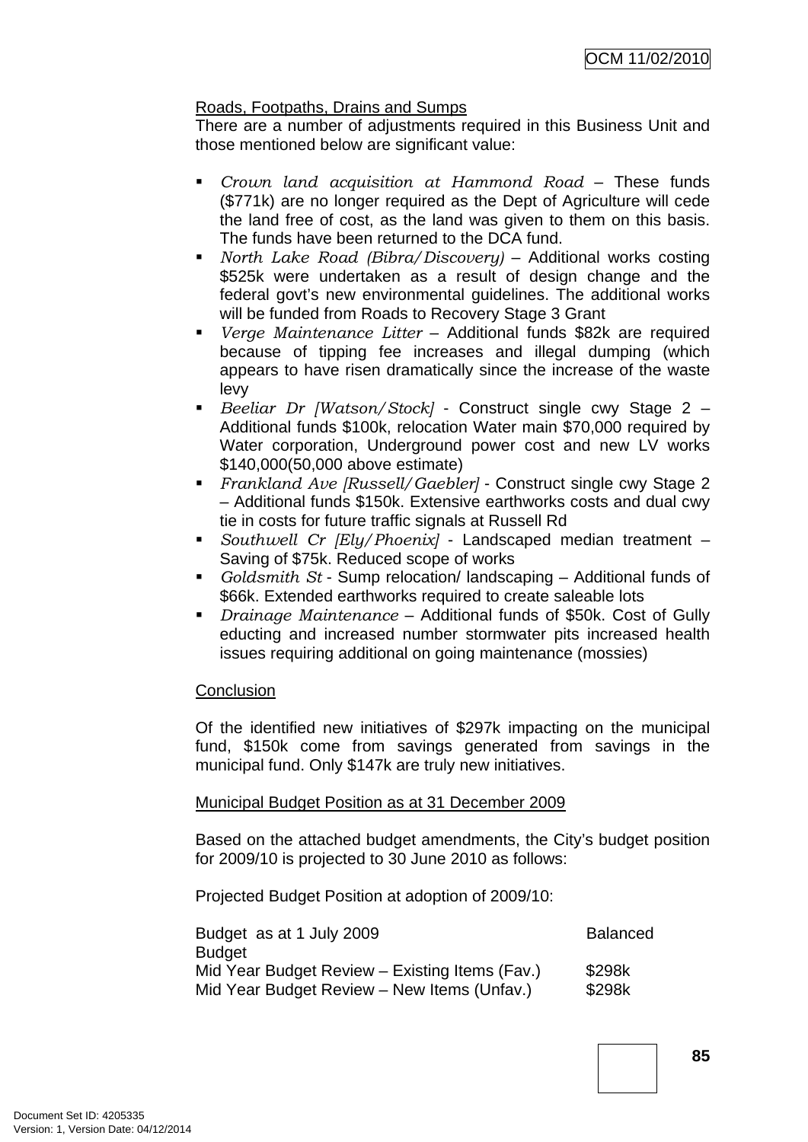# Roads, Footpaths, Drains and Sumps

There are a number of adjustments required in this Business Unit and those mentioned below are significant value:

- *Crown land acquisition at Hammond Road* These funds (\$771k) are no longer required as the Dept of Agriculture will cede the land free of cost, as the land was given to them on this basis. The funds have been returned to the DCA fund.
- *North Lake Road (Bibra/Discovery)* Additional works costing \$525k were undertaken as a result of design change and the federal govt's new environmental guidelines. The additional works will be funded from Roads to Recovery Stage 3 Grant
- *Verge Maintenance Litter* Additional funds \$82k are required because of tipping fee increases and illegal dumping (which appears to have risen dramatically since the increase of the waste levy
- *Beeliar Dr [Watson/Stock]* Construct single cwy Stage 2 Additional funds \$100k, relocation Water main \$70,000 required by Water corporation, Underground power cost and new LV works \$140,000(50,000 above estimate)
- *Frankland Ave [Russell/Gaebler]* Construct single cwy Stage 2 – Additional funds \$150k. Extensive earthworks costs and dual cwy tie in costs for future traffic signals at Russell Rd
- *Southwell Cr [Ely/Phoenix]* Landscaped median treatment Saving of \$75k. Reduced scope of works
- *Goldsmith St* Sump relocation/ landscaping Additional funds of \$66k. Extended earthworks required to create saleable lots
- *Drainage Maintenance* Additional funds of \$50k. Cost of Gully educting and increased number stormwater pits increased health issues requiring additional on going maintenance (mossies)

### **Conclusion**

Of the identified new initiatives of \$297k impacting on the municipal fund, \$150k come from savings generated from savings in the municipal fund. Only \$147k are truly new initiatives.

### Municipal Budget Position as at 31 December 2009

Based on the attached budget amendments, the City's budget position for 2009/10 is projected to 30 June 2010 as follows:

Projected Budget Position at adoption of 2009/10:

| Budget as at 1 July 2009                       | <b>Balanced</b> |
|------------------------------------------------|-----------------|
| <b>Budget</b>                                  |                 |
| Mid Year Budget Review – Existing Items (Fav.) | \$298k          |
| Mid Year Budget Review – New Items (Unfav.)    | \$298k          |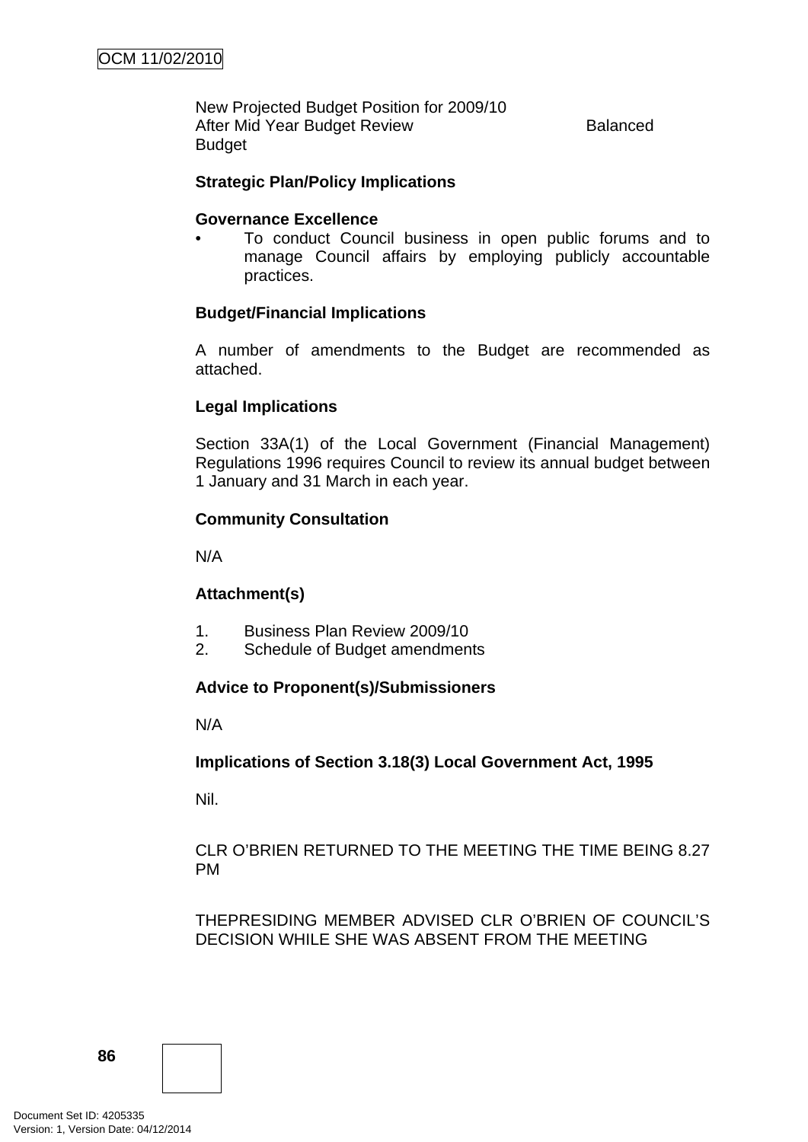New Projected Budget Position for 2009/10 After Mid Year Budget Review **Balanced** Budget

## **Strategic Plan/Policy Implications**

### **Governance Excellence**

• To conduct Council business in open public forums and to manage Council affairs by employing publicly accountable practices.

### **Budget/Financial Implications**

A number of amendments to the Budget are recommended as attached.

### **Legal Implications**

Section 33A(1) of the Local Government (Financial Management) Regulations 1996 requires Council to review its annual budget between 1 January and 31 March in each year.

### **Community Consultation**

N/A

### **Attachment(s)**

- 1. Business Plan Review 2009/10
- 2. Schedule of Budget amendments

### **Advice to Proponent(s)/Submissioners**

N/A

### **Implications of Section 3.18(3) Local Government Act, 1995**

Nil.

CLR O'BRIEN RETURNED TO THE MEETING THE TIME BEING 8.27 PM

THEPRESIDING MEMBER ADVISED CLR O'BRIEN OF COUNCIL'S DECISION WHILE SHE WAS ABSENT FROM THE MEETING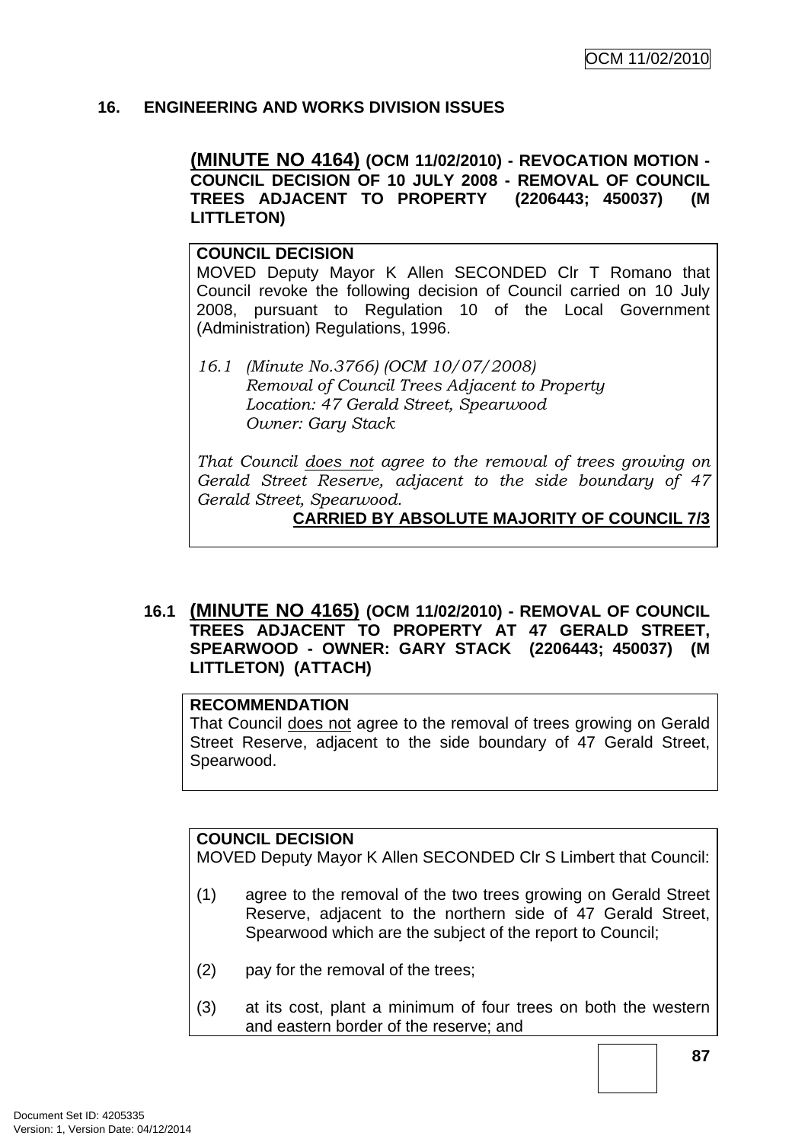# **16. ENGINEERING AND WORKS DIVISION ISSUES**

**(MINUTE NO 4164) (OCM 11/02/2010) - REVOCATION MOTION - COUNCIL DECISION OF 10 JULY 2008 - REMOVAL OF COUNCIL TREES ADJACENT TO PROPERTY (2206443; 450037) (M LITTLETON)** 

### **COUNCIL DECISION**

MOVED Deputy Mayor K Allen SECONDED Clr T Romano that Council revoke the following decision of Council carried on 10 July 2008, pursuant to Regulation 10 of the Local Government (Administration) Regulations, 1996.

*16.1 (Minute No.3766) (OCM 10/07/2008) Removal of Council Trees Adjacent to Property Location: 47 Gerald Street, Spearwood Owner: Gary Stack* 

*That Council does not agree to the removal of trees growing on Gerald Street Reserve, adjacent to the side boundary of 47 Gerald Street, Spearwood.*

### **CARRIED BY ABSOLUTE MAJORITY OF COUNCIL 7/3**

**16.1 (MINUTE NO 4165) (OCM 11/02/2010) - REMOVAL OF COUNCIL TREES ADJACENT TO PROPERTY AT 47 GERALD STREET, SPEARWOOD - OWNER: GARY STACK (2206443; 450037) (M LITTLETON) (ATTACH)** 

#### **RECOMMENDATION**

That Council does not agree to the removal of trees growing on Gerald Street Reserve, adjacent to the side boundary of 47 Gerald Street, Spearwood.

## **COUNCIL DECISION**

MOVED Deputy Mayor K Allen SECONDED Clr S Limbert that Council:

- (1) agree to the removal of the two trees growing on Gerald Street Reserve, adjacent to the northern side of 47 Gerald Street, Spearwood which are the subject of the report to Council;
- (2) pay for the removal of the trees;
- (3) at its cost, plant a minimum of four trees on both the western and eastern border of the reserve; and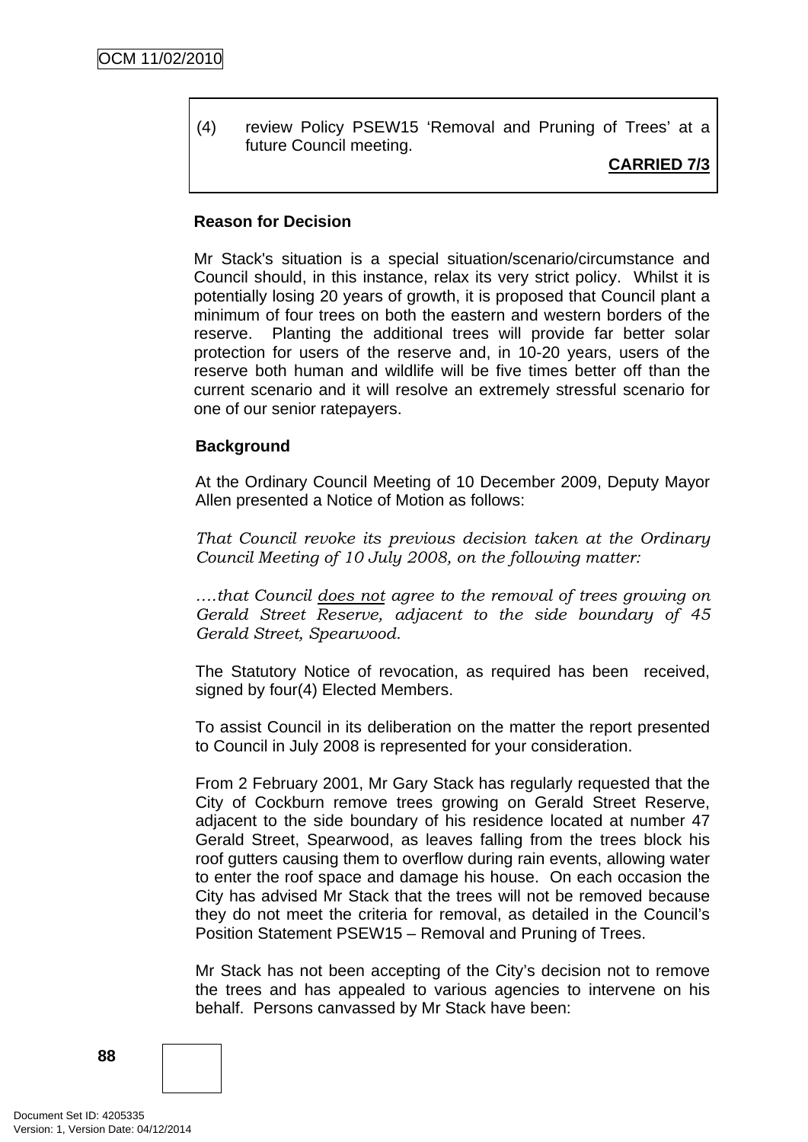(4) review Policy PSEW15 'Removal and Pruning of Trees' at a future Council meeting.

# **CARRIED 7/3**

#### **Reason for Decision**

Mr Stack's situation is a special situation/scenario/circumstance and Council should, in this instance, relax its very strict policy. Whilst it is potentially losing 20 years of growth, it is proposed that Council plant a minimum of four trees on both the eastern and western borders of the reserve. Planting the additional trees will provide far better solar protection for users of the reserve and, in 10-20 years, users of the reserve both human and wildlife will be five times better off than the current scenario and it will resolve an extremely stressful scenario for one of our senior ratepayers.

### **Background**

At the Ordinary Council Meeting of 10 December 2009, Deputy Mayor Allen presented a Notice of Motion as follows:

*That Council revoke its previous decision taken at the Ordinary Council Meeting of 10 July 2008, on the following matter:* 

*….that Council does not agree to the removal of trees growing on Gerald Street Reserve, adjacent to the side boundary of 45 Gerald Street, Spearwood.*

The Statutory Notice of revocation, as required has been received, signed by four(4) Elected Members.

To assist Council in its deliberation on the matter the report presented to Council in July 2008 is represented for your consideration.

From 2 February 2001, Mr Gary Stack has regularly requested that the City of Cockburn remove trees growing on Gerald Street Reserve, adjacent to the side boundary of his residence located at number 47 Gerald Street, Spearwood, as leaves falling from the trees block his roof gutters causing them to overflow during rain events, allowing water to enter the roof space and damage his house. On each occasion the City has advised Mr Stack that the trees will not be removed because they do not meet the criteria for removal, as detailed in the Council's Position Statement PSEW15 – Removal and Pruning of Trees.

Mr Stack has not been accepting of the City's decision not to remove the trees and has appealed to various agencies to intervene on his behalf. Persons canvassed by Mr Stack have been: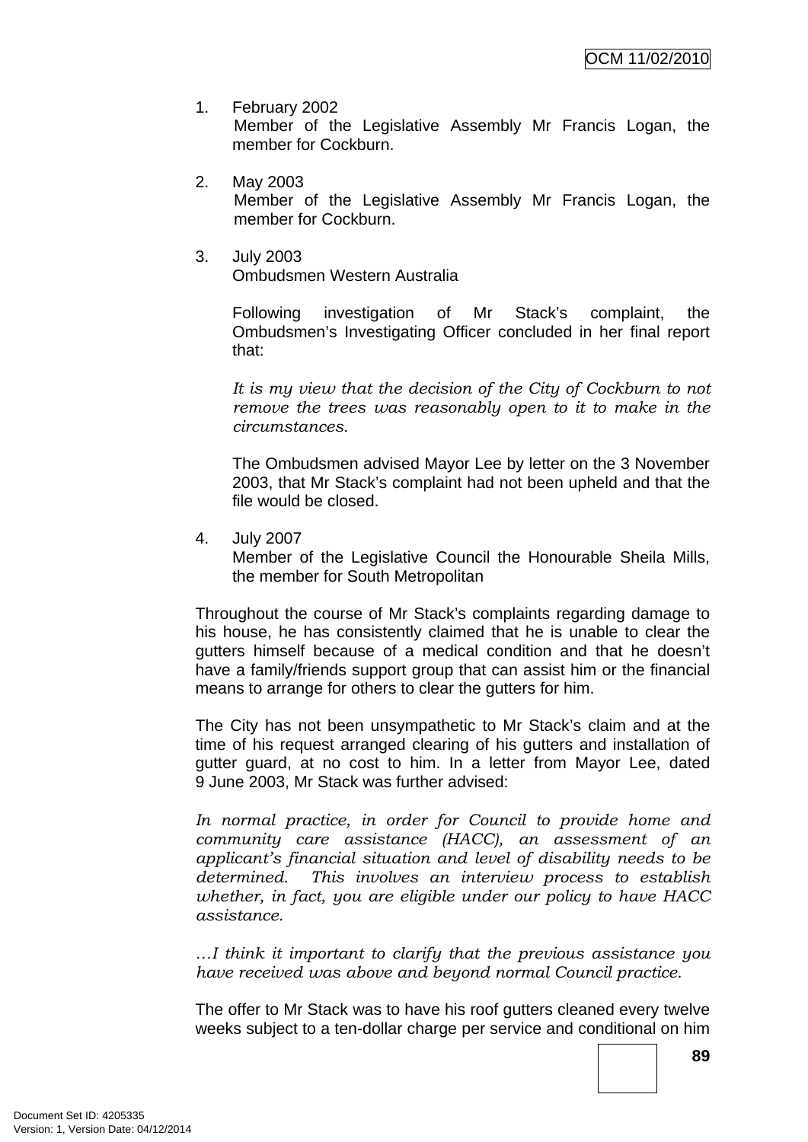- 1. February 2002 Member of the Legislative Assembly Mr Francis Logan, the member for Cockburn.
- 2. May 2003 Member of the Legislative Assembly Mr Francis Logan, the member for Cockburn.
- 3. July 2003 Ombudsmen Western Australia

Following investigation of Mr Stack's complaint, the Ombudsmen's Investigating Officer concluded in her final report that:

*It is my view that the decision of the City of Cockburn to not remove the trees was reasonably open to it to make in the circumstances.* 

The Ombudsmen advised Mayor Lee by letter on the 3 November 2003, that Mr Stack's complaint had not been upheld and that the file would be closed.

4. July 2007

Member of the Legislative Council the Honourable Sheila Mills, the member for South Metropolitan

Throughout the course of Mr Stack's complaints regarding damage to his house, he has consistently claimed that he is unable to clear the gutters himself because of a medical condition and that he doesn't have a family/friends support group that can assist him or the financial means to arrange for others to clear the gutters for him.

The City has not been unsympathetic to Mr Stack's claim and at the time of his request arranged clearing of his gutters and installation of gutter guard, at no cost to him. In a letter from Mayor Lee, dated 9 June 2003, Mr Stack was further advised:

*In normal practice, in order for Council to provide home and community care assistance (HACC), an assessment of an applicant's financial situation and level of disability needs to be determined. This involves an interview process to establish whether, in fact, you are eligible under our policy to have HACC assistance.*

*…I think it important to clarify that the previous assistance you have received was above and beyond normal Council practice.* 

The offer to Mr Stack was to have his roof gutters cleaned every twelve weeks subject to a ten-dollar charge per service and conditional on him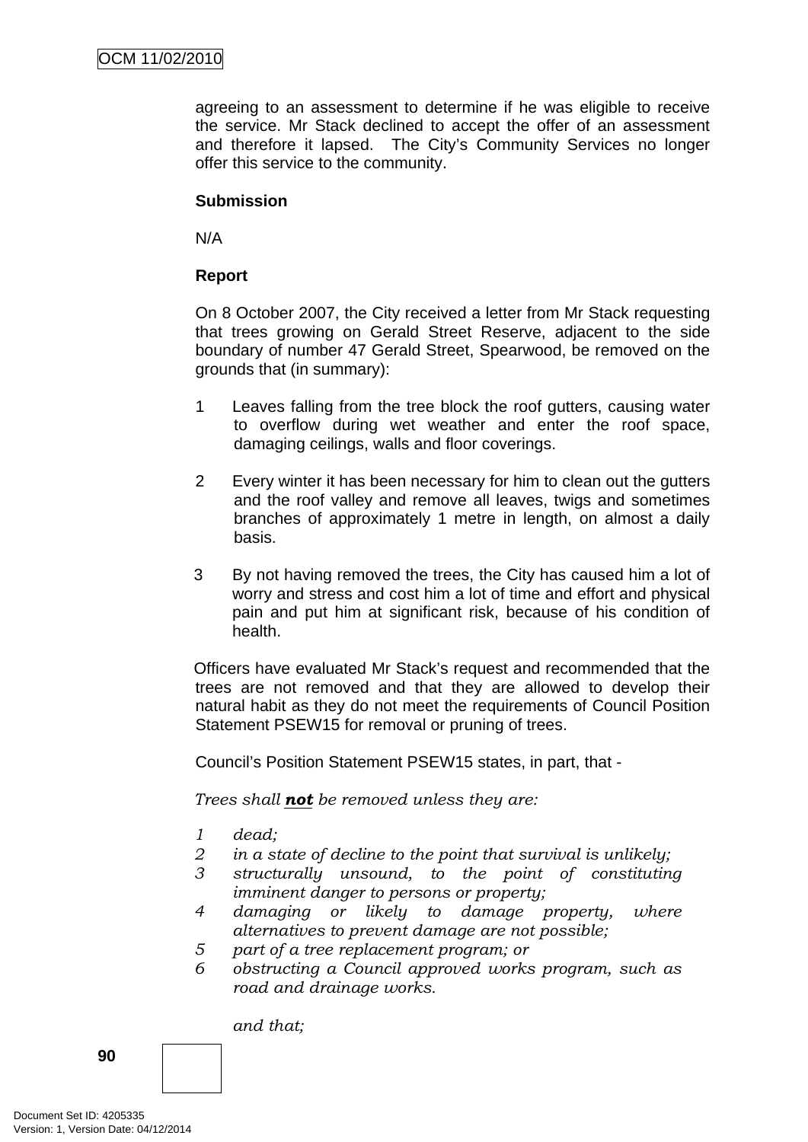agreeing to an assessment to determine if he was eligible to receive the service. Mr Stack declined to accept the offer of an assessment and therefore it lapsed. The City's Community Services no longer offer this service to the community.

# **Submission**

N/A

## **Report**

On 8 October 2007, the City received a letter from Mr Stack requesting that trees growing on Gerald Street Reserve, adjacent to the side boundary of number 47 Gerald Street, Spearwood, be removed on the grounds that (in summary):

- 1 Leaves falling from the tree block the roof gutters, causing water to overflow during wet weather and enter the roof space, damaging ceilings, walls and floor coverings.
- 2 Every winter it has been necessary for him to clean out the gutters and the roof valley and remove all leaves, twigs and sometimes branches of approximately 1 metre in length, on almost a daily basis.
- 3 By not having removed the trees, the City has caused him a lot of worry and stress and cost him a lot of time and effort and physical pain and put him at significant risk, because of his condition of health.

Officers have evaluated Mr Stack's request and recommended that the trees are not removed and that they are allowed to develop their natural habit as they do not meet the requirements of Council Position Statement PSEW15 for removal or pruning of trees.

Council's Position Statement PSEW15 states, in part, that -

*Trees shall not be removed unless they are:* 

- *1 dead;*
- *2 in a state of decline to the point that survival is unlikely;*
- *3 structurally unsound, to the point of constituting imminent danger to persons or property;*
- *4 damaging or likely to damage property, where alternatives to prevent damage are not possible;*
- *5 part of a tree replacement program; or*
- *6 obstructing a Council approved works program, such as road and drainage works.*

*and that;*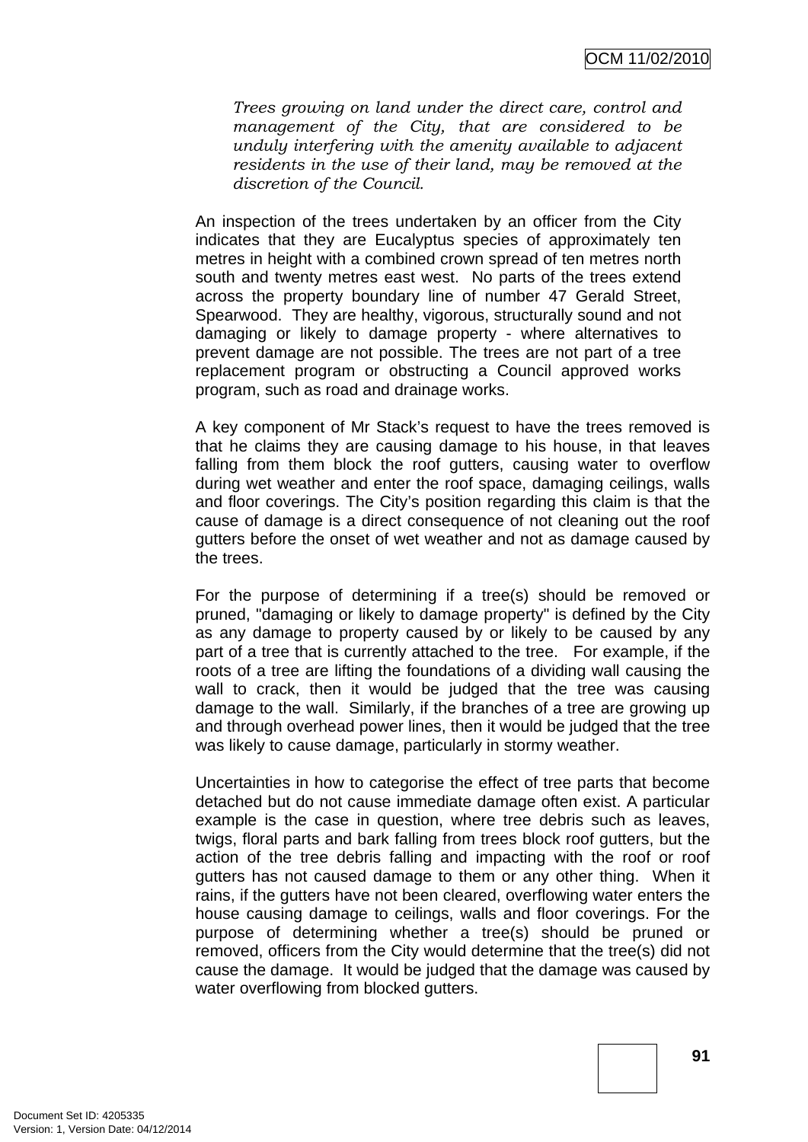*Trees growing on land under the direct care, control and management of the City, that are considered to be unduly interfering with the amenity available to adjacent residents in the use of their land, may be removed at the discretion of the Council.* 

An inspection of the trees undertaken by an officer from the City indicates that they are Eucalyptus species of approximately ten metres in height with a combined crown spread of ten metres north south and twenty metres east west. No parts of the trees extend across the property boundary line of number 47 Gerald Street, Spearwood. They are healthy, vigorous, structurally sound and not damaging or likely to damage property - where alternatives to prevent damage are not possible. The trees are not part of a tree replacement program or obstructing a Council approved works program, such as road and drainage works.

A key component of Mr Stack's request to have the trees removed is that he claims they are causing damage to his house, in that leaves falling from them block the roof gutters, causing water to overflow during wet weather and enter the roof space, damaging ceilings, walls and floor coverings. The City's position regarding this claim is that the cause of damage is a direct consequence of not cleaning out the roof gutters before the onset of wet weather and not as damage caused by the trees.

For the purpose of determining if a tree(s) should be removed or pruned, "damaging or likely to damage property" is defined by the City as any damage to property caused by or likely to be caused by any part of a tree that is currently attached to the tree. For example, if the roots of a tree are lifting the foundations of a dividing wall causing the wall to crack, then it would be judged that the tree was causing damage to the wall. Similarly, if the branches of a tree are growing up and through overhead power lines, then it would be judged that the tree was likely to cause damage, particularly in stormy weather.

Uncertainties in how to categorise the effect of tree parts that become detached but do not cause immediate damage often exist. A particular example is the case in question, where tree debris such as leaves, twigs, floral parts and bark falling from trees block roof gutters, but the action of the tree debris falling and impacting with the roof or roof gutters has not caused damage to them or any other thing. When it rains, if the gutters have not been cleared, overflowing water enters the house causing damage to ceilings, walls and floor coverings. For the purpose of determining whether a tree(s) should be pruned or removed, officers from the City would determine that the tree(s) did not cause the damage. It would be judged that the damage was caused by water overflowing from blocked gutters.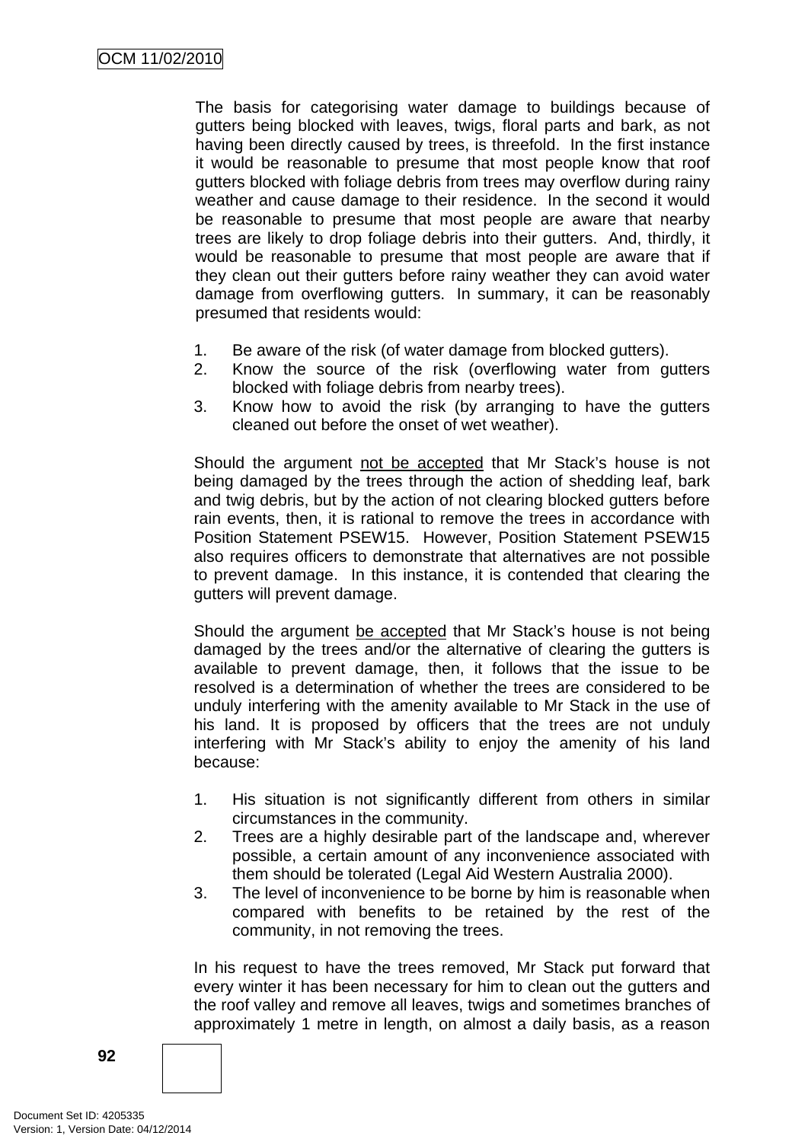The basis for categorising water damage to buildings because of gutters being blocked with leaves, twigs, floral parts and bark, as not having been directly caused by trees, is threefold. In the first instance it would be reasonable to presume that most people know that roof gutters blocked with foliage debris from trees may overflow during rainy weather and cause damage to their residence. In the second it would be reasonable to presume that most people are aware that nearby trees are likely to drop foliage debris into their gutters. And, thirdly, it would be reasonable to presume that most people are aware that if they clean out their gutters before rainy weather they can avoid water damage from overflowing gutters. In summary, it can be reasonably presumed that residents would:

- 1. Be aware of the risk (of water damage from blocked gutters).
- 2. Know the source of the risk (overflowing water from gutters blocked with foliage debris from nearby trees).
- 3. Know how to avoid the risk (by arranging to have the gutters cleaned out before the onset of wet weather).

Should the argument not be accepted that Mr Stack's house is not being damaged by the trees through the action of shedding leaf, bark and twig debris, but by the action of not clearing blocked gutters before rain events, then, it is rational to remove the trees in accordance with Position Statement PSEW15. However, Position Statement PSEW15 also requires officers to demonstrate that alternatives are not possible to prevent damage. In this instance, it is contended that clearing the gutters will prevent damage.

Should the argument be accepted that Mr Stack's house is not being damaged by the trees and/or the alternative of clearing the gutters is available to prevent damage, then, it follows that the issue to be resolved is a determination of whether the trees are considered to be unduly interfering with the amenity available to Mr Stack in the use of his land. It is proposed by officers that the trees are not unduly interfering with Mr Stack's ability to enjoy the amenity of his land because:

- 1. His situation is not significantly different from others in similar circumstances in the community.
- 2. Trees are a highly desirable part of the landscape and, wherever possible, a certain amount of any inconvenience associated with them should be tolerated (Legal Aid Western Australia 2000).
- 3. The level of inconvenience to be borne by him is reasonable when compared with benefits to be retained by the rest of the community, in not removing the trees.

In his request to have the trees removed, Mr Stack put forward that every winter it has been necessary for him to clean out the gutters and the roof valley and remove all leaves, twigs and sometimes branches of approximately 1 metre in length, on almost a daily basis, as a reason

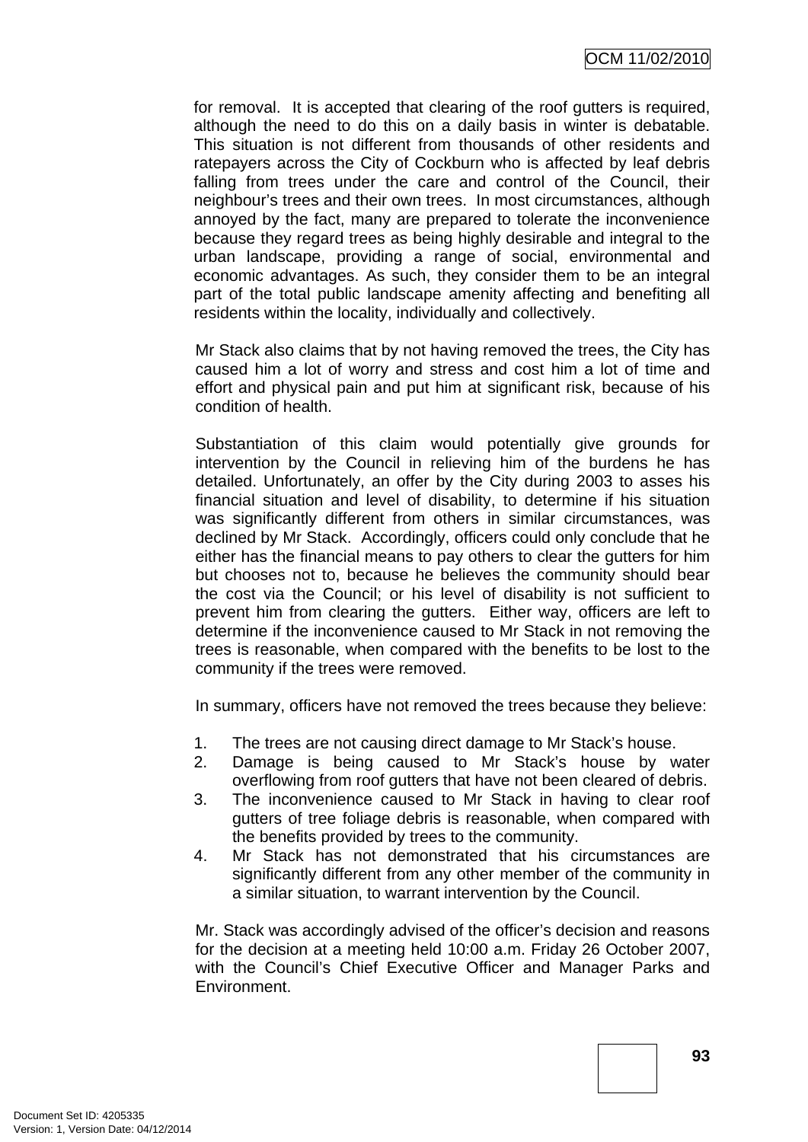for removal. It is accepted that clearing of the roof gutters is required, although the need to do this on a daily basis in winter is debatable. This situation is not different from thousands of other residents and ratepayers across the City of Cockburn who is affected by leaf debris falling from trees under the care and control of the Council, their neighbour's trees and their own trees. In most circumstances, although annoyed by the fact, many are prepared to tolerate the inconvenience because they regard trees as being highly desirable and integral to the urban landscape, providing a range of social, environmental and economic advantages. As such, they consider them to be an integral part of the total public landscape amenity affecting and benefiting all residents within the locality, individually and collectively.

Mr Stack also claims that by not having removed the trees, the City has caused him a lot of worry and stress and cost him a lot of time and effort and physical pain and put him at significant risk, because of his condition of health.

Substantiation of this claim would potentially give grounds for intervention by the Council in relieving him of the burdens he has detailed. Unfortunately, an offer by the City during 2003 to asses his financial situation and level of disability, to determine if his situation was significantly different from others in similar circumstances, was declined by Mr Stack. Accordingly, officers could only conclude that he either has the financial means to pay others to clear the gutters for him but chooses not to, because he believes the community should bear the cost via the Council; or his level of disability is not sufficient to prevent him from clearing the gutters. Either way, officers are left to determine if the inconvenience caused to Mr Stack in not removing the trees is reasonable, when compared with the benefits to be lost to the community if the trees were removed.

In summary, officers have not removed the trees because they believe:

- 1. The trees are not causing direct damage to Mr Stack's house.
- 2. Damage is being caused to Mr Stack's house by water overflowing from roof gutters that have not been cleared of debris.
- 3. The inconvenience caused to Mr Stack in having to clear roof gutters of tree foliage debris is reasonable, when compared with the benefits provided by trees to the community.
- 4. Mr Stack has not demonstrated that his circumstances are significantly different from any other member of the community in a similar situation, to warrant intervention by the Council.

Mr. Stack was accordingly advised of the officer's decision and reasons for the decision at a meeting held 10:00 a.m. Friday 26 October 2007, with the Council's Chief Executive Officer and Manager Parks and Environment.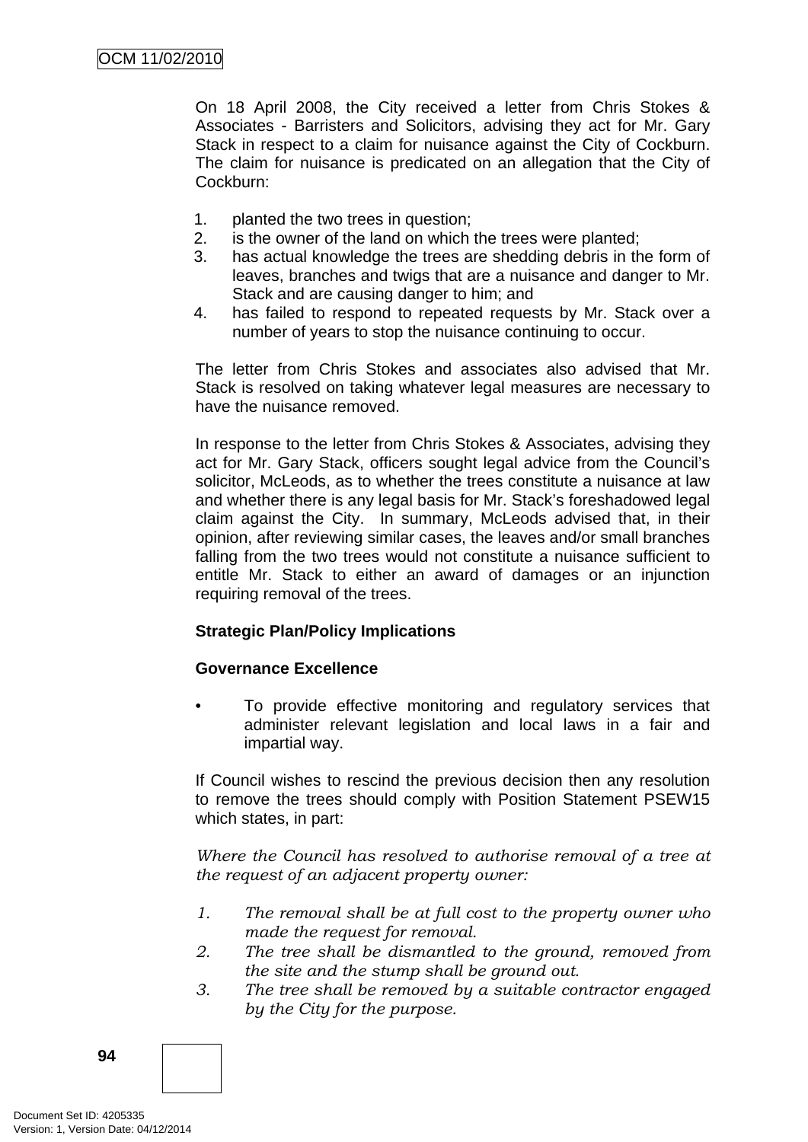On 18 April 2008, the City received a letter from Chris Stokes & Associates - Barristers and Solicitors, advising they act for Mr. Gary Stack in respect to a claim for nuisance against the City of Cockburn. The claim for nuisance is predicated on an allegation that the City of Cockburn:

- 1. planted the two trees in question;
- 2. is the owner of the land on which the trees were planted;
- 3. has actual knowledge the trees are shedding debris in the form of leaves, branches and twigs that are a nuisance and danger to Mr. Stack and are causing danger to him; and
- 4. has failed to respond to repeated requests by Mr. Stack over a number of years to stop the nuisance continuing to occur.

The letter from Chris Stokes and associates also advised that Mr. Stack is resolved on taking whatever legal measures are necessary to have the nuisance removed.

In response to the letter from Chris Stokes & Associates, advising they act for Mr. Gary Stack, officers sought legal advice from the Council's solicitor, McLeods, as to whether the trees constitute a nuisance at law and whether there is any legal basis for Mr. Stack's foreshadowed legal claim against the City. In summary, McLeods advised that, in their opinion, after reviewing similar cases, the leaves and/or small branches falling from the two trees would not constitute a nuisance sufficient to entitle Mr. Stack to either an award of damages or an injunction requiring removal of the trees.

### **Strategic Plan/Policy Implications**

### **Governance Excellence**

To provide effective monitoring and regulatory services that administer relevant legislation and local laws in a fair and impartial way.

If Council wishes to rescind the previous decision then any resolution to remove the trees should comply with Position Statement PSEW15 which states, in part:

*Where the Council has resolved to authorise removal of a tree at the request of an adjacent property owner:* 

- *1. The removal shall be at full cost to the property owner who made the request for removal.*
- *2. The tree shall be dismantled to the ground, removed from the site and the stump shall be ground out.*
- *3. The tree shall be removed by a suitable contractor engaged by the City for the purpose.*

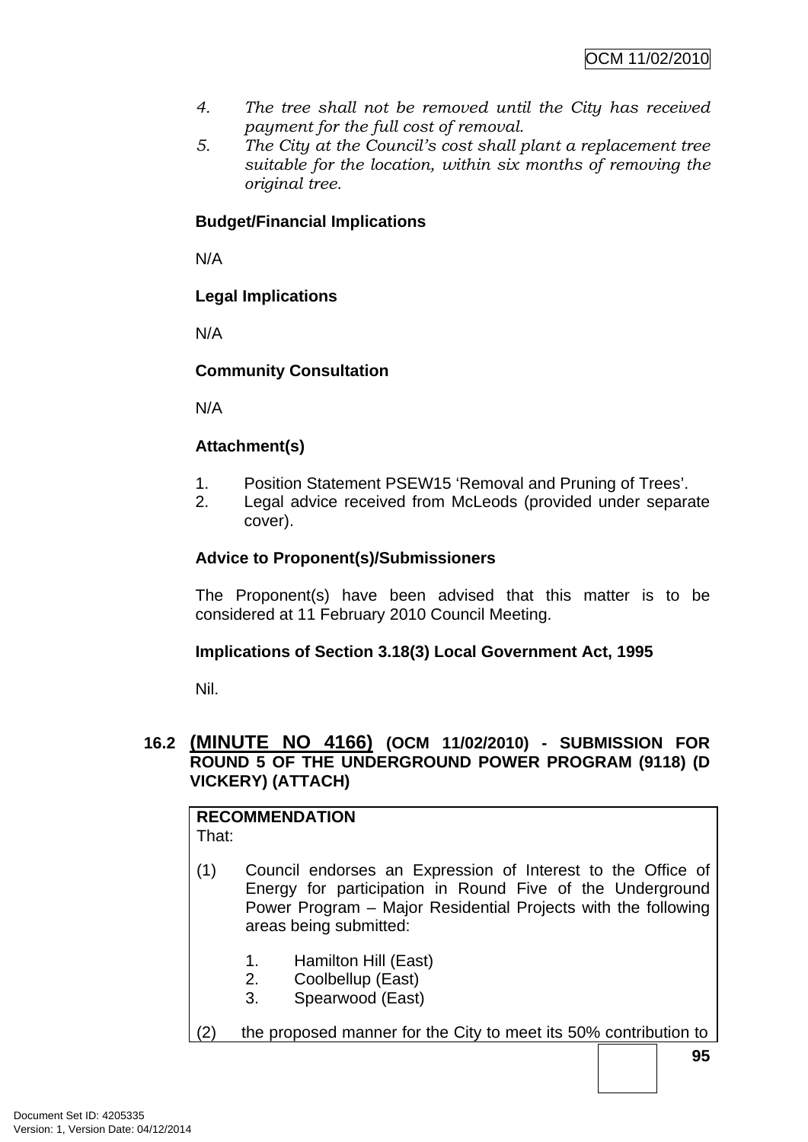- *4. The tree shall not be removed until the City has received payment for the full cost of removal.*
- *5. The City at the Council's cost shall plant a replacement tree suitable for the location, within six months of removing the original tree.*

# **Budget/Financial Implications**

N/A

# **Legal Implications**

N/A

# **Community Consultation**

N/A

# **Attachment(s)**

- 1. Position Statement PSEW15 'Removal and Pruning of Trees'.
- 2. Legal advice received from McLeods (provided under separate cover).

# **Advice to Proponent(s)/Submissioners**

The Proponent(s) have been advised that this matter is to be considered at 11 February 2010 Council Meeting.

# **Implications of Section 3.18(3) Local Government Act, 1995**

Nil.

# **16.2 (MINUTE NO 4166) (OCM 11/02/2010) - SUBMISSION FOR ROUND 5 OF THE UNDERGROUND POWER PROGRAM (9118) (D VICKERY) (ATTACH)**

#### **RECOMMENDATION** That:

- (1) Council endorses an Expression of Interest to the Office of Energy for participation in Round Five of the Underground Power Program – Major Residential Projects with the following areas being submitted:
	- 1. Hamilton Hill (East)
	- 2. Coolbellup (East)
	- 3. Spearwood (East)
- (2) the proposed manner for the City to meet its 50% contribution to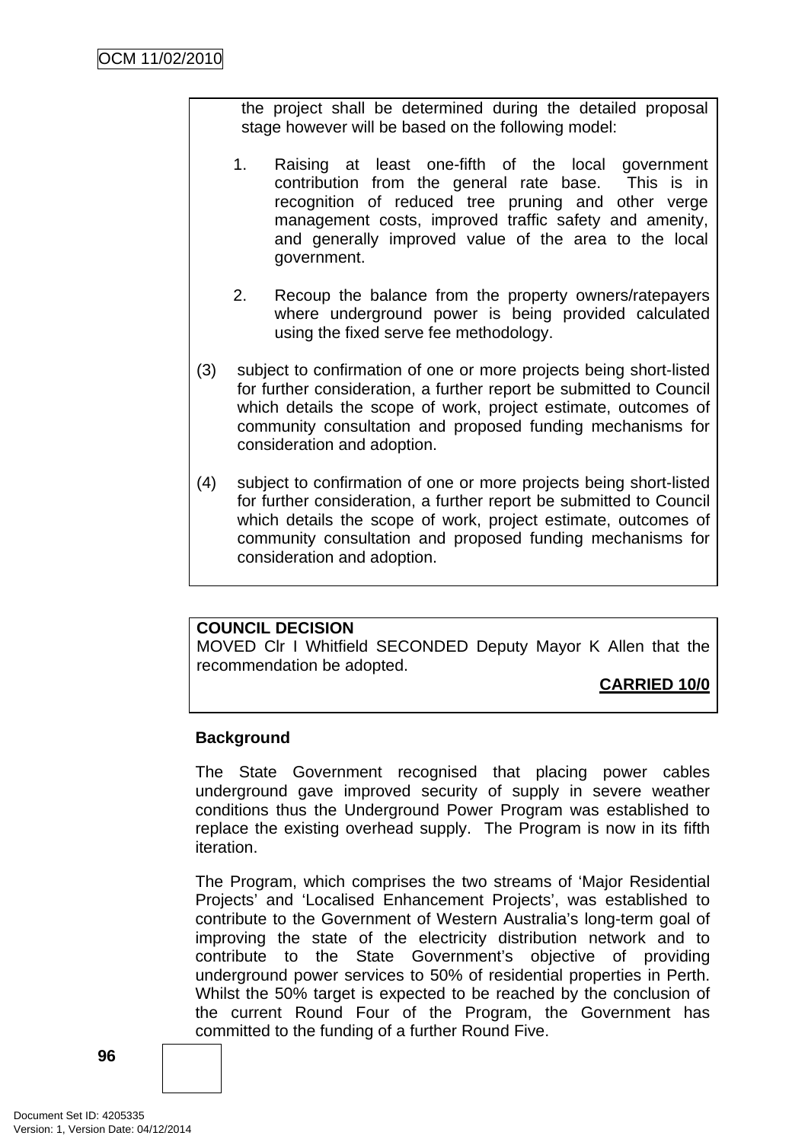the project shall be determined during the detailed proposal stage however will be based on the following model:

- 1. Raising at least one-fifth of the local government contribution from the general rate base. This is in recognition of reduced tree pruning and other verge management costs, improved traffic safety and amenity, and generally improved value of the area to the local government.
- 2. Recoup the balance from the property owners/ratepayers where underground power is being provided calculated using the fixed serve fee methodology.
- (3) subject to confirmation of one or more projects being short-listed for further consideration, a further report be submitted to Council which details the scope of work, project estimate, outcomes of community consultation and proposed funding mechanisms for consideration and adoption.
- (4) subject to confirmation of one or more projects being short-listed for further consideration, a further report be submitted to Council which details the scope of work, project estimate, outcomes of community consultation and proposed funding mechanisms for consideration and adoption.

### **COUNCIL DECISION**

MOVED Clr I Whitfield SECONDED Deputy Mayor K Allen that the recommendation be adopted.

**CARRIED 10/0**

### **Background**

The State Government recognised that placing power cables underground gave improved security of supply in severe weather conditions thus the Underground Power Program was established to replace the existing overhead supply. The Program is now in its fifth iteration.

The Program, which comprises the two streams of 'Major Residential Projects' and 'Localised Enhancement Projects', was established to contribute to the Government of Western Australia's long-term goal of improving the state of the electricity distribution network and to contribute to the State Government's objective of providing underground power services to 50% of residential properties in Perth. Whilst the 50% target is expected to be reached by the conclusion of the current Round Four of the Program, the Government has committed to the funding of a further Round Five.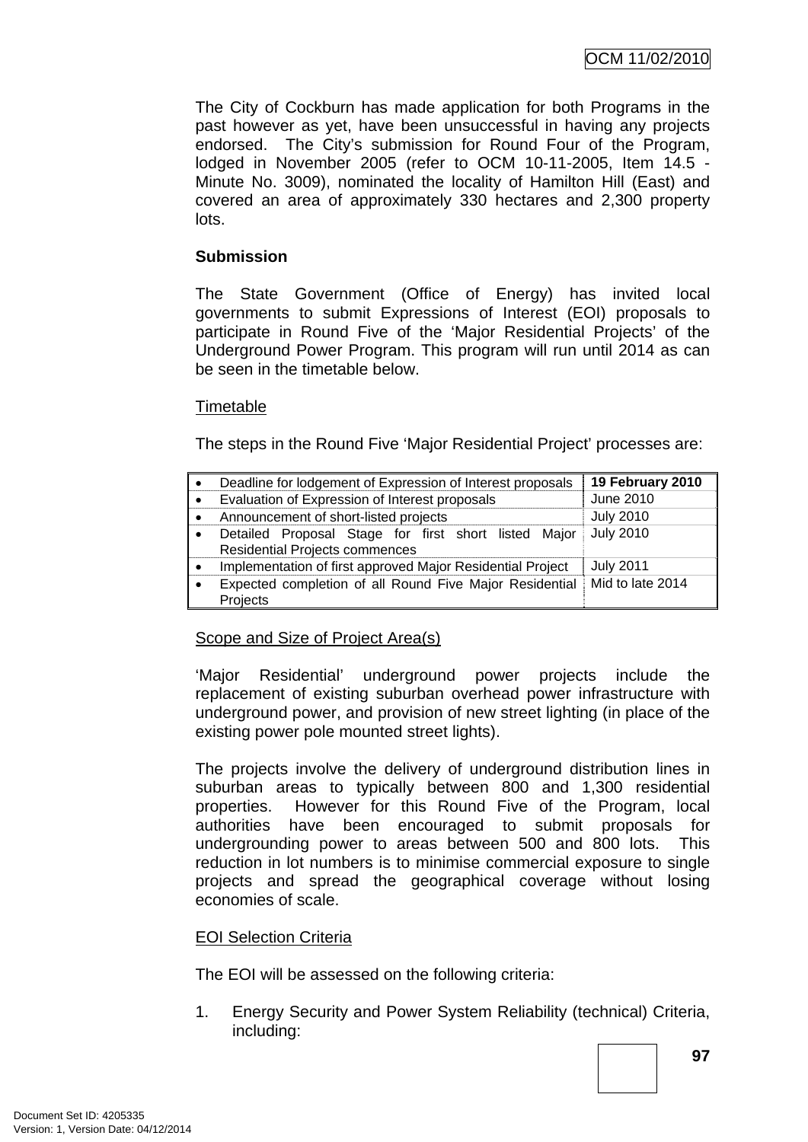The City of Cockburn has made application for both Programs in the past however as yet, have been unsuccessful in having any projects endorsed. The City's submission for Round Four of the Program, lodged in November 2005 (refer to OCM 10-11-2005, Item 14.5 - Minute No. 3009), nominated the locality of Hamilton Hill (East) and covered an area of approximately 330 hectares and 2,300 property lots.

## **Submission**

The State Government (Office of Energy) has invited local governments to submit Expressions of Interest (EOI) proposals to participate in Round Five of the 'Major Residential Projects' of the Underground Power Program. This program will run until 2014 as can be seen in the timetable below.

### **Timetable**

The steps in the Round Five 'Major Residential Project' processes are:

| $\bullet$ | Deadline for lodgement of Expression of Interest proposals                             | 19 February 2010 |
|-----------|----------------------------------------------------------------------------------------|------------------|
| $\bullet$ | Evaluation of Expression of Interest proposals                                         | June 2010        |
| $\bullet$ | Announcement of short-listed projects                                                  | <b>July 2010</b> |
| $\bullet$ | Detailed Proposal Stage for first short listed Major<br>Residential Projects commences | <b>July 2010</b> |
| $\bullet$ | Implementation of first approved Major Residential Project                             | <b>July 2011</b> |
| $\bullet$ | Expected completion of all Round Five Major Residential<br>Projects                    | Mid to late 2014 |

### Scope and Size of Project Area(s)

'Major Residential' underground power projects include the replacement of existing suburban overhead power infrastructure with underground power, and provision of new street lighting (in place of the existing power pole mounted street lights).

The projects involve the delivery of underground distribution lines in suburban areas to typically between 800 and 1,300 residential properties. However for this Round Five of the Program, local authorities have been encouraged to submit proposals for undergrounding power to areas between 500 and 800 lots. This reduction in lot numbers is to minimise commercial exposure to single projects and spread the geographical coverage without losing economies of scale.

### EOI Selection Criteria

The EOI will be assessed on the following criteria:

1. Energy Security and Power System Reliability (technical) Criteria, including: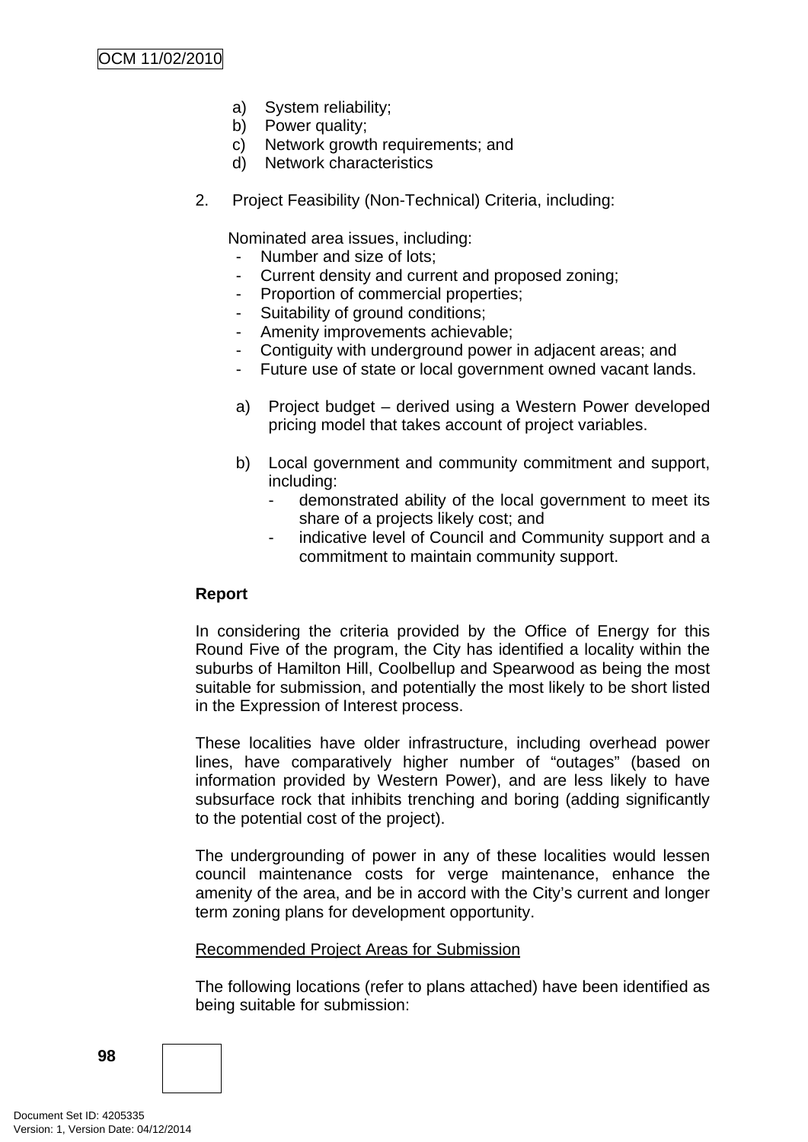- a) System reliability;
- b) Power quality;
- c) Network growth requirements; and
- d) Network characteristics
- 2. Project Feasibility (Non-Technical) Criteria, including:

Nominated area issues, including:

- Number and size of lots;
- Current density and current and proposed zoning;
- Proportion of commercial properties;
- Suitability of ground conditions;
- Amenity improvements achievable;
- Contiguity with underground power in adjacent areas; and
- Future use of state or local government owned vacant lands.
- a) Project budget derived using a Western Power developed pricing model that takes account of project variables.
- b) Local government and community commitment and support, including:
	- demonstrated ability of the local government to meet its share of a projects likely cost; and
	- indicative level of Council and Community support and a commitment to maintain community support.

# **Report**

In considering the criteria provided by the Office of Energy for this Round Five of the program, the City has identified a locality within the suburbs of Hamilton Hill, Coolbellup and Spearwood as being the most suitable for submission, and potentially the most likely to be short listed in the Expression of Interest process.

These localities have older infrastructure, including overhead power lines, have comparatively higher number of "outages" (based on information provided by Western Power), and are less likely to have subsurface rock that inhibits trenching and boring (adding significantly to the potential cost of the project).

The undergrounding of power in any of these localities would lessen council maintenance costs for verge maintenance, enhance the amenity of the area, and be in accord with the City's current and longer term zoning plans for development opportunity.

### Recommended Project Areas for Submission

The following locations (refer to plans attached) have been identified as being suitable for submission: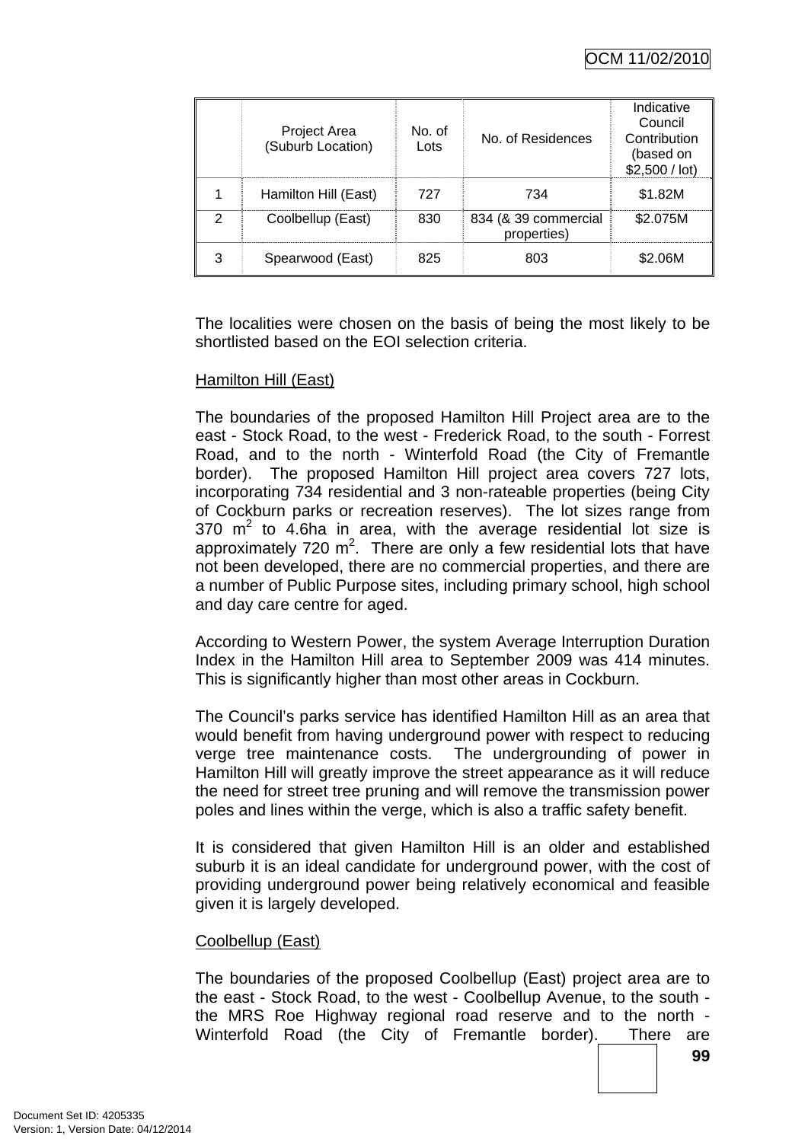|   | Project Area<br>(Suburb Location) | No. of<br>Lots | No. of Residences                   | Indicative<br>Council<br>Contribution<br>(based on<br>\$2,500 / lot |
|---|-----------------------------------|----------------|-------------------------------------|---------------------------------------------------------------------|
|   | Hamilton Hill (East)              | 727            | 734                                 | \$1.82M                                                             |
| 2 | Coolbellup (East)                 | 830            | 834 (& 39 commercial<br>properties) | \$2.075M                                                            |
| 3 | Spearwood (East)                  | 825            | 803                                 | S2 06M                                                              |

The localities were chosen on the basis of being the most likely to be shortlisted based on the EOI selection criteria.

### Hamilton Hill (East)

The boundaries of the proposed Hamilton Hill Project area are to the east - Stock Road, to the west - Frederick Road, to the south - Forrest Road, and to the north - Winterfold Road (the City of Fremantle border). The proposed Hamilton Hill project area covers 727 lots, incorporating 734 residential and 3 non-rateable properties (being City of Cockburn parks or recreation reserves). The lot sizes range from 370  $m^2$  to 4.6ha in area, with the average residential lot size is approximately 720  $m^2$ . There are only a few residential lots that have not been developed, there are no commercial properties, and there are a number of Public Purpose sites, including primary school, high school and day care centre for aged.

According to Western Power, the system Average Interruption Duration Index in the Hamilton Hill area to September 2009 was 414 minutes. This is significantly higher than most other areas in Cockburn.

The Council's parks service has identified Hamilton Hill as an area that would benefit from having underground power with respect to reducing verge tree maintenance costs. The undergrounding of power in Hamilton Hill will greatly improve the street appearance as it will reduce the need for street tree pruning and will remove the transmission power poles and lines within the verge, which is also a traffic safety benefit.

It is considered that given Hamilton Hill is an older and established suburb it is an ideal candidate for underground power, with the cost of providing underground power being relatively economical and feasible given it is largely developed.

#### Coolbellup (East)

The boundaries of the proposed Coolbellup (East) project area are to the east - Stock Road, to the west - Coolbellup Avenue, to the south the MRS Roe Highway regional road reserve and to the north - Winterfold Road (the City of Fremantle border). There are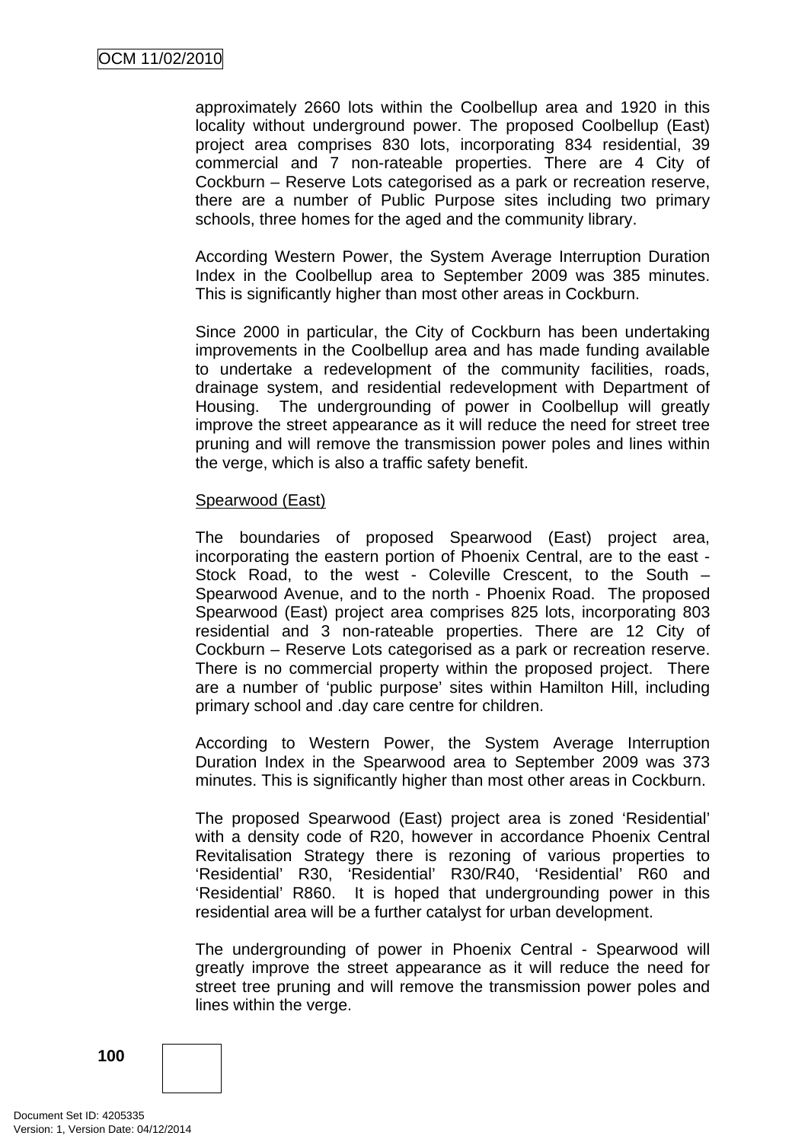approximately 2660 lots within the Coolbellup area and 1920 in this locality without underground power. The proposed Coolbellup (East) project area comprises 830 lots, incorporating 834 residential, 39 commercial and 7 non-rateable properties. There are 4 City of Cockburn – Reserve Lots categorised as a park or recreation reserve, there are a number of Public Purpose sites including two primary schools, three homes for the aged and the community library.

According Western Power, the System Average Interruption Duration Index in the Coolbellup area to September 2009 was 385 minutes. This is significantly higher than most other areas in Cockburn.

Since 2000 in particular, the City of Cockburn has been undertaking improvements in the Coolbellup area and has made funding available to undertake a redevelopment of the community facilities, roads, drainage system, and residential redevelopment with Department of Housing. The undergrounding of power in Coolbellup will greatly improve the street appearance as it will reduce the need for street tree pruning and will remove the transmission power poles and lines within the verge, which is also a traffic safety benefit.

### Spearwood (East)

The boundaries of proposed Spearwood (East) project area, incorporating the eastern portion of Phoenix Central, are to the east - Stock Road, to the west - Coleville Crescent, to the South – Spearwood Avenue, and to the north - Phoenix Road. The proposed Spearwood (East) project area comprises 825 lots, incorporating 803 residential and 3 non-rateable properties. There are 12 City of Cockburn – Reserve Lots categorised as a park or recreation reserve. There is no commercial property within the proposed project. There are a number of 'public purpose' sites within Hamilton Hill, including primary school and .day care centre for children.

According to Western Power, the System Average Interruption Duration Index in the Spearwood area to September 2009 was 373 minutes. This is significantly higher than most other areas in Cockburn.

The proposed Spearwood (East) project area is zoned 'Residential' with a density code of R20, however in accordance Phoenix Central Revitalisation Strategy there is rezoning of various properties to 'Residential' R30, 'Residential' R30/R40, 'Residential' R60 and 'Residential' R860. It is hoped that undergrounding power in this residential area will be a further catalyst for urban development.

The undergrounding of power in Phoenix Central - Spearwood will greatly improve the street appearance as it will reduce the need for street tree pruning and will remove the transmission power poles and lines within the verge.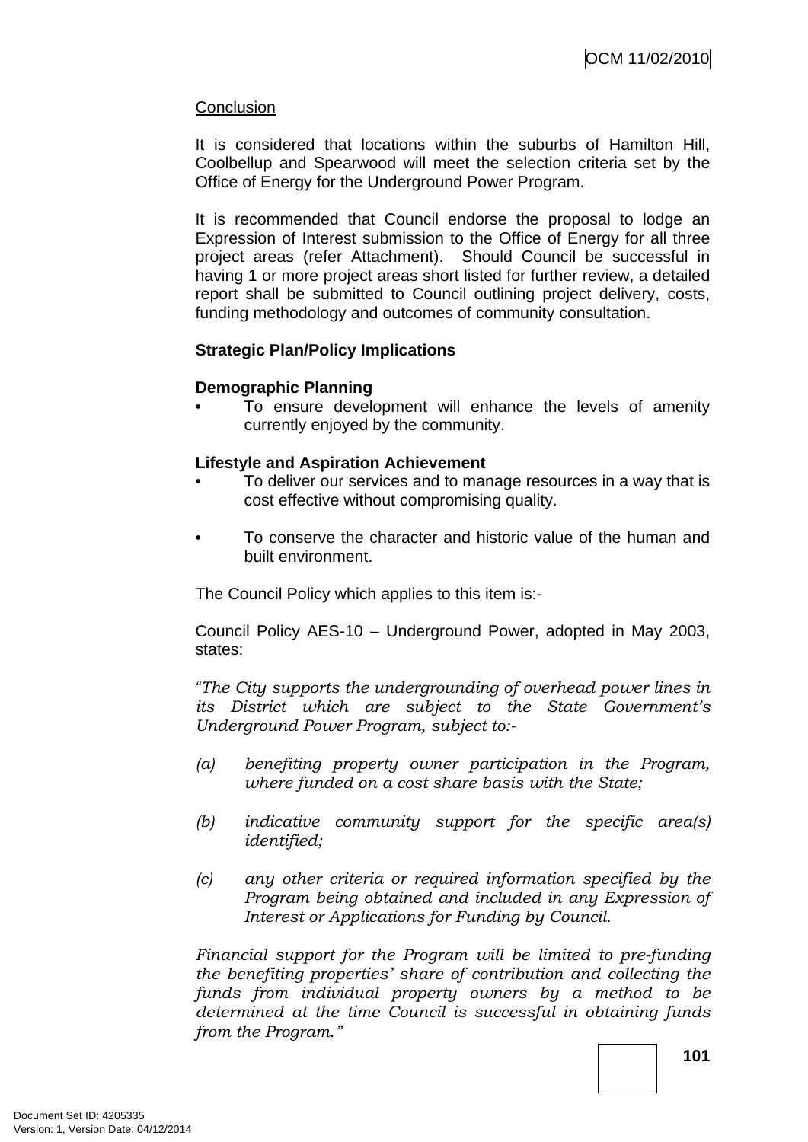## **Conclusion**

It is considered that locations within the suburbs of Hamilton Hill, Coolbellup and Spearwood will meet the selection criteria set by the Office of Energy for the Underground Power Program.

It is recommended that Council endorse the proposal to lodge an Expression of Interest submission to the Office of Energy for all three project areas (refer Attachment). Should Council be successful in having 1 or more project areas short listed for further review, a detailed report shall be submitted to Council outlining project delivery, costs, funding methodology and outcomes of community consultation.

# **Strategic Plan/Policy Implications**

### **Demographic Planning**

• To ensure development will enhance the levels of amenity currently enjoyed by the community.

### **Lifestyle and Aspiration Achievement**

- To deliver our services and to manage resources in a way that is cost effective without compromising quality.
- To conserve the character and historic value of the human and built environment.

The Council Policy which applies to this item is:-

Council Policy AES-10 – Underground Power, adopted in May 2003, states:

*"The City supports the undergrounding of overhead power lines in its District which are subject to the State Government's Underground Power Program, subject to:-* 

- *(a) benefiting property owner participation in the Program, where funded on a cost share basis with the State;*
- *(b) indicative community support for the specific area(s) identified;*
- *(c) any other criteria or required information specified by the Program being obtained and included in any Expression of Interest or Applications for Funding by Council.*

*Financial support for the Program will be limited to pre-funding the benefiting properties' share of contribution and collecting the funds from individual property owners by a method to be determined at the time Council is successful in obtaining funds from the Program."*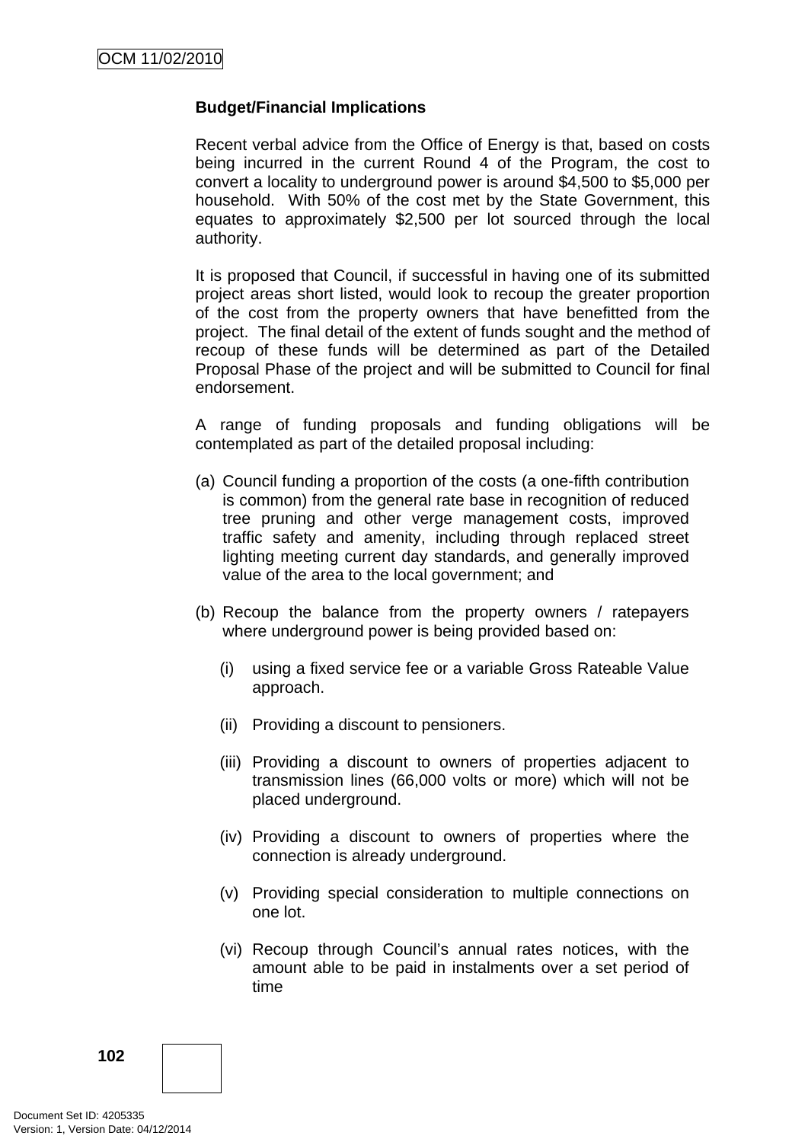## **Budget/Financial Implications**

Recent verbal advice from the Office of Energy is that, based on costs being incurred in the current Round 4 of the Program, the cost to convert a locality to underground power is around \$4,500 to \$5,000 per household. With 50% of the cost met by the State Government, this equates to approximately \$2,500 per lot sourced through the local authority.

It is proposed that Council, if successful in having one of its submitted project areas short listed, would look to recoup the greater proportion of the cost from the property owners that have benefitted from the project. The final detail of the extent of funds sought and the method of recoup of these funds will be determined as part of the Detailed Proposal Phase of the project and will be submitted to Council for final endorsement.

A range of funding proposals and funding obligations will be contemplated as part of the detailed proposal including:

- (a) Council funding a proportion of the costs (a one-fifth contribution is common) from the general rate base in recognition of reduced tree pruning and other verge management costs, improved traffic safety and amenity, including through replaced street lighting meeting current day standards, and generally improved value of the area to the local government; and
- (b) Recoup the balance from the property owners / ratepayers where underground power is being provided based on:
	- (i) using a fixed service fee or a variable Gross Rateable Value approach.
	- (ii) Providing a discount to pensioners.
	- (iii) Providing a discount to owners of properties adjacent to transmission lines (66,000 volts or more) which will not be placed underground.
	- (iv) Providing a discount to owners of properties where the connection is already underground.
	- (v) Providing special consideration to multiple connections on one lot.
	- (vi) Recoup through Council's annual rates notices, with the amount able to be paid in instalments over a set period of time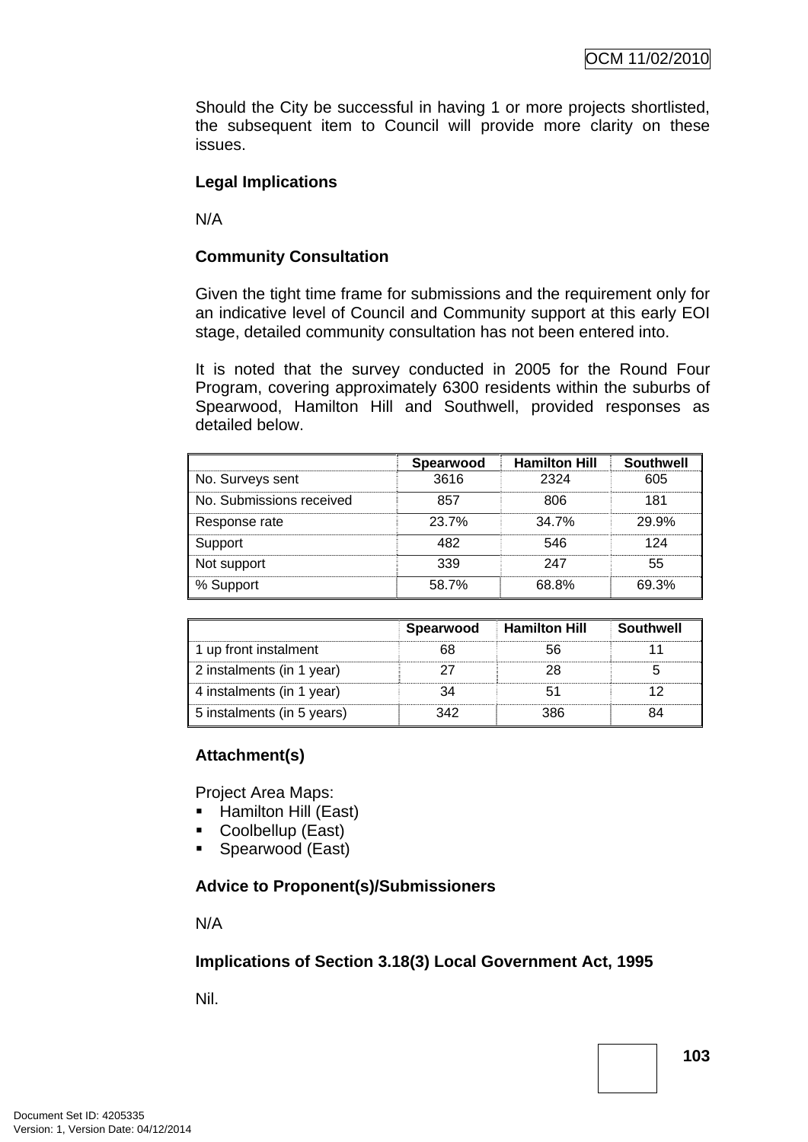Should the City be successful in having 1 or more projects shortlisted, the subsequent item to Council will provide more clarity on these issues.

# **Legal Implications**

N/A

# **Community Consultation**

Given the tight time frame for submissions and the requirement only for an indicative level of Council and Community support at this early EOI stage, detailed community consultation has not been entered into.

It is noted that the survey conducted in 2005 for the Round Four Program, covering approximately 6300 residents within the suburbs of Spearwood, Hamilton Hill and Southwell, provided responses as detailed below.

|                          | Spearwood | <b>Hamilton Hill</b> | Southwell |
|--------------------------|-----------|----------------------|-----------|
| No. Surveys sent         | 3616      | 2324                 | 605       |
| No. Submissions received | 857       | 806                  | 181       |
| Response rate            | 23.7%     | 34.7%                | 29.9%     |
| Support                  | 82        | 546                  | 124       |
| Not support              | 339       | 247                  | 55        |
| % Support                | 58.7%     | 68.8%                | 69.3%     |

|                            | Spearwood | <b>Hamilton Hill</b> | Southwell |
|----------------------------|-----------|----------------------|-----------|
| 1 up front instalment      |           |                      |           |
| 2 instalments (in 1 year)  |           |                      |           |
| 4 instalments (in 1 year)  |           |                      |           |
| 5 instalments (in 5 years) | 342.      |                      |           |

### **Attachment(s)**

Project Area Maps:

- Hamilton Hill (East)
- Coolbellup (East)
- Spearwood (East)

### **Advice to Proponent(s)/Submissioners**

N/A

### **Implications of Section 3.18(3) Local Government Act, 1995**

Nil.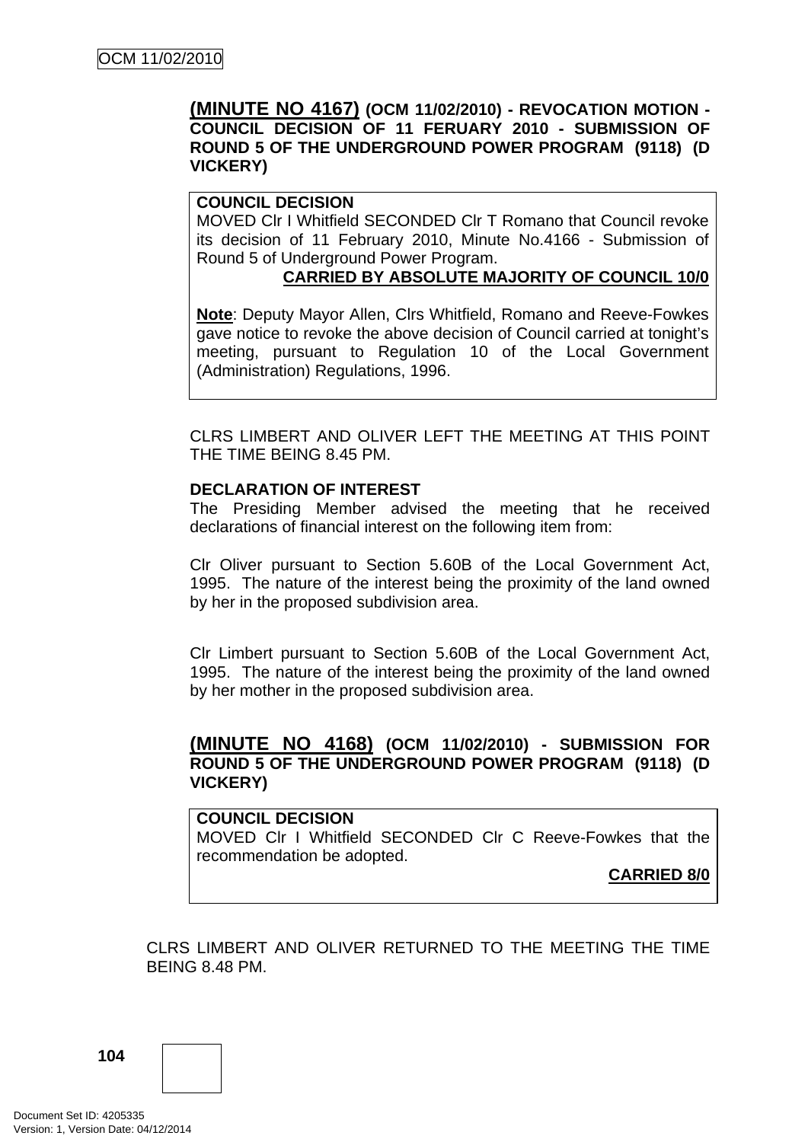## **(MINUTE NO 4167) (OCM 11/02/2010) - REVOCATION MOTION - COUNCIL DECISION OF 11 FERUARY 2010 - SUBMISSION OF ROUND 5 OF THE UNDERGROUND POWER PROGRAM (9118) (D VICKERY)**

### **COUNCIL DECISION**

MOVED Clr I Whitfield SECONDED Clr T Romano that Council revoke its decision of 11 February 2010, Minute No.4166 - Submission of Round 5 of Underground Power Program.

## **CARRIED BY ABSOLUTE MAJORITY OF COUNCIL 10/0**

**Note**: Deputy Mayor Allen, Clrs Whitfield, Romano and Reeve-Fowkes gave notice to revoke the above decision of Council carried at tonight's meeting, pursuant to Regulation 10 of the Local Government (Administration) Regulations, 1996.

CLRS LIMBERT AND OLIVER LEFT THE MEETING AT THIS POINT THE TIME BEING 8.45 PM.

### **DECLARATION OF INTEREST**

The Presiding Member advised the meeting that he received declarations of financial interest on the following item from:

Clr Oliver pursuant to Section 5.60B of the Local Government Act, 1995. The nature of the interest being the proximity of the land owned by her in the proposed subdivision area.

Clr Limbert pursuant to Section 5.60B of the Local Government Act, 1995. The nature of the interest being the proximity of the land owned by her mother in the proposed subdivision area.

## **(MINUTE NO 4168) (OCM 11/02/2010) - SUBMISSION FOR ROUND 5 OF THE UNDERGROUND POWER PROGRAM (9118) (D VICKERY)**

#### **COUNCIL DECISION**

MOVED Clr I Whitfield SECONDED Clr C Reeve-Fowkes that the recommendation be adopted.

**CARRIED 8/0**

CLRS LIMBERT AND OLIVER RETURNED TO THE MEETING THE TIME BEING 8.48 PM.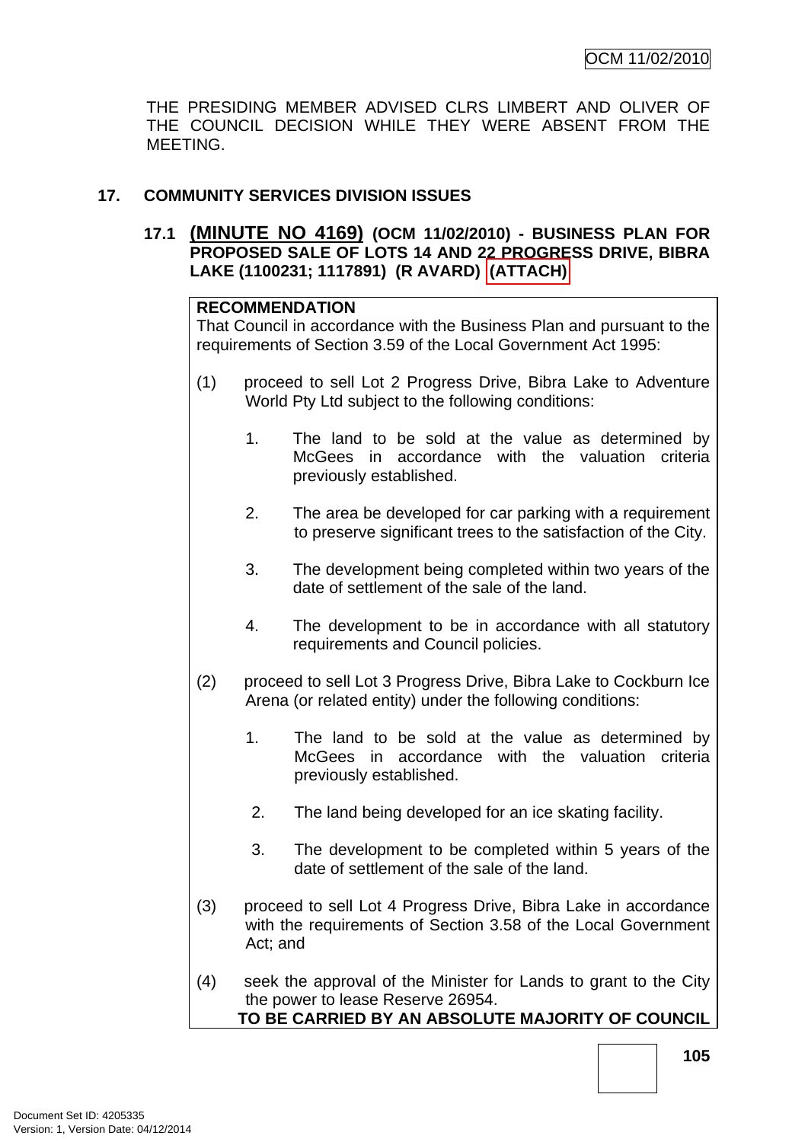THE PRESIDING MEMBER ADVISED CLRS LIMBERT AND OLIVER OF THE COUNCIL DECISION WHILE THEY WERE ABSENT FROM THE MEETING.

# **17. COMMUNITY SERVICES DIVISION ISSUES**

**17.1 (MINUTE NO 4169) (OCM 11/02/2010) - BUSINESS PLAN FOR PROPOSED SALE OF LOTS 14 AND 22 PROGRESS DRIVE, BIBRA LAKE (1100231; 1117891) (R AVARD) (ATTACH)** 

# **RECOMMENDATION**

That Council in accordance with the Business Plan and pursuant to the requirements of Section 3.59 of the Local Government Act 1995:

- (1) proceed to sell Lot 2 Progress Drive, Bibra Lake to Adventure World Pty Ltd subject to the following conditions:
	- 1. The land to be sold at the value as determined by McGees in accordance with the valuation criteria previously established.
	- 2. The area be developed for car parking with a requirement to preserve significant trees to the satisfaction of the City.
	- 3. The development being completed within two years of the date of settlement of the sale of the land.
	- 4. The development to be in accordance with all statutory requirements and Council policies.
- (2) proceed to sell Lot 3 Progress Drive, Bibra Lake to Cockburn Ice Arena (or related entity) under the following conditions:
	- 1. The land to be sold at the value as determined by McGees in accordance with the valuation criteria previously established.
	- 2. The land being developed for an ice skating facility.
	- 3. The development to be completed within 5 years of the date of settlement of the sale of the land.
- (3) proceed to sell Lot 4 Progress Drive, Bibra Lake in accordance with the requirements of Section 3.58 of the Local Government Act; and
- (4) seek the approval of the Minister for Lands to grant to the City the power to lease Reserve 26954. **TO BE CARRIED BY AN ABSOLUTE MAJORITY OF COUNCIL**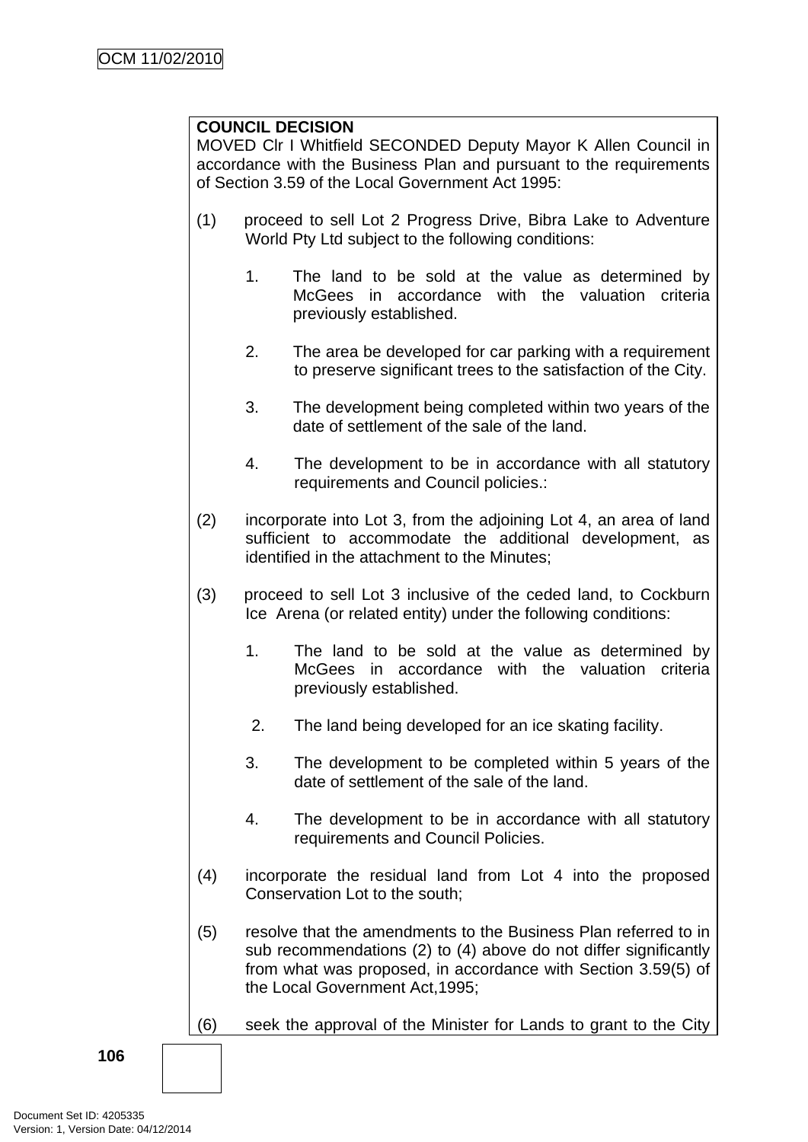### **COUNCIL DECISION**

MOVED Clr I Whitfield SECONDED Deputy Mayor K Allen Council in accordance with the Business Plan and pursuant to the requirements of Section 3.59 of the Local Government Act 1995:

- (1) proceed to sell Lot 2 Progress Drive, Bibra Lake to Adventure World Pty Ltd subject to the following conditions:
	- 1. The land to be sold at the value as determined by McGees in accordance with the valuation criteria previously established.
	- 2. The area be developed for car parking with a requirement to preserve significant trees to the satisfaction of the City.
	- 3. The development being completed within two years of the date of settlement of the sale of the land.
	- 4. The development to be in accordance with all statutory requirements and Council policies.:
- (2) incorporate into Lot 3, from the adjoining Lot 4, an area of land sufficient to accommodate the additional development, as identified in the attachment to the Minutes;
- (3) proceed to sell Lot 3 inclusive of the ceded land, to Cockburn Ice Arena (or related entity) under the following conditions:
	- 1. The land to be sold at the value as determined by McGees in accordance with the valuation criteria previously established.
	- 2. The land being developed for an ice skating facility.
	- 3. The development to be completed within 5 years of the date of settlement of the sale of the land.
	- 4. The development to be in accordance with all statutory requirements and Council Policies.
- (4) incorporate the residual land from Lot 4 into the proposed Conservation Lot to the south;
- (5) resolve that the amendments to the Business Plan referred to in sub recommendations (2) to (4) above do not differ significantly from what was proposed, in accordance with Section 3.59(5) of the Local Government Act,1995;

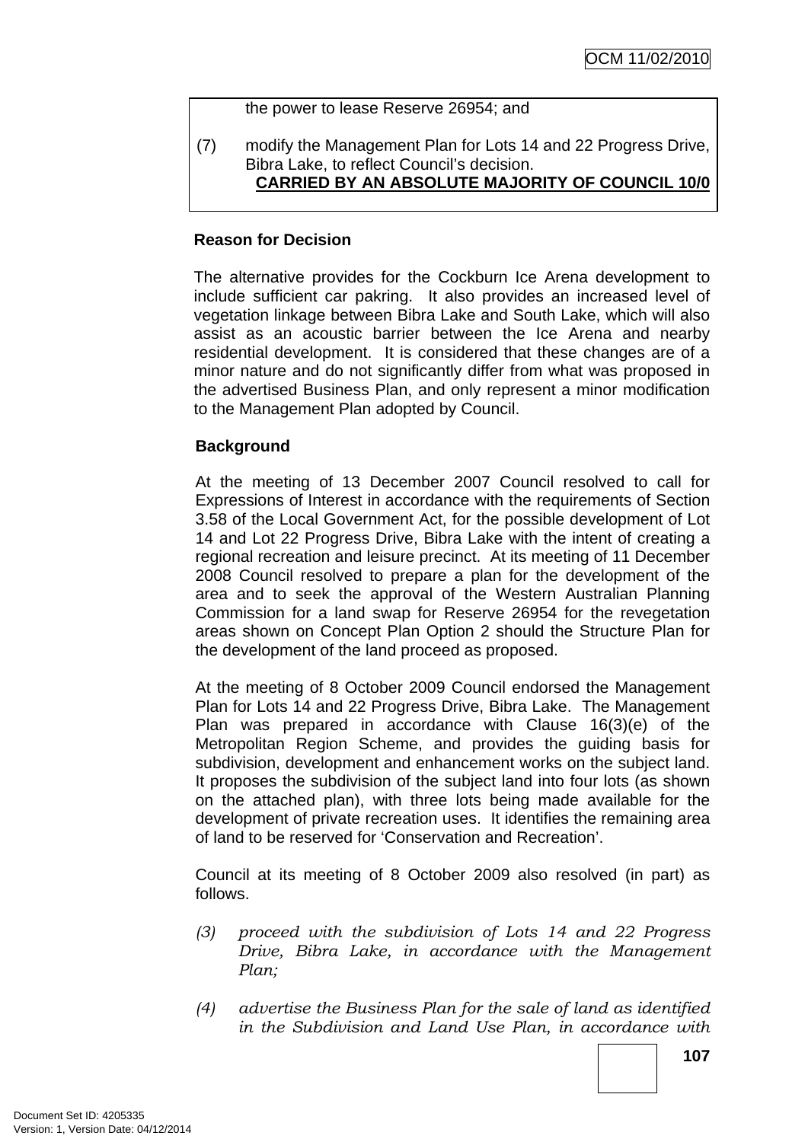#### the power to lease Reserve 26954; and

(7) modify the Management Plan for Lots 14 and 22 Progress Drive, Bibra Lake, to reflect Council's decision. **CARRIED BY AN ABSOLUTE MAJORITY OF COUNCIL 10/0**

#### **Reason for Decision**

The alternative provides for the Cockburn Ice Arena development to include sufficient car pakring. It also provides an increased level of vegetation linkage between Bibra Lake and South Lake, which will also assist as an acoustic barrier between the Ice Arena and nearby residential development. It is considered that these changes are of a minor nature and do not significantly differ from what was proposed in the advertised Business Plan, and only represent a minor modification to the Management Plan adopted by Council.

#### **Background**

At the meeting of 13 December 2007 Council resolved to call for Expressions of Interest in accordance with the requirements of Section 3.58 of the Local Government Act, for the possible development of Lot 14 and Lot 22 Progress Drive, Bibra Lake with the intent of creating a regional recreation and leisure precinct. At its meeting of 11 December 2008 Council resolved to prepare a plan for the development of the area and to seek the approval of the Western Australian Planning Commission for a land swap for Reserve 26954 for the revegetation areas shown on Concept Plan Option 2 should the Structure Plan for the development of the land proceed as proposed.

At the meeting of 8 October 2009 Council endorsed the Management Plan for Lots 14 and 22 Progress Drive, Bibra Lake. The Management Plan was prepared in accordance with Clause 16(3)(e) of the Metropolitan Region Scheme, and provides the guiding basis for subdivision, development and enhancement works on the subject land. It proposes the subdivision of the subject land into four lots (as shown on the attached plan), with three lots being made available for the development of private recreation uses. It identifies the remaining area of land to be reserved for 'Conservation and Recreation'.

Council at its meeting of 8 October 2009 also resolved (in part) as follows.

- *(3) proceed with the subdivision of Lots 14 and 22 Progress Drive, Bibra Lake, in accordance with the Management Plan;*
- *(4) advertise the Business Plan for the sale of land as identified in the Subdivision and Land Use Plan, in accordance with*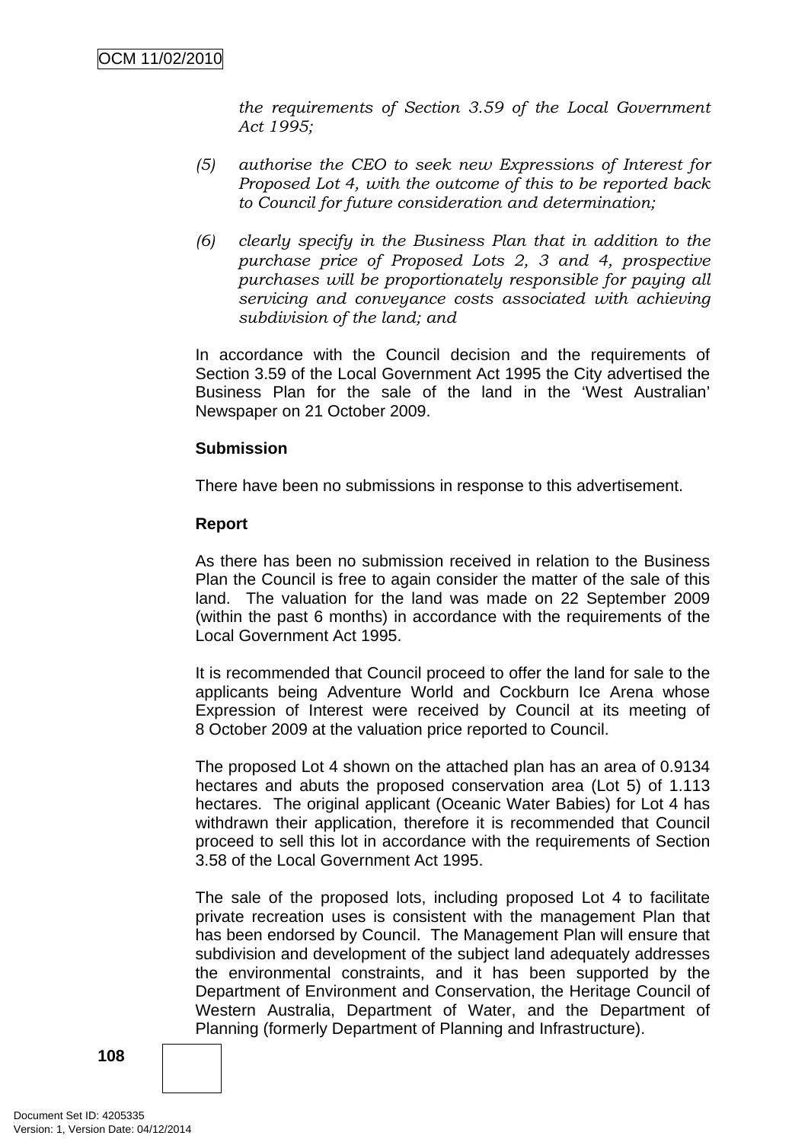*the requirements of Section 3.59 of the Local Government Act 1995;* 

- *(5) authorise the CEO to seek new Expressions of Interest for Proposed Lot 4, with the outcome of this to be reported back to Council for future consideration and determination;*
- *(6) clearly specify in the Business Plan that in addition to the purchase price of Proposed Lots 2, 3 and 4, prospective purchases will be proportionately responsible for paying all servicing and conveyance costs associated with achieving subdivision of the land; and*

In accordance with the Council decision and the requirements of Section 3.59 of the Local Government Act 1995 the City advertised the Business Plan for the sale of the land in the 'West Australian' Newspaper on 21 October 2009.

#### **Submission**

There have been no submissions in response to this advertisement.

#### **Report**

As there has been no submission received in relation to the Business Plan the Council is free to again consider the matter of the sale of this land. The valuation for the land was made on 22 September 2009 (within the past 6 months) in accordance with the requirements of the Local Government Act 1995.

It is recommended that Council proceed to offer the land for sale to the applicants being Adventure World and Cockburn Ice Arena whose Expression of Interest were received by Council at its meeting of 8 October 2009 at the valuation price reported to Council.

The proposed Lot 4 shown on the attached plan has an area of 0.9134 hectares and abuts the proposed conservation area (Lot 5) of 1.113 hectares. The original applicant (Oceanic Water Babies) for Lot 4 has withdrawn their application, therefore it is recommended that Council proceed to sell this lot in accordance with the requirements of Section 3.58 of the Local Government Act 1995.

The sale of the proposed lots, including proposed Lot 4 to facilitate private recreation uses is consistent with the management Plan that has been endorsed by Council. The Management Plan will ensure that subdivision and development of the subject land adequately addresses the environmental constraints, and it has been supported by the Department of Environment and Conservation, the Heritage Council of Western Australia, Department of Water, and the Department of Planning (formerly Department of Planning and Infrastructure).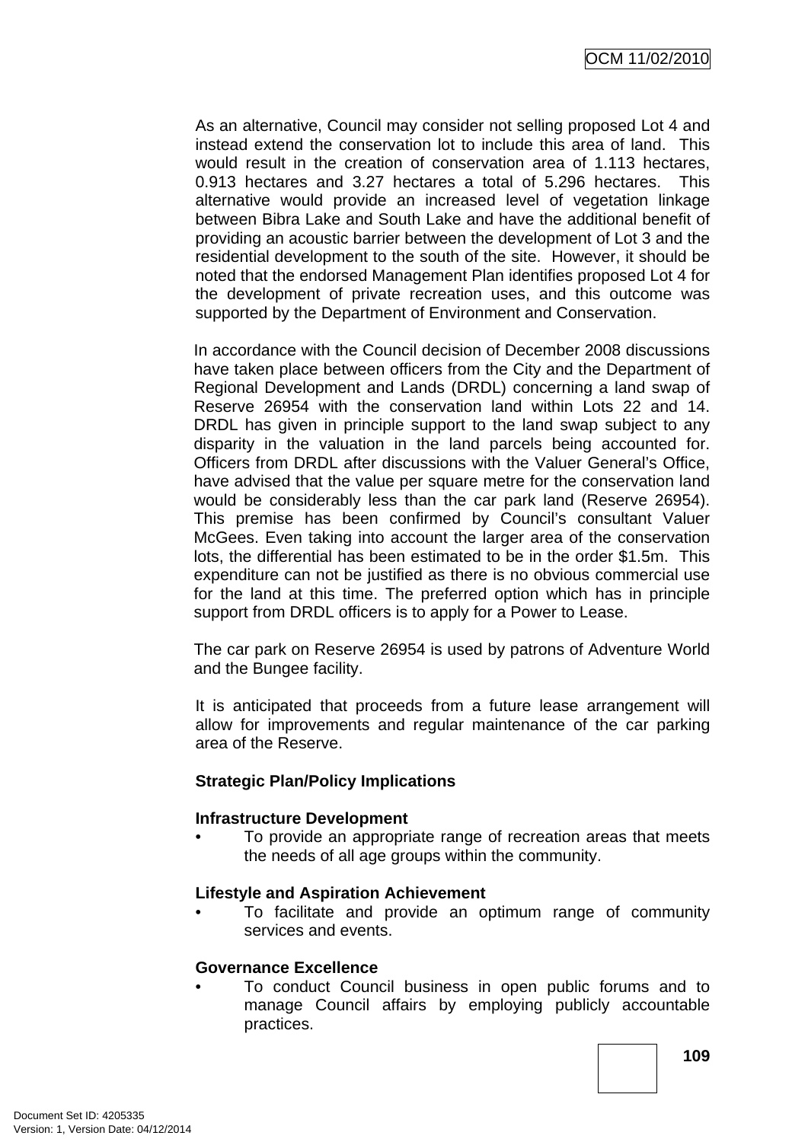As an alternative, Council may consider not selling proposed Lot 4 and instead extend the conservation lot to include this area of land. This would result in the creation of conservation area of 1.113 hectares, 0.913 hectares and 3.27 hectares a total of 5.296 hectares. This alternative would provide an increased level of vegetation linkage between Bibra Lake and South Lake and have the additional benefit of providing an acoustic barrier between the development of Lot 3 and the residential development to the south of the site. However, it should be noted that the endorsed Management Plan identifies proposed Lot 4 for the development of private recreation uses, and this outcome was supported by the Department of Environment and Conservation.

In accordance with the Council decision of December 2008 discussions have taken place between officers from the City and the Department of Regional Development and Lands (DRDL) concerning a land swap of Reserve 26954 with the conservation land within Lots 22 and 14. DRDL has given in principle support to the land swap subject to any disparity in the valuation in the land parcels being accounted for. Officers from DRDL after discussions with the Valuer General's Office, have advised that the value per square metre for the conservation land would be considerably less than the car park land (Reserve 26954). This premise has been confirmed by Council's consultant Valuer McGees. Even taking into account the larger area of the conservation lots, the differential has been estimated to be in the order \$1.5m. This expenditure can not be justified as there is no obvious commercial use for the land at this time. The preferred option which has in principle support from DRDL officers is to apply for a Power to Lease.

The car park on Reserve 26954 is used by patrons of Adventure World and the Bungee facility.

It is anticipated that proceeds from a future lease arrangement will allow for improvements and regular maintenance of the car parking area of the Reserve.

#### **Strategic Plan/Policy Implications**

#### **Infrastructure Development**

• To provide an appropriate range of recreation areas that meets the needs of all age groups within the community.

#### **Lifestyle and Aspiration Achievement**

• To facilitate and provide an optimum range of community services and events.

#### **Governance Excellence**

• To conduct Council business in open public forums and to manage Council affairs by employing publicly accountable practices.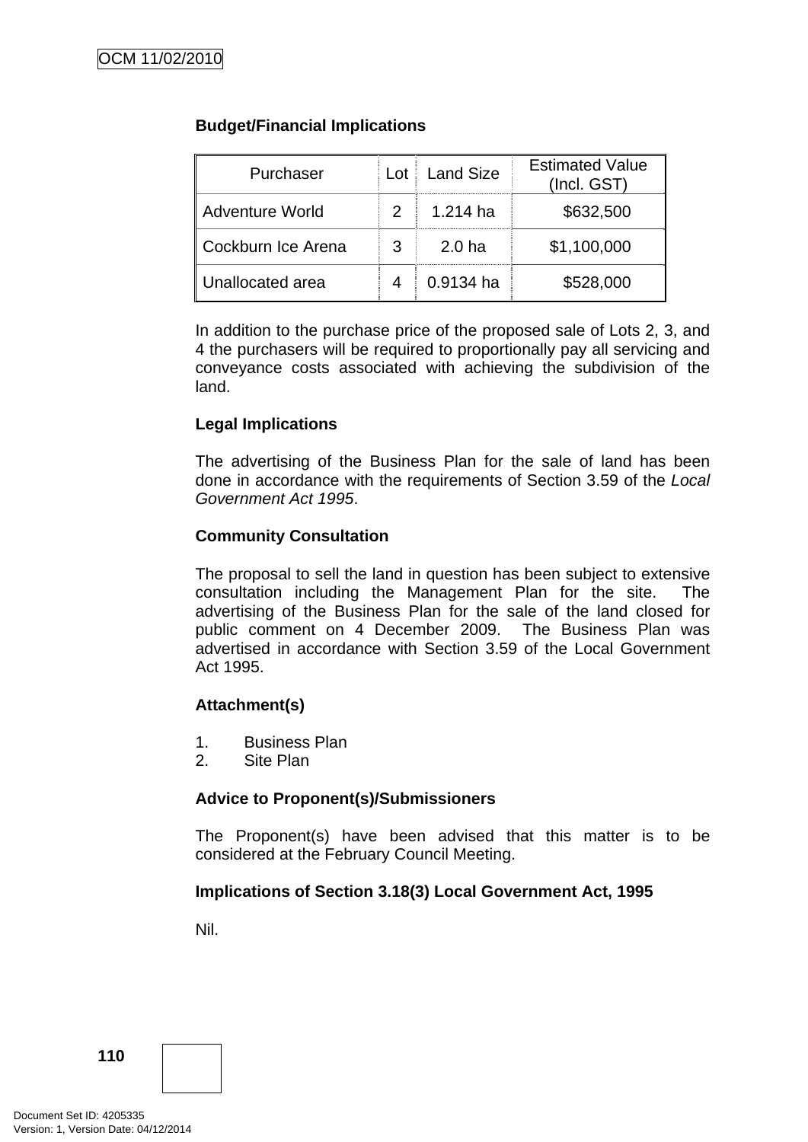# **Budget/Financial Implications**

| Purchaser              |   | Lot Land Size     | <b>Estimated Value</b><br>(Incl. GST) |
|------------------------|---|-------------------|---------------------------------------|
| <b>Adventure World</b> |   | 1.214 ha          | \$632,500                             |
| Cockburn Ice Arena     | 3 | 2.0 <sub>ha</sub> | \$1,100,000                           |
| Unallocated area       |   | 0.9134 ha         | \$528,000                             |

In addition to the purchase price of the proposed sale of Lots 2, 3, and 4 the purchasers will be required to proportionally pay all servicing and conveyance costs associated with achieving the subdivision of the land.

# **Legal Implications**

The advertising of the Business Plan for the sale of land has been done in accordance with the requirements of Section 3.59 of the *Local Government Act 1995*.

# **Community Consultation**

The proposal to sell the land in question has been subject to extensive consultation including the Management Plan for the site. The advertising of the Business Plan for the sale of the land closed for public comment on 4 December 2009. The Business Plan was advertised in accordance with Section 3.59 of the Local Government Act 1995.

#### **Attachment(s)**

- 1. Business Plan
- 2. Site Plan

#### **Advice to Proponent(s)/Submissioners**

The Proponent(s) have been advised that this matter is to be considered at the February Council Meeting.

# **Implications of Section 3.18(3) Local Government Act, 1995**

Nil.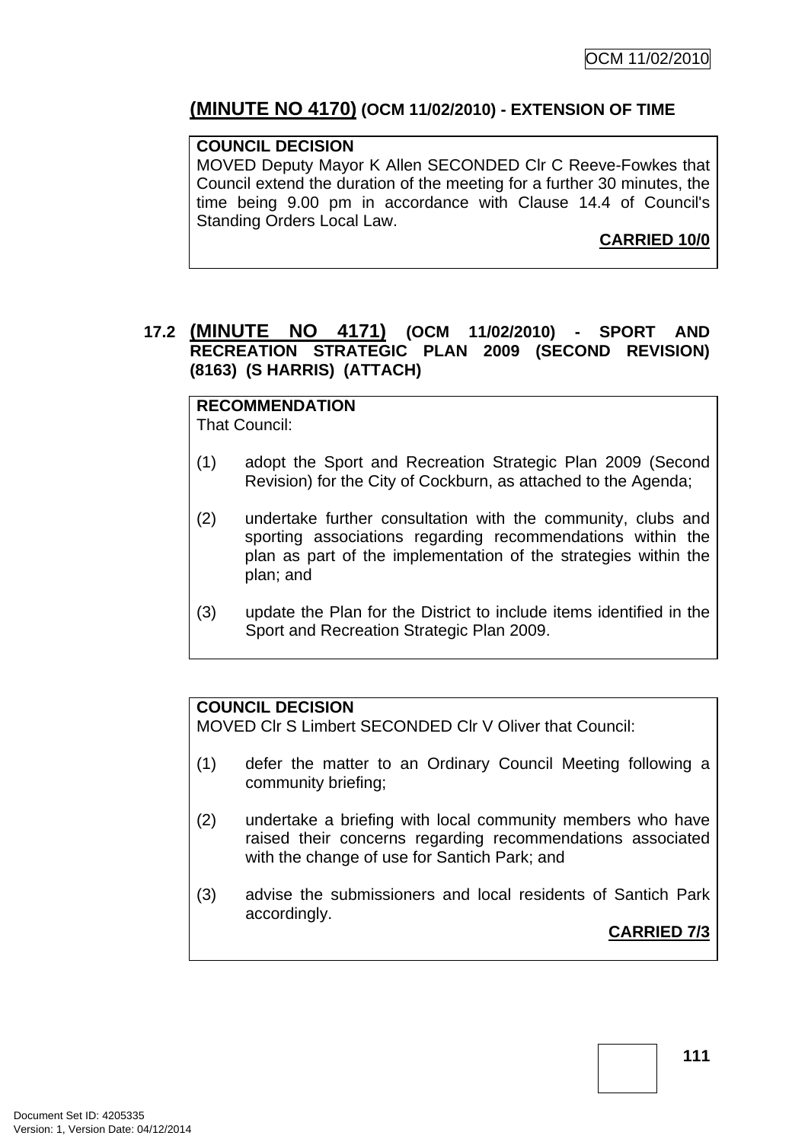# **(MINUTE NO 4170) (OCM 11/02/2010) - EXTENSION OF TIME**

# **COUNCIL DECISION**

MOVED Deputy Mayor K Allen SECONDED Clr C Reeve-Fowkes that Council extend the duration of the meeting for a further 30 minutes, the time being 9.00 pm in accordance with Clause 14.4 of Council's Standing Orders Local Law.

**CARRIED 10/0**

# **17.2 (MINUTE NO 4171) (OCM 11/02/2010) - SPORT AND RECREATION STRATEGIC PLAN 2009 (SECOND REVISION) (8163) (S HARRIS) (ATTACH)**

**RECOMMENDATION** That Council:

- (1) adopt the Sport and Recreation Strategic Plan 2009 (Second Revision) for the City of Cockburn, as attached to the Agenda;
- (2) undertake further consultation with the community, clubs and sporting associations regarding recommendations within the plan as part of the implementation of the strategies within the plan; and
- (3) update the Plan for the District to include items identified in the Sport and Recreation Strategic Plan 2009.

#### **COUNCIL DECISION**

MOVED Clr S Limbert SECONDED Clr V Oliver that Council:

- (1) defer the matter to an Ordinary Council Meeting following a community briefing;
- (2) undertake a briefing with local community members who have raised their concerns regarding recommendations associated with the change of use for Santich Park; and
- (3) advise the submissioners and local residents of Santich Park accordingly.

**CARRIED 7/3**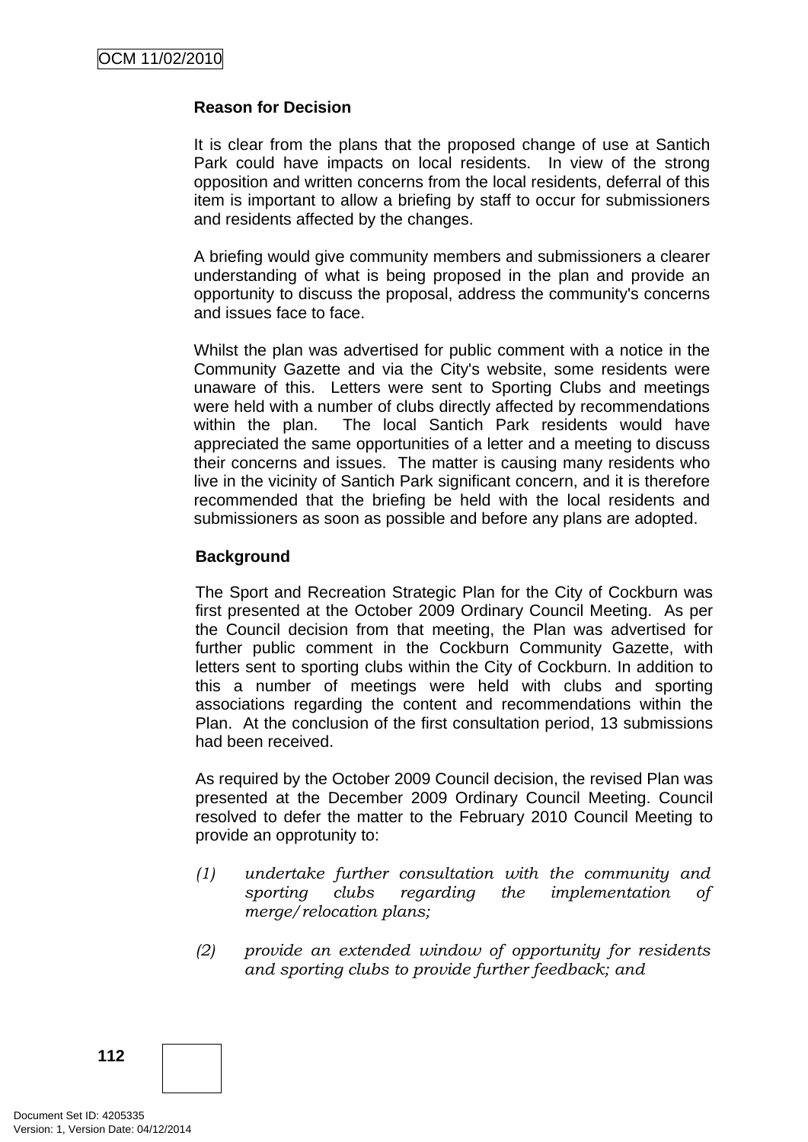# **Reason for Decision**

It is clear from the plans that the proposed change of use at Santich Park could have impacts on local residents. In view of the strong opposition and written concerns from the local residents, deferral of this item is important to allow a briefing by staff to occur for submissioners and residents affected by the changes.

A briefing would give community members and submissioners a clearer understanding of what is being proposed in the plan and provide an opportunity to discuss the proposal, address the community's concerns and issues face to face.

Whilst the plan was advertised for public comment with a notice in the Community Gazette and via the City's website, some residents were unaware of this. Letters were sent to Sporting Clubs and meetings were held with a number of clubs directly affected by recommendations within the plan. The local Santich Park residents would have appreciated the same opportunities of a letter and a meeting to discuss their concerns and issues. The matter is causing many residents who live in the vicinity of Santich Park significant concern, and it is therefore recommended that the briefing be held with the local residents and submissioners as soon as possible and before any plans are adopted.

# **Background**

The Sport and Recreation Strategic Plan for the City of Cockburn was first presented at the October 2009 Ordinary Council Meeting. As per the Council decision from that meeting, the Plan was advertised for further public comment in the Cockburn Community Gazette, with letters sent to sporting clubs within the City of Cockburn. In addition to this a number of meetings were held with clubs and sporting associations regarding the content and recommendations within the Plan. At the conclusion of the first consultation period, 13 submissions had been received.

As required by the October 2009 Council decision, the revised Plan was presented at the December 2009 Ordinary Council Meeting. Council resolved to defer the matter to the February 2010 Council Meeting to provide an opprotunity to:

- *(1) undertake further consultation with the community and sporting clubs regarding the implementation of merge/relocation plans;*
- *(2) provide an extended window of opportunity for residents and sporting clubs to provide further feedback; and*

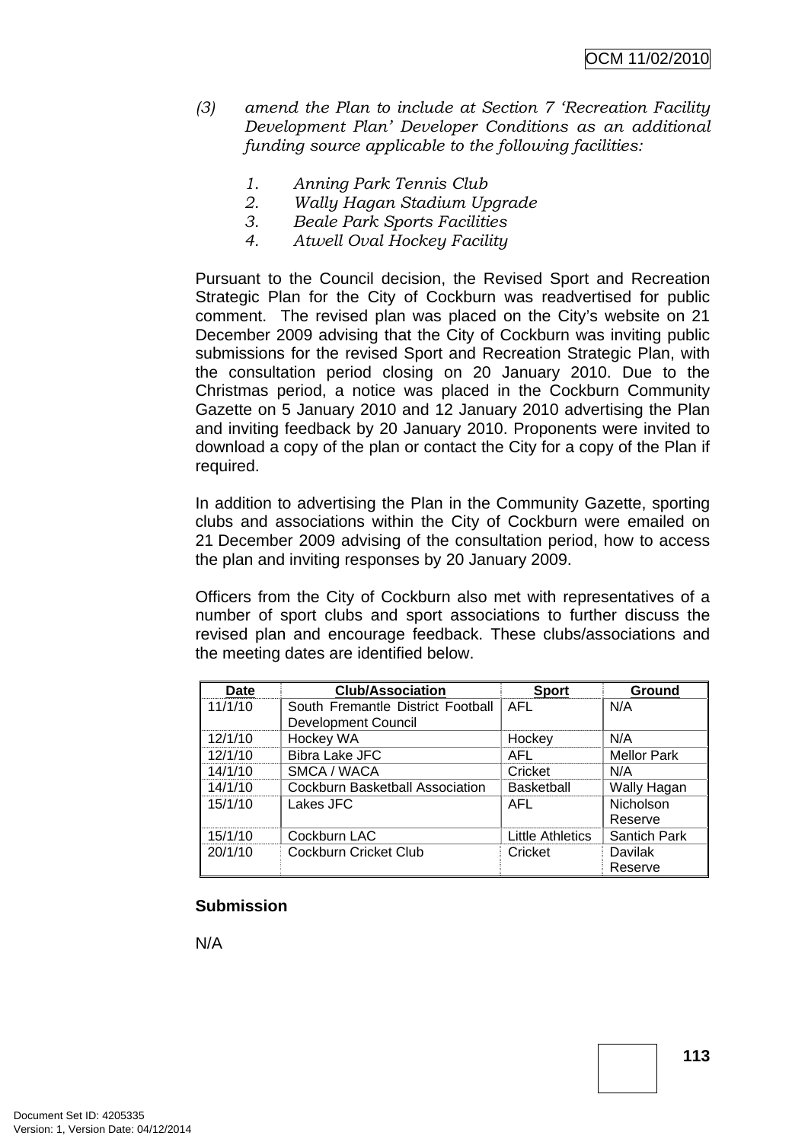- *(3) amend the Plan to include at Section 7 'Recreation Facility Development Plan' Developer Conditions as an additional funding source applicable to the following facilities:* 
	- *1. Anning Park Tennis Club*
	- *2. Wally Hagan Stadium Upgrade*
	- *3. Beale Park Sports Facilities*
	- *4. Atwell Oval Hockey Facility*

Pursuant to the Council decision, the Revised Sport and Recreation Strategic Plan for the City of Cockburn was readvertised for public comment. The revised plan was placed on the City's website on 21 December 2009 advising that the City of Cockburn was inviting public submissions for the revised Sport and Recreation Strategic Plan, with the consultation period closing on 20 January 2010. Due to the Christmas period, a notice was placed in the Cockburn Community Gazette on 5 January 2010 and 12 January 2010 advertising the Plan and inviting feedback by 20 January 2010. Proponents were invited to download a copy of the plan or contact the City for a copy of the Plan if required.

In addition to advertising the Plan in the Community Gazette, sporting clubs and associations within the City of Cockburn were emailed on 21 December 2009 advising of the consultation period, how to access the plan and inviting responses by 20 January 2009.

Officers from the City of Cockburn also met with representatives of a number of sport clubs and sport associations to further discuss the revised plan and encourage feedback. These clubs/associations and the meeting dates are identified below.

| <b>Date</b> | <b>Club/Association</b>           | <b>Sport</b>      | Ground              |
|-------------|-----------------------------------|-------------------|---------------------|
| 11/1/10     | South Fremantle District Football | AFL               | N/A                 |
|             | <b>Development Council</b>        |                   |                     |
| 12/1/10     | Hockey WA                         | Hockey            | N/A                 |
| 12/1/10     | <b>Bibra Lake JFC</b>             | AFL               | <b>Mellor Park</b>  |
| 14/1/10     | SMCA / WACA                       | Cricket           | N/A                 |
| 14/1/10     | Cockburn Basketball Association   | <b>Basketball</b> | Wally Hagan         |
| 15/1/10     | Lakes JFC                         | AFL               | Nicholson           |
|             |                                   |                   | Reserve             |
| 15/1/10     | Cockburn LAC                      | Little Athletics  | <b>Santich Park</b> |
| 20/1/10     | Cockburn Cricket Club             | Cricket           | Davilak             |
|             |                                   |                   | Reserve             |

#### **Submission**

N/A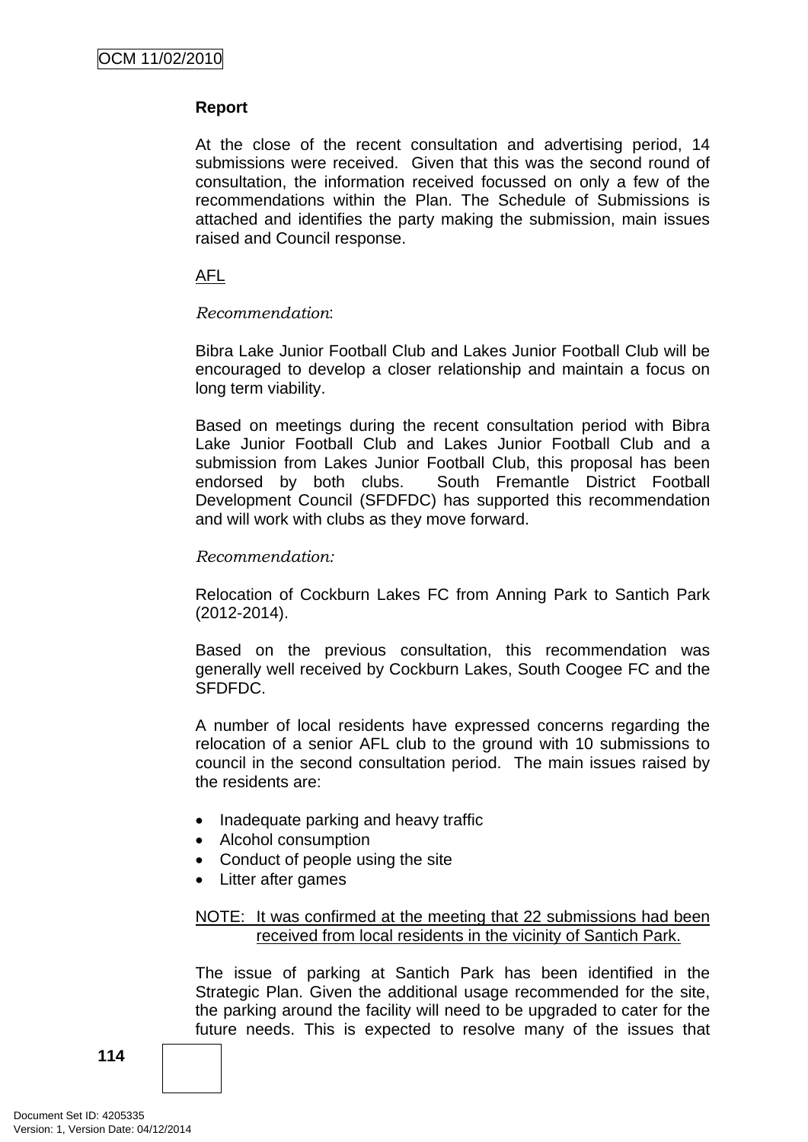# **Report**

At the close of the recent consultation and advertising period, 14 submissions were received. Given that this was the second round of consultation, the information received focussed on only a few of the recommendations within the Plan. The Schedule of Submissions is attached and identifies the party making the submission, main issues raised and Council response.

### AFL

#### *Recommendation*:

Bibra Lake Junior Football Club and Lakes Junior Football Club will be encouraged to develop a closer relationship and maintain a focus on long term viability.

Based on meetings during the recent consultation period with Bibra Lake Junior Football Club and Lakes Junior Football Club and a submission from Lakes Junior Football Club, this proposal has been endorsed by both clubs. South Fremantle District Football Development Council (SFDFDC) has supported this recommendation and will work with clubs as they move forward.

#### *Recommendation:*

Relocation of Cockburn Lakes FC from Anning Park to Santich Park (2012-2014).

Based on the previous consultation, this recommendation was generally well received by Cockburn Lakes, South Coogee FC and the SFDFDC.

A number of local residents have expressed concerns regarding the relocation of a senior AFL club to the ground with 10 submissions to council in the second consultation period. The main issues raised by the residents are:

- Inadequate parking and heavy traffic
- Alcohol consumption
- Conduct of people using the site
- Litter after games

#### NOTE: It was confirmed at the meeting that 22 submissions had been received from local residents in the vicinity of Santich Park.

The issue of parking at Santich Park has been identified in the Strategic Plan. Given the additional usage recommended for the site, the parking around the facility will need to be upgraded to cater for the future needs. This is expected to resolve many of the issues that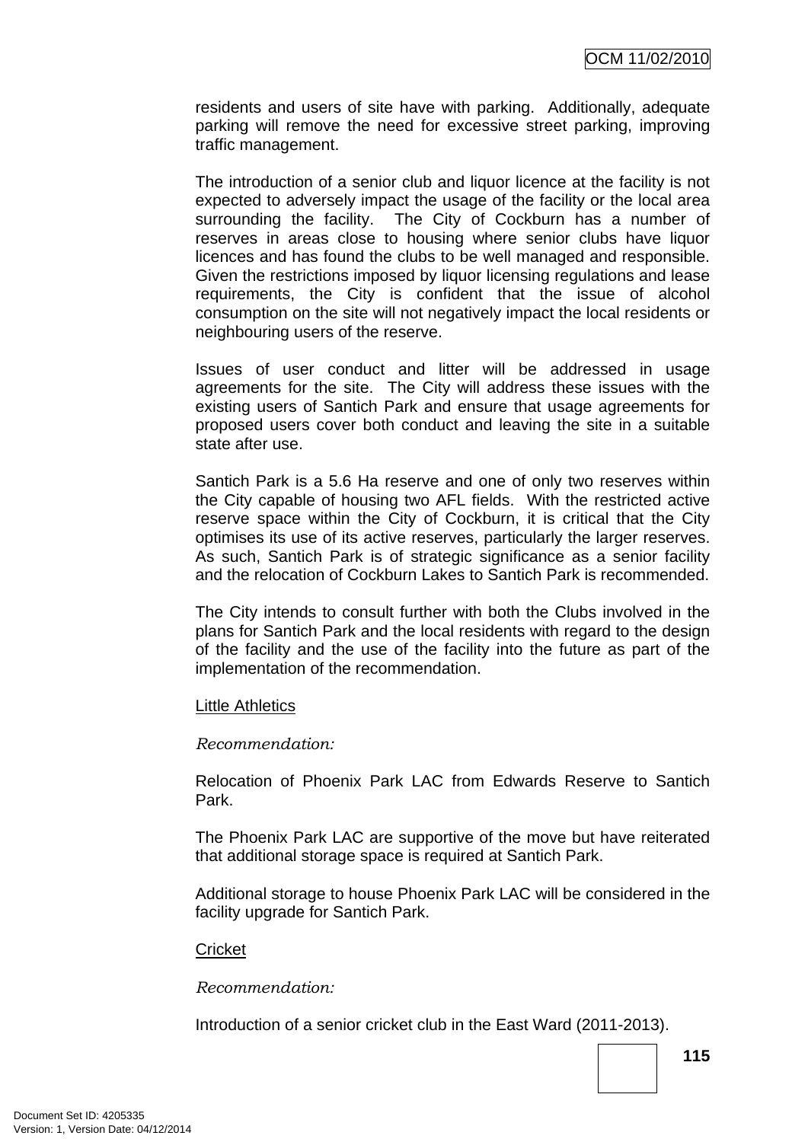residents and users of site have with parking. Additionally, adequate parking will remove the need for excessive street parking, improving traffic management.

The introduction of a senior club and liquor licence at the facility is not expected to adversely impact the usage of the facility or the local area surrounding the facility. The City of Cockburn has a number of reserves in areas close to housing where senior clubs have liquor licences and has found the clubs to be well managed and responsible. Given the restrictions imposed by liquor licensing regulations and lease requirements, the City is confident that the issue of alcohol consumption on the site will not negatively impact the local residents or neighbouring users of the reserve.

Issues of user conduct and litter will be addressed in usage agreements for the site. The City will address these issues with the existing users of Santich Park and ensure that usage agreements for proposed users cover both conduct and leaving the site in a suitable state after use.

Santich Park is a 5.6 Ha reserve and one of only two reserves within the City capable of housing two AFL fields. With the restricted active reserve space within the City of Cockburn, it is critical that the City optimises its use of its active reserves, particularly the larger reserves. As such, Santich Park is of strategic significance as a senior facility and the relocation of Cockburn Lakes to Santich Park is recommended.

The City intends to consult further with both the Clubs involved in the plans for Santich Park and the local residents with regard to the design of the facility and the use of the facility into the future as part of the implementation of the recommendation.

#### Little Athletics

#### *Recommendation:*

Relocation of Phoenix Park LAC from Edwards Reserve to Santich Park.

The Phoenix Park LAC are supportive of the move but have reiterated that additional storage space is required at Santich Park.

Additional storage to house Phoenix Park LAC will be considered in the facility upgrade for Santich Park.

#### **Cricket**

*Recommendation:* 

Introduction of a senior cricket club in the East Ward (2011-2013).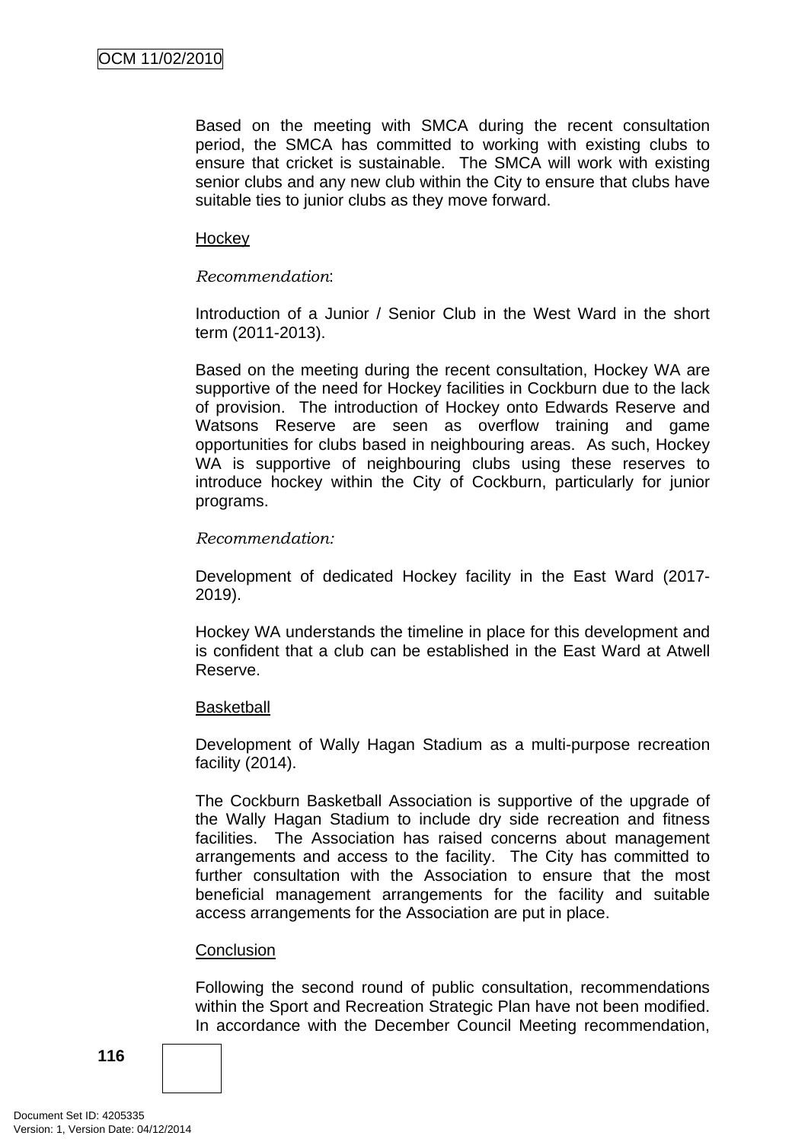Based on the meeting with SMCA during the recent consultation period, the SMCA has committed to working with existing clubs to ensure that cricket is sustainable. The SMCA will work with existing senior clubs and any new club within the City to ensure that clubs have suitable ties to junior clubs as they move forward.

#### **Hockey**

#### *Recommendation*:

Introduction of a Junior / Senior Club in the West Ward in the short term (2011-2013).

Based on the meeting during the recent consultation, Hockey WA are supportive of the need for Hockey facilities in Cockburn due to the lack of provision. The introduction of Hockey onto Edwards Reserve and Watsons Reserve are seen as overflow training and game opportunities for clubs based in neighbouring areas. As such, Hockey WA is supportive of neighbouring clubs using these reserves to introduce hockey within the City of Cockburn, particularly for junior programs.

#### *Recommendation:*

Development of dedicated Hockey facility in the East Ward (2017- 2019).

Hockey WA understands the timeline in place for this development and is confident that a club can be established in the East Ward at Atwell Reserve.

#### **Basketball**

Development of Wally Hagan Stadium as a multi-purpose recreation facility (2014).

The Cockburn Basketball Association is supportive of the upgrade of the Wally Hagan Stadium to include dry side recreation and fitness facilities. The Association has raised concerns about management arrangements and access to the facility. The City has committed to further consultation with the Association to ensure that the most beneficial management arrangements for the facility and suitable access arrangements for the Association are put in place.

#### **Conclusion**

Following the second round of public consultation, recommendations within the Sport and Recreation Strategic Plan have not been modified. In accordance with the December Council Meeting recommendation,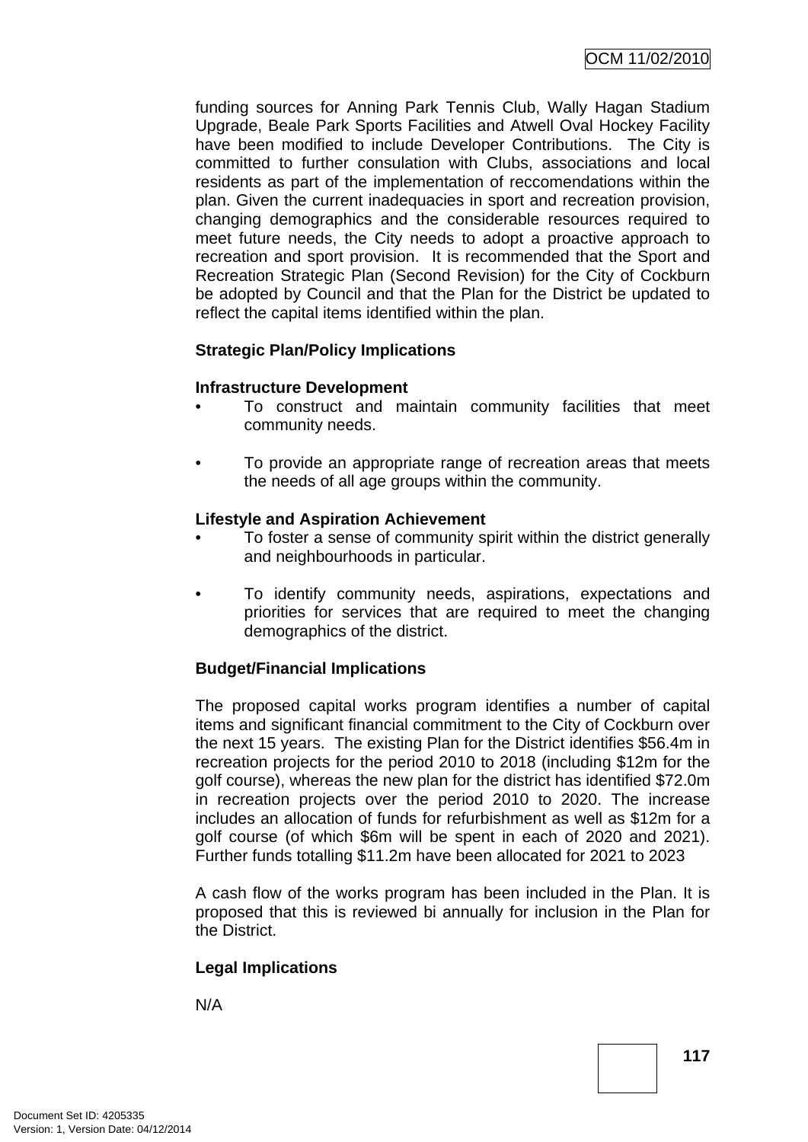funding sources for Anning Park Tennis Club, Wally Hagan Stadium Upgrade, Beale Park Sports Facilities and Atwell Oval Hockey Facility have been modified to include Developer Contributions. The City is committed to further consulation with Clubs, associations and local residents as part of the implementation of reccomendations within the plan. Given the current inadequacies in sport and recreation provision, changing demographics and the considerable resources required to meet future needs, the City needs to adopt a proactive approach to recreation and sport provision. It is recommended that the Sport and Recreation Strategic Plan (Second Revision) for the City of Cockburn be adopted by Council and that the Plan for the District be updated to reflect the capital items identified within the plan.

# **Strategic Plan/Policy Implications**

#### **Infrastructure Development**

- To construct and maintain community facilities that meet community needs.
- To provide an appropriate range of recreation areas that meets the needs of all age groups within the community.

# **Lifestyle and Aspiration Achievement**

- To foster a sense of community spirit within the district generally and neighbourhoods in particular.
- To identify community needs, aspirations, expectations and priorities for services that are required to meet the changing demographics of the district.

# **Budget/Financial Implications**

The proposed capital works program identifies a number of capital items and significant financial commitment to the City of Cockburn over the next 15 years. The existing Plan for the District identifies \$56.4m in recreation projects for the period 2010 to 2018 (including \$12m for the golf course), whereas the new plan for the district has identified \$72.0m in recreation projects over the period 2010 to 2020. The increase includes an allocation of funds for refurbishment as well as \$12m for a golf course (of which \$6m will be spent in each of 2020 and 2021). Further funds totalling \$11.2m have been allocated for 2021 to 2023

A cash flow of the works program has been included in the Plan. It is proposed that this is reviewed bi annually for inclusion in the Plan for the District.

# **Legal Implications**

N/A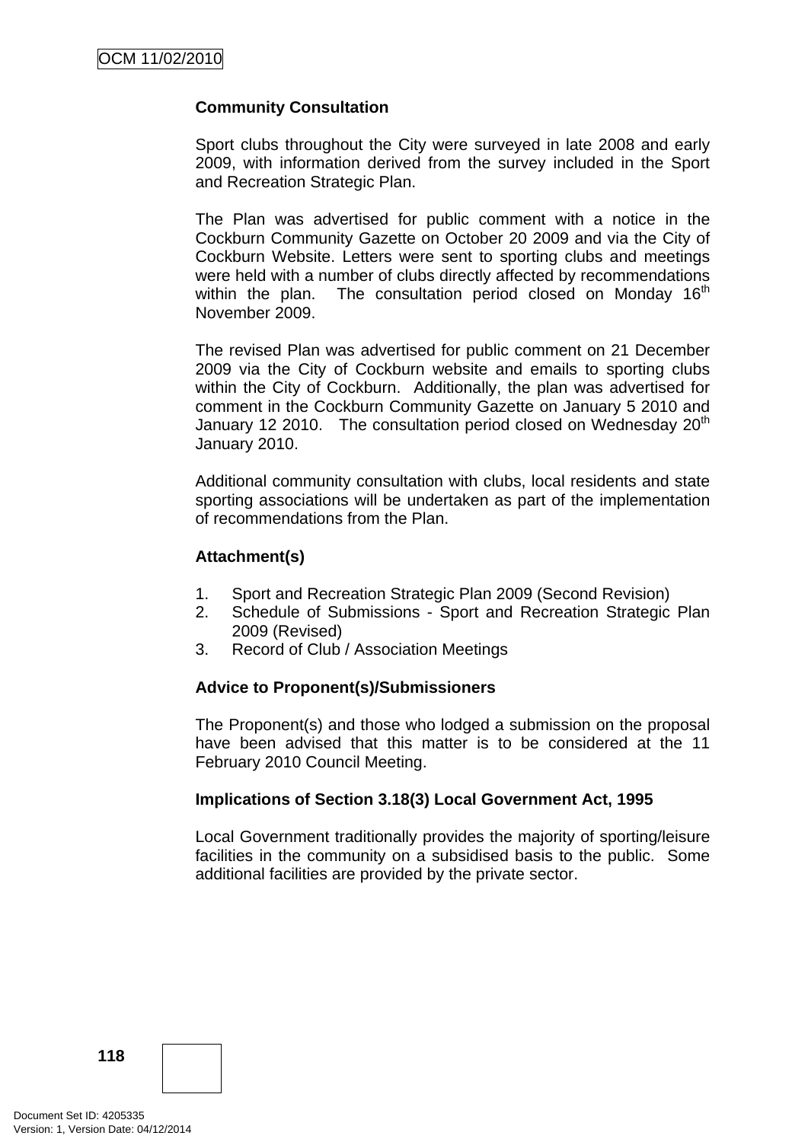# **Community Consultation**

Sport clubs throughout the City were surveyed in late 2008 and early 2009, with information derived from the survey included in the Sport and Recreation Strategic Plan.

The Plan was advertised for public comment with a notice in the Cockburn Community Gazette on October 20 2009 and via the City of Cockburn Website. Letters were sent to sporting clubs and meetings were held with a number of clubs directly affected by recommendations within the plan. The consultation period closed on Monday  $16<sup>th</sup>$ November 2009.

The revised Plan was advertised for public comment on 21 December 2009 via the City of Cockburn website and emails to sporting clubs within the City of Cockburn. Additionally, the plan was advertised for comment in the Cockburn Community Gazette on January 5 2010 and January 12 2010. The consultation period closed on Wednesday 20<sup>th</sup> January 2010.

Additional community consultation with clubs, local residents and state sporting associations will be undertaken as part of the implementation of recommendations from the Plan.

#### **Attachment(s)**

- 1. Sport and Recreation Strategic Plan 2009 (Second Revision)
- 2. Schedule of Submissions Sport and Recreation Strategic Plan 2009 (Revised)
- 3. Record of Club / Association Meetings

#### **Advice to Proponent(s)/Submissioners**

The Proponent(s) and those who lodged a submission on the proposal have been advised that this matter is to be considered at the 11 February 2010 Council Meeting.

#### **Implications of Section 3.18(3) Local Government Act, 1995**

Local Government traditionally provides the majority of sporting/leisure facilities in the community on a subsidised basis to the public. Some additional facilities are provided by the private sector.

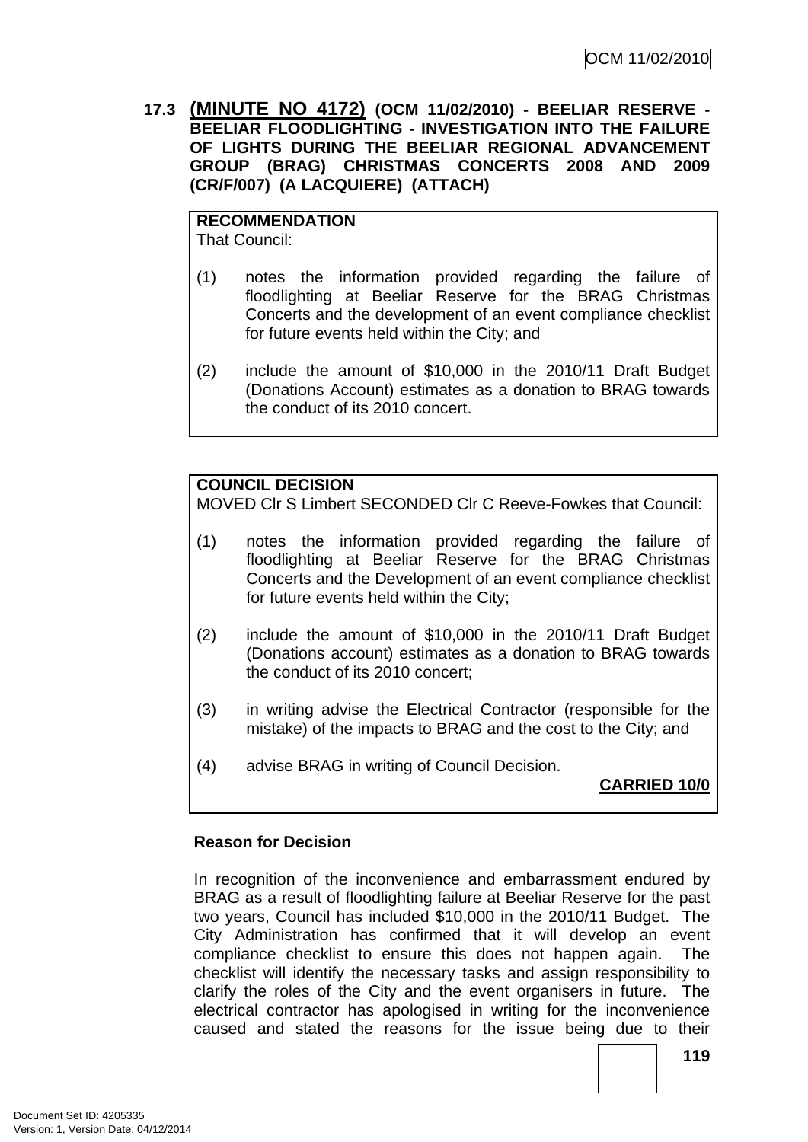**17.3 (MINUTE NO 4172) (OCM 11/02/2010) - BEELIAR RESERVE - BEELIAR FLOODLIGHTING - INVESTIGATION INTO THE FAILURE OF LIGHTS DURING THE BEELIAR REGIONAL ADVANCEMENT GROUP (BRAG) CHRISTMAS CONCERTS 2008 AND 2009 (CR/F/007) (A LACQUIERE) (ATTACH)** 

**RECOMMENDATION** That Council:

- (1) notes the information provided regarding the failure of floodlighting at Beeliar Reserve for the BRAG Christmas Concerts and the development of an event compliance checklist for future events held within the City; and
- (2) include the amount of \$10,000 in the 2010/11 Draft Budget (Donations Account) estimates as a donation to BRAG towards the conduct of its 2010 concert.

# **COUNCIL DECISION**

MOVED Clr S Limbert SECONDED Clr C Reeve-Fowkes that Council:

- (1) notes the information provided regarding the failure of floodlighting at Beeliar Reserve for the BRAG Christmas Concerts and the Development of an event compliance checklist for future events held within the City;
- (2) include the amount of \$10,000 in the 2010/11 Draft Budget (Donations account) estimates as a donation to BRAG towards the conduct of its 2010 concert;
- (3) in writing advise the Electrical Contractor (responsible for the mistake) of the impacts to BRAG and the cost to the City; and
- (4) advise BRAG in writing of Council Decision.

**CARRIED 10/0**

#### **Reason for Decision**

In recognition of the inconvenience and embarrassment endured by BRAG as a result of floodlighting failure at Beeliar Reserve for the past two years, Council has included \$10,000 in the 2010/11 Budget. The City Administration has confirmed that it will develop an event compliance checklist to ensure this does not happen again. The checklist will identify the necessary tasks and assign responsibility to clarify the roles of the City and the event organisers in future. The electrical contractor has apologised in writing for the inconvenience caused and stated the reasons for the issue being due to their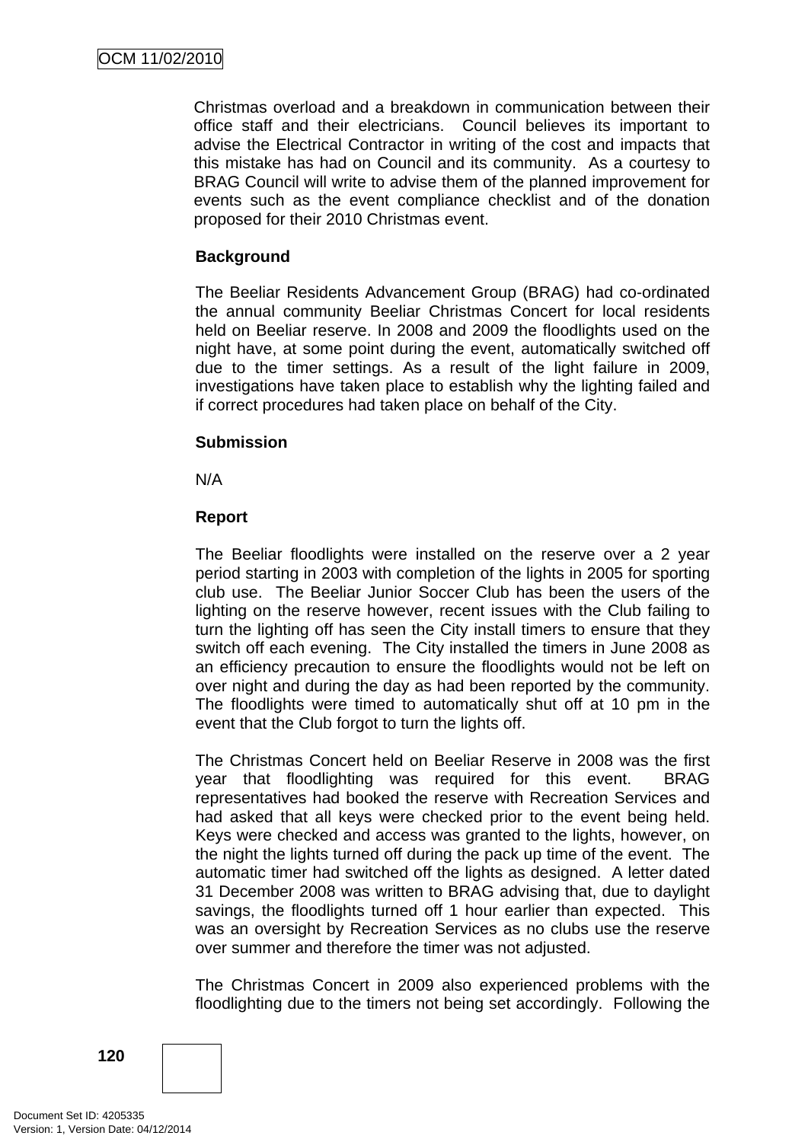Christmas overload and a breakdown in communication between their office staff and their electricians. Council believes its important to advise the Electrical Contractor in writing of the cost and impacts that this mistake has had on Council and its community. As a courtesy to BRAG Council will write to advise them of the planned improvement for events such as the event compliance checklist and of the donation proposed for their 2010 Christmas event.

# **Background**

The Beeliar Residents Advancement Group (BRAG) had co-ordinated the annual community Beeliar Christmas Concert for local residents held on Beeliar reserve. In 2008 and 2009 the floodlights used on the night have, at some point during the event, automatically switched off due to the timer settings. As a result of the light failure in 2009, investigations have taken place to establish why the lighting failed and if correct procedures had taken place on behalf of the City.

# **Submission**

N/A

# **Report**

The Beeliar floodlights were installed on the reserve over a 2 year period starting in 2003 with completion of the lights in 2005 for sporting club use. The Beeliar Junior Soccer Club has been the users of the lighting on the reserve however, recent issues with the Club failing to turn the lighting off has seen the City install timers to ensure that they switch off each evening. The City installed the timers in June 2008 as an efficiency precaution to ensure the floodlights would not be left on over night and during the day as had been reported by the community. The floodlights were timed to automatically shut off at 10 pm in the event that the Club forgot to turn the lights off.

The Christmas Concert held on Beeliar Reserve in 2008 was the first year that floodlighting was required for this event. BRAG representatives had booked the reserve with Recreation Services and had asked that all keys were checked prior to the event being held. Keys were checked and access was granted to the lights, however, on the night the lights turned off during the pack up time of the event. The automatic timer had switched off the lights as designed. A letter dated 31 December 2008 was written to BRAG advising that, due to daylight savings, the floodlights turned off 1 hour earlier than expected. This was an oversight by Recreation Services as no clubs use the reserve over summer and therefore the timer was not adjusted.

The Christmas Concert in 2009 also experienced problems with the floodlighting due to the timers not being set accordingly. Following the

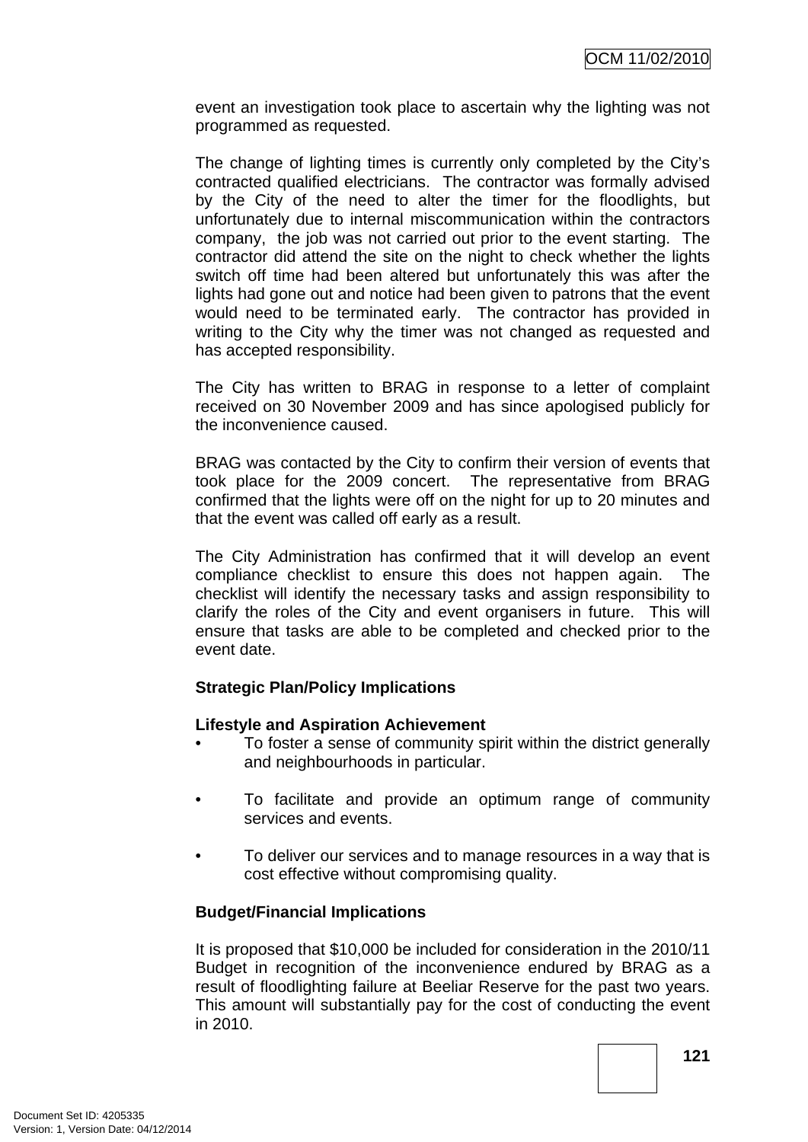event an investigation took place to ascertain why the lighting was not programmed as requested.

The change of lighting times is currently only completed by the City's contracted qualified electricians. The contractor was formally advised by the City of the need to alter the timer for the floodlights, but unfortunately due to internal miscommunication within the contractors company, the job was not carried out prior to the event starting. The contractor did attend the site on the night to check whether the lights switch off time had been altered but unfortunately this was after the lights had gone out and notice had been given to patrons that the event would need to be terminated early. The contractor has provided in writing to the City why the timer was not changed as requested and has accepted responsibility.

The City has written to BRAG in response to a letter of complaint received on 30 November 2009 and has since apologised publicly for the inconvenience caused.

BRAG was contacted by the City to confirm their version of events that took place for the 2009 concert. The representative from BRAG confirmed that the lights were off on the night for up to 20 minutes and that the event was called off early as a result.

The City Administration has confirmed that it will develop an event compliance checklist to ensure this does not happen again. The checklist will identify the necessary tasks and assign responsibility to clarify the roles of the City and event organisers in future. This will ensure that tasks are able to be completed and checked prior to the event date.

# **Strategic Plan/Policy Implications**

#### **Lifestyle and Aspiration Achievement**

- To foster a sense of community spirit within the district generally and neighbourhoods in particular.
- To facilitate and provide an optimum range of community services and events.
- To deliver our services and to manage resources in a way that is cost effective without compromising quality.

#### **Budget/Financial Implications**

It is proposed that \$10,000 be included for consideration in the 2010/11 Budget in recognition of the inconvenience endured by BRAG as a result of floodlighting failure at Beeliar Reserve for the past two years. This amount will substantially pay for the cost of conducting the event in 2010.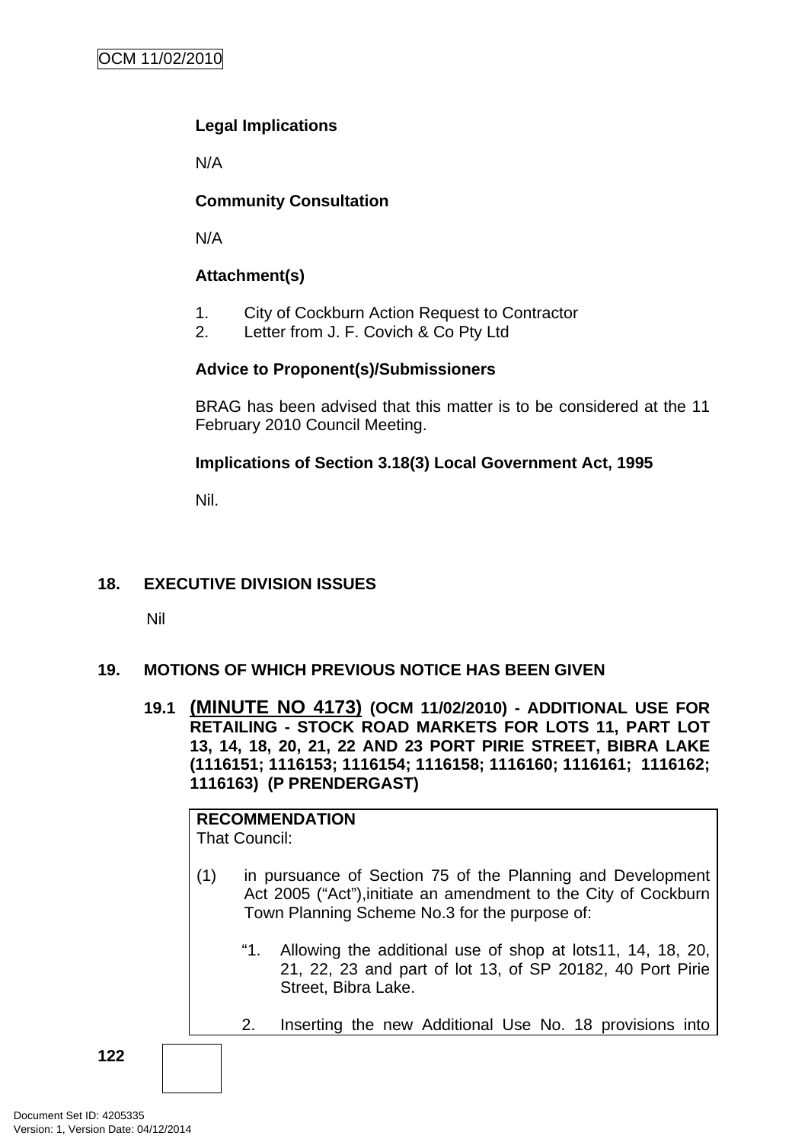# **Legal Implications**

N/A

# **Community Consultation**

N/A

# **Attachment(s)**

- 1. City of Cockburn Action Request to Contractor
- 2. Letter from J. F. Covich & Co Pty Ltd

# **Advice to Proponent(s)/Submissioners**

BRAG has been advised that this matter is to be considered at the 11 February 2010 Council Meeting.

# **Implications of Section 3.18(3) Local Government Act, 1995**

Nil.

# **18. EXECUTIVE DIVISION ISSUES**

Nil

# **19. MOTIONS OF WHICH PREVIOUS NOTICE HAS BEEN GIVEN**

**19.1 (MINUTE NO 4173) (OCM 11/02/2010) - ADDITIONAL USE FOR RETAILING - STOCK ROAD MARKETS FOR LOTS 11, PART LOT 13, 14, 18, 20, 21, 22 AND 23 PORT PIRIE STREET, BIBRA LAKE (1116151; 1116153; 1116154; 1116158; 1116160; 1116161; 1116162; 1116163) (P PRENDERGAST)** 

|     | <b>RECOMMENDATION</b><br><b>That Council:</b>                                                                                                                                  |  |  |  |
|-----|--------------------------------------------------------------------------------------------------------------------------------------------------------------------------------|--|--|--|
| (1) | in pursuance of Section 75 of the Planning and Development<br>Act 2005 ("Act"), initiate an amendment to the City of Cockburn<br>Town Planning Scheme No.3 for the purpose of: |  |  |  |
|     | "1.<br>Allowing the additional use of shop at lots11, 14, 18, 20,<br>21, 22, 23 and part of lot 13, of SP 20182, 40 Port Pirie<br>Street, Bibra Lake.                          |  |  |  |
|     | Inserting the new Additional Use No. 18 provisions into<br>2.                                                                                                                  |  |  |  |
|     |                                                                                                                                                                                |  |  |  |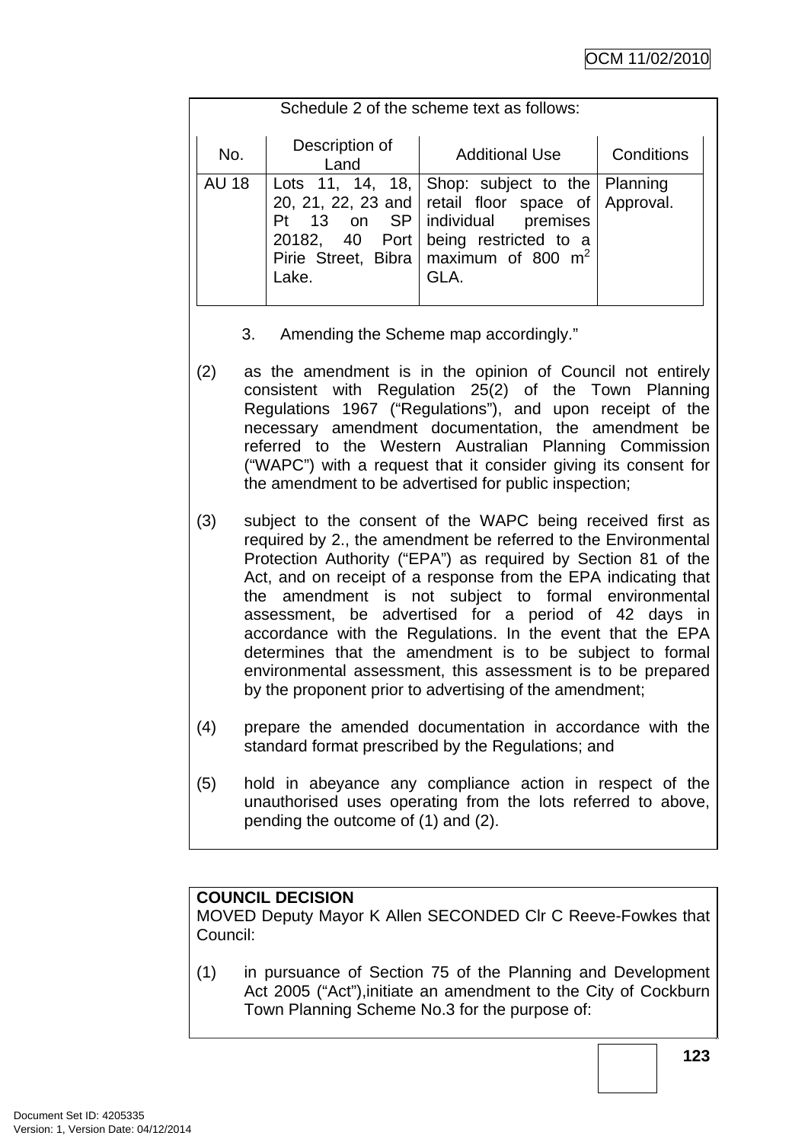| Schedule 2 of the scheme text as follows: |              |                                                  |                                                                                                                                                                                                                                                |            |  |
|-------------------------------------------|--------------|--------------------------------------------------|------------------------------------------------------------------------------------------------------------------------------------------------------------------------------------------------------------------------------------------------|------------|--|
|                                           | No.          | Description of<br>Land                           | <b>Additional Use</b>                                                                                                                                                                                                                          | Conditions |  |
|                                           | <b>AU 18</b> | $\overline{13}$<br>Pt<br>20182, 40 Port<br>Lake. | Lots 11, 14, 18, $\vert$ Shop: subject to the $\vert$ Planning<br>20, 21, 22, 23 and retail floor space of Approval.<br>on SP   individual<br>premises<br>being restricted to a<br>Pirie Street, Bibra   maximum of 800 m <sup>2</sup><br>GLA. |            |  |

- 3. Amending the Scheme map accordingly."
- (2) as the amendment is in the opinion of Council not entirely consistent with Regulation 25(2) of the Town Planning Regulations 1967 ("Regulations"), and upon receipt of the necessary amendment documentation, the amendment be referred to the Western Australian Planning Commission ("WAPC") with a request that it consider giving its consent for the amendment to be advertised for public inspection;
- (3) subject to the consent of the WAPC being received first as required by 2., the amendment be referred to the Environmental Protection Authority ("EPA") as required by Section 81 of the Act, and on receipt of a response from the EPA indicating that the amendment is not subject to formal environmental assessment, be advertised for a period of 42 days in accordance with the Regulations. In the event that the EPA determines that the amendment is to be subject to formal environmental assessment, this assessment is to be prepared by the proponent prior to advertising of the amendment;
- (4) prepare the amended documentation in accordance with the standard format prescribed by the Regulations; and
- (5) hold in abeyance any compliance action in respect of the unauthorised uses operating from the lots referred to above, pending the outcome of (1) and (2).

# **COUNCIL DECISION**

MOVED Deputy Mayor K Allen SECONDED Clr C Reeve-Fowkes that Council:

(1) in pursuance of Section 75 of the Planning and Development Act 2005 ("Act"),initiate an amendment to the City of Cockburn Town Planning Scheme No.3 for the purpose of: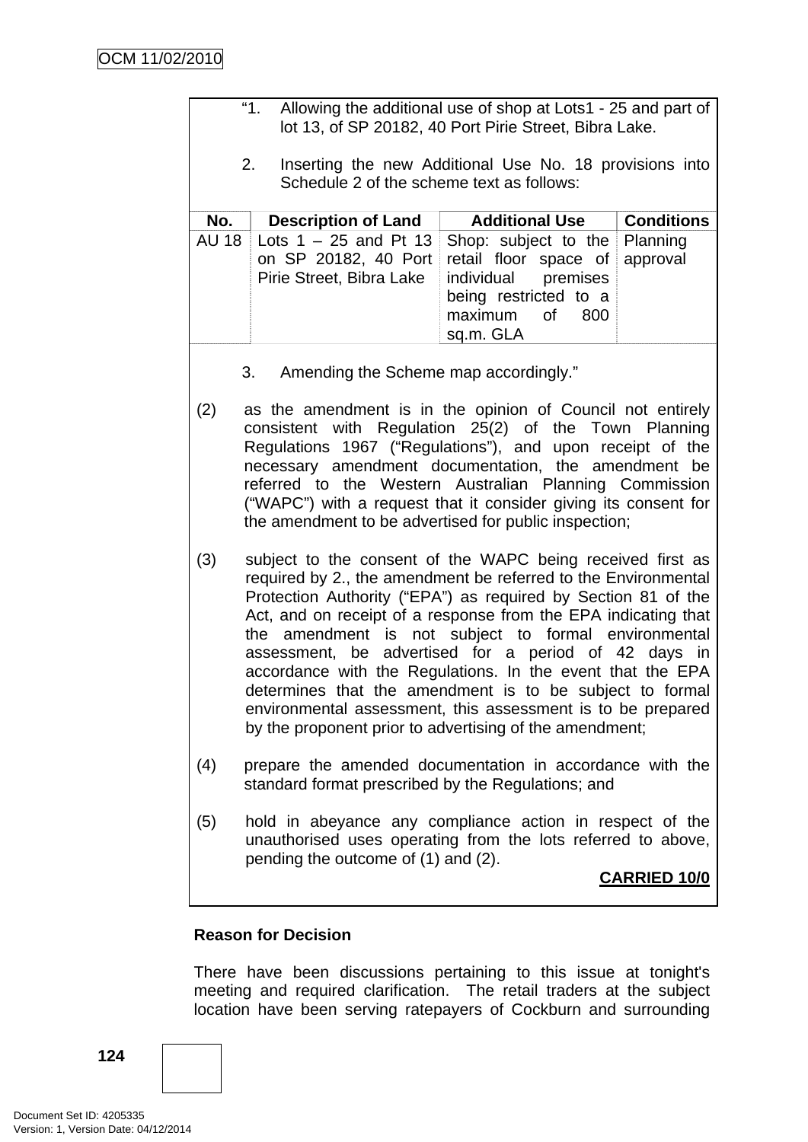| "1.<br>Allowing the additional use of shop at Lots1 - 25 and part of<br>lot 13, of SP 20182, 40 Port Pirie Street, Bibra Lake.                                                                                                                                                                                                                                                                                                       |                                                                                                                                                                                                                                                                                                                                                                                                                                                                                                                                                                                                                                     |                                                                                                                                    |                      |
|--------------------------------------------------------------------------------------------------------------------------------------------------------------------------------------------------------------------------------------------------------------------------------------------------------------------------------------------------------------------------------------------------------------------------------------|-------------------------------------------------------------------------------------------------------------------------------------------------------------------------------------------------------------------------------------------------------------------------------------------------------------------------------------------------------------------------------------------------------------------------------------------------------------------------------------------------------------------------------------------------------------------------------------------------------------------------------------|------------------------------------------------------------------------------------------------------------------------------------|----------------------|
|                                                                                                                                                                                                                                                                                                                                                                                                                                      | 2.<br>Schedule 2 of the scheme text as follows:                                                                                                                                                                                                                                                                                                                                                                                                                                                                                                                                                                                     | Inserting the new Additional Use No. 18 provisions into                                                                            |                      |
| No.                                                                                                                                                                                                                                                                                                                                                                                                                                  | <b>Description of Land</b>                                                                                                                                                                                                                                                                                                                                                                                                                                                                                                                                                                                                          | <b>Additional Use</b>                                                                                                              | <b>Conditions</b>    |
| <b>AU 18</b>                                                                                                                                                                                                                                                                                                                                                                                                                         | Lots $1 - 25$ and Pt 13<br>on SP 20182, 40 Port<br>Pirie Street, Bibra Lake                                                                                                                                                                                                                                                                                                                                                                                                                                                                                                                                                         | Shop: subject to the<br>retail floor space of<br>individual<br>premises<br>being restricted to a<br>maximum of<br>800<br>sq.m. GLA | Planning<br>approval |
|                                                                                                                                                                                                                                                                                                                                                                                                                                      | 3.<br>Amending the Scheme map accordingly."                                                                                                                                                                                                                                                                                                                                                                                                                                                                                                                                                                                         |                                                                                                                                    |                      |
| as the amendment is in the opinion of Council not entirely<br>(2)<br>consistent with Regulation 25(2) of the Town Planning<br>Regulations 1967 ("Regulations"), and upon receipt of the<br>necessary amendment documentation, the amendment be<br>referred to the Western Australian Planning Commission<br>("WAPC") with a request that it consider giving its consent for<br>the amendment to be advertised for public inspection; |                                                                                                                                                                                                                                                                                                                                                                                                                                                                                                                                                                                                                                     |                                                                                                                                    |                      |
| (3)                                                                                                                                                                                                                                                                                                                                                                                                                                  | subject to the consent of the WAPC being received first as<br>required by 2., the amendment be referred to the Environmental<br>Protection Authority ("EPA") as required by Section 81 of the<br>Act, and on receipt of a response from the EPA indicating that<br>the amendment is not subject to formal environmental<br>assessment, be advertised for a period of 42 days in<br>accordance with the Regulations. In the event that the EPA<br>determines that the amendment is to be subject to formal<br>environmental assessment, this assessment is to be prepared<br>by the proponent prior to advertising of the amendment; |                                                                                                                                    |                      |
| (4)                                                                                                                                                                                                                                                                                                                                                                                                                                  | prepare the amended documentation in accordance with the<br>standard format prescribed by the Regulations; and                                                                                                                                                                                                                                                                                                                                                                                                                                                                                                                      |                                                                                                                                    |                      |
| (5)                                                                                                                                                                                                                                                                                                                                                                                                                                  | hold in abeyance any compliance action in respect of the<br>unauthorised uses operating from the lots referred to above,<br>pending the outcome of (1) and (2).                                                                                                                                                                                                                                                                                                                                                                                                                                                                     |                                                                                                                                    |                      |
| <b>CARRIED 10/0</b>                                                                                                                                                                                                                                                                                                                                                                                                                  |                                                                                                                                                                                                                                                                                                                                                                                                                                                                                                                                                                                                                                     |                                                                                                                                    |                      |
|                                                                                                                                                                                                                                                                                                                                                                                                                                      |                                                                                                                                                                                                                                                                                                                                                                                                                                                                                                                                                                                                                                     |                                                                                                                                    |                      |

# **Reason for Decision**

There have been discussions pertaining to this issue at tonight's meeting and required clarification. The retail traders at the subject location have been serving ratepayers of Cockburn and surrounding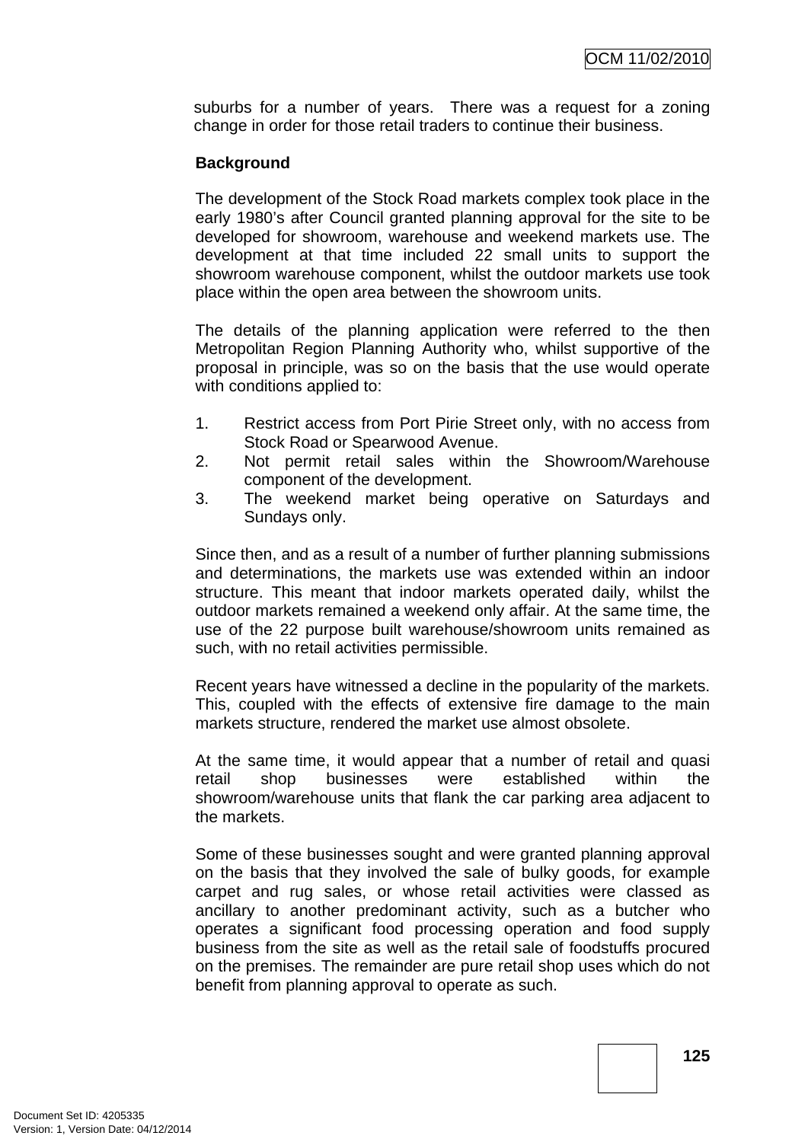suburbs for a number of years. There was a request for a zoning change in order for those retail traders to continue their business.

### **Background**

The development of the Stock Road markets complex took place in the early 1980's after Council granted planning approval for the site to be developed for showroom, warehouse and weekend markets use. The development at that time included 22 small units to support the showroom warehouse component, whilst the outdoor markets use took place within the open area between the showroom units.

The details of the planning application were referred to the then Metropolitan Region Planning Authority who, whilst supportive of the proposal in principle, was so on the basis that the use would operate with conditions applied to:

- 1. Restrict access from Port Pirie Street only, with no access from Stock Road or Spearwood Avenue.
- 2. Not permit retail sales within the Showroom/Warehouse component of the development.
- 3. The weekend market being operative on Saturdays and Sundays only.

Since then, and as a result of a number of further planning submissions and determinations, the markets use was extended within an indoor structure. This meant that indoor markets operated daily, whilst the outdoor markets remained a weekend only affair. At the same time, the use of the 22 purpose built warehouse/showroom units remained as such, with no retail activities permissible.

Recent years have witnessed a decline in the popularity of the markets. This, coupled with the effects of extensive fire damage to the main markets structure, rendered the market use almost obsolete.

At the same time, it would appear that a number of retail and quasi retail shop businesses were established within the showroom/warehouse units that flank the car parking area adjacent to the markets.

Some of these businesses sought and were granted planning approval on the basis that they involved the sale of bulky goods, for example carpet and rug sales, or whose retail activities were classed as ancillary to another predominant activity, such as a butcher who operates a significant food processing operation and food supply business from the site as well as the retail sale of foodstuffs procured on the premises. The remainder are pure retail shop uses which do not benefit from planning approval to operate as such.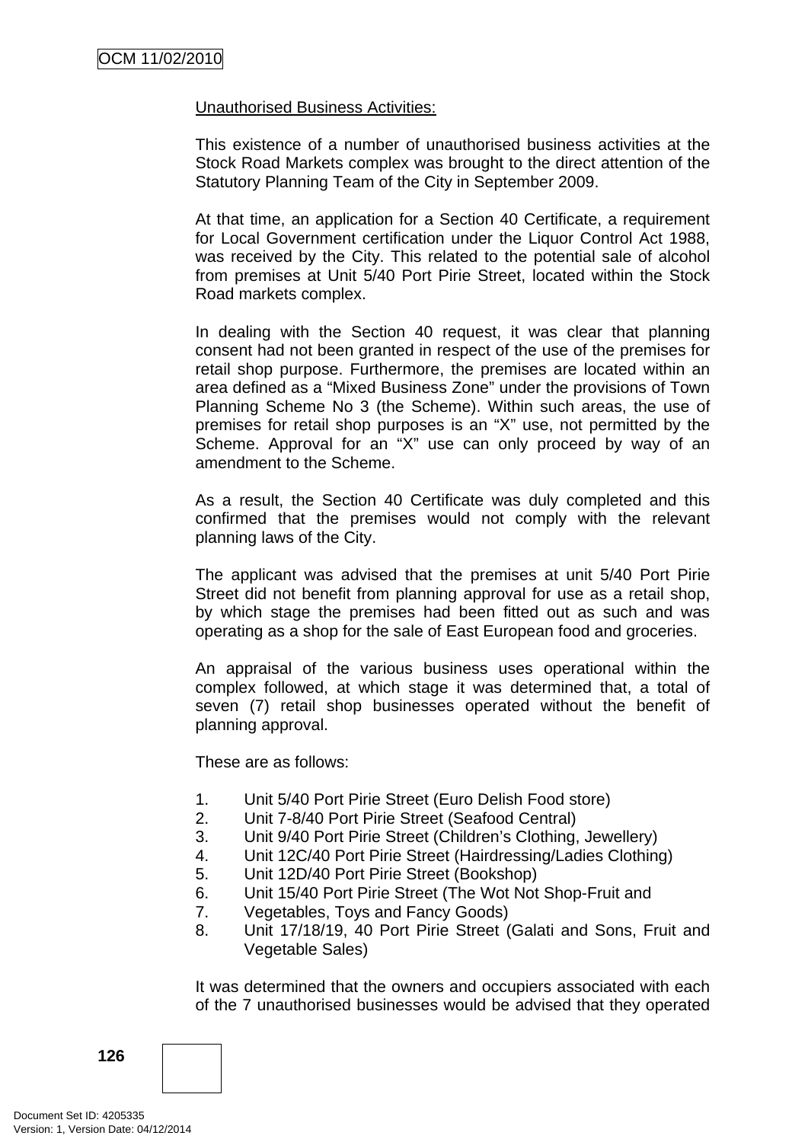#### Unauthorised Business Activities:

This existence of a number of unauthorised business activities at the Stock Road Markets complex was brought to the direct attention of the Statutory Planning Team of the City in September 2009.

At that time, an application for a Section 40 Certificate, a requirement for Local Government certification under the Liquor Control Act 1988, was received by the City. This related to the potential sale of alcohol from premises at Unit 5/40 Port Pirie Street, located within the Stock Road markets complex.

In dealing with the Section 40 request, it was clear that planning consent had not been granted in respect of the use of the premises for retail shop purpose. Furthermore, the premises are located within an area defined as a "Mixed Business Zone" under the provisions of Town Planning Scheme No 3 (the Scheme). Within such areas, the use of premises for retail shop purposes is an "X" use, not permitted by the Scheme. Approval for an "X" use can only proceed by way of an amendment to the Scheme.

As a result, the Section 40 Certificate was duly completed and this confirmed that the premises would not comply with the relevant planning laws of the City.

The applicant was advised that the premises at unit 5/40 Port Pirie Street did not benefit from planning approval for use as a retail shop, by which stage the premises had been fitted out as such and was operating as a shop for the sale of East European food and groceries.

An appraisal of the various business uses operational within the complex followed, at which stage it was determined that, a total of seven (7) retail shop businesses operated without the benefit of planning approval.

These are as follows:

- 1. Unit 5/40 Port Pirie Street (Euro Delish Food store)
- 2. Unit 7-8/40 Port Pirie Street (Seafood Central)
- 3. Unit 9/40 Port Pirie Street (Children's Clothing, Jewellery)
- 4. Unit 12C/40 Port Pirie Street (Hairdressing/Ladies Clothing)
- 5. Unit 12D/40 Port Pirie Street (Bookshop)
- 6. Unit 15/40 Port Pirie Street (The Wot Not Shop-Fruit and
- 7. Vegetables, Toys and Fancy Goods)
- 8. Unit 17/18/19, 40 Port Pirie Street (Galati and Sons, Fruit and Vegetable Sales)

It was determined that the owners and occupiers associated with each of the 7 unauthorised businesses would be advised that they operated

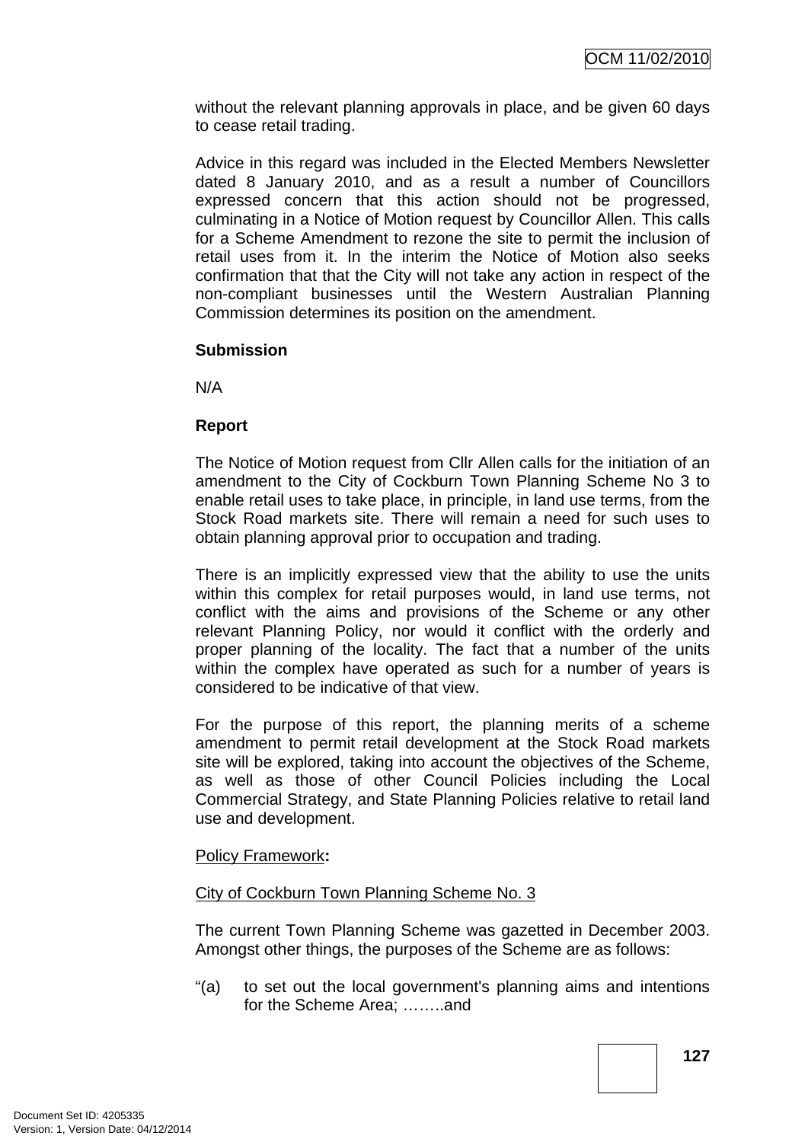without the relevant planning approvals in place, and be given 60 days to cease retail trading.

Advice in this regard was included in the Elected Members Newsletter dated 8 January 2010, and as a result a number of Councillors expressed concern that this action should not be progressed, culminating in a Notice of Motion request by Councillor Allen. This calls for a Scheme Amendment to rezone the site to permit the inclusion of retail uses from it. In the interim the Notice of Motion also seeks confirmation that that the City will not take any action in respect of the non-compliant businesses until the Western Australian Planning Commission determines its position on the amendment.

#### **Submission**

N/A

# **Report**

The Notice of Motion request from Cllr Allen calls for the initiation of an amendment to the City of Cockburn Town Planning Scheme No 3 to enable retail uses to take place, in principle, in land use terms, from the Stock Road markets site. There will remain a need for such uses to obtain planning approval prior to occupation and trading.

There is an implicitly expressed view that the ability to use the units within this complex for retail purposes would, in land use terms, not conflict with the aims and provisions of the Scheme or any other relevant Planning Policy, nor would it conflict with the orderly and proper planning of the locality. The fact that a number of the units within the complex have operated as such for a number of years is considered to be indicative of that view.

For the purpose of this report, the planning merits of a scheme amendment to permit retail development at the Stock Road markets site will be explored, taking into account the objectives of the Scheme, as well as those of other Council Policies including the Local Commercial Strategy, and State Planning Policies relative to retail land use and development.

#### Policy Framework**:**

#### City of Cockburn Town Planning Scheme No. 3

The current Town Planning Scheme was gazetted in December 2003. Amongst other things, the purposes of the Scheme are as follows:

"(a) to set out the local government's planning aims and intentions for the Scheme Area; .......and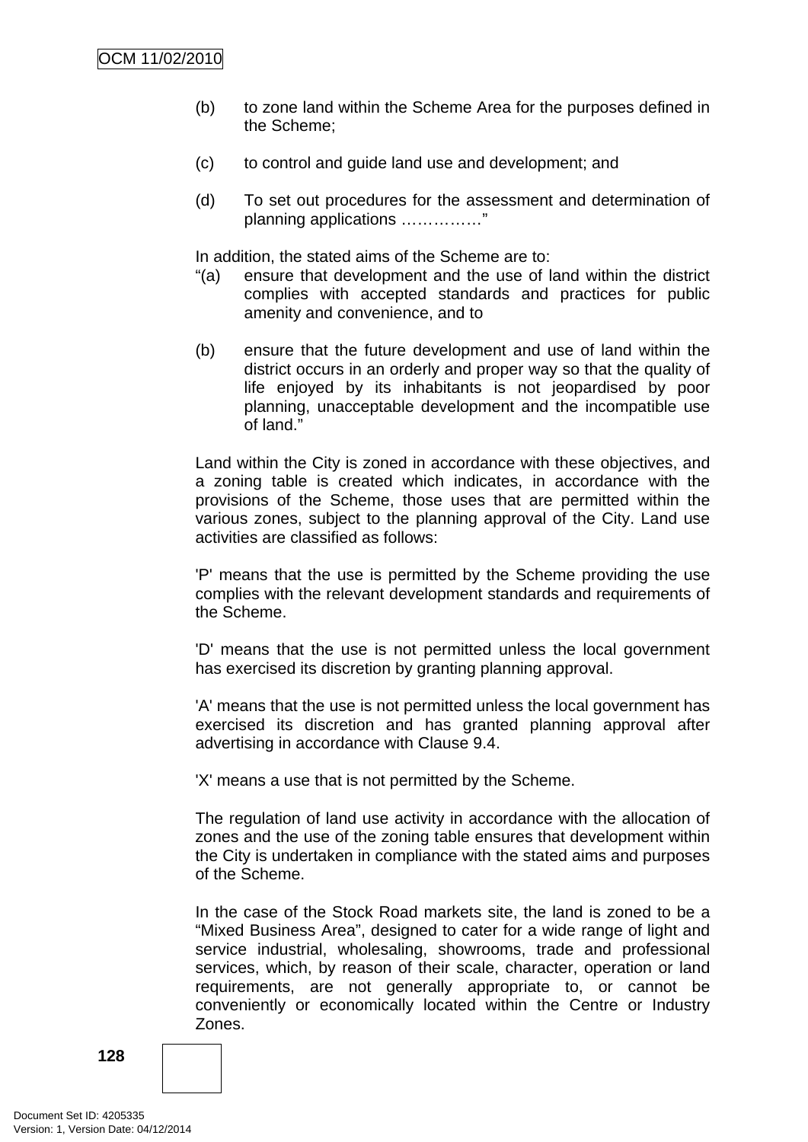- (b) to zone land within the Scheme Area for the purposes defined in the Scheme;
- (c) to control and guide land use and development; and
- (d) To set out procedures for the assessment and determination of planning applications ……………"

In addition, the stated aims of the Scheme are to:

- "(a) ensure that development and the use of land within the district complies with accepted standards and practices for public amenity and convenience, and to
- (b) ensure that the future development and use of land within the district occurs in an orderly and proper way so that the quality of life enjoyed by its inhabitants is not jeopardised by poor planning, unacceptable development and the incompatible use of land."

Land within the City is zoned in accordance with these objectives, and a zoning table is created which indicates, in accordance with the provisions of the Scheme, those uses that are permitted within the various zones, subject to the planning approval of the City. Land use activities are classified as follows:

'P' means that the use is permitted by the Scheme providing the use complies with the relevant development standards and requirements of the Scheme.

'D' means that the use is not permitted unless the local government has exercised its discretion by granting planning approval.

'A' means that the use is not permitted unless the local government has exercised its discretion and has granted planning approval after advertising in accordance with Clause 9.4.

'X' means a use that is not permitted by the Scheme.

The regulation of land use activity in accordance with the allocation of zones and the use of the zoning table ensures that development within the City is undertaken in compliance with the stated aims and purposes of the Scheme.

In the case of the Stock Road markets site, the land is zoned to be a "Mixed Business Area", designed to cater for a wide range of light and service industrial, wholesaling, showrooms, trade and professional services, which, by reason of their scale, character, operation or land requirements, are not generally appropriate to, or cannot be conveniently or economically located within the Centre or Industry Zones.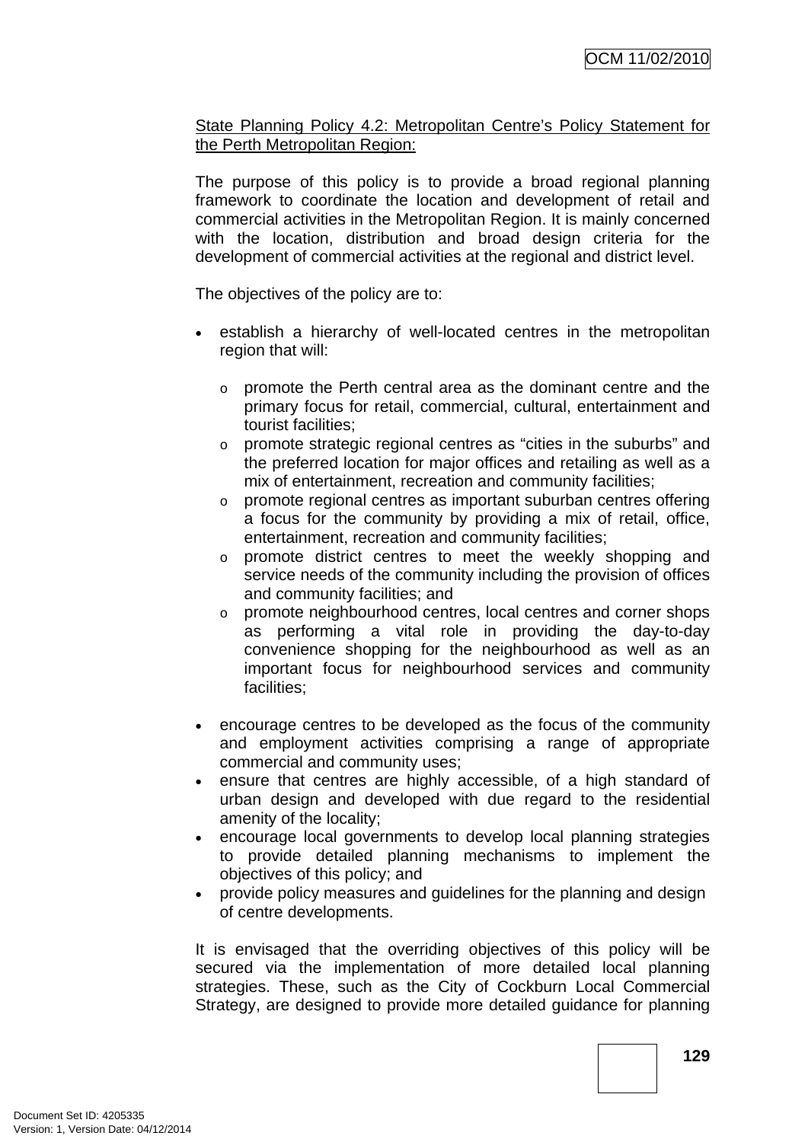State Planning Policy 4.2: Metropolitan Centre's Policy Statement for the Perth Metropolitan Region:

The purpose of this policy is to provide a broad regional planning framework to coordinate the location and development of retail and commercial activities in the Metropolitan Region. It is mainly concerned with the location, distribution and broad design criteria for the development of commercial activities at the regional and district level.

The objectives of the policy are to:

- establish a hierarchy of well-located centres in the metropolitan region that will:
	- o promote the Perth central area as the dominant centre and the primary focus for retail, commercial, cultural, entertainment and tourist facilities;
	- o promote strategic regional centres as "cities in the suburbs" and the preferred location for major offices and retailing as well as a mix of entertainment, recreation and community facilities;
	- o promote regional centres as important suburban centres offering a focus for the community by providing a mix of retail, office, entertainment, recreation and community facilities;
	- o promote district centres to meet the weekly shopping and service needs of the community including the provision of offices and community facilities; and
	- $\circ$  promote neighbourhood centres, local centres and corner shops as performing a vital role in providing the day-to-day convenience shopping for the neighbourhood as well as an important focus for neighbourhood services and community facilities;
- encourage centres to be developed as the focus of the community and employment activities comprising a range of appropriate commercial and community uses;
- ensure that centres are highly accessible, of a high standard of urban design and developed with due regard to the residential amenity of the locality;
- encourage local governments to develop local planning strategies to provide detailed planning mechanisms to implement the objectives of this policy; and
- provide policy measures and guidelines for the planning and design of centre developments.

It is envisaged that the overriding objectives of this policy will be secured via the implementation of more detailed local planning strategies. These, such as the City of Cockburn Local Commercial Strategy, are designed to provide more detailed guidance for planning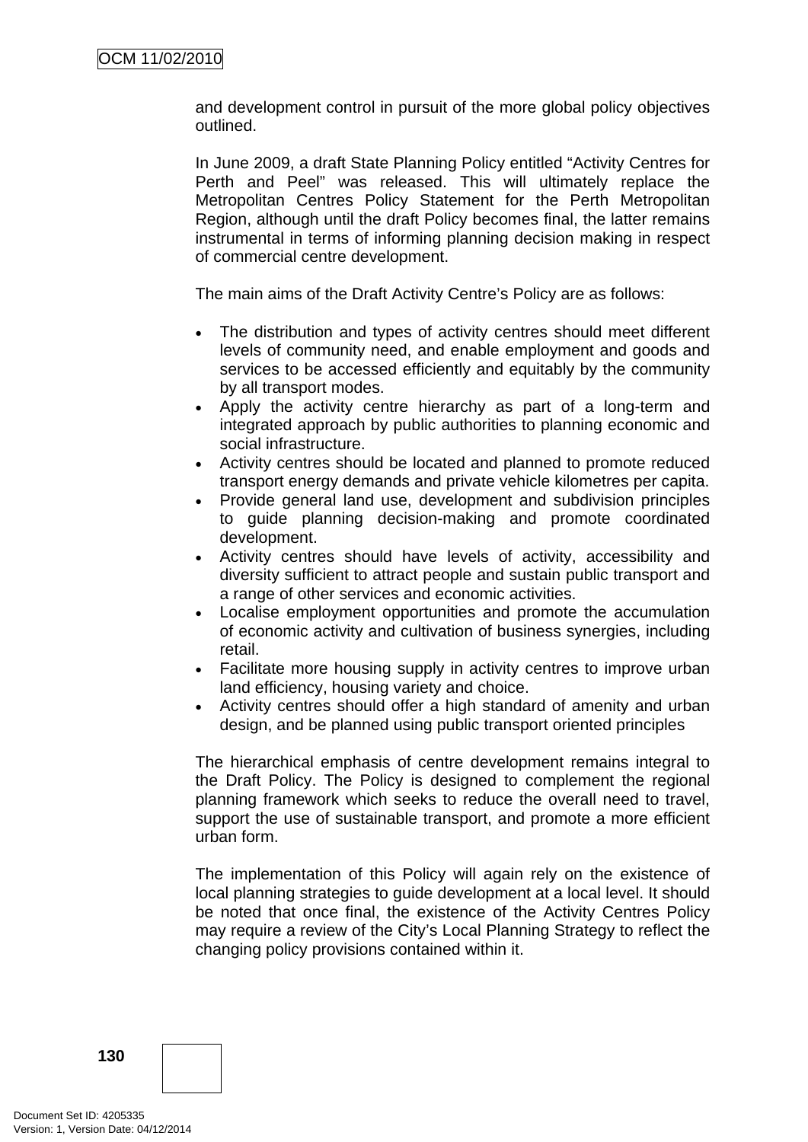and development control in pursuit of the more global policy objectives outlined.

In June 2009, a draft State Planning Policy entitled "Activity Centres for Perth and Peel" was released. This will ultimately replace the Metropolitan Centres Policy Statement for the Perth Metropolitan Region, although until the draft Policy becomes final, the latter remains instrumental in terms of informing planning decision making in respect of commercial centre development.

The main aims of the Draft Activity Centre's Policy are as follows:

- The distribution and types of activity centres should meet different levels of community need, and enable employment and goods and services to be accessed efficiently and equitably by the community by all transport modes.
- Apply the activity centre hierarchy as part of a long-term and integrated approach by public authorities to planning economic and social infrastructure.
- Activity centres should be located and planned to promote reduced transport energy demands and private vehicle kilometres per capita.
- Provide general land use, development and subdivision principles to guide planning decision-making and promote coordinated development.
- Activity centres should have levels of activity, accessibility and diversity sufficient to attract people and sustain public transport and a range of other services and economic activities.
- Localise employment opportunities and promote the accumulation of economic activity and cultivation of business synergies, including retail.
- Facilitate more housing supply in activity centres to improve urban land efficiency, housing variety and choice.
- Activity centres should offer a high standard of amenity and urban design, and be planned using public transport oriented principles

The hierarchical emphasis of centre development remains integral to the Draft Policy. The Policy is designed to complement the regional planning framework which seeks to reduce the overall need to travel, support the use of sustainable transport, and promote a more efficient urban form.

The implementation of this Policy will again rely on the existence of local planning strategies to guide development at a local level. It should be noted that once final, the existence of the Activity Centres Policy may require a review of the City's Local Planning Strategy to reflect the changing policy provisions contained within it.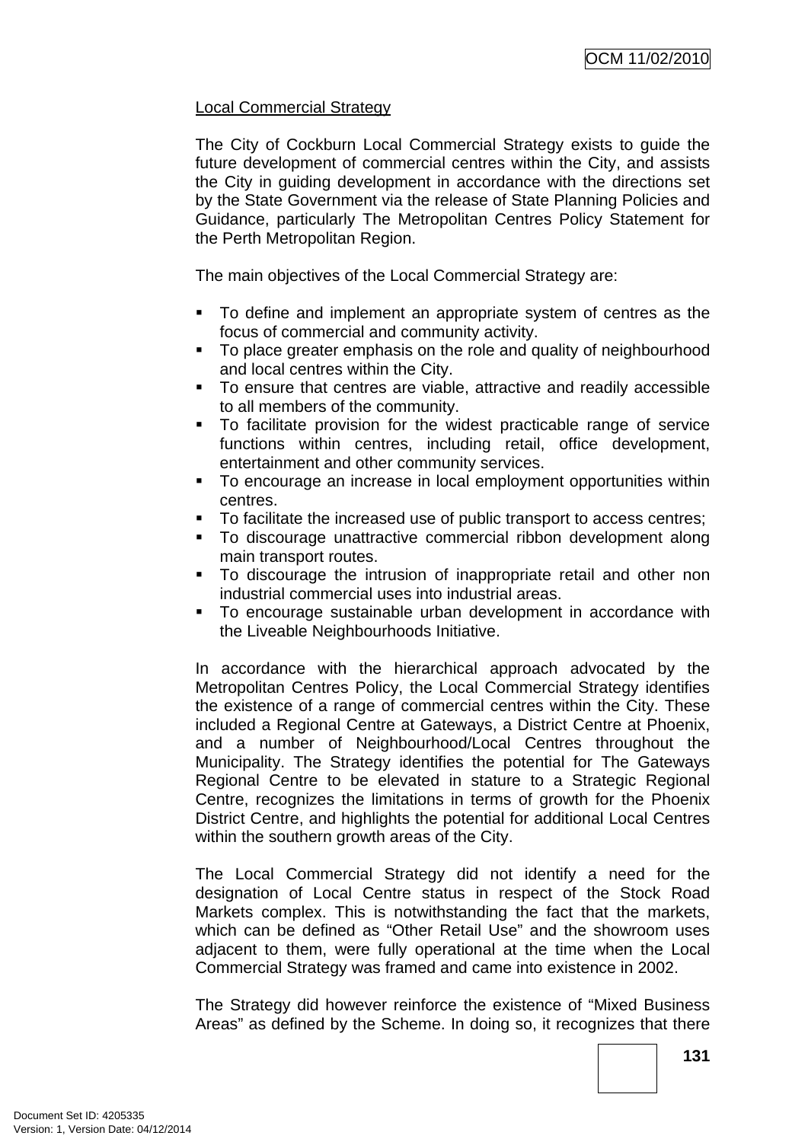# Local Commercial Strategy

The City of Cockburn Local Commercial Strategy exists to guide the future development of commercial centres within the City, and assists the City in guiding development in accordance with the directions set by the State Government via the release of State Planning Policies and Guidance, particularly The Metropolitan Centres Policy Statement for the Perth Metropolitan Region.

The main objectives of the Local Commercial Strategy are:

- To define and implement an appropriate system of centres as the focus of commercial and community activity.
- To place greater emphasis on the role and quality of neighbourhood and local centres within the City.
- To ensure that centres are viable, attractive and readily accessible to all members of the community.
- To facilitate provision for the widest practicable range of service functions within centres, including retail, office development, entertainment and other community services.
- To encourage an increase in local employment opportunities within centres.
- To facilitate the increased use of public transport to access centres;
- To discourage unattractive commercial ribbon development along main transport routes.
- To discourage the intrusion of inappropriate retail and other non industrial commercial uses into industrial areas.
- To encourage sustainable urban development in accordance with the Liveable Neighbourhoods Initiative.

In accordance with the hierarchical approach advocated by the Metropolitan Centres Policy, the Local Commercial Strategy identifies the existence of a range of commercial centres within the City. These included a Regional Centre at Gateways, a District Centre at Phoenix, and a number of Neighbourhood/Local Centres throughout the Municipality. The Strategy identifies the potential for The Gateways Regional Centre to be elevated in stature to a Strategic Regional Centre, recognizes the limitations in terms of growth for the Phoenix District Centre, and highlights the potential for additional Local Centres within the southern growth areas of the City.

The Local Commercial Strategy did not identify a need for the designation of Local Centre status in respect of the Stock Road Markets complex. This is notwithstanding the fact that the markets, which can be defined as "Other Retail Use" and the showroom uses adjacent to them, were fully operational at the time when the Local Commercial Strategy was framed and came into existence in 2002.

The Strategy did however reinforce the existence of "Mixed Business Areas" as defined by the Scheme. In doing so, it recognizes that there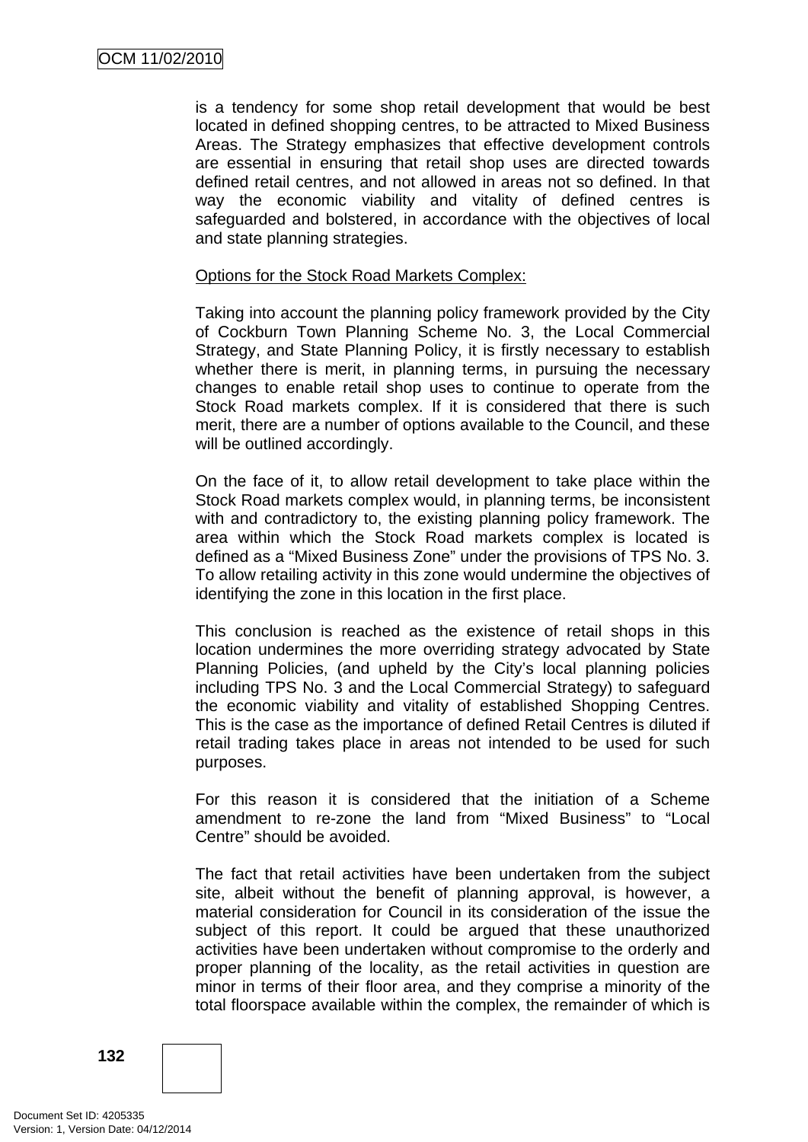is a tendency for some shop retail development that would be best located in defined shopping centres, to be attracted to Mixed Business Areas. The Strategy emphasizes that effective development controls are essential in ensuring that retail shop uses are directed towards defined retail centres, and not allowed in areas not so defined. In that way the economic viability and vitality of defined centres is safeguarded and bolstered, in accordance with the objectives of local and state planning strategies.

#### Options for the Stock Road Markets Complex:

Taking into account the planning policy framework provided by the City of Cockburn Town Planning Scheme No. 3, the Local Commercial Strategy, and State Planning Policy, it is firstly necessary to establish whether there is merit, in planning terms, in pursuing the necessary changes to enable retail shop uses to continue to operate from the Stock Road markets complex. If it is considered that there is such merit, there are a number of options available to the Council, and these will be outlined accordingly.

On the face of it, to allow retail development to take place within the Stock Road markets complex would, in planning terms, be inconsistent with and contradictory to, the existing planning policy framework. The area within which the Stock Road markets complex is located is defined as a "Mixed Business Zone" under the provisions of TPS No. 3. To allow retailing activity in this zone would undermine the objectives of identifying the zone in this location in the first place.

This conclusion is reached as the existence of retail shops in this location undermines the more overriding strategy advocated by State Planning Policies, (and upheld by the City's local planning policies including TPS No. 3 and the Local Commercial Strategy) to safeguard the economic viability and vitality of established Shopping Centres. This is the case as the importance of defined Retail Centres is diluted if retail trading takes place in areas not intended to be used for such purposes.

For this reason it is considered that the initiation of a Scheme amendment to re-zone the land from "Mixed Business" to "Local Centre" should be avoided.

The fact that retail activities have been undertaken from the subject site, albeit without the benefit of planning approval, is however, a material consideration for Council in its consideration of the issue the subject of this report. It could be argued that these unauthorized activities have been undertaken without compromise to the orderly and proper planning of the locality, as the retail activities in question are minor in terms of their floor area, and they comprise a minority of the total floorspace available within the complex, the remainder of which is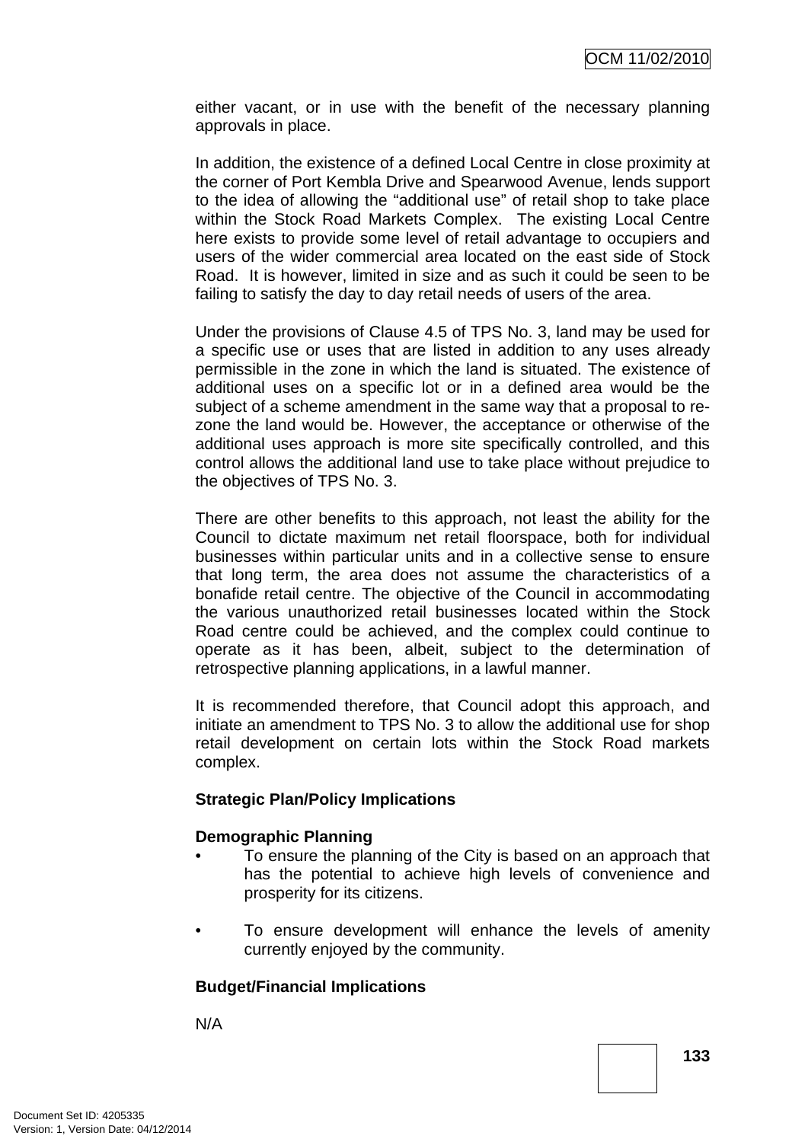either vacant, or in use with the benefit of the necessary planning approvals in place.

In addition, the existence of a defined Local Centre in close proximity at the corner of Port Kembla Drive and Spearwood Avenue, lends support to the idea of allowing the "additional use" of retail shop to take place within the Stock Road Markets Complex. The existing Local Centre here exists to provide some level of retail advantage to occupiers and users of the wider commercial area located on the east side of Stock Road. It is however, limited in size and as such it could be seen to be failing to satisfy the day to day retail needs of users of the area.

Under the provisions of Clause 4.5 of TPS No. 3, land may be used for a specific use or uses that are listed in addition to any uses already permissible in the zone in which the land is situated. The existence of additional uses on a specific lot or in a defined area would be the subject of a scheme amendment in the same way that a proposal to rezone the land would be. However, the acceptance or otherwise of the additional uses approach is more site specifically controlled, and this control allows the additional land use to take place without prejudice to the objectives of TPS No. 3.

There are other benefits to this approach, not least the ability for the Council to dictate maximum net retail floorspace, both for individual businesses within particular units and in a collective sense to ensure that long term, the area does not assume the characteristics of a bonafide retail centre. The objective of the Council in accommodating the various unauthorized retail businesses located within the Stock Road centre could be achieved, and the complex could continue to operate as it has been, albeit, subject to the determination of retrospective planning applications, in a lawful manner.

It is recommended therefore, that Council adopt this approach, and initiate an amendment to TPS No. 3 to allow the additional use for shop retail development on certain lots within the Stock Road markets complex.

#### **Strategic Plan/Policy Implications**

#### **Demographic Planning**

- To ensure the planning of the City is based on an approach that has the potential to achieve high levels of convenience and prosperity for its citizens.
- To ensure development will enhance the levels of amenity currently enjoyed by the community.

# **Budget/Financial Implications**

N/A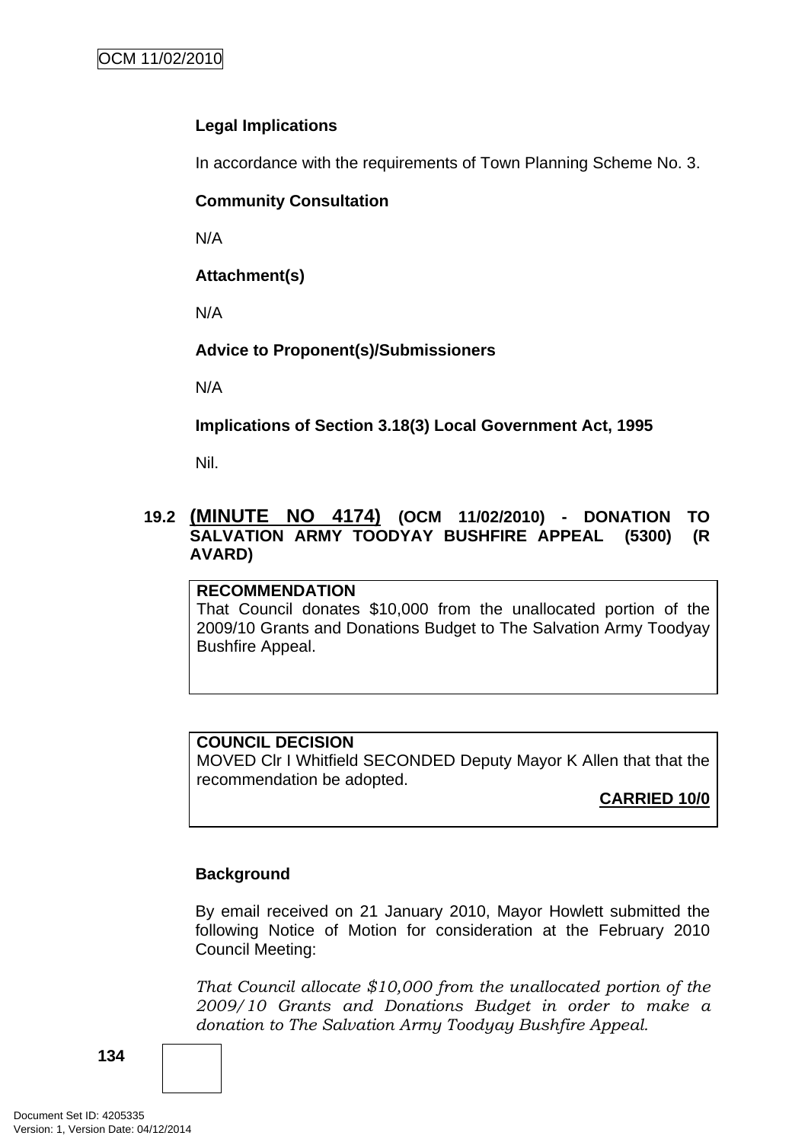# **Legal Implications**

In accordance with the requirements of Town Planning Scheme No. 3.

### **Community Consultation**

N/A

**Attachment(s)**

N/A

# **Advice to Proponent(s)/Submissioners**

N/A

**Implications of Section 3.18(3) Local Government Act, 1995**

Nil.

# **19.2 (MINUTE NO 4174) (OCM 11/02/2010) - DONATION TO SALVATION ARMY TOODYAY BUSHFIRE APPEAL (5300) (R AVARD)**

#### **RECOMMENDATION**

That Council donates \$10,000 from the unallocated portion of the 2009/10 Grants and Donations Budget to The Salvation Army Toodyay Bushfire Appeal.

#### **COUNCIL DECISION**

MOVED Clr I Whitfield SECONDED Deputy Mayor K Allen that that the recommendation be adopted.

**CARRIED 10/0**

# **Background**

By email received on 21 January 2010, Mayor Howlett submitted the following Notice of Motion for consideration at the February 2010 Council Meeting:

*That Council allocate \$10,000 from the unallocated portion of the 2009/10 Grants and Donations Budget in order to make a donation to The Salvation Army Toodyay Bushfire Appeal.*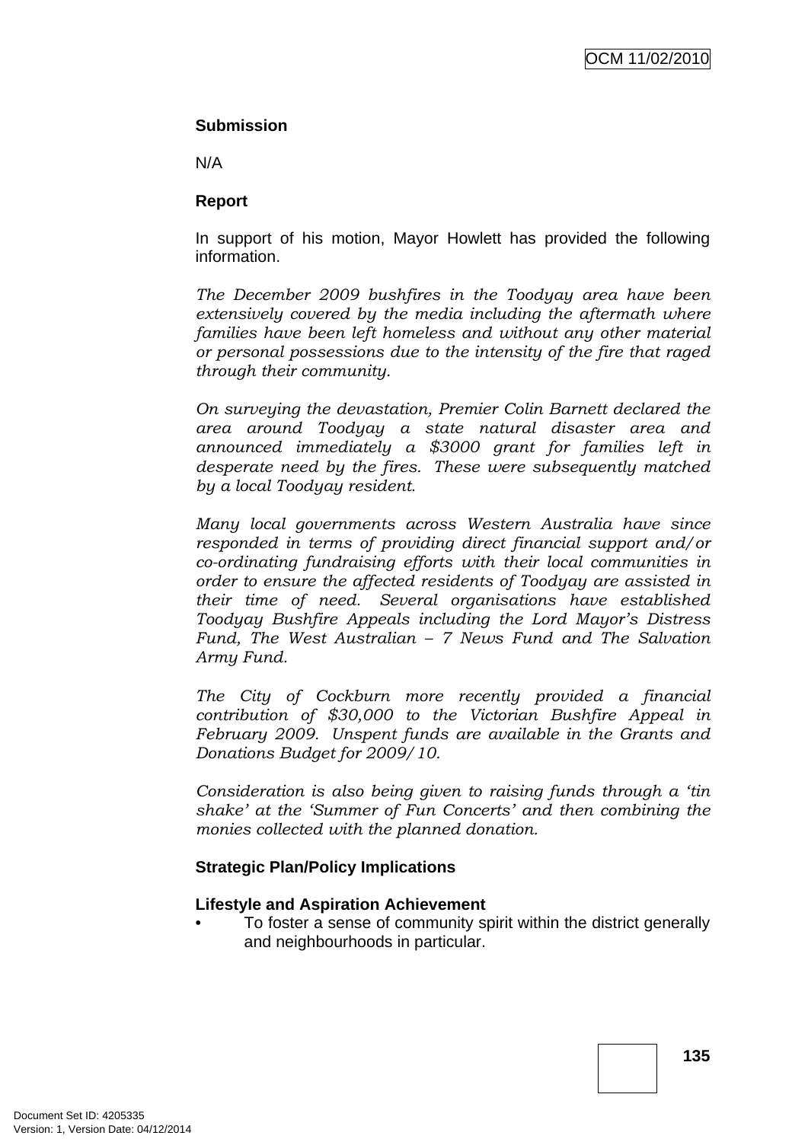#### **Submission**

N/A

### **Report**

In support of his motion, Mayor Howlett has provided the following information.

*The December 2009 bushfires in the Toodyay area have been extensively covered by the media including the aftermath where families have been left homeless and without any other material or personal possessions due to the intensity of the fire that raged through their community.* 

*On surveying the devastation, Premier Colin Barnett declared the area around Toodyay a state natural disaster area and announced immediately a \$3000 grant for families left in desperate need by the fires. These were subsequently matched by a local Toodyay resident.* 

*Many local governments across Western Australia have since responded in terms of providing direct financial support and/or co-ordinating fundraising efforts with their local communities in order to ensure the affected residents of Toodyay are assisted in their time of need. Several organisations have established Toodyay Bushfire Appeals including the Lord Mayor's Distress Fund, The West Australian – 7 News Fund and The Salvation Army Fund.* 

*The City of Cockburn more recently provided a financial contribution of \$30,000 to the Victorian Bushfire Appeal in February 2009. Unspent funds are available in the Grants and Donations Budget for 2009/10.* 

*Consideration is also being given to raising funds through a 'tin shake' at the 'Summer of Fun Concerts' and then combining the monies collected with the planned donation.*

# **Strategic Plan/Policy Implications**

#### **Lifestyle and Aspiration Achievement**

• To foster a sense of community spirit within the district generally and neighbourhoods in particular.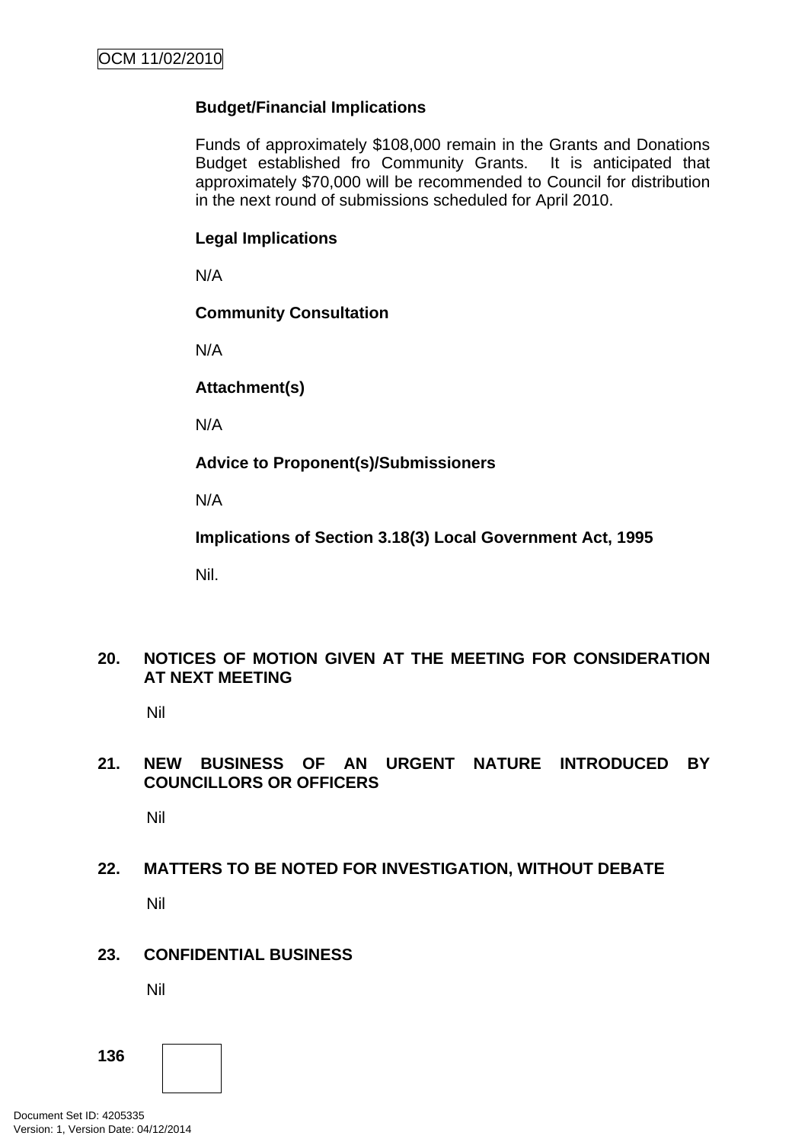# **Budget/Financial Implications**

Funds of approximately \$108,000 remain in the Grants and Donations Budget established fro Community Grants. It is anticipated that approximately \$70,000 will be recommended to Council for distribution in the next round of submissions scheduled for April 2010.

#### **Legal Implications**

N/A

#### **Community Consultation**

N/A

**Attachment(s)**

N/A

**Advice to Proponent(s)/Submissioners** 

N/A

**Implications of Section 3.18(3) Local Government Act, 1995**

Nil.

# **20. NOTICES OF MOTION GIVEN AT THE MEETING FOR CONSIDERATION AT NEXT MEETING**

Nil

# **21. NEW BUSINESS OF AN URGENT NATURE INTRODUCED BY COUNCILLORS OR OFFICERS**

Nil

# **22. MATTERS TO BE NOTED FOR INVESTIGATION, WITHOUT DEBATE**

Nil

#### **23. CONFIDENTIAL BUSINESS**

Nil